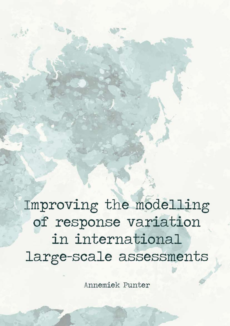Annemiek Punter

Improving the modelling of response variation in international large-scale assessments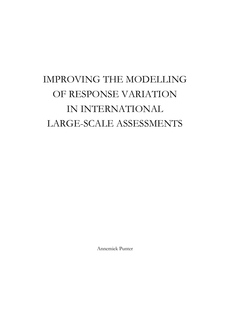# IMPROVING THE MODELLING OF RESPONSE VARIATION IN INTERNATIONAL LARGE-SCALE ASSESSMENTS

Annemiek Punter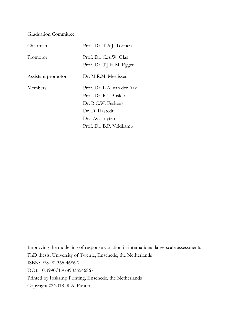Graduation Committee:

| Chairman           | Prof. Dr. T.A.J. Toonen                                                                                                                   |
|--------------------|-------------------------------------------------------------------------------------------------------------------------------------------|
| Promotor           | Prof. Dr. C.A.W. Glas<br>Prof. Dr. T.J.H.M. Eggen                                                                                         |
| Assistant promotor | Dr. M.R.M. Meelissen                                                                                                                      |
| Members            | Prof. Dr. L.A. van der Ark<br>Prof. Dr. R.J. Bosker<br>Dr. R.C.W. Feskens<br>Dr. D. Hastedt<br>Dr. J.W. Luyten<br>Prof. Dr. B.P. Veldkamp |

Improving the modelling of response variation in international large-scale assessments PhD thesis, University of Twente, Enschede, the Netherlands ISBN: 978-90-365-4686-7 DOI: 10.3990/1.9789036546867 Printed by Ipskamp Printing, Enschede, the Netherlands Copyright © 2018, R.A. Punter.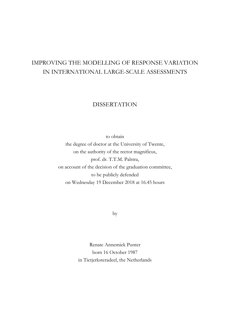# IMPROVING THE MODELLING OF RESPONSE VARIATION IN INTERNATIONAL LARGE-SCALE ASSESSMENTS

#### DISSERTATION

to obtain

the degree of doctor at the University of Twente, on the authority of the rector magnificus, prof. dr. T.T.M. Palstra, on account of the decision of the graduation committee, to be publicly defended on Wednesday 19 December 2018 at 16.45 hours

by

Renate Annemiek Punter born 16 October 1987 in Tietjerksteradeel, the Netherlands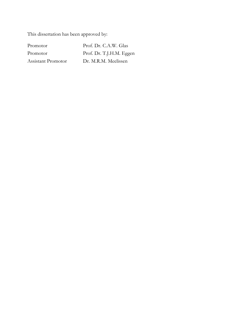This dissertation has been approved by:

Promotor Prof. Dr. C.A.W. Glas

Promotor Prof. Dr. T.J.H.M. Eggen Assistant Promotor Dr. M.R.M. Meelissen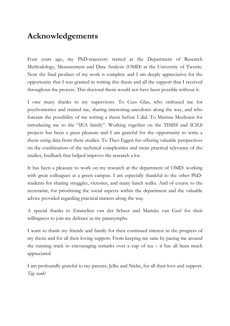# **Acknowledgements**

Four years ago, my PhD-trajectory started at the Department of Research Methodology, Measurement and Data Analysis (OMD) at the University of Twente. Now the final product of my work is complete and I am deeply appreciative for the opportunity that I was granted in writing this thesis and all the support that I received throughout the process. This doctoral thesis would not have been possible without it.

I owe many thanks to my supervisors. To Cees Glas, who enthused me for psychometrics and trained me, sharing interesting anecdotes along the way, and who foresaw the possibility of me writing a thesis before I did. To Martina Meelissen for introducing me to the "IEA family". Working together on the TIMSS and ICILS projects has been a great pleasure and I am grateful for the opportunity to write a thesis using data from these studies. To Theo Eggen for offering valuable perspectives on the combination of the technical complexities and more practical relevance of the studies, feedback that helped improve the research a lot.

It has been a pleasure to work on my research at the department of OMD: working with great colleagues at a green campus. I am especially thankful to the other PhDstudents for sharing struggles, victories, and many lunch walks. And of course to the secretariat, for prioritising the social aspects within the department and the valuable advice provided regarding practical matters along the way.

A special thanks to Emmelien van der Scheer and Marieke van Geel for their willingness to join my defence as my paranymphs.

I want to thank my friends and family for their continued interest in the progress of my thesis and for all their loving support. From keeping me sane by pacing me around the running track to encouraging remarks over a cup of tea  $-$  it has all been much appreciated.

I am profoundly grateful to my parents, Jelke and Nieke, for all their love and support. *Tige tank!*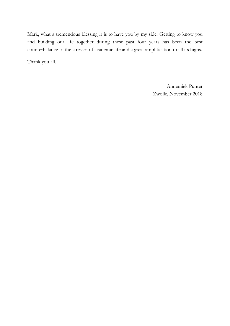Mark, what a tremendous blessing it is to have you by my side. Getting to know you and building our life together during these past four years has been the best counterbalance to the stresses of academic life and a great amplification to all its highs.

Thank you all.

Annemiek Punter Zwolle, November 2018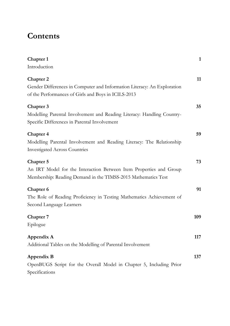# **Contents**

| Chapter 1                                                               | $\mathbf{1}$ |
|-------------------------------------------------------------------------|--------------|
| Introduction                                                            |              |
| <b>Chapter 2</b>                                                        | 11           |
| Gender Differences in Computer and Information Literacy: An Exploration |              |
| of the Performances of Girls and Boys in ICILS-2013                     |              |
| <b>Chapter 3</b>                                                        | 35           |
| Modelling Parental Involvement and Reading Literacy: Handling Country-  |              |
| Specific Differences in Parental Involvement                            |              |
| <b>Chapter 4</b>                                                        | 59           |
| Modelling Parental Involvement and Reading Literacy: The Relationship   |              |
| <b>Investigated Across Countries</b>                                    |              |
| Chapter 5                                                               | 73           |
| An IRT Model for the Interaction Between Item Properties and Group      |              |
| Membership: Reading Demand in the TIMSS-2015 Mathematics Test           |              |
| <b>Chapter 6</b>                                                        | 91           |
| The Role of Reading Proficiency in Testing Mathematics Achievement of   |              |
| Second Language Learners                                                |              |
| <b>Chapter</b> 7                                                        | 109          |
| Epilogue                                                                |              |
| Appendix A                                                              | 117          |
| Additional Tables on the Modelling of Parental Involvement              |              |
| Appendix B                                                              | 137          |
| OpenBUGS Script for the Overall Model in Chapter 5, Including Prior     |              |
| Specifications                                                          |              |
|                                                                         |              |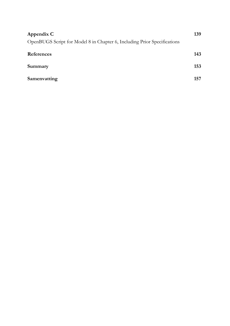| Appendix C                                                               | 139 |
|--------------------------------------------------------------------------|-----|
| OpenBUGS Script for Model 8 in Chapter 6, Including Prior Specifications |     |
| References                                                               | 143 |
| Summary                                                                  | 153 |
| Samenvatting                                                             | 157 |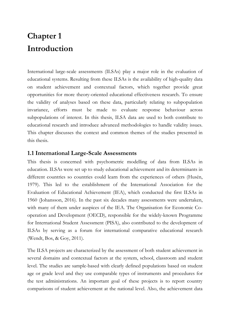# **Chapter 1 Introduction**

International large-scale assessments (ILSAs) play a major role in the evaluation of educational systems. Resulting from these ILSAs is the availability of high-quality data on student achievement and contextual factors, which together provide great opportunities for more theory-oriented educational effectiveness research. To ensure the validity of analyses based on these data, particularly relating to subpopulation invariance, efforts must be made to evaluate response behaviour across subpopulations of interest. In this thesis, ILSA data are used to both contribute to educational research and introduce advanced methodologies to handle validity issues. This chapter discusses the context and common themes of the studies presented in this thesis.

### **1.1 International Large-Scale Assessments**

This thesis is concerned with psychometric modelling of data from ILSAs in education. ILSAs were set up to study educational achievement and its determinants in different countries so countries could learn from the experiences of others (Husén, 1979). This led to the establishment of the International Association for the Evaluation of Educational Achievement (IEA), which conducted the first ILSAs in 1960 (Johansson, 2016). In the past six decades many assessments were undertaken, with many of them under auspices of the IEA. The Organisation for Economic Cooperation and Development (OECD), responsible for the widely-known Programme for International Student Assessment (PISA), also contributed to the development of ILSAs by serving as a forum for international comparative educational research (Wendt, Bos, & Goy, 2011).

The ILSA projects are characterized by the assessment of both student achievement in several domains and contextual factors at the system, school, classroom and student level. The studies are sample-based with clearly defined populations based on student age or grade level and they use comparable types of instruments and procedures for the test administrations. An important goal of these projects is to report country comparisons of student achievement at the national level. Also, the achievement data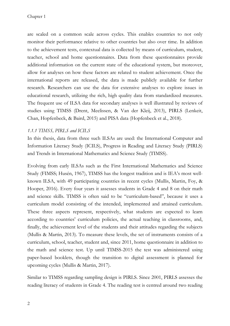are scaled on a common scale across cycles. This enables countries to not only monitor their performance relative to other countries but also over time. In addition to the achievement tests, contextual data is collected by means of curriculum, student, teacher, school and home questionnaires. Data from these questionnaires provide additional information on the current state of the educational system, but moreover, allow for analyses on how these factors are related to student achievement. Once the international reports are released, the data is made publicly available for further research. Researchers can use the data for extensive analyses to explore issues in educational research, utilizing the rich, high quality data from standardized measures. The frequent use of ILSA data for secondary analyses is well illustrated by reviews of studies using TIMSS (Drent, Meelissen, & Van der Kleij, 2013), PIRLS (Lenkeit, Chan, Hopfenbeck, & Baird, 2015) and PISA data (Hopfenbeck et al., 2018).

#### *1.1.1 TIMSS, PIRLS and ICILS*

In this thesis, data from three such ILSAs are used: the International Computer and Information Literacy Study (ICILS), Progress in Reading and Literacy Study (PIRLS) and Trends in International Mathematics and Science Study (TIMSS).

Evolving from early ILSAs such as the First International Mathematics and Science Study (FIMSS; Husén, 1967), TIMSS has the longest tradition and is IEA's most wellknown ILSA, with 49 participating countries in recent cycles (Mullis, Martin, Foy, & Hooper, 2016). Every four years it assesses students in Grade 4 and 8 on their math and science skills. TIMSS is often said to be "curriculum-based", because it uses a curriculum model consisting of the intended, implemented and attained curriculum. These three aspects represent, respectively, what students are expected to learn according to countries' curriculum policies, the actual teaching in classrooms, and, finally, the achievement level of the students and their attitudes regarding the subjects (Mullis & Martin, 2013). To measure these levels, the set of instruments consists of a curriculum, school, teacher, student and, since 2011, home questionnaire in addition to the math and science test. Up until TIMSS-2015 the test was administered using paper-based booklets, though the transition to digital assessment is planned for upcoming cycles (Mullis & Martin, 2017).

Similar to TIMSS regarding sampling design is PIRLS. Since 2001, PIRLS assesses the reading literacy of students in Grade 4. The reading test is centred around two reading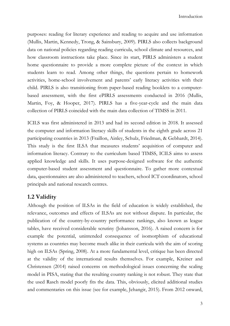purposes: reading for literary experience and reading to acquire and use information (Mullis, Martin, Kennedy, Trong, & Sainsbury, 2009). PIRLS also collects background data on national policies regarding reading curricula, school climate and resources, and how classroom instructions take place. Since its start, PIRLS administers a student home questionnaire to provide a more complete picture of the context in which students learn to read. Among other things, the questions pertain to homework activities, home-school involvement and parents' early literacy activities with their child. PIRLS is also transitioning from paper-based reading booklets to a computerbased assessment, with the first ePIRLS assessments conducted in 2016 (Mullis, Martin, Foy, & Hooper, 2017). PIRLS has a five-year-cycle and the main data collection of PIRLS coincided with the main data collection of TIMSS in 2011.

ICILS was first administered in 2013 and had its second edition in 2018. It assessed the computer and information literacy skills of students in the eighth grade across 21 participating countries in 2013 (Fraillon, Ainley, Schulz, Friedman, & Gebhardt, 2014). This study is the first ILSA that measures students' acquisition of computer and information literacy. Contrary to the curriculum based TIMSS, ICILS aims to assess applied knowledge and skills. It uses purpose-designed software for the authentic computer-based student assessment and questionnaire. To gather more contextual data, questionnaires are also administered to teachers, school ICT-coordinators, school principals and national research centres.

### **1.2 Validity**

Although the position of ILSAs in the field of education is widely established, the relevance, outcomes and effects of ILSAs are not without dispute. In particular, the publication of the country-by-country performance rankings, also known as league tables, have received considerable scrutiny (Johansson, 2016). A raised concern is for example the potential, unintended consequence of isomorphism of educational systems as countries may become much alike in their curricula with the aim of scoring high on ILSAs (Spring, 2008). At a more fundamental level, critique has been directed at the validity of the international results themselves. For example, Kreiner and Christensen (2014) raised concerns on methodological issues concerning the scaling model in PISA, stating that the resulting country ranking is not robust. They state that the used Rasch model poorly fits the data. This, obviously, elicited additional studies and commentaries on this issue (see for example, Jehangir, 2015). From 2012 onward,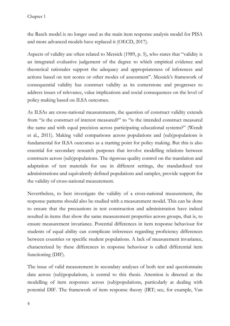the Rasch model is no longer used as the main item response analysis model for PISA and more advanced models have replaced it (OECD, 2017).

Aspects of validity are often related to Messick (1989, p. 5), who states that "validity is an integrated evaluative judgement of the degree to which empirical evidence and theoretical rationales support the adequacy and appropriateness of inferences and actions based on test scores or other modes of assessment". Messick's framework of consequential validity has construct validity as its cornerstone and progresses to address issues of relevance, value implications and social consequences on the level of policy making based on ILSA outcomes.

As ILSAs are cross-national measurements, the question of construct validity extends from "is the construct of interest measured?" to "is the intended construct measured the same and with equal precision across participating educational systems?" (Wendt et al., 2011). Making valid comparisons across populations and (sub)populations is fundamental for ILSA outcomes as a starting point for policy making. But this is also essential for secondary research purposes that involve modelling relations between constructs across (sub)populations. The rigorous quality control on the translation and adaptation of test materials for use in different settings, the standardized test administrations and equivalently defined populations and samples, provide support for the validity of cross-national measurement.

Nevertheless, to best investigate the validity of a cross-national measurement, the response patterns should also be studied with a measurement model. This can be done to ensure that the precautions in test construction and administration have indeed resulted in items that show the same measurement properties across groups, that is, to ensure measurement invariance. Potential differences in item response behaviour for students of equal ability can complicate inferences regarding proficiency differences between countries or specific student populations. A lack of measurement invariance, characterized by these differences in response behaviour is called differential item functioning (DIF).

The issue of valid measurement in secondary analyses of both test and questionnaire data across (sub)populations, is central to this thesis. Attention is directed at the modelling of item responses across (sub)populations, particularly at dealing with potential DIF. The framework of item response theory (IRT; see, for example, Van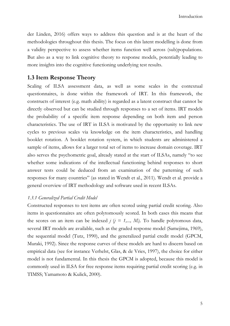der Linden, 2016) offers ways to address this question and is at the heart of the methodologies throughout this thesis. The focus on this latent modelling is done from a validity perspective to assess whether items function well across (sub)populations. But also as a way to link cognitive theory to response models, potentially leading to more insights into the cognitive functioning underlying test results.

#### **1.3 Item Response Theory**

Scaling of ILSA assessment data, as well as some scales in the contextual questionnaires, is done within the framework of IRT. In this framework, the constructs of interest (e.g. math ability) is regarded as a latent construct that cannot be directly observed but can be studied through responses to a set of items. IRT models the probability of a specific item response depending on both item and person characteristics. The use of IRT in ILSA is motivated by the opportunity to link new cycles to previous scales via knowledge on the item characteristics, and handling booklet rotation. A booklet rotation system, in which students are administered a sample of items, allows for a larger total set of items to increase domain coverage. IRT also serves the psychometric goal, already stated at the start of ILSAs, namely "to see whether some indications of the intellectual functioning behind responses to short answer tests could be deduced from an examination of the patterning of such responses for many countries" (as stated in Wendt et al., 2011). Wendt et al. provide a general overview of IRT methodology and software used in recent ILSAs.

#### *1.3.1 Generalized Partial Credit Model*

Constructed responses to test items are often scored using partial credit scoring. Also items in questionnaires are often polytomously scored. In both cases this means that the scores on an item can be indexed  $j$  ( $j = 1,..., M_i$ ). To handle polytomous data, several IRT models are available, such as the graded response model (Samejima, 1969), the sequential model (Tutz, 1990), and the generalized partial credit model (GPCM, Muraki, 1992). Since the response curves of these models are hard to discern based on empirical data (see for instance Verhelst, Glas, & de Vries, 1997), the choice for either model is not fundamental. In this thesis the GPCM is adopted, because this model is commonly used in ILSA for free response items requiring partial credit scoring (e.g. in TIMSS; Yamamoto & Kulick, 2000).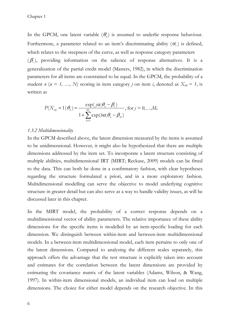In the GPCM, one latent variable  $(\theta_n)$  is assumed to underlie response behaviour. Furthermore, a parameter related to an item's discriminating ability  $(\alpha_i)$  is defined, which relates to the steepness of the curve, as well as response category parameters

 $(\beta_i)$ , providing information on the salience of response alternatives. It is a generalization of the partial credit model (Masters, 1982), in which the discrimination parameters for all items are constrained to be equal. In the GPCM, the probability of a student *n* ( $n = 1, ..., N$ ) scoring in item category *j* on item *i*, denoted as  $X_{nij} = 1$ , is written as

$$
P(X_{nij}=1 | \theta_n) = \frac{\exp(j\alpha_i \theta_n - \beta_i)}{1 + \sum_{b=1}^{M_i} \exp(b\alpha_i \theta_n - \beta_{ib})}, \text{ for } j = 0,...,M_i.
$$

#### *1.3.2 Multidimensionality*

In the GPCM described above, the latent dimension measured by the items is assumed to be unidimensional. However, it might also be hypothesized that there are multiple dimensions addressed by the item set. To incorporate a latent structure consisting of multiple abilities, multidimensional IRT (MIRT; Reckase, 2009) models can be fitted to the data. This can both be done in a confirmatory fashion, with clear hypotheses regarding the structure formulated a priori, and in a more exploratory fashion. Multidimensional modelling can serve the objective to model underlying cognitive structure in greater detail but can also serve as a way to handle validity issues, as will be discussed later in this chapter.

In the MIRT model, the probability of a correct response depends on a multidimensional vector of ability parameters. The relative importance of these ability dimensions for the specific items is modelled by an item-specific loading for each dimension. We distinguish between within-item and between-item multidimensional models. In a between-item multidimensional model, each item pertains to only one of the latent dimensions. Compared to analysing the different scales separately, this approach offers the advantage that the test structure is explicitly taken into account and estimates for the correlation between the latent dimensions are provided by estimating the covariance matrix of the latent variables (Adams, Wilson, & Wang, 1997). In within-item dimensional models, an individual item can load on multiple dimensions. The choice for either model depends on the research objective. In this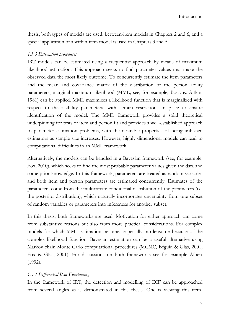thesis, both types of models are used: between-item models in Chapters 2 and 6, and a special application of a within-item model is used in Chapters 3 and 5.

#### *1.3.3 Estimation procedures*

IRT models can be estimated using a frequentist approach by means of maximum likelihood estimation. This approach seeks to find parameter values that make the observed data the most likely outcome. To concurrently estimate the item parameters and the mean and covariance matrix of the distribution of the person ability parameters, marginal maximum likelihood (MML; see, for example, Bock & Aitkin, 1981) can be applied. MML maximizes a likelihood function that is marginalized with respect to these ability parameters, with certain restrictions in place to ensure identification of the model. The MML framework provides a solid theoretical underpinning for tests of item and person fit and provides a well-established approach to parameter estimation problems, with the desirable properties of being unbiased estimators as sample size increases. However, highly dimensional models can lead to computational difficulties in an MML framework.

Alternatively, the models can be handled in a Bayesian framework (see, for example, Fox, 2010), which seeks to find the most probable parameter values given the data and some prior knowledge. In this framework, parameters are treated as random variables and both item and person parameters are estimated concurrently. Estimates of the parameters come from the multivariate conditional distribution of the parameters (i.e. the posterior distribution), which naturally incorporates uncertainty from one subset of random variables or parameters into inferences for another subset.

In this thesis, both frameworks are used. Motivation for either approach can come from substantive reasons but also from more practical considerations. For complex models for which MML estimation becomes especially burdensome because of the complex likelihood function, Bayesian estimation can be a useful alternative using Markov chain Monte Carlo computational procedures (MCMC, Béguin & Glas, 2001, Fox & Glas, 2001). For discussions on both frameworks see for example Albert (1992).

#### *1.3.4 Differential Item Functioning*

In the framework of IRT, the detection and modelling of DIF can be approached from several angles as is demonstrated in this thesis. One is viewing this item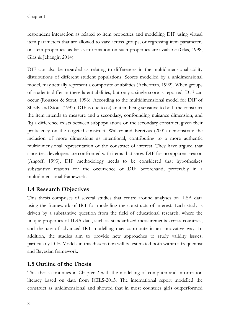respondent interaction as related to item properties and modelling DIF using virtual item parameters that are allowed to vary across groups, or regressing item parameters on item properties, as far as information on such properties are available (Glas, 1998; Glas & Jehangir, 2014).

DIF can also be regarded as relating to differences in the multidimensional ability distributions of different student populations. Scores modelled by a unidimensional model, may actually represent a composite of abilities (Ackerman, 1992). When groups of students differ in these latent abilities, but only a single score is reported, DIF can occur (Roussos & Stout, 1996). According to the multidimensional model for DIF of Shealy and Stout (1993), DIF is due to (a) an item being sensitive to both the construct the item intends to measure and a secondary, confounding nuisance dimension, and (b) a difference exists between subpopulations on the secondary construct, given their proficiency on the targeted construct. Walker and Beretvas (2001) demonstrate the inclusion of more dimensions as intentional, contributing to a more authentic multidimensional representation of the construct of interest. They have argued that since test developers are confronted with items that show DIF for no apparent reason (Angoff, 1993), DIF methodology needs to be considered that hypothesizes substantive reasons for the occurrence of DIF beforehand, preferably in a multidimensional framework.

## **1.4 Research Objectives**

This thesis comprises of several studies that centre around analyses on ILSA data using the framework of IRT for modelling the constructs of interest. Each study is driven by a substantive question from the field of educational research, where the unique properties of ILSA data, such as standardized measurements across countries, and the use of advanced IRT modelling may contribute in an innovative way. In addition, the studies aim to provide new approaches to study validity issues, particularly DIF. Models in this dissertation will be estimated both within a frequentist and Bayesian framework.

## **1.5 Outline of the Thesis**

This thesis continues in Chapter 2 with the modelling of computer and information literacy based on data from ICILS-2013. The international report modelled the construct as unidimensional and showed that in most countries girls outperformed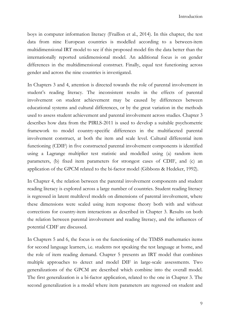boys in computer information literacy (Fraillon et al., 2014). In this chapter, the test data from nine European countries is modelled according to a between-item multidimensional IRT model to see if this proposed model fits the data better than the internationally reported unidimensional model. An additional focus is on gender differences in the multidimensional construct. Finally, equal test functioning across gender and across the nine countries is investigated.

In Chapters 3 and 4, attention is directed towards the role of parental involvement in student's reading literacy. The inconsistent results in the effects of parental involvement on student achievement may be caused by differences between educational systems and cultural differences, or by the great variation in the methods used to assess student achievement and parental involvement across studies. Chapter 3 describes how data from the PIRLS-2011 is used to develop a suitable psychometric framework to model country-specific differences in the multifaceted parental involvement construct, at both the item and scale level. Cultural differential item functioning (CDIF) in five constructed parental involvement components is identified using a Lagrange multiplier test statistic and modelled using (a) random item parameters, (b) fixed item parameters for strongest cases of CDIF, and (c) an application of the GPCM related to the bi-factor model (Gibbons & Hedeker, 1992).

In Chapter 4, the relation between the parental involvement components and student reading literacy is explored across a large number of countries. Student reading literacy is regressed in latent multilevel models on dimensions of parental involvement, where these dimensions were scaled using item response theory both with and without corrections for country-item interactions as described in Chapter 3. Results on both the relation between parental involvement and reading literacy, and the influences of potential CDIF are discussed.

In Chapters 5 and 6, the focus is on the functioning of the TIMSS mathematics items for second language learners, i.e. students not speaking the test language at home, and the role of item reading demand. Chapter 5 presents an IRT model that combines multiple approaches to detect and model DIF in large-scale assessments. Two generalizations of the GPCM are described which combine into the overall model. The first generalization is a bi-factor application, related to the one in Chapter 3. The second generalization is a model where item parameters are regressed on student and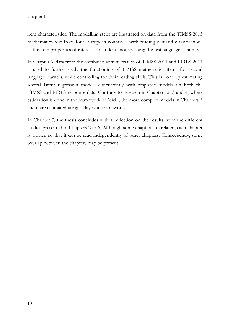item characteristics. The modelling steps are illustrated on data from the TIMSS-2015 mathematics test from four European countries, with reading demand classifications as the item properties of interest for students not speaking the test language at home.

In Chapter 6, data from the combined administration of TIMSS-2011 and PIRLS-2011 is used to further study the functioning of TIMSS mathematics items for second language learners, while controlling for their reading skills. This is done by estimating several latent regression models concurrently with response models on both the TIMSS and PIRLS response data. Contrary to research in Chapters 2, 3 and 4, where estimation is done in the framework of MML, the more complex models in Chapters 5 and 6 are estimated using a Bayesian framework.

In Chapter 7, the thesis concludes with a reflection on the results from the different studies presented in Chapters 2 to 6. Although some chapters are related, each chapter is written so that it can be read independently of other chapters. Consequently, some overlap between the chapters may be present.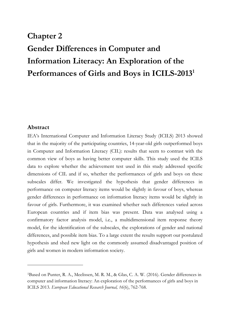# **Chapter 2 Gender Differences in Computer and Information Literacy: An Exploration of the Performances of Girls and Boys in ICILS-20131**

#### **Abstract**

-

IEA's International Computer and Information Literacy Study (ICILS) 2013 showed that in the majority of the participating countries, 14-year-old girls outperformed boys in Computer and Information Literacy (CIL): results that seem to contrast with the common view of boys as having better computer skills. This study used the ICILS data to explore whether the achievement test used in this study addressed specific dimensions of CIL and if so, whether the performances of girls and boys on these subscales differ. We investigated the hypothesis that gender differences in performance on computer literacy items would be slightly in favour of boys, whereas gender differences in performance on information literacy items would be slightly in favour of girls. Furthermore, it was examined whether such differences varied across European countries and if item bias was present. Data was analysed using a confirmatory factor analysis model, i.e., a multidimensional item response theory model, for the identification of the subscales, the explorations of gender and national differences, and possible item bias. To a large extent the results support our postulated hypothesis and shed new light on the commonly assumed disadvantaged position of girls and women in modern information society.

<sup>1</sup>Based on Punter, R. A., Meelissen, M. R. M., & Glas, C. A. W. (2016). Gender differences in computer and information literacy: An exploration of the performances of girls and boys in ICILS 2013. *European Educational Research Journal, 16*(6), 762-768.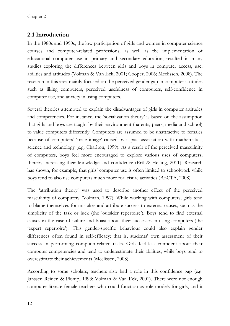# **2.1 Introduction**

In the 1980s and 1990s, the low participation of girls and women in computer science courses and computer-related professions, as well as the implementation of educational computer use in primary and secondary education, resulted in many studies exploring the differences between girls and boys in computer access, use, abilities and attitudes (Volman & Van Eck, 2001; Cooper, 2006; Meelissen, 2008). The research in this area mainly focused on the perceived gender gap in computer attitudes such as liking computers, perceived usefulness of computers, self-confidence in computer use, and anxiety in using computers.

Several theories attempted to explain the disadvantages of girls in computer attitudes and competencies. For instance, the 'socialization theory' is based on the assumption that girls and boys are taught by their environment (parents, peers, media and school) to value computers differently. Computers are assumed to be unattractive to females because of computers' 'male image' caused by a past association with mathematics, science and technology (e.g. Charlton, 1999). As a result of the perceived masculinity of computers, boys feel more encouraged to explore various uses of computers, thereby increasing their knowledge and confidence (Ertl & Helling, 2011). Research has shown, for example, that girls' computer use is often limited to schoolwork while boys tend to also use computers much more for leisure activities (BECTA, 2008).

The 'attribution theory' was used to describe another effect of the perceived masculinity of computers (Volman, 1997). While working with computers, girls tend to blame themselves for mistakes and attribute success to external causes, such as the simplicity of the task or luck (the 'outsider repertoire'). Boys tend to find external causes in the case of failure and boast about their successes in using computers (the 'expert repertoire'). This gender-specific behaviour could also explain gender differences often found in self-efficacy; that is, students' own assessment of their success in performing computer-related tasks. Girls feel less confident about their computer competencies and tend to underestimate their abilities, while boys tend to overestimate their achievements (Meelissen, 2008).

According to some scholars, teachers also had a role in this confidence gap (e.g. Janssen Reinen & Plomp, 1993; Volman & Van Eck, 2001). There were not enough computer-literate female teachers who could function as role models for girls, and it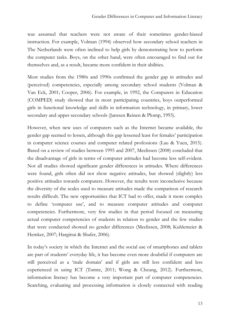was assumed that teachers were not aware of their sometimes gender-biased instruction. For example, Volman (1994) observed how secondary school teachers in The Netherlands were often inclined to help girls by demonstrating how to perform the computer tasks. Boys, on the other hand, were often encouraged to find out for themselves and, as a result, became more confident in their abilities.

Most studies from the 1980s and 1990s confirmed the gender gap in attitudes and (perceived) competencies, especially among secondary school students (Volman & Van Eck, 2001; Cooper, 2006). For example, in 1992, the Computers in Education (COMPED) study showed that in most participating countries, boys outperformed girls in functional knowledge and skills in information technology, in primary, lower secondary and upper secondary schools (Janssen Reinen & Plomp, 1993).

However, when new uses of computers such as the Internet became available, the gender gap seemed to lessen, although this gap lessened least for females' participation in computer science courses and computer related professions (Lau & Yuen, 2015). Based on a review of studies between 1995 and 2007, Meelissen (2008) concluded that the disadvantage of girls in terms of computer attitudes had become less self-evident. Not all studies showed significant gender differences in attitudes. Where differences were found, girls often did not show negative attitudes, but showed (slightly) less positive attitudes towards computers. However, the results were inconclusive because the diversity of the scales used to measure attitudes made the comparison of research results difficult. The new opportunities that ICT had to offer, made it more complex to define 'computer use', and to measure computer attitudes and computer competencies. Furthermore, very few studies in that period focused on measuring actual computer competencies of students in relation to gender and the few studies that were conducted showed no gender differences (Meelissen, 2008; Kuhlemeier & Hemker, 2007; Hargittai & Shafer, 2006).

In today's society in which the Internet and the social use of smartphones and tablets are part of students' everyday life, it has become even more doubtful if computers are still perceived as a 'male domain' and if girls are still less confident and less experienced in using ICT (Tømte, 2011; Wong & Cheung, 2012). Furthermore, information literacy has become a very important part of computer competencies. Searching, evaluating and processing information is closely connected with reading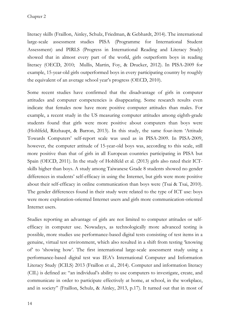Chapter 2

literacy skills (Fraillon, Ainley, Schulz, Friedman, & Gebhardt, 2014). The international large-scale assessment studies PISA (Programme for International Student Assessment) and PIRLS (Progress in International Reading and Literacy Study) showed that in almost every part of the world, girls outperform boys in reading literacy (OECD, 2010; Mullis, Martin, Foy, & Drucker, 2012). In PISA-2009 for example, 15-year-old girls outperformed boys in every participating country by roughly the equivalent of an average school year's progress (OECD, 2010).

Some recent studies have confirmed that the disadvantage of girls in computer attitudes and computer competencies is disappearing. Some research results even indicate that females now have more positive computer attitudes than males. For example, a recent study in the US measuring computer attitudes among eighth-grade students found that girls were more positive about computers than boys were (Hohlfeld, Ritzhaupt, & Barron, 2013). In this study, the same four-item 'Attitude Towards Computers' self-report scale was used as in PISA-2009. In PISA-2009, however, the computer attitude of 15-year-old boys was, according to this scale, still more positive than that of girls in all European countries participating in PISA but Spain (OECD, 2011). In the study of Hohlfeld et al. (2013) girls also rated their ICTskills higher than boys. A study among Taiwanese Grade 8 students showed no gender differences in students' self-efficacy in using the Internet, but girls were more positive about their self-efficacy in online communication than boys were (Tsai & Tsai, 2010). The gender differences found in their study were related to the type of ICT use: boys were more exploration-oriented Internet users and girls more communication-oriented Internet users.

Studies reporting an advantage of girls are not limited to computer attitudes or selfefficacy in computer use. Nowadays, as technologically more advanced testing is possible, more studies use performance-based digital tests consisting of test items in a genuine, virtual test environment, which also resulted in a shift from testing 'knowing of' to 'showing how'. The first international large-scale assessment study using a performance-based digital test was IEA's International Computer and Information Literacy Study (ICILS) 2013 (Fraillon et al., 2014). Computer and information literacy (CIL) is defined as: "an individual's ability to use computers to investigate, create, and communicate in order to participate effectively at home, at school, in the workplace, and in society" (Fraillon, Schulz, & Ainley, 2013, p.17). It turned out that in most of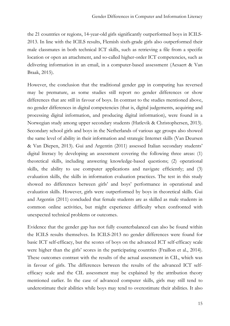the 21 countries or regions, 14-year-old girls significantly outperformed boys in ICILS-2013. In line with the ICILS results, Flemish sixth-grade girls also outperformed their male classmates in both technical ICT skills, such as retrieving a file from a specific location or open an attachment, and so-called higher-order ICT competencies, such as delivering information in an email, in a computer-based assessment (Aesaert & Van Braak, 2015).

However, the conclusion that the traditional gender gap in computing has reversed may be premature, as some studies still report no gender differences or show differences that are still in favour of boys. In contrast to the studies mentioned above, no gender differences in digital competencies (that is, digital judgements, acquiring and processing digital information, and producing digital information), were found in a Norwegian study among upper secondary students (Hatlevik & Christophersen, 2013). Secondary school girls and boys in the Netherlands of various age groups also showed the same level of ability in their information and strategic Internet skills (Van Deursen & Van Diepen, 2013). Gui and Argentin (2011) assessed Italian secondary students' digital literacy by developing an assessment covering the following three areas: (1) theoretical skills, including answering knowledge-based questions; (2) operational skills, the ability to use computer applications and navigate efficiently; and (3) evaluation skills, the skills in information evaluation practices. The test in this study showed no differences between girls' and boys' performance in operational and evaluation skills. However, girls were outperformed by boys in theoretical skills. Gui and Argentin (2011) concluded that female students are as skilled as male students in common online activities, but might experience difficulty when confronted with unexpected technical problems or outcomes.

Evidence that the gender gap has not fully counterbalanced can also be found within the ICILS results themselves. In ICILS-2013 no gender differences were found for basic ICT self-efficacy, but the scores of boys on the advanced ICT self-efficacy scale were higher than the girls' scores in the participating countries (Fraillon et al., 2014). These outcomes contrast with the results of the actual assessment in CIL, which was in favour of girls. The differences between the results of the advanced ICT selfefficacy scale and the CIL assessment may be explained by the attribution theory mentioned earlier. In the case of advanced computer skills, girls may still tend to underestimate their abilities while boys may tend to overestimate their abilities. It also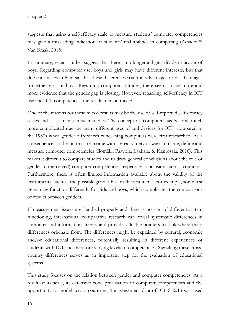suggests that using a self-efficacy scale to measure students' computer competencies may give a misleading indication of students' real abilities in computing (Aesaert & Van Braak, 2015).

In summary, recent studies suggest that there is no longer a digital divide in favour of boys. Regarding computer use, boys and girls may have different interests, but that does not necessarily mean that these differences result in advantages or disadvantages for either girls or boys. Regarding computer attitudes, there seems to be more and more evidence that the gender gap is closing. However, regarding self-efficacy in ICT use and ICT-competencies the results remain mixed.

One of the reasons for these mixed results may be the use of self-reported self-efficacy scales and assessments in such studies. The concept of 'computer' has become much more complicated due the many different uses of and devices for ICT, compared to the 1980s when gender differences concerning computers were first researched. As a consequence, studies in this area come with a great variety of ways to name, define and measure computer competencies (Ilomäki, Paavola, Lakkala, & Kantosala, 2016). This makes it difficult to compare studies and to draw general conclusions about the role of gender in (perceived) computer competencies, especially conclusions across countries. Furthermore, there is often limited information available about the validity of the instruments, such as the possible gender bias in the test items. For example, some test items may function differently for girls and boys, which complicates the comparisons of results between genders.

If measurement issues are handled properly and there is no sign of differential item functioning, international comparative research can reveal systematic differences in computer and information literary and provide valuable pointers to look where these differences originate from. The differences might be explained by cultural, economic and/or educational differences, potentially resulting in different experiences of students with ICT and therefore varying levels of competencies. Signalling these crosscountry differences serves as an important step for the evaluation of educational systems.

This study focuses on the relation between gender and computer competencies. As a result of its scale, its extensive conceptualisation of computer competencies and the opportunity to model across countries, the assessment data of ICILS-2013 was used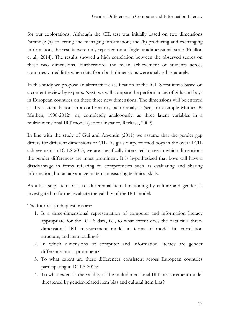for our explorations. Although the CIL test was initially based on two dimensions (strands): (a) collecting and managing information; and (b) producing and exchanging information, the results were only reported on a single, unidimensional scale (Fraillon et al., 2014). The results showed a high correlation between the observed scores on these two dimensions. Furthermore, the mean achievement of students across countries varied little when data from both dimensions were analysed separately.

In this study we propose an alternative classification of the ICILS test items based on a content review by experts. Next, we will compare the performances of girls and boys in European countries on these three new dimensions. The dimensions will be entered as three latent factors in a confirmatory factor analysis (see, for example Muthén & Muthén, 1998-2012), or, completely analogously, as three latent variables in a multidimensional IRT model (see for instance, Reckase, 2009).

In line with the study of Gui and Argentin (2011) we assume that the gender gap differs for different dimensions of CIL. As girls outperformed boys in the overall CIL achievement in ICILS-2013, we are specifically interested to see in which dimensions the gender differences are most prominent. It is hypothesized that boys will have a disadvantage in items referring to competencies such as evaluating and sharing information, but an advantage in items measuring technical skills.

As a last step, item bias, i.e. differential item functioning by culture and gender, is investigated to further evaluate the validity of the IRT model.

The four research questions are:

- 1. Is a three-dimensional representation of computer and information literacy appropriate for the ICILS data, i.e., to what extent does the data fit a threedimensional IRT measurement model in terms of model fit, correlation structure, and item loadings?
- 2. In which dimensions of computer and information literacy are gender differences most prominent?
- 3. To what extent are these differences consistent across European countries participating in ICILS-2013?
- 4. To what extent is the validity of the multidimensional IRT measurement model threatened by gender-related item bias and cultural item bias?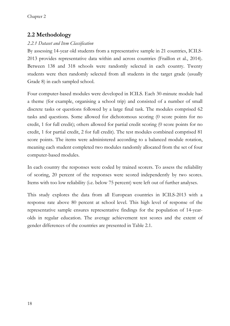# **2.2 Methodology**

#### *2.2.1 Dataset and Item Classification*

By assessing 14-year old students from a representative sample in 21 countries, ICILS-2013 provides representative data within and across countries (Fraillon et al., 2014). Between 138 and 318 schools were randomly selected in each country. Twenty students were then randomly selected from all students in the target grade (usually Grade 8) in each sampled school.

Four computer-based modules were developed in ICILS. Each 30-minute module had a theme (for example, organising a school trip) and consisted of a number of small discrete tasks or questions followed by a large final task. The modules comprised 62 tasks and questions. Some allowed for dichotomous scoring (0 score points for no credit, 1 for full credit); others allowed for partial credit scoring (0 score points for no credit, 1 for partial credit, 2 for full credit). The test modules combined comprised 81 score points. The items were administered according to a balanced module rotation, meaning each student completed two modules randomly allocated from the set of four computer-based modules.

In each country the responses were coded by trained scorers. To assess the reliability of scoring, 20 percent of the responses were scored independently by two scores. Items with too low reliability (i.e. below 75 percent) were left out of further analyses.

This study explores the data from all European countries in ICILS-2013 with a response rate above 80 percent at school level. This high level of response of the representative sample ensures representative findings for the population of 14-yearolds in regular education. The average achievement test scores and the extent of gender differences of the countries are presented in Table 2.1.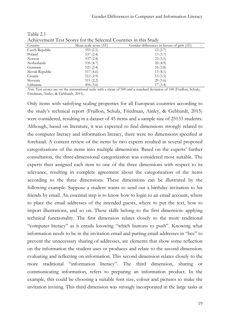| Achievement Test Scores for the Selected Countries in this Study |                         |                                            |  |  |  |  |  |  |  |
|------------------------------------------------------------------|-------------------------|--------------------------------------------|--|--|--|--|--|--|--|
| Country                                                          | Mean scale score $(SE)$ | Gender differences in favour of girls (SE) |  |  |  |  |  |  |  |
| Czech Republic                                                   | 553 $(2.1)$             | 12(2.7)                                    |  |  |  |  |  |  |  |
| Poland                                                           | 537(2.4)                | 13(3.7)                                    |  |  |  |  |  |  |  |
| Norway                                                           | 537(2.4)                | 23(3.5)                                    |  |  |  |  |  |  |  |
| Netherlands                                                      | 535 $(4.7)$             | 20(4.9)                                    |  |  |  |  |  |  |  |
| Germany                                                          | 523(2.4)                | 16(3.8)                                    |  |  |  |  |  |  |  |
| Slovak Republic                                                  | 517(4.6)                | 13(4.1)                                    |  |  |  |  |  |  |  |
| Croatia                                                          | 512(2.9)                | 15(3.5)                                    |  |  |  |  |  |  |  |
| Slovenia                                                         | 511(2.2)                | 29(3.6)                                    |  |  |  |  |  |  |  |
| Lithuania                                                        | 494(3.6)                | 17(3.4)                                    |  |  |  |  |  |  |  |

Table 2.1

*Note.* Test scores are on the international scale with a mean of 500 and a standard deviation of 100 (Fraillon, Schulz, Friedman, Ainley, & Gebhardt, 2015).

Only items with satisfying scaling properties for all European countries according to the study's technical report (Fraillon, Schulz, Friedman, Ainley, & Gebhardt, 2015) were considered, resulting in a dataset of 45 items and a sample size of 25133 students. Although, based on literature, it was expected to find dimensions strongly related to the computer literacy and information literacy, there were no dimensions specified at forehand. A content review of the items by two experts resulted in several proposed categorizations of the items into multiple dimensions. Based on the experts' further consultation, the three-dimensional categorization was considered most suitable. The experts then assigned each item to one of the three dimensions with respect to its relevance, resulting in complete agreement about the categorization of the items according to the three dimensions. These dimensions can be illustrated by the following example. Suppose a student wants to send out a birthday invitation to his friends by email. An essential step is to know how to login to an email account, where to place the email addresses of the intended guests, where to put the text, how to import illustrations, and so on. These skills belong to the first dimension: applying technical functionality. The first dimension relates closely to the more traditional "computer literacy" as it entails knowing "which buttons to push". Knowing what information needs to be in the invitation email and putting email addresses in "bcc" to prevent the unnecessary sharing of addresses, are elements that show some reflection on the information the student uses or produces and relate to the second dimension: evaluating and reflecting on information. This second dimension relates closely to the more traditional "information literacy". The third dimension, sharing or communicating information, refers to preparing an information product. In the example, this could be choosing a suitable font size, colour and pictures to make the invitation inviting. This third dimension was strongly incorporated in the large tasks at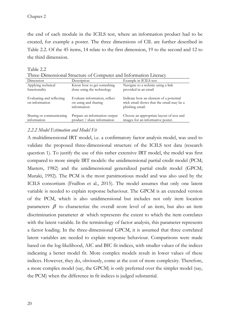the end of each module in the ICILS test, where an information product had to be created, for example a poster. The three dimensions of CIL are further described in Table 2.2. Of the 45 items, 14 relate to the first dimension, 19 to the second and 12 to the third dimension.

Table 2.2

| Three-Dimensional Structure of Computer and Information Literacy |
|------------------------------------------------------------------|
|------------------------------------------------------------------|

| Dimension                                   | Description                                                          | Example in ICILS test                                                                                  |
|---------------------------------------------|----------------------------------------------------------------------|--------------------------------------------------------------------------------------------------------|
| Applying technical                          | Know how to get something                                            | Navigate to a website using a link                                                                     |
| functionality                               | done using the technology                                            | provided in an email                                                                                   |
| Evaluating and reflecting<br>on information | Evaluate information, reflect<br>on using and sharing<br>information | Indicate how an element of a potential<br>trick email shows that the email may be a<br>phishing email. |
| Sharing or communicating                    | Prepare an information output                                        | Choose an appropriate layout of text and                                                               |
| information                                 | product / share information                                          | images for an informative poster.                                                                      |

#### *2.2.2 Model Estimation and Model Fit*

A multidimensional IRT model, i.e. a confirmatory factor analysis model, was used to validate the proposed three-dimensional structure of the ICILS test data (research question 1). To justify the use of this rather extensive IRT model, the model was first compared to more simple IRT models: the unidimensional partial credit model (PCM; Masters, 1982) and the unidimensional generalized partial credit model (GPCM; Muraki, 1992). The PCM is the most parsimonious model and was also used by the ICILS consortium (Fraillon et al., 2015). The model assumes that only one latent variable is needed to explain response behaviour. The GPCM is an extended version of the PCM, which is also unidimensional but includes not only item location parameters  $\beta$  to characterize the overall score level of an item, but also an item discrimination parameter  $\alpha$  which represents the extent to which the item correlates with the latent variable. In the terminology of factor analysis, this parameter represents a factor loading. In the three-dimensional GPCM, it is assumed that three correlated latent variables are needed to explain response behaviour. Comparisons were made based on the log-likelihood, AIC and BIC fit indices, with smaller values of the indices indicating a better model fit. More complex models result in lower values of these indices. However, they do, obviously, come at the cost of more complexity. Therefore, a more complex model (say, the GPCM) is only preferred over the simpler model (say, the PCM) when the difference in fit indices is judged substantial.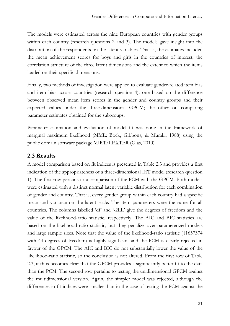The models were estimated across the nine European countries with gender groups within each country (research questions 2 and 3). The models gave insight into the distribution of the respondents on the latent variables. That is, the estimates included the mean achievement scores for boys and girls in the countries of interest, the correlation structure of the three latent dimensions and the extent to which the items loaded on their specific dimensions.

Finally, two methods of investigation were applied to evaluate gender-related item bias and item bias across countries (research question 4): one based on the difference between observed mean item scores in the gender and country groups and their expected values under the three-dimensional GPCM; the other on comparing parameter estimates obtained for the subgroups.

Parameter estimation and evaluation of model fit was done in the framework of marginal maximum likelihood (MML; Bock, Gibbons, & Muraki, 1988) using the public domain software package MIRT/LEXTER (Glas, 2010).

### **2.3 Results**

A model comparison based on fit indices is presented in Table 2.3 and provides a first indication of the appropriateness of a three-dimensional IRT model (research question 1). The first row pertains to a comparison of the PCM with the GPCM. Both models were estimated with a distinct normal latent variable distribution for each combination of gender and country. That is, every gender group within each country had a specific mean and variance on the latent scale. The item parameters were the same for all countries. The columns labelled 'df' and '-2LL' give the degrees of freedom and the value of the likelihood-ratio statistic, respectively. The AIC and BIC statistics are based on the likelihood-ratio statistic, but they penalize over-parameterized models and large sample sizes. Note that the value of the likelihood-ratio statistic (11657374 with 44 degrees of freedom) is highly significant and the PCM is clearly rejected in favour of the GPCM. The AIC and BIC do not substantially lower the value of the likelihood-ratio statistic, so the conclusion is not altered. From the first row of Table 2.3, it thus becomes clear that the GPCM provides a significantly better fit to the data than the PCM. The second row pertains to testing the unidimensional GPCM against the multidimensional version. Again, the simpler model was rejected, although the differences in fit indices were smaller than in the case of testing the PCM against the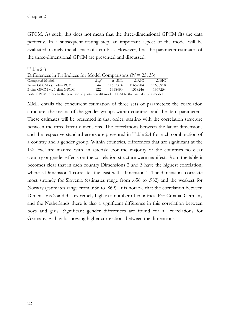GPCM. As such, this does not mean that the three-dimensional GPCM fits the data perfectly. In a subsequent testing step, an important aspect of the model will be evaluated, namely the absence of item bias. However, first the parameter estimates of the three-dimensional GPCM are presented and discussed.

Table 2.3 Differences in Fit Indices for Model Comparisons (*N* = 25133) Compared Models Δ *df* Δ -2LL Δ AIC Δ BIC 1-dim GPCM vs. 1-dim PCM 44 11657374 11657284 11656918

3-dim GPCM vs. 1-dim GPCM 122 1358490 1358246 1357254 *Note.* GPCM refers to the generalized partial credit model, PCM to the partial credit model.

MML entails the concurrent estimation of three sets of parameters: the correlation structure, the means of the gender groups within countries and the item parameters. These estimates will be presented in that order, starting with the correlation structure between the three latent dimensions. The correlations between the latent dimensions and the respective standard errors are presented in Table 2.4 for each combination of a country and a gender group. Within countries, differences that are significant at the 1% level are marked with an asterisk. For the majority of the countries no clear country or gender effects on the correlation structure were manifest. From the table it becomes clear that in each country Dimensions 2 and 3 have the highest correlation, whereas Dimension 1 correlates the least with Dimension 3. The dimensions correlate most strongly for Slovenia (estimates range from .656 to .982) and the weakest for Norway (estimates range from .636 to .869). It is notable that the correlation between Dimensions 2 and 3 is extremely high in a number of countries. For Croatia, Germany and the Netherlands there is also a significant difference in this correlation between boys and girls. Significant gender differences are found for all correlations for Germany, with girls showing higher correlations between the dimensions.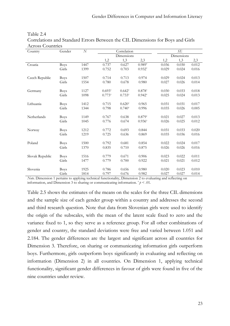| TICIOSS COMINICS<br>Country | Gender      | N    |          | Correlation |                | SΕ    |            |       |  |  |
|-----------------------------|-------------|------|----------|-------------|----------------|-------|------------|-------|--|--|
|                             |             |      |          | Dimensions  |                |       | Dimensions |       |  |  |
|                             |             |      | 1,2      | 1,3         | 2,3            | 1,2   | 1,3        | 2,3   |  |  |
| Croatia                     | <b>Boys</b> | 1447 | 0.737    | 0.627       | $0.989^{\ast}$ | 0.036 | 0.030      | 0.012 |  |  |
|                             | Girls       | 1399 | 0.752    | 0.703       | $0.932*$       | 0.029 | 0.024      | 0.016 |  |  |
| Czech Republic              | <b>Boys</b> | 1507 | 0.714    | 0.713       | 0.974          | 0.029 | 0.024      | 0.013 |  |  |
|                             | Girls       | 1554 | 0.780    | 0.678       | 0.980          | 0.027 | 0.026      | 0.014 |  |  |
| Germany                     | <b>Boys</b> | 1127 | $0.693*$ | $0.642*$    | $0.878*$       | 0.030 | 0.033      | 0.018 |  |  |
|                             | Girls       | 1098 | $0.773*$ | $0.733*$    | $0.942*$       | 0.025 | 0.024      | 0.013 |  |  |
| Lithuania                   | <b>Boys</b> | 1412 | 0.715    | $0.620*$    | 0.965          | 0.031 | 0.031      | 0.017 |  |  |
|                             | Girls       | 1344 | 0.798    | $0.740*$    | 0.996          | 0.035 | 0.026      | 0.005 |  |  |
| Netherlands                 | <b>Boys</b> | 1149 | 0.767    | 0.638       | $0.879*$       | 0.021 | 0.027      | 0.013 |  |  |
|                             | Girls       | 1045 | 0.776    | 0.674       | $0.936*$       | 0.026 | 0.025      | 0.012 |  |  |
| Norway                      | <b>Boys</b> | 1212 | 0.772    | 0.693       | 0.844          | 0.031 | 0.033      | 0.020 |  |  |
|                             | Girls       | 1219 | 0.725    | 0.636       | 0.869          | 0.035 | 0.036      | 0.016 |  |  |
| Poland                      | <b>Boys</b> | 1500 | 0.792    | 0.681       | 0.854          | 0.022 | 0.024      | 0.017 |  |  |
|                             | Girls       | 1370 | 0.835    | 0.710       | 0.875          | 0.026 | 0.026      | 0.016 |  |  |
| Slovak Republic             | <b>Boys</b> | 1516 | 0.779    | 0.671       | 0.906          | 0.023 | 0.022      | 0.011 |  |  |
|                             | Girls       | 1477 | 0.779    | 0.700       | 0.922          | 0.021 | 0.021      | 0.012 |  |  |
| Slovenia                    | <b>Boys</b> | 1925 | 0.786    | 0.656       | 0.980          | 0.020 | 0.023      | 0.010 |  |  |
|                             | Girls       | 1814 | 0.797    | 0.676       | 0.982          | 0.027 | 0.027      | 0.014 |  |  |

Table 2.4 Correlations and Standard Errors Between the CIL Dimensions for Boys and Girls Across Countries

*Note.* Dimension 1 pertains to applying technical functionality, Dimension 2 to evaluating and reflecting on information, and Dimension 3 to sharing or communicating information.  $p < .01$ .

Table 2.5 shows the estimates of the means on the scales for the three CIL dimensions and the sample size of each gender group within a country and addresses the second and third research question. Note that data from Slovenian girls were used to identify the origin of the subscales, with the mean of the latent scale fixed to zero and the variance fixed to 1, so they serve as a reference group. For all other combinations of gender and country, the standard deviations were free and varied between 1.051 and 2.184. The gender differences are the largest and significant across all countries for Dimension 3. Therefore, on sharing or communicating information girls outperform boys. Furthermore, girls outperform boys significantly in evaluating and reflecting on information (Dimension 2) in all countries. On Dimension 1, applying technical functionality, significant gender differences in favour of girls were found in five of the nine countries under review.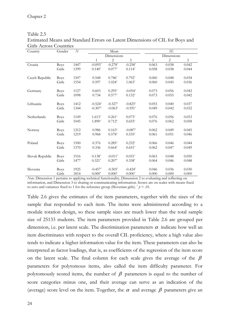Table 2.5

| Estimated Means and Standard Errors on Latent Dimensions of CIL for Boys and |  |
|------------------------------------------------------------------------------|--|
| Girls Across Countries                                                       |  |

| Dimensions<br>Dimensions<br>$\overline{2}$<br>2<br>3<br>1<br>3<br>1<br>$-0.258*$<br>1447<br>$-0.093*$<br>$-0.278*$<br>0.038<br>0.063<br>0.042<br>Croatia<br><b>Boys</b><br>1399<br>$0.077*$<br>$0.114*$<br>Girls<br>$0.140*$<br>0.058<br>0.038<br>0.044<br>$0.786*$<br>Czech Republic<br>1507<br>0.548<br>$0.792*$<br>0.060<br>0.048<br>0.034<br><b>Boys</b><br>Girls<br>1554<br>0.597<br>$1.024*$<br>$1.063*$<br>0.060<br>0.045<br>0.036<br>$0.295*$<br>1127<br>0.603<br>$-0.054*$<br>0.073<br>0.056<br>0.042<br>Germany<br><b>Boys</b><br>$0.577*$<br>0.055<br>0.042<br>Girls<br>1098<br>0.734<br>$0.132*$<br>0.073<br>0.037<br>1412<br>$-0.524*$<br>$-0.327*$<br>$-0.825*$<br>0.053<br>0.040<br>Lithuania<br><b>Boys</b><br>$-0.307*$<br>$-0.063*$<br>$-0.591*$<br>0.042<br>0.032<br>Girls<br>1344<br>0.049<br>Netherlands<br>1149<br>$1.613*$<br>$0.261*$<br>$0.073*$<br>0.076<br>0.056<br>0.053<br><b>Boys</b><br>Girls<br>1045<br>1.890*<br>$0.712*$<br>0.062<br>0.058<br>$0.655*$<br>0.076<br>0.045<br>1212<br>0.986<br>$0.163*$<br>$-0.087*$<br>0.062<br>0.049<br>Norway<br><b>Boys</b><br>$0.578*$<br>Girls<br>1219<br>0.968<br>$0.535*$<br>0.061<br>0.051<br>0.046<br>Poland<br>1500<br>$0.285*$<br>0.066<br>0.044<br>0.376<br>$0.232*$<br>0.046<br><b>Boys</b><br>$0.651*$<br>Girls<br>1370<br>0.336<br>$0.664*$<br>0.062<br>0.047<br>0.049<br>$0.138*$<br>$-0.011*$<br>$0.031*$<br>0.050<br>Slovak Republic<br>1516<br>0.063<br>0.048<br><b>Boys</b><br>Girls<br>1477<br>$0.321*$<br>$0.207*$<br>$0.338*$<br>0.046<br>0.048<br>0.064<br>1925<br>$-0.457*$<br>$-0.505*$<br>$-0.424*$<br>0.046<br>0.036<br>0.030<br>Slovenia<br><b>Boys</b><br>Girls<br>1814<br>$0.000*$<br>$0.000*$<br>$0.000*$<br>0.000<br>0.000<br>0.000 | Country | Gender | N | Mean | SЕ |  |  |  |  |  |
|---------------------------------------------------------------------------------------------------------------------------------------------------------------------------------------------------------------------------------------------------------------------------------------------------------------------------------------------------------------------------------------------------------------------------------------------------------------------------------------------------------------------------------------------------------------------------------------------------------------------------------------------------------------------------------------------------------------------------------------------------------------------------------------------------------------------------------------------------------------------------------------------------------------------------------------------------------------------------------------------------------------------------------------------------------------------------------------------------------------------------------------------------------------------------------------------------------------------------------------------------------------------------------------------------------------------------------------------------------------------------------------------------------------------------------------------------------------------------------------------------------------------------------------------------------------------------------------------------------------------------------------------------------------------------------------------------------------------------------------|---------|--------|---|------|----|--|--|--|--|--|
|                                                                                                                                                                                                                                                                                                                                                                                                                                                                                                                                                                                                                                                                                                                                                                                                                                                                                                                                                                                                                                                                                                                                                                                                                                                                                                                                                                                                                                                                                                                                                                                                                                                                                                                                       |         |        |   |      |    |  |  |  |  |  |
|                                                                                                                                                                                                                                                                                                                                                                                                                                                                                                                                                                                                                                                                                                                                                                                                                                                                                                                                                                                                                                                                                                                                                                                                                                                                                                                                                                                                                                                                                                                                                                                                                                                                                                                                       |         |        |   |      |    |  |  |  |  |  |
|                                                                                                                                                                                                                                                                                                                                                                                                                                                                                                                                                                                                                                                                                                                                                                                                                                                                                                                                                                                                                                                                                                                                                                                                                                                                                                                                                                                                                                                                                                                                                                                                                                                                                                                                       |         |        |   |      |    |  |  |  |  |  |
|                                                                                                                                                                                                                                                                                                                                                                                                                                                                                                                                                                                                                                                                                                                                                                                                                                                                                                                                                                                                                                                                                                                                                                                                                                                                                                                                                                                                                                                                                                                                                                                                                                                                                                                                       |         |        |   |      |    |  |  |  |  |  |
|                                                                                                                                                                                                                                                                                                                                                                                                                                                                                                                                                                                                                                                                                                                                                                                                                                                                                                                                                                                                                                                                                                                                                                                                                                                                                                                                                                                                                                                                                                                                                                                                                                                                                                                                       |         |        |   |      |    |  |  |  |  |  |
|                                                                                                                                                                                                                                                                                                                                                                                                                                                                                                                                                                                                                                                                                                                                                                                                                                                                                                                                                                                                                                                                                                                                                                                                                                                                                                                                                                                                                                                                                                                                                                                                                                                                                                                                       |         |        |   |      |    |  |  |  |  |  |
|                                                                                                                                                                                                                                                                                                                                                                                                                                                                                                                                                                                                                                                                                                                                                                                                                                                                                                                                                                                                                                                                                                                                                                                                                                                                                                                                                                                                                                                                                                                                                                                                                                                                                                                                       |         |        |   |      |    |  |  |  |  |  |
|                                                                                                                                                                                                                                                                                                                                                                                                                                                                                                                                                                                                                                                                                                                                                                                                                                                                                                                                                                                                                                                                                                                                                                                                                                                                                                                                                                                                                                                                                                                                                                                                                                                                                                                                       |         |        |   |      |    |  |  |  |  |  |
|                                                                                                                                                                                                                                                                                                                                                                                                                                                                                                                                                                                                                                                                                                                                                                                                                                                                                                                                                                                                                                                                                                                                                                                                                                                                                                                                                                                                                                                                                                                                                                                                                                                                                                                                       |         |        |   |      |    |  |  |  |  |  |
|                                                                                                                                                                                                                                                                                                                                                                                                                                                                                                                                                                                                                                                                                                                                                                                                                                                                                                                                                                                                                                                                                                                                                                                                                                                                                                                                                                                                                                                                                                                                                                                                                                                                                                                                       |         |        |   |      |    |  |  |  |  |  |
|                                                                                                                                                                                                                                                                                                                                                                                                                                                                                                                                                                                                                                                                                                                                                                                                                                                                                                                                                                                                                                                                                                                                                                                                                                                                                                                                                                                                                                                                                                                                                                                                                                                                                                                                       |         |        |   |      |    |  |  |  |  |  |
|                                                                                                                                                                                                                                                                                                                                                                                                                                                                                                                                                                                                                                                                                                                                                                                                                                                                                                                                                                                                                                                                                                                                                                                                                                                                                                                                                                                                                                                                                                                                                                                                                                                                                                                                       |         |        |   |      |    |  |  |  |  |  |
|                                                                                                                                                                                                                                                                                                                                                                                                                                                                                                                                                                                                                                                                                                                                                                                                                                                                                                                                                                                                                                                                                                                                                                                                                                                                                                                                                                                                                                                                                                                                                                                                                                                                                                                                       |         |        |   |      |    |  |  |  |  |  |
|                                                                                                                                                                                                                                                                                                                                                                                                                                                                                                                                                                                                                                                                                                                                                                                                                                                                                                                                                                                                                                                                                                                                                                                                                                                                                                                                                                                                                                                                                                                                                                                                                                                                                                                                       |         |        |   |      |    |  |  |  |  |  |
|                                                                                                                                                                                                                                                                                                                                                                                                                                                                                                                                                                                                                                                                                                                                                                                                                                                                                                                                                                                                                                                                                                                                                                                                                                                                                                                                                                                                                                                                                                                                                                                                                                                                                                                                       |         |        |   |      |    |  |  |  |  |  |
|                                                                                                                                                                                                                                                                                                                                                                                                                                                                                                                                                                                                                                                                                                                                                                                                                                                                                                                                                                                                                                                                                                                                                                                                                                                                                                                                                                                                                                                                                                                                                                                                                                                                                                                                       |         |        |   |      |    |  |  |  |  |  |
|                                                                                                                                                                                                                                                                                                                                                                                                                                                                                                                                                                                                                                                                                                                                                                                                                                                                                                                                                                                                                                                                                                                                                                                                                                                                                                                                                                                                                                                                                                                                                                                                                                                                                                                                       |         |        |   |      |    |  |  |  |  |  |
|                                                                                                                                                                                                                                                                                                                                                                                                                                                                                                                                                                                                                                                                                                                                                                                                                                                                                                                                                                                                                                                                                                                                                                                                                                                                                                                                                                                                                                                                                                                                                                                                                                                                                                                                       |         |        |   |      |    |  |  |  |  |  |
|                                                                                                                                                                                                                                                                                                                                                                                                                                                                                                                                                                                                                                                                                                                                                                                                                                                                                                                                                                                                                                                                                                                                                                                                                                                                                                                                                                                                                                                                                                                                                                                                                                                                                                                                       |         |        |   |      |    |  |  |  |  |  |
|                                                                                                                                                                                                                                                                                                                                                                                                                                                                                                                                                                                                                                                                                                                                                                                                                                                                                                                                                                                                                                                                                                                                                                                                                                                                                                                                                                                                                                                                                                                                                                                                                                                                                                                                       |         |        |   |      |    |  |  |  |  |  |

*Note.* Dimension 1 pertains to applying technical functionality, Dimension 2 to evaluating and reflecting on information, and Dimension 3 to sharing or communicating information. Scores are on scales with means fixed to zero and variances fixed to 1 for the reference group (Slovenian girls).  $\phi$  < .01.

Table 2.6 gives the estimates of the item parameters, together with the sizes of the sample that responded to each item. The items were administered according to a module rotation design, so these sample sizes are much lower than the total sample size of 25133 students. The item parameters provided in Table 2.6 are grouped per dimension, i.e. per latent scale. The discrimination parameters  $\alpha$  indicate how well an item discriminates with respect to the overall CIL proficiency, where a high value also tends to indicate a higher information value for the item. These parameters can also be interpreted as factor loadings, that is, as coefficients of the regression of the item score on the latent scale. The final column for each scale gives the average of the  $\beta$ parameters for polytomous items, also called the item difficulty parameter. For polytomously scored items, the number of  $\beta$  parameters is equal to the number of score categories minus one, and their average can serve as an indication of the (average) score level on the item. Together, the  $\alpha$  and average  $\beta$  parameters give an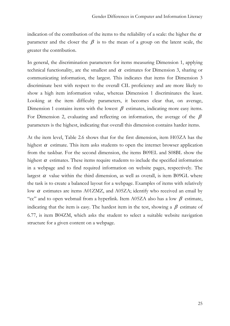indication of the contribution of the items to the reliability of a scale: the higher the  $\alpha$ parameter and the closer the  $\beta$  is to the mean of a group on the latent scale, the greater the contribution.

In general, the discrimination parameters for items measuring Dimension 1, applying technical functionality, are the smallest and  $\alpha$  estimates for Dimension 3, sharing or communicating information, the largest. This indicates that items for Dimension 3 discriminate best with respect to the overall CIL proficiency and are more likely to show a high item information value, whereas Dimension 1 discriminates the least. Looking at the item difficulty parameters, it becomes clear that, on average, Dimension 1 contains items with the lowest  $\beta$  estimates, indicating more easy items. For Dimension 2, evaluating and reflecting on information, the average of the  $\beta$ parameters is the highest, indicating that overall this dimension contains harder items.

At the item level, Table 2.6 shows that for the first dimension, item H03ZA has the highest  $\alpha$  estimate. This item asks students to open the internet browser application from the taskbar. For the second dimension, the items B09EL and S08BL show the highest  $\alpha$  estimates. These items require students to include the specified information in a webpage and to find required information on website pages, respectively. The largest  $\alpha$  value within the third dimension, as well as overall, is item B09GL where the task is to create a balanced layout for a webpage. Examples of items with relatively low  $\alpha$  estimates are items A01ZMZ, and A05ZA; identify who received an email by "cc" and to open webmail from a hyperlink. Item A05ZA also has a low  $\beta$  estimate, indicating that the item is easy. The hardest item in the test, showing a  $\beta$  estimate of 6.77, is item B04ZM, which asks the student to select a suitable website navigation structure for a given content on a webpage.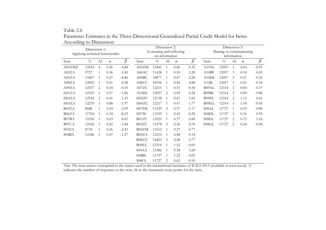#### Table 2.6

Parameter Estimates in the Three-Dimensional Generalized Partial Credit Model for Items According to Dimension

| Dimension 1: |                                  |                |          | Dimension 2:<br>Evaluating and reflecting |                               |       |                |          | Dimension 3:<br>Sharing or communicating |                           |       |                |          |               |
|--------------|----------------------------------|----------------|----------|-------------------------------------------|-------------------------------|-------|----------------|----------|------------------------------------------|---------------------------|-------|----------------|----------|---------------|
|              | Applying technical functionality |                |          |                                           | on information<br>information |       |                |          |                                          |                           |       |                |          |               |
| Item         | N                                | $M_i$          | $\alpha$ | $\overline{\beta}$                        | Item                          | N     | $M_i$          | $\alpha$ | $\overline{\beta}$                       | Item                      | N     | $M_i$          | $\alpha$ | $\bar{\beta}$ |
| A01ZMZ       | 12543                            | $\overline{4}$ | 0.26     | $-4.84$                                   | A03ZM                         | 12441 | $\overline{1}$ | 0.66     | $-4.32$                                  | A10AL                     | 12057 | 2              | 0.63     | $-0.91$       |
| A02ZA        | 9727                             | 1              | 0.36     | $-1.83$                                   | A06AC                         | 11428 | -1             | 0.50     | 3.28                                     | A10BF                     | 12057 | 3              | 0.14     | 0.05          |
| A05ZA        | 11867                            | 1              | 0.27     | $-8.86$                                   | $\rm A06BC$                   | 10877 | -1             | 0.47     | 2.28                                     | A10DL                     | 12057 | $\overline{2}$ | 0.47     | $-0.24$       |
| A08ZA        | 12002                            | -1             | 0.61     | $-9.28$                                   | A06CC                         | 10556 | $\overline{1}$ | 0.46     | 4.88                                     | $A10$ JL                  | 12057 | 1              | 0.61     | $-0.18$       |
| A09ZA        | 12537                            | 2              | 0.34     | $-0.55$                                   | A07ZC                         | 12215 | 1              | 0.51     | $-0.58$                                  | B09AL                     | 12314 | 2              | 0.83     | 0.37          |
| H01ZA        | 10325                            | 1              | 0.57     | $-1.86$                                   | A10HL                         | 12057 | 2              | 0.49     | 0.24                                     | B09BL                     | 12314 | 2              | 0.90     | $-0.88$       |
| H02ZA        | 12542                            | 2              | 0.41     | 1.33                                      | H05ZC                         | 12138 | -1             | 0.41     | 3.82                                     | B09FL                     | 12314 | 2              | 1.13     | 0.41          |
| H03ZA        | 12270                            | 1              | 0.88     | $-1.97$                                   | H06ZC                         | 12217 | $\overline{1}$ | 0.47     | 1.77                                     | B09GL                     | 12314 | 1              | 1.54     | $-0.45$       |
| B03ZA        | 8688                             | 1              | 0.54     | $-2.09$                                   | H07HL                         | 11529 | 2              | 0.37     | $-1.17$                                  | S08AL                     | 11727 | 1              | 0.95     | $-0.80$       |
| B06ZA        | 11704                            | 1              | 0.34     | $-8.23$                                   | H07IL                         | 11529 | 1              | 0.42     | $-0.38$                                  | S08DL                     | 11727 | 3              | 0.36     | 0.95          |
| B07BA        | 12526                            | -1             | 0.43     | $-6.65$                                   | B01ZC                         | 12023 | 1              | 0.37     | $-3.88$                                  | S08EL                     | 11727 | 2              | 0.72     | 1.16          |
| B07CA        | 12526                            | -1             | 0.42     | $-1.84$                                   | B02ZC                         | 11878 | 2              | 0.26     | $-2.78$                                  | $\textsc{S}08\textsc{GL}$ | 11727 | 2              | 0.44     | $-0.04$       |
| S03ZA        | 8734                             | $\mathbf{1}$   | 0.26     | $-2.43$                                   | B04ZM                         | 11612 | $\overline{1}$ | 0.27     | 6.77                                     |                           |       |                |          |               |
| S04BA        | 12386                            | -1             | 0.47     | $-1.27$                                   | B05ZA                         | 12210 | -1             | 0.48     | 0.14                                     |                           |       |                |          |               |
|              |                                  |                |          |                                           | B08ZZ                         | 12422 | 5              | 0.28     | $-2.77$                                  |                           |       |                |          |               |
|              |                                  |                |          |                                           | B09EL                         | 12314 | -1             | 1.53     | $-0.69$                                  |                           |       |                |          |               |
|              |                                  |                |          |                                           | S04AA                         | 12386 | -1             | 0.58     | 1.68                                     |                           |       |                |          |               |
|              |                                  |                |          |                                           | S08BL                         | 11727 | -1             | 1.22     | 0.05                                     |                           |       |                |          |               |
|              |                                  |                |          |                                           | S08CL                         | 11727 | 2              | 0.63     | $-0.10$                                  |                           |       |                |          |               |

*Note.* The item names correspond to the names used in the international databases of ICILS-2013 (available at www.iea.nl). *N* indicates the number of responses to the item, *Mi* to the maximum score points for the item.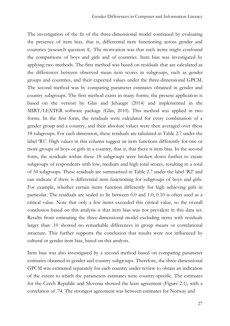The investigation of the fit of the three-dimensional model continued by evaluating the presence of item bias, that is, differential item functioning across gender and countries (research question 4). The motivation was that such items might confound the comparisons of boys and girls and of countries. Item bias was investigated by applying two methods. The first method was based on residuals that are calculated as the differences between observed mean item scores in subgroups, such as gender groups and countries, and their expected values under the three-dimensional GPCM. The second method was by comparing parameter estimates obtained in gender and country subgroups. The first method exists in many forms; the present application is based on the version by Glas and Jehangir (2014) and implemented in the MIRT/LEXTER software package (Glas, 2010). This method was applied in two forms. In the first form, the residuals were calculated for every combination of a gender group and a country, and their absolute values were then averaged over these 18 subgroups. For each dimension, these residuals are tabulated in Table 2.7 under the label 'R1'. High values in this column suggest an item functions differently for one or more groups of boys or girls in a country, that is, that there is item bias. In the second form, the residuals within these 18 subgroups were broken down further to create subgroups of respondents with low, medium and high total scores, resulting in a total of 54 subgroups. These residuals are summarized in Table 2.7 under the label 'R2' and can indicate if there is differential item functioning for subgroups of boys and girls. For example, whether certain items function differently for high achieving girls in particular. The residuals are scaled to lie between 0.0 and 1.0; 0.10 is often used as a critical value. Note that only a few items exceeded this critical value, so the overall conclusion based on this analysis is that item bias was not prevalent in this data set. Results from estimating the three-dimensional model excluding items with residuals larger than .10 showed no remarkable differences in group means or correlational structure. This further supports the conclusion that results were not influenced by cultural or gender item bias, based on this analysis.

Item bias was also investigated by a second method based on comparing parameter estimates obtained in gender and country subgroups. Therefore, the three-dimensional GPCM was estimated separately for each country under review to obtain an indication of the extent to which the parameters estimates were country-specific. The estimates for the Czech Republic and Slovenia showed the least agreement (Figure 2.1), with a correlation of .74. The strongest agreement was between estimates for Norway and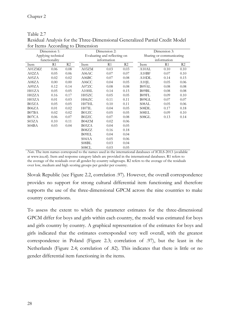Table 2.7

| Residual Analysis for the Three-Dimensional Generalized Partial Credit Model |
|------------------------------------------------------------------------------|
| for Items According to Dimension                                             |

|        | Dimension 1:       |                |       | Dimension 3:<br>Dimension 2: |      |         |                          |                |  |
|--------|--------------------|----------------|-------|------------------------------|------|---------|--------------------------|----------------|--|
|        | Applying technical |                |       | Evaluating and reflecting on |      |         | Sharing or communicating |                |  |
|        | functionality      |                |       | information<br>information   |      |         |                          |                |  |
| Item   | R1                 | R <sub>2</sub> | Item  | R1                           | R2   | Item    | R1                       | R <sub>2</sub> |  |
| A01ZMZ | 0.06               | 0.08           | A03ZM | 0.03                         | 0.03 | A10AL   | 0.10                     | 0.10           |  |
| A02ZA  | 0.05               | 0.06           | A06AC | 0.07                         | 0.07 | A10BF   | 0.07                     | 0.10           |  |
| A05ZA  | 0.02               | 0.02           | A06BC | 0.07                         | 0.08 | A10DL   | 0.14                     | 0.15           |  |
| A08ZA  | 0.00               | 0.00           | A06CC | 0.04                         | 0.05 | $A10$ L | 0.05                     | 0.06           |  |
| A09ZA  | 0.12               | 0.14           | A07ZC | 0.08                         | 0.08 | B09AL   | 0.08                     | 0.08           |  |
| H01ZA  | 0.05               | 0.05           | A10HL | 0.14                         | 0.15 | B09BL   | 0.08                     | 0.08           |  |
| H02ZA  | 0.16               | 0.17           | H05ZC | 0.05                         | 0.05 | B09FL   | 0.09                     | 0.10           |  |
| H03ZA  | 0.01               | 0.03           | H06ZC | 0.11                         | 0.11 | B09GL   | 0.07                     | 0.07           |  |
| B03ZA  | 0.05               | 0.05           | H07HL | 0.10                         | 0.11 | S08AL   | 0.05                     | 0.06           |  |
| B06ZA  | 0.01               | 0.02           | H07IL | 0.04                         | 0.05 | S08DL   | 0.17                     | 0.18           |  |
| B07BA  | 0.02               | 0.02           | B01ZC | 0.05                         | 0.05 | S08EL   | 0.09                     | 0.10           |  |
| B07CA  | 0.06               | 0.07           | B02ZC | 0.07                         | 0.08 | S08GL   | 0.13                     | 0.14           |  |
| S03ZA  | 0.10               | 0.11           | B04ZM | 0.02                         | 0.06 |         |                          |                |  |
| S04BA  | 0.03               | 0.04           | B05ZA | 0.04                         | 0.05 |         |                          |                |  |
|        |                    |                | B08ZZ | 0.16                         | 0.18 |         |                          |                |  |
|        |                    |                | B09EL | 0.04                         | 0.04 |         |                          |                |  |
|        |                    |                | S04AA | 0.05                         | 0.06 |         |                          |                |  |
|        |                    |                | S08BL | 0.03                         | 0.04 |         |                          |                |  |
|        |                    |                | S08CL | 0.03                         | 0.05 |         |                          |                |  |

*Note*. The item names correspond to the names used in the international databases of ICILS-2013 (available at www.iea.nl). Item and response category labels are provided in the international databases. R1 refers to the average of the residuals over all gender-by-country subgroups. R2 refers to the average of the residuals over low, medium and high scoring groups per gender per country.

Slovak Republic (see Figure 2.2, correlation .97). However, the overall correspondence provides no support for strong cultural differential item functioning and therefore supports the use of the three-dimensional GPCM across the nine countries to make country comparisons.

To assess the extent to which the parameter estimates for the three-dimensional GPCM differ for boys and girls within each country, the model was estimated for boys and girls country by country. A graphical representation of the estimates for boys and girls indicated that the estimates corresponded very well overall, with the greatest correspondence in Poland (Figure 2.3; correlation of .97), but the least in the Netherlands (Figure 2.4; correlation of .82). This indicates that there is little or no gender differential item functioning in the items.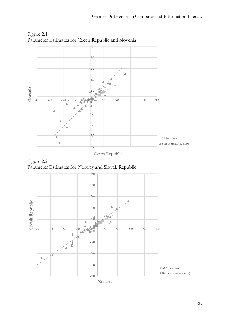

Figure 2.1 Parameter Estimates for Czech Republic and Slovenia.

Czech Republic

Figure 2.2 Parameter Estimates for Norway and Slovak Republic.

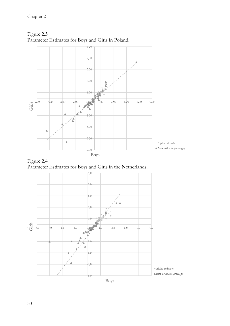

Figure 2.3 Parameter Estimates for Boys and Girls in Poland.



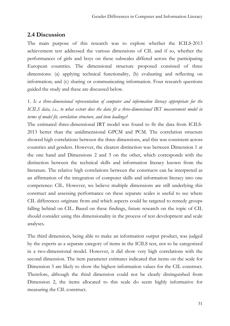# **2.4 Discussion**

The main purpose of this research was to explore whether the ICILS-2013 achievement test addressed the various dimensions of CIL and if so, whether the performances of girls and boys on these subscales differed across the participating European countries. The dimensional structure proposed consisted of three dimensions: (a) applying technical functionality, (b) evaluating and reflecting on information; and (c) sharing or communicating information. Four research questions guided the study and these are discussed below.

1*. Is a three-dimensional representation of computer and information literacy appropriate for the ICILS data, i.e., to what extent does the data fit a three-dimensional IRT measurement model in terms of model fit, correlation structure, and item loadings?* 

The estimated three-dimensional IRT model was found to fit the data from ICILS-2013 better than the unidimensional GPCM and PCM. The correlation structure showed high correlations between the three dimensions, and this was consistent across countries and genders. However, the clearest distinction was between Dimension 1 at the one hand and Dimensions 2 and 3 on the other, which corresponds with the distinction between the technical skills and information literacy known from the literature. The relative high correlations between the constructs can be interpreted as an affirmation of the integration of computer skills and information literacy into one competence: CIL. However, we believe multiple dimensions are still underlying this construct and assessing performance on these separate scales is useful to see where CIL differences originate from and which aspects could be targeted to remedy groups falling behind on CIL. Based on these findings, future research on the topic of CIL should consider using this dimensionality in the process of test development and scale analyses.

The third dimension, being able to make an information output product, was judged by the experts as a separate category of items in the ICILS test, not to be categorized in a two-dimensional model. However, it did show very high correlations with the second dimension. The item parameter estimates indicated that items on the scale for Dimension 3 are likely to show the highest information values for the CIL construct. Therefore, although the third dimension could not be clearly distinguished from Dimension 2, the items allocated to this scale do seem highly informative for measuring the CIL construct.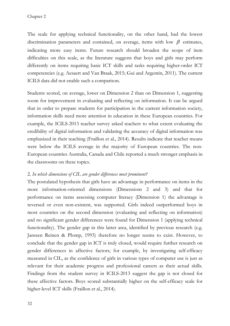The scale for applying technical functionality, on the other hand, had the lowest discrimination parameters and contained, on average, items with low  $\beta$  estimates, indicating more easy items. Future research should broaden the scope of item difficulties on this scale, as the literature suggests that boys and girls may perform differently on items requiring basic ICT skills and tasks requiring higher-order ICT competencies (e.g. Aesaert and Van Braak, 2015; Gui and Argentin, 2011). The current ICILS data did not enable such a comparison.

Students scored, on average, lower on Dimension 2 than on Dimension 1, suggesting room for improvement in evaluating and reflecting on information. It can be argued that in order to prepare students for participation in the current information society, information skills need more attention in education in these European countries. For example, the ICILS-2013 teacher survey asked teachers to what extent evaluating the credibility of digital information and validating the accuracy of digital information was emphasized in their teaching (Fraillon et al., 2014). Results indicate that teacher means were below the ICILS average in the majority of European countries. The non-European countries Australia, Canada and Chile reported a much stronger emphasis in the classrooms on these topics.

## 2*. In which dimensions of CIL are gender differences most prominent?*

The postulated hypothesis that girls have an advantage in performance on items in the more information-oriented dimensions (Dimensions 2 and 3) and that for performance on items assessing computer literacy (Dimension 1) the advantage is reversed or even non-existent, was supported. Girls indeed outperformed boys in most countries on the second dimension (evaluating and reflecting on information) and no significant gender differences were found for Dimension 1 (applying technical functionality). The gender gap in this latter area, identified by previous research (e.g. Janssen Reinen & Plomp, 1993) therefore no longer seems to exist. However, to conclude that the gender gap in ICT is truly closed, would require further research on gender differences in affective factors; for example, by investigating self-efficacy measured in CIL, as the confidence of girls in various types of computer use is just as relevant for their academic progress and professional careers as their actual skills. Findings from the student survey in ICILS-2013 suggest the gap is not closed for these affective factors. Boys scored substantially higher on the self-efficacy scale for higher-level ICT skills (Fraillon et al., 2014).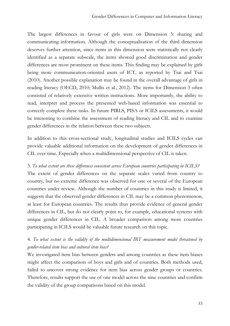The largest differences in favour of girls were on Dimension 3: sharing and communicating information. Although the conceptualisation of the third dimension deserves further attention, since items in this dimension were statistically not clearly identified as a separate subscale, the items showed good discrimination and gender differences are most prominent on these items. This finding may be explained by girls being more communication-oriented users of ICT, as reported by Tsai and Tsai (2010). Another possible explanation may be found in the overall advantage of girls in reading literacy (OECD, 2010; Mullis et al., 2012). The items for Dimension 3 often consisted of relatively extensive written instructions. More importantly, the ability to read, interpret and process the presented web-based information was essential to correctly complete these tasks. In future PIRLS, PISA or ICILS assessments, it would be interesting to combine the assessment of reading literacy and CIL and to examine gender differences in the relation between these two subjects.

In addition to this cross-sectional study, longitudinal studies and ICILS cycles can provide valuable additional information on the development of gender differences in CIL over time. Especially when a multidimensional perspective of CIL is taken.

## 3*. To what extent are these differences consistent across European countries participating in ICILS?*

The extent of gender differences on the separate scales varied from country to country, but no extreme difference was observed for one or several of the European countries under review. Although the number of countries in this study is limited, it suggests that the observed gender differences in CIL may be a common phenomenon, at least for European countries. The results thus provide evidence of general gender differences in CIL, but do not clearly point to, for example, educational systems with unique gender differences in CIL. A broader comparison among more countries participating in ICILS would be valuable future research on this topic.

## 4*. To what extent is the validity of the multidimensional IRT measurement model threatened by gender-related item bias and cultural item bias?*

We investigated item bias between genders and among countries as these item biases might affect the comparison of boys and girls and of countries. Both methods used, failed to uncover strong evidence for item bias across gender groups or countries. Therefore, results support the use of one model across the nine countries and confirm the validity of the group comparisons based on this model.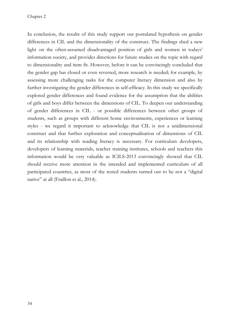Chapter 2

In conclusion, the results of this study support our postulated hypothesis on gender differences in CIL and the dimensionality of the construct. The findings shed a new light on the often-assumed disadvantaged position of girls and women in todays' information society, and provides directions for future studies on the topic with regard to dimensionality and item fit. However, before it can be convincingly concluded that the gender gap has closed or even reversed, more research is needed; for example, by assessing more challenging tasks for the computer literacy dimension and also by further investigating the gender differences in self-efficacy. In this study we specifically explored gender differences and found evidence for the assumption that the abilities of girls and boys differ between the dimensions of CIL. To deepen our understanding of gender differences in CIL - or possible differences between other groups of students, such as groups with different home environments, experiences or learning styles - we regard it important to acknowledge that CIL is not a unidimensional construct and that further exploration and conceptualisation of dimensions of CIL and its relationship with reading literacy is necessary. For curriculum developers, developers of learning materials, teacher training institutes, schools and teachers this information would be very valuable as ICILS-2013 convincingly showed that CIL should receive more attention in the intended and implemented curriculum of all participated countries, as most of the tested students turned out to be not a "digital native" at all (Fraillon et al., 2014).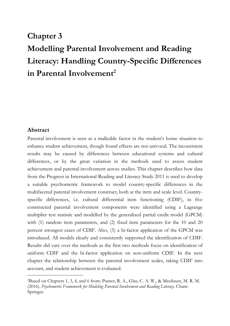# **Chapter 3 Modelling Parental Involvement and Reading Literacy: Handling Country-Specific Differences in Parental Involvement<sup>2</sup>**

## **Abstract**

-

Parental involvement is seen as a malleable factor in the student's home situation to enhance student achievement, though found effects are not univocal. The inconsistent results may be caused by differences between educational systems and cultural differences, or by the great variation in the methods used to assess student achievement and parental involvement across studies. This chapter describes how data from the Progress in International Reading and Literacy Study 2011 is used to develop a suitable psychometric framework to model country-specific differences in the multifaceted parental involvement construct, both at the item and scale level. Countryspecific differences, i.e. cultural differential item functioning (CDIF), in five constructed parental involvement components were identified using a Lagrange multiplier test statistic and modelled by the generalized partial credit model (GPCM) with (1) random item parameters, and (2) fixed item parameters for the 10 and 20 percent strongest cases of CDIF. Also, (3) a bi-factor application of the GPCM was introduced. All models clearly and consistently supported the identification of CDIF. Results did vary over the methods as the first two methods focus on identification of uniform CDIF and the bi-factor application on non-uniform CDIF. In the next chapter the relationship between the parental involvement scales, taking CDIF into account, and student achievement is evaluated.

<sup>2</sup>Based on Chapters 1, 3, 4, and 6 from: Punter, R. A., Glas, C. A. W., & Meelissen, M. R. M. (2016). *Psychometric Framework for Modeling Parental Involvement and Reading Literacy*. Cham: Springer.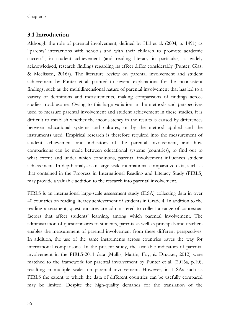# **3.1 Introduction**

Although the role of parental involvement, defined by Hill et al. (2004, p. 1491) as "parents' interactions with schools and with their children to promote academic success", in student achievement (and reading literacy in particular) is widely acknowledged, research findings regarding its effect differ considerably (Punter, Glas, & Meelissen, 2016a). The literature review on parental involvement and student achievement by Punter et al. pointed to several explanations for the inconsistent findings, such as the multidimensional nature of parental involvement that has led to a variety of definitions and measurements, making comparisons of findings across studies troublesome. Owing to this large variation in the methods and perspectives used to measure parental involvement and student achievement in these studies, it is difficult to establish whether the inconsistency in the results is caused by differences between educational systems and cultures, or by the method applied and the instruments used. Empirical research is therefore required into the measurement of student achievement and indicators of the parental involvement, and how comparisons can be made between educational systems (countries), to find out to what extent and under which conditions, parental involvement influences student achievement. In-depth analyses of large-scale international comparative data, such as that contained in the Progress in International Reading and Literacy Study (PIRLS) may provide a valuable addition to the research into parental involvement.

PIRLS is an international large-scale assessment study (ILSA) collecting data in over 40 countries on reading literacy achievement of students in Grade 4. In addition to the reading assessment, questionnaires are administered to collect a range of contextual factors that affect students' learning, among which parental involvement. The administration of questionnaires to students, parents as well as principals and teachers enables the measurement of parental involvement from these different perspectives. In addition, the use of the same instruments across countries paves the way for international comparisons. In the present study, the available indicators of parental involvement in the PIRLS-2011 data (Mullis, Martin, Foy, & Drucker, 2012) were matched to the framework for parental involvement by Punter et al. (2016a, p.10), resulting in multiple scales on parental involvement. However, in ILSAs such as PIRLS the extent to which the data of different countries can be usefully compared may be limited. Despite the high-quality demands for the translation of the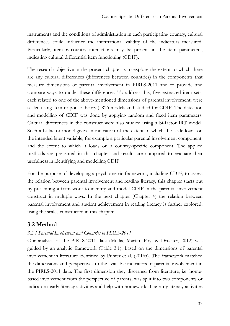instruments and the conditions of administration in each participating country, cultural differences could influence the international validity of the indicators measured. Particularly, item-by-country interactions may be present in the item parameters, indicating cultural differential item functioning (CDIF).

The research objective in the present chapter is to explore the extent to which there are any cultural differences (differences between countries) in the components that measure dimensions of parental involvement in PIRLS-2011 and to provide and compare ways to model these differences. To address this, five extracted item sets, each related to one of the above-mentioned dimensions of parental involvement, were scaled using item response theory (IRT) models and studied for CDIF. The detection and modelling of CDIF was done by applying random and fixed item parameters. Cultural differences in the construct were also studied using a bi-factor IRT model. Such a bi-factor model gives an indication of the extent to which the scale loads on the intended latent variable, for example a particular parental involvement component, and the extent to which it loads on a country-specific component. The applied methods are presented in this chapter and results are compared to evaluate their usefulness in identifying and modelling CDIF.

For the purpose of developing a psychometric framework, including CDIF, to assess the relation between parental involvement and reading literacy, this chapter starts out by presenting a framework to identify and model CDIF in the parental involvement construct in multiple ways. In the next chapter (Chapter 4) the relation between parental involvement and student achievement in reading literacy is further explored, using the scales constructed in this chapter.

# **3.2 Method**

## *3.2.1 Parental Involvement and Countries in PIRLS-2011*

Our analysis of the PIRLS-2011 data (Mullis, Martin, Foy, & Drucker, 2012) was guided by an analytic framework (Table 3.1), based on the dimensions of parental involvement in literature identified by Punter et al. (2016a). The framework matched the dimensions and perspectives to the available indicators of parental involvement in the PIRLS-2011 data. The first dimension they discerned from literature, i.e. homebased involvement from the perspective of parents, was split into two components or indicators: early literacy activities and help with homework. The early literacy activities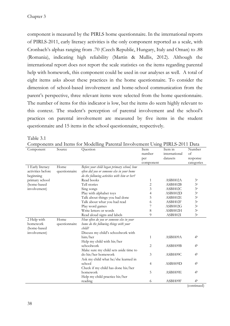component is measured by the PIRLS home questionnaire. In the international reports of PIRLS-2011, early literacy activities is the only component reported as a scale, with Cronbach's alphas ranging from .70 (Czech Republic, Hungary, Italy and Oman) to .88 (Romania), indicating high reliability (Martin & Mullis, 2012). Although the international report does not report the scale statistics on the items regarding parental help with homework, this component could be used in our analyses as well. A total of eight items asks about these practices in the home questionnaire. To consider the dimension of school-based involvement and home-school communication from the parent's perspective, three relevant items were selected from the home questionnaire. The number of items for this indicator is low, but the items do seem highly relevant to this context. The student's perception of parental involvement and the school's practices on parental involvement are measured by five items in the student questionnaire and 15 items in the school questionnaire, respectively.

Table 3.1

|                   |               | Components and nems for modeling I arental involvement Osing I HED-2011 Data |                | Item in       | Number         |
|-------------------|---------------|------------------------------------------------------------------------------|----------------|---------------|----------------|
| Component         | Source        | Question                                                                     | Item           |               | of             |
|                   |               |                                                                              | number         | international |                |
|                   |               |                                                                              | per            | datasets      | response       |
|                   |               |                                                                              | component      |               | categories     |
| 1 Early literacy  | Home          | Before your child began primary school, how                                  |                |               |                |
| activities before | questionnaire | often did you or someone else in your home                                   |                |               |                |
| beginning         |               | do the following activities with him or her?                                 |                |               |                |
| primary school    |               | Read books                                                                   | 1              | ASBH02A       | 3 <sup>a</sup> |
| (home-based       |               | Tell stories                                                                 | 2              | ASBH02B       | 3 <sup>a</sup> |
| involvement)      |               | Sing songs                                                                   | 3              | ASBH02C       | 3 <sup>a</sup> |
|                   |               | Play with alphabet toys                                                      | 4              | ASBH02D       | 3 <sup>a</sup> |
|                   |               | Talk about things you had done                                               | 5              | ASBH02E       | 3 <sup>a</sup> |
|                   |               | Talk about what you had read                                                 | 6              | ASBH02F       | 3 <sup>a</sup> |
|                   |               | Play word games                                                              | 7              | ASBH02G       | 3 <sup>a</sup> |
|                   |               | Write letters or words                                                       | 8              | ASBH02H       | 3 <sup>a</sup> |
|                   |               | Read aloud signs and labels                                                  | 9              | ASBH02I       | 3 <sup>a</sup> |
| 2 Help with       | Home          | How often do you or someone else in your                                     |                |               |                |
| homework          | questionnaire | home do the following things with your                                       |                |               |                |
| (home-based       |               | child?                                                                       |                |               |                |
| involvement)      |               | Discuss my child's schoolwork with                                           |                |               |                |
|                   |               | him/her                                                                      | 1              | ASBH09A       | 4 <sup>b</sup> |
|                   |               | Help my child with his/her                                                   |                |               |                |
|                   |               | schoolwork                                                                   | 2              | ASBH09B       | 4 <sup>b</sup> |
|                   |               | Make sure my child sets aside time to                                        |                |               |                |
|                   |               | do his/her homework                                                          | 3              | ASBH09C       | 4 <sup>b</sup> |
|                   |               | Ask my child what he/she learned in                                          |                |               |                |
|                   |               | school                                                                       | $\overline{4}$ | ASBH09D       | 4 <sup>b</sup> |
|                   |               | Check if my child has done his/her                                           |                |               |                |
|                   |               | homework                                                                     | 5              | ASBH09E       | 4 <sup>b</sup> |
|                   |               | Help my child practice his/her                                               |                |               |                |
|                   |               | reading                                                                      | 6              | ASBH09F       | 4 <sup>b</sup> |
|                   |               |                                                                              |                |               | (continued)    |

Components and Items for Modelling Parental Involvement Using PIRLS-2011 Data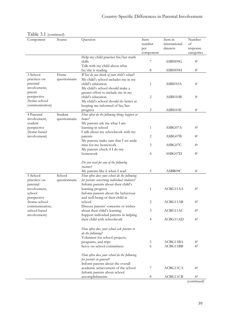| Component                                                      | Source                   | Question                                                                                                                                                                                    | Item<br>number<br>per<br>component | Item in<br>international<br>datasets | Number<br>of<br>response<br>categories |
|----------------------------------------------------------------|--------------------------|---------------------------------------------------------------------------------------------------------------------------------------------------------------------------------------------|------------------------------------|--------------------------------------|----------------------------------------|
|                                                                |                          | Help my child practice his/her math<br>skills                                                                                                                                               | 7                                  | ASBH09G                              | 4 <sup>b</sup>                         |
|                                                                |                          | Talk with my child about what<br>he/she is reading                                                                                                                                          | 8                                  | ASBH09H                              | 4 <sup>b</sup>                         |
| 3 School                                                       | Home                     | What do you think of your child's school?                                                                                                                                                   |                                    |                                      |                                        |
| practices on<br>parental<br>involvement,                       | questionnaire            | My child's school includes me in my<br>child's education<br>My child's school should make a                                                                                                 | 1                                  | ASBH10A                              | 4 <sup>c</sup>                         |
| parent<br>perspective<br>(home-school<br>communication)        |                          | greater effort to include me in my<br>child's education<br>My child's school should do better at                                                                                            | 2                                  | ASBH10B                              | 4 <sup>c</sup>                         |
|                                                                |                          | keeping me informed of his/her<br>progress                                                                                                                                                  | 3                                  | ASBH10E                              | 4 <sup>c</sup>                         |
| 4 Parental<br>involvement,<br>student                          | Student<br>questionnaire | How often do the following things happen at<br>bome?<br>My parents ask me what I am                                                                                                         |                                    |                                      |                                        |
| perspective<br>(home-based                                     |                          | learning in school<br>I talk about my schoolwork with my                                                                                                                                    | 1                                  | ASBG07A                              | 4 <sup>b</sup>                         |
| involvement)                                                   |                          | parents<br>My parents make sure that I set aside                                                                                                                                            | 2                                  | ASBG07B                              | 4 <sup>b</sup>                         |
|                                                                |                          | time for my homework<br>My parents check if I do my                                                                                                                                         | 3                                  | ASBG07C                              | 4 <sup>b</sup>                         |
|                                                                |                          | homework                                                                                                                                                                                    | 4                                  | ASBG07D                              | 4 <sup>b</sup>                         |
|                                                                |                          | Do you read for any of the following<br>reasons?                                                                                                                                            |                                    |                                      |                                        |
|                                                                |                          | My parents like it when I read                                                                                                                                                              | 5                                  | ASBR09C                              | 4c                                     |
| 5 School<br>practices on<br>parental<br>involvement,<br>school | School<br>questionnaire  | How often does your school do the following<br>for parents concerning individual students?<br>Inform parents about their child's<br>learning progress<br>Inform parents about the behaviour | 1                                  | ACBG11AA                             | 4 <sup>d</sup>                         |
| perspective<br>(home-school                                    |                          | and well-being of their child at<br>school                                                                                                                                                  | 2                                  | ACBG11AB                             | 4 <sup>d</sup>                         |
| communication,<br>school-based                                 |                          | Discuss parents' concerns or wishes<br>about their child's learning<br>Support individual parents in helping                                                                                | 3                                  | ACBG11AC                             | 4 <sup>d</sup>                         |
| involvement)                                                   |                          | their child with schoolwork                                                                                                                                                                 | 4                                  | ACBG11AD                             | 4 <sup>d</sup>                         |
|                                                                |                          | How often does your school ask parents to<br>do the following?<br>Volunteer for school projects,<br>programs, and trips<br>Serve on school committees                                       | 5<br>6                             | ACBG11BA<br>ACBG11BB                 | 4 <sup>d</sup><br>4 <sup>d</sup>       |
|                                                                |                          | How often does your school do the following<br>for parents in general?<br>Inform parents about the overall                                                                                  |                                    |                                      |                                        |
|                                                                |                          | academic achievement of the school<br>Inform parents about school                                                                                                                           | 7                                  | ACBG11CA                             | 4 <sup>d</sup>                         |
|                                                                |                          | accomplishments                                                                                                                                                                             | 8                                  | ACBG11CB                             | 4 <sup>d</sup>                         |

Table 3.1 (continued)

(continued)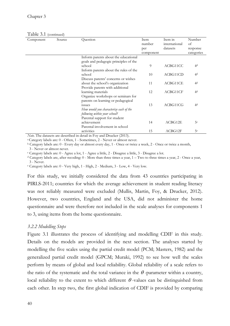Table 3.1 (continued)

| Component | Source | Question                               | Item<br>number | Item in<br>international | Number<br>of   |
|-----------|--------|----------------------------------------|----------------|--------------------------|----------------|
|           |        |                                        | per            | datasets                 | response       |
|           |        |                                        | component      |                          | categories     |
|           |        | Inform parents about the educational   |                |                          |                |
|           |        | goals and pedagogic principles of the  |                |                          |                |
|           |        | school                                 | 9              | ACBG11CC                 | 4 <sup>d</sup> |
|           |        | Inform parents about the rules of the  |                |                          |                |
|           |        | school                                 | 10             | ACBG11CD                 | 4 <sup>d</sup> |
|           |        | Discuss parents' concerns or wishes    |                |                          |                |
|           |        | about the school's organization        | 11             | ACBG11CE                 | 4 <sup>d</sup> |
|           |        | Provide parents with additional        |                |                          |                |
|           |        | learning materials                     | 12             | ACBG11CF                 | 4 <sup>d</sup> |
|           |        | Organize workshops or seminars for     |                |                          |                |
|           |        | parents on learning or pedagogical     |                |                          |                |
|           |        | <i>issues</i>                          | 13             | ACBG11CG                 | 4 <sup>d</sup> |
|           |        | How would you characterize each of the |                |                          |                |
|           |        | following within your school?          |                |                          |                |
|           |        | Parental support for student           |                |                          |                |
|           |        | achievement                            | 14             | ACBG12E                  | 5 <sup>e</sup> |
|           |        | Parental involvement in school         |                |                          |                |
|           |        | activities                             | 15             | ACBG12F                  | 5 <sup>e</sup> |

*Note*. The datasets are described in detail in Foy and Drucker (2013).<br><sup>a</sup> Category labels are: 0 - Often, 1 - Sometimes, 2 - Never or almost never.<br><sup>b</sup> Category labels are: 0 - Every day or almost every day, 1 - Once or 3 - Never or almost never.

c Category labels are: 0 - Agree a lot, 1 - Agree a little, 2 - Disagree a little, 3 - Disagree a lot.

d Category labels are, after recoding: 0 - More than three times a year, 1 – Two to three times a year, 2 - Once a year, 3 - Never.

e Category labels are: 0 - Very high, 1 - High, 2 - Medium, 3 - Low, 4 - Very low.

For this study, we initially considered the data from 43 countries participating in PIRLS-2011; countries for which the average achievement in student reading literacy was not reliably measured were excluded (Mullis, Martin, Foy, & Drucker, 2012). However, two countries, England and the USA, did not administer the home questionnaire and were therefore not included in the scale analyses for components 1 to 3, using items from the home questionnaire.

#### *3.2.2 Modelling Steps*

Figure 3.1 illustrates the process of identifying and modelling CDIF in this study. Details on the models are provided in the next section. The analyses started by modelling the five scales using the partial credit model (PCM; Masters, 1982) and the generalized partial credit model (GPCM; Muraki, 1992) to see how well the scales perform by means of global and local reliability. Global reliability of a scale refers to the ratio of the systematic and the total variance in the  $\theta$ -parameter within a country, local reliability to the extent to which different  $\theta$ -values can be distinguished from each other. In step two, the first global indication of CDIF is provided by comparing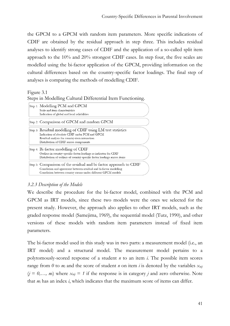the GPCM to a GPCM with random item parameters. More specific indications of CDIF are obtained by the residual approach in step three. This includes residual analyses to identify strong cases of CDIF and the application of a so-called split item approach to the 10% and 20% strongest CDIF cases. In step four, the five scales are modelled using the bi-factor application of the GPCM, providing information on the cultural differences based on the country-specific factor loadings. The final step of analyses is comparing the methods of modelling CDIF.

## Figure 3.1

Steps in Modelling Cultural Differential Item Functioning.

| Step 1: Modelling PCM and GPCM<br>Scale and item characteristics          |  |
|---------------------------------------------------------------------------|--|
| Indication of global and local reliabilities                              |  |
| Step 2: Comparison of GPCM and random GPCM                                |  |
| Step 3: Residual modelling of CDIF using LM test statistics               |  |
| Indication of absolute CDIF under PCM and GPCM                            |  |
| Residual analysis for country-item interaction                            |  |
| Distribution of CDIF across components                                    |  |
| Step 4: Bi-factor modelling of CDIF                                       |  |
| Outliers in country-specific factor loadings as indicator for CDIF        |  |
| Distribution of outliers of country-specific factor loadings across items |  |
| Step 5: Comparison of the residual and bi-factor approach to CDIF         |  |
| Correlation and agreement between residual and bi-factor modelling        |  |
| Correlation between country means under different GPCM models             |  |

## *3.2.3 Description of the Models*

We describe the procedure for the bi-factor model, combined with the PCM and GPCM as IRT models, since these two models were the ones we selected for the present study. However, the approach also applies to other IRT models, such as the graded response model (Samejima, 1969), the sequential model (Tutz, 1990), and other versions of these models with random item parameters instead of fixed item parameters.

The bi-factor model used in this study was in two parts: a measurement model (i.e., an IRT model) and a structural model. The measurement model pertains to a polytomously-scored response of a student *n* to an item *i.* The possible item scores range from 0 to  $m_i$  and the score of student *n* on item *i* is denoted by the variables  $x_{nij}$  $(j = 0, \ldots, m_i)$  where  $x_{nij} = 1$  if the response is in category *j* and zero otherwise. Note that *mi* has an index *i*, which indicates that the maximum score of items can differ.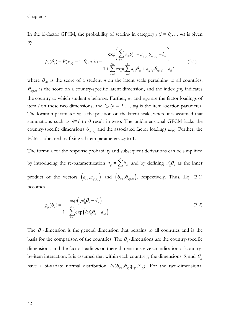Chapter 3

In the bi-factor GPCM, the probability of scoring in category  $j$  ( $j = 0,..., m_i$ ) is given by

$$
p_{ij}(\theta_n) = P(x_{nij} = 1 | \theta_n, a, b) = \frac{\exp\left(\sum_{b=1}^j a_{i0} \theta_{n0} + a_{ig(n)} \theta_{ng(n)} - b_{ib}\right)}{1 + \sum_{k=1}^m \exp(\sum_{b=1}^k a_{i0} \theta_{n0} + a_{ig(n)} \theta_{ng(n)} - b_{ib})},
$$
(3.1)

where  $\theta_{n0}$  is the score of a student *n* on the latent scale pertaining to all countries,  $\theta_{ng(n)}$  is the score on a country-specific latent dimension, and the index  $g(n)$  indicates the country to which student *n* belongs. Further, *ai0* and *aig(n)* are the factor loadings of item *i* on these two dimensions, and  $b_{ib}$  ( $b = 1,..., m_i$ ) is the item location parameter. The location parameter *bih* is the position on the latent scale, where it is assumed that summations such as  $h=1$  to  $\theta$  result in zero. The unidimensional GPCM lacks the country-specific dimensions  $\theta_{n g(n)}$  and the associated factor loadings  $a_{ig(n)}$ . Further, the PCM is obtained by fixing all item parameters *ai0* to 1.

The formula for the response probability and subsequent derivations can be simplified by introducing the re-parametrization 1 *j ij*  $\sum_{ik}$ *h*  $d_{ii} = \sum b$  $=\sum_{b=1}^{s} b_{ib}$  and by defining  $a_{ig}^{t} \theta_{n}$  as the inner product of the vectors  $(a_{i0}, a_{i\theta(n)})$  and  $(\theta_{n0}, \theta_{n\theta(n)})$ , respectively. Thus, Eq. (3.1) becomes

$$
p_{ij}(\theta_n) = \frac{\exp\left(j a_{ij}^t \theta_n - d_{ij}\right)}{1 + \sum_{k=1}^{m_i} \exp\left(ka_{ij}^t \theta_n - d_{ik}\right)}
$$
(3.2)

The  $\theta_0$ -dimension is the general dimension that pertains to all countries and is the basis for the comparison of the countries. The  $\theta_{g}$ -dimensions are the country-specific dimensions, and the factor loadings on these dimensions give an indication of countryby-item interaction. It is assumed that within each country *g*, the dimensions  $\theta_0$  and  $\theta_2$ have a bi-variate normal distribution  $N(\theta_n, \theta_m; \mu_g, \Sigma_g)$ . For the two-dimensional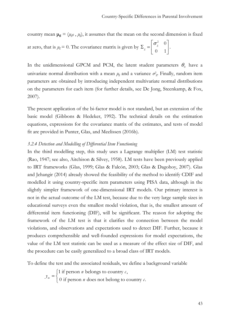country mean  $\mu_g = (\mu_{g0}, \mu_g)$ , it assumes that the mean on the second dimension is fixed at zero, that is  $\mu$ <sup>*g*</sup> = 0. The covariance matrix is given by  $\frac{2}{g}$  0 0 1 *g g*  $\sigma^2 = 0$  $\Sigma_g = \begin{bmatrix} 0 & 0 \\ 0 & 1 \end{bmatrix}.$ 

In the unidimensional GPCM and PCM, the latent student parameters  $\theta_0$  have a univariate normal distribution with a mean  $\mu$ <sup>*g*</sup> and a variance  $\sigma$ <sup>2</sup><sub>*g*</sub>. Finally, random item parameters are obtained by introducing independent multivariate normal distributions on the parameters for each item (for further details, see De Jong, Steenkamp, & Fox, 2007).

The present application of the bi-factor model is not standard, but an extension of the basic model (Gibbons & Hedeker, 1992). The technical details on the estimation equations, expressions for the covariance matrix of the estimates, and tests of model fit are provided in Punter, Glas, and Meelissen (2016b).

#### *3.2.4 Detection and Modelling of Differential Item Functioning*

In the third modelling step, this study uses a Lagrange multiplier (LM) test statistic (Rao, 1947; see also, Aitchison & Silvey, 1958). LM tests have been previously applied to IRT frameworks (Glas, 1999; Glas & Falcón, 2003; Glas & Dagohoy, 2007). Glas and Jehangir (2014) already showed the feasibility of the method to identify CDIF and modelled it using country-specific item parameters using PISA data, although in the slightly simpler framework of one-dimensional IRT models. Our primary interest is not in the actual outcome of the LM test, because due to the very large sample sizes in educational surveys even the smallest model violation, that is, the smallest amount of differential item functioning (DIF), will be significant. The reason for adopting the framework of the LM test is that it clarifies the connection between the model violations, and observations and expectations used to detect DIF. Further, because it produces comprehensible and well-founded expressions for model expectations, the value of the LM test statistic can be used as a measure of the effect size of DIF, and the procedure can be easily generalized to a broad class of IRT models.

To define the test and the associated residuals, we define a background variable

$$
y_m = \begin{cases} 1 \text{ if person } n \text{ belongs to country } c, \\ 0 \text{ if person } n \text{ does not belong to country } c. \end{cases}
$$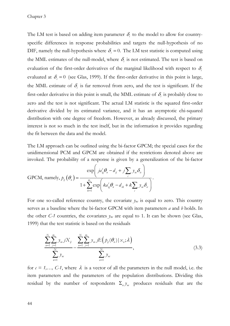The LM test is based on adding item parameter  $\delta_i$  to the model to allow for countryspecific differences in response probabilities and targets the null-hypothesis of no DIF, namely the null-hypothesis where  $\delta_i = 0$ . The LM test statistic is computed using the MML estimates of the null-model, where  $\delta_i$  is not estimated. The test is based on evaluation of the first-order derivatives of the marginal likelihood with respect to  $\delta_i$ evaluated at  $\delta_i = 0$  (see Glas, 1999). If the first-order derivative in this point is large, the MML estimate of  $\delta_i$  is far removed from zero, and the test is significant. If the first-order derivative in this point is small, the MML estimate of  $\delta_i$  is probably close to zero and the test is not significant. The actual LM statistic is the squared first-order derivative divided by its estimated variance, and it has an asymptotic chi-squared distribution with one degree of freedom. However, as already discussed, the primary interest is not so much in the test itself, but in the information it provides regarding the fit between the data and the model.

The LM approach can be outlined using the bi-factor GPCM; the special cases for the unidimensional PCM and GPCM are obtained if the restrictions denoted above are invoked. The probability of a response is given by a generalization of the bi-factor

$$
\text{GPCM, namely, } p_{ij}(\theta_n) = \frac{\exp\left(j a_{ij}^t \theta_n - d_{ij} + j \sum_c y_{nc} \delta_{ic}\right)}{1 + \sum_{k=1}^{m_i} \exp\left(ka_{ij}^t \theta_n - d_{ik} + k \sum_c y_{nc} \delta_{ic}\right)}.
$$

For one so-called reference country, the covariate  $y_m$  is equal to zero. This country serves as a baseline where the bi-factor GPCM with item parameters *a* and *b* holds. In the other  $C$ -1 countries, the covariates  $y_m$  are equal to 1. It can be shown (see Glas, 1999) that the test statistic is based on the residuals

$$
\frac{\sum_{n=1}^{N} \sum_{j=1}^{m_i} y_{nc} j X_{ij}}{\sum_{n=1}^{N} y_{nc}} - \frac{\sum_{n=1}^{N} \sum_{j=1}^{m_i} y_{nc} j E(p_{ij}(\theta_n) | x_n; \lambda)}{\sum_{n=1}^{N} y_{nc}},
$$
\n(3.3)

for  $c = 1, \ldots, C$ -1, where  $\lambda$  is a vector of all the parameters in the null model, i.e. the item parameters and the parameters of the population distributions. Dividing this residual by the number of respondents  $\Sigma_{n} y_{n}$  produces residuals that are the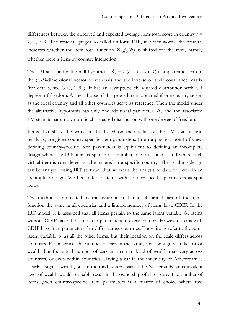differences between the observed and expected average item-total score in country *c = 1,…, C-1*. The residual gauges so-called uniform DIF, in other words, the residual indicates whether the item total function  $\Sigma_i / p_{ii}(\theta)$  is shifted for the item, namely whether there is item-by-country interaction.

The LM statistic for the null-hypothesis  $\delta_{i} = 0$  ( $c = 1,..., C-1$ ) is a quadratic form in the (*C-1)*-dimensional vector of residuals and the inverse of their covariance matrix (for details, see Glas, 1999). It has an asymptotic chi-squared distribution with *C-1* degrees of freedom. A special case of this procedure is obtained if one country serves as the focal country and all other countries serve as reference. Then the model under the alternative hypothesis has only one additional parameter,  $\delta_i$ , and the associated LM statistic has an asymptotic chi-squared distribution with one degree of freedom.

Items that show the worst misfit, based on their value of the LM statistic and residuals, are given country-specific item parameters. From a practical point of view, defining country-specific item parameters is equivalent to defining an incomplete design where the DIF item is split into a number of virtual items, and where each virtual item is considered as administered in a specific country. The resulting design can be analysed using IRT software that supports the analysis of data collected in an incomplete design. We here refer to items with country-specific parameters as split items.

The method is motivated by the assumption that a substantial part of the items function the same in all countries and a limited number of items have CDIF. In the IRT model, it is assumed that all items pertain to the same latent variable  $\theta$ . Items without CDIF have the same item parameters in every country. However, items with CDIF have item parameters that differ across countries. These items refer to the same latent variable  $\theta$  as all the other items, but their location on the scale differs across countries. For instance, the number of cars in the family may be a good indicator of wealth, but the actual number of cars at a certain level of wealth may vary across countries, or even within countries. Having a car in the inner city of Amsterdam is clearly a sign of wealth, but, in the rural eastern part of the Netherlands, an equivalent level of wealth would probably result in the ownership of three cars. The number of items given country-specific item parameters is a matter of choice where two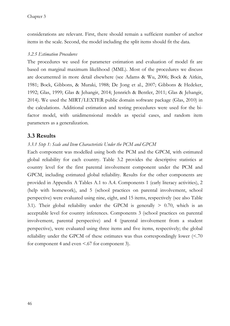considerations are relevant. First, there should remain a sufficient number of anchor items in the scale. Second, the model including the split items should fit the data.

#### *3.2.5 Estimation Procedures*

The procedures we used for parameter estimation and evaluation of model fit are based on marginal maximum likelihood (MML). Most of the procedures we discuss are documented in more detail elsewhere (see Adams & Wu, 2006; Bock & Aitkin, 1981; Bock, Gibbons, & Muraki, 1988; De Jong et al., 2007; Gibbons & Hedeker, 1992; Glas, 1999; Glas & Jehangir, 2014; Jennrich & Bentler, 2011; Glas & Jehangir, 2014). We used the MIRT/LEXTER public domain software package (Glas, 2010) in the calculations. Additional estimation and testing procedures were used for the bifactor model, with unidimensional models as special cases, and random item parameters as a generalization.

## **3.3 Results**

## *3.3.1 Step 1: Scale and Item Characteristic Under the PCM and GPCM*

Each component was modelled using both the PCM and the GPCM, with estimated global reliability for each country. Table 3.2 provides the descriptive statistics at country level for the first parental involvement component under the PCM and GPCM, including estimated global reliability. Results for the other components are provided in Appendix A Tables A.1 to A.4. Components 1 (early literacy activities), 2 (help with homework), and 5 (school practices on parental involvement, school perspective) were evaluated using nine, eight, and 15 items, respectively (see also Table 3.1). Their global reliability under the GPCM is generally  $> 0.70$ , which is an acceptable level for country inferences. Components 3 (school practices on parental involvement, parental perspective) and 4 (parental involvement from a student perspective), were evaluated using three items and five items, respectively; the global reliability under the GPCM of these estimates was thus correspondingly lower (<.70 for component 4 and even <.67 for component 3).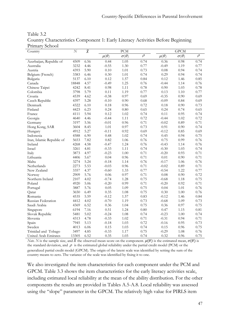|  | Table 3.2 |
|--|-----------|
|  |           |

Country Characteristics Component 1: Early Literacy Activities Before Beginning Primary School

| Country                   | $\overline{N}$ | $\overline{X}$ |               | <b>PCM</b>       |                   | <b>GPCM</b>   |                  |        |
|---------------------------|----------------|----------------|---------------|------------------|-------------------|---------------|------------------|--------|
|                           |                |                | $\mu(\theta)$ | $\sigma(\theta)$ | $\overline{\rho}$ | $\mu(\theta)$ | $\sigma(\theta)$ | $\rho$ |
| Azerbaijan, Republic of   | 4509           | 6.56           | 0.44          | 1.05             | 0.74              | 0.36          | 0.98             | 0.74   |
| Australia                 | 3232           | 4.46           | $-0.55$       | 1.30             | 0.77              | $-0.49$       | 1.19             | 0.77   |
| Austria                   | 4393           | 5.90           | 0.10          | 1.01             | 0.73              | 0.08          | 0.94             | 0.74   |
| Belgium (French)          | 3383           | 6.46           | 0.30          | 1.01             | 0.74              | 0.29          | 0.94             | 0.74   |
| Bulgaria                  | 5137           | 6.10           | 0.12          | 1.57             | 0.84              | 0.12          | 1.46             | 0.85   |
| Canada                    | 18848          | 4.57           | $-0.49$       | 1.25             | 0.76              | $-0.44$       | 1.14             | 0.76   |
| Chinese Taipei            | 4242           | 8.41           | 0.98          | 1.11             | 0.78              | 0.90          | 1.03             | 0.78   |
| Colombia                  | 3798           | 5.79           | 0.11          | 1.19             | 0.77              | 0.13          | 1.10             | 0.77   |
| Croatia                   | 4539           | 4.62           | $-0.38$       | 0.97             | 0.69              | $-0.35$       | 0.90             | 0.69   |
| Czech Republic            | 4397           | 5.28           | $-0.10$       | 0.90             | 0.68              | $-0.09$       | 0.84             | 0.69   |
| Denmark                   | 4322           | 6.10           | 0.18          | 0.96             | 0.72              | 0.18          | 0.90             | 0.73   |
| Finland                   | 4423           | 6.23           | 0.24          | 0.80             | 0.65              | 0.24          | 0.74             | 0.65   |
| France                    | 4111           | 5.94           | 0.12          | 1.02             | 0.74              | 0.11          | 0.95             | 0.74   |
| Georgia                   | 4640           | 4.46           | $-0.44$       | 1.11             | 0.72              | $-0.44$       | 1.02             | 0.72   |
| Germany                   | 3197           | 5.56           | $-0.01$       | 0.96             | 0.71              | $-0.02$       | 0.89             | 0.71   |
| Hong Kong, SAR            | 3604           | 8.45           | 1.01          | 0.97             | 0.73              | 0.91          | 0.90             | 0.74   |
| Hungary                   | 4912           | 5.27           | $-0.11$       | 0.92             | 0.69              | $-0.12$       | 0.85             | 0.69   |
| Indonesia                 | 4588           | 6.90           | 0.48          | 1.02             | 0.74              | 0.45          | 0.94             | 0.75   |
| Iran, Islamic Republic of | 5653           | 7.82           | 0.82          | 1.06             | 0.76              | 0.75          | 0.99             | 0.76   |
| Ireland                   | 4268           | 4.58           | $-0.47$       | 1.24             | 0.76              | $-0.43$       | 1.14             | 0.76   |
| Israel                    | 3261           | 4.81           | $-0.33$       | 1.11             | 0.74              | $-0.30$       | 1.03             | 0.74   |
| Italy                     | 3873           | 4.97           | $-0.23$       | $1.00\,$         | 0.71              | $-0.20$       | 0.93             | 0.71   |
| Lithuania                 | 4406           | 5.67           | 0.04          | 0.96             | 0.71              | $0.01\,$      | 0.90             | 0.71   |
| Malta                     | 3274           | 5.24           | $-0.18$       | 1.14             | 0.76              | $-0.17$       | 1.06             | 0.76   |
| Netherlands               | 2273           | 5.53           | $-0.03$       | 0.96             | 0.71              | $-0.02$       | 0.89             | 0.71   |
| New Zealand               | 3357           | 4.37           | $-0.60$       | 1.33             | 0.77              | $-0.54$       | 1.22             | 0.77   |
| Norway                    | 2909           | 5.76           | 0.06          | 0.97             | 0.71              | 0.08          | 0.90             | 0.72   |
| Northern Ireland          | 2107           | 4.02           | $-0.74$       | 1.28             | 0.75              | $-0.68$       | 1.18             | 0.75   |
| Poland                    | 4920           | 5.06           | $-0.20$       | 0.99             | 0.71              | $-0.20$       | 0.92             | 0.71   |
| Portugal                  | 3887           | 5.76           | 0.05          | 1.09             | 0.75              | 0.04          | 1.01             | 0.76   |
| Qatar                     | 3650           | 6.49           | 0.35          | 1.08             | 0.75              | 0.30          | 1.00             | 0.76   |
| Romania                   | 4535           | 5.59           | $-0.12$       | 1.57             | 0.83              | $-0.12$       | 1.46             | 0.84   |
| Russian Federation        | 4412           | 4.02           | $-0.70$       | 1.19             | 0.73              | $-0.68$       | 1.09             | 0.73   |
| Saudi Arabia              | 4369           | 6.52           | 0.36          | 1.04             | 0.75              | 0.36          | 0.97             | 0.75   |
| Singapore                 | 6194           | 7.16           | 0.51          | 1.24             | 0.80              | 0.47          | 1.15             | 0.81   |
| Slovak Republic           | 5481           | 5.02           | $-0.24$       | 1.08             | 0.74              | $-0.23$       | 1.00             | 0.74   |
| Slovenia                  | 4313           | 4.78           | $-0.33$       | 1.02             | 0.71              | $-0.31$       | 0.94             | 0.71   |
| Spain                     | 7945           | 5.13           | $-0.18$       | 1.03             | 0.72              | $-0.16$       | 0.95             | 0.73   |
| Sweden                    | 4013           | 6.06           | 0.15          | 1.03             | 0.74              | 0.15          | 0.96             | 0.75   |
| Trinidad and Tobago       | 3497           | 4.85           | $-0.33$       | 1.17             | 0.75              | $-0.29$       | 1.08             | 0.76   |
| United Arab Emirates      | 13305          | 6.52           | 0.35          | 1.03             | 0.74              | 0.32          | 0.96             | 0.75   |

*Note. N* is the sample size, and  $\bar{X}$  the observed mean score on the component.  $\mu(\theta)$  is the estimated mean,  $\sigma(\theta)$  is the standard deviation, and  $\rho$  is the estimated global reliability under the partial credit model (PCM) or the generalized partial credit model (GPCM). The origin of the latent scale was identified by setting the sum of the country means to zero. The variance of the scale was identified by fixing it to one.

We also investigated the item characteristics for each component under the PCM and GPCM. Table 3.3 shows the item characteristics for the early literacy activities scale, including estimated local reliability at the mean of the ability distribution. For the other components the results are provided in Tables A.5-A.8. Local reliability was assessed using the "slope" parameter in the GPCM. The relatively high value for PIRLS item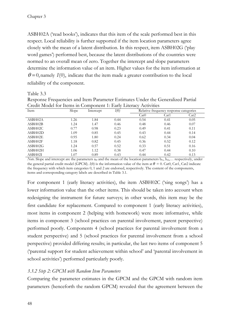ASBH02A ('read books'), indicates that this item of the scale performed best in this respect. Local reliability is further supported if the item location parameters agree closely with the mean of a latent distribution. In this respect, item ASBH02G ('play word games') performed best, because the latent distributions of the countries were normed to an overall mean of zero. Together the intercept and slope parameters determine the information value of an item. Higher values for the item information at  $\theta = 0$ , namely  $I(0)$ , indicate that the item made a greater contribution to the local reliability of the component.

Table 3.3

| Response Frequencies and Item Parameter Estimates Under the Generalized Partial |  |
|---------------------------------------------------------------------------------|--|
| Credit Model for Items in Component 1: Early Literacy Activities                |  |

| Item    | Slope | Intercept | I(0) | Relative frequency response categories |      |      |
|---------|-------|-----------|------|----------------------------------------|------|------|
|         |       |           |      | Cat <sub>0</sub>                       | Cat1 | Cat2 |
| ASBH02A | 1.26  | 1.84      | 0.44 | 0.54                                   | 0.41 | 0.05 |
| ASBH02B | 1.24  | 1.47      | 0.46 | 0.48                                   | 0.46 | 0.07 |
| ASBH02C | 0.77  | 0.98      | 0.23 | 0.49                                   | 0.41 | 0.11 |
| ASBH02D | 1.09  | 0.85      | 0.45 | 0.43                                   | 0.44 | 0.14 |
| ASBH02E | 0.95  | 1.80      | 0.24 | 0.62                                   | 0.34 | 0.04 |
| ASBH02F | 1.18  | 0.82      | 0.45 | 0.36                                   | 0.52 | 0.12 |
| ASBH02G | 1.24  | 0.57      | 0.52 | 0.33                                   | 0.51 | 0.16 |
| ASBH02H | 1.06  | 1.12      | 0.38 | 0.47                                   | 0.44 | 0.10 |
| ASBH02I | 1.07  | 0.89      | 0.43 | 0.44                                   | 0.42 | 0.13 |

*Note*. Slope and intercept are the parameters  $a_{i0}$  and the mean of the location parameters  $b_{i1}$ ,  $b_{i2}$ ,... respectively, under the general partial credit model (GPCM).  $I(0)$  is the information value of the item at  $\theta = 0$ . Cat0, Cat1, Cat2 indicate the frequency with which item categories 0, 1 and 2 are endorsed, respectively. The content of the components, items and corresponding category labels are described in Table 3.1.

For component 1 (early literacy activities), the item ASBH02C ('sing songs') has a lower information value than the other items. This should be taken into account when redesigning the instrument for future surveys; in other words, this item may be the first candidate for replacement. Compared to component 1 (early literacy activities), most items in component 2 (helping with homework) were more informative, while items in component 3 (school practices on parental involvement, parent perspective) performed poorly. Components 4 (school practices for parental involvement from a student perspective) and 5 (school practices for parental involvement from a school perspective) provided differing results; in particular, the last two items of component 5 ('parental support for student achievement within school' and 'parental involvement in school activities') performed particularly poorly.

## *3.3.2 Step 2: GPCM with Random Item Parameters*

Comparing the parameter estimates in the GPCM and the GPCM with random item parameters (henceforth the random GPCM) revealed that the agreement between the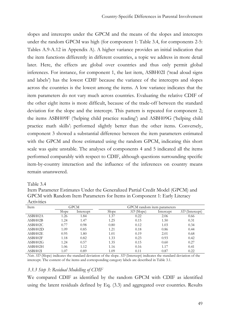slopes and intercepts under the GPCM and the means of the slopes and intercepts under the random GPCM was high (for component 1: Table 3.4, for components 2-5: Tables A.9-A.12 in Appendix A). A higher variance provides an initial indication that the item functions differently in different countries, a topic we address in more detail later. Here, the effects are global over countries and thus only permit global inferences. For instance, for component 1, the last item, ASBH02I ('read aloud signs and labels') has the lowest CDIF because the variance of the intercepts and slopes across the countries is the lowest among the items. A low variance indicates that the item parameters do not vary much across countries. Evaluating the relative CDIF of the other eight items is more difficult, because of the trade-off between the standard deviation for the slope and the intercept. This pattern is repeated for component 2; the items ASBH09F ('helping child practice reading') and ASBH09G ('helping child practice math skills') performed slightly better than the other items. Conversely, component 3 showed a substantial difference between the item parameters estimated with the GPCM and those estimated using the random GPCM, indicating this short scale was quite unstable. The analyses of components 4 and 5 indicated all the items performed comparably with respect to CDIF, although questions surrounding specific item-by-country interaction and the influence of the inferences on country means remain unanswered.

#### Table 3.4

Item Parameter Estimates Under the Generalized Partial Credit Model (GPCM) and GPCM with Random Item Parameters for Items in Component 1: Early Literacy **Activities** 

| Item    | GPCM<br>GPCM random item parameters |           |       |               |           |                |
|---------|-------------------------------------|-----------|-------|---------------|-----------|----------------|
|         | Slope                               | Intercept | Slope | (Slope)<br>SD | Intercept | SD (Intercept) |
| ASBH02A | 1.26                                | 1.84      | 1.37  | 0.22          | 2.06      | 0.66           |
| ASBH02B | 1.24                                | 1.47      | 1.25  | 0.15          | 1.50      | 0.31           |
| ASBH02C | 0.77                                | 0.98      | 0.80  | 0.12          | 1.03      | 0.34           |
| ASBH02D | 1.09                                | 0.85      | 1.21  | 0.18          | 0.86      | 0.44           |
| ASBH02E | 0.95                                | 1.80      | 1.01  | 0.19          | 2.01      | 0.68           |
| ASBH02F | 1.18                                | 0.82      | 1.33  | 0.23          | 0.93      | 0.42           |
| ASBH02G | 1.24                                | 0.57      | 1.35  | 0.15          | 0.60      | 0.27           |
| ASBH02H | 1.06                                | 1.12      | 1.16  | 0.16          | 1.17      | 0.41           |
| ASBH02I | 1.07                                | 0.89      | 1.09  | 0.11          | 0.87      | 0.22           |

*Note. SD* (Slope) indicates the standard deviation of the slope. *SD* (Intercept) indicates the standard deviation of the intercept. The content of the items and corresponding category labels are described in Table 3.1.

#### *3.3.3 Step 3: Residual Modelling of CDIF*

We compared CDIF as identified by the random GPCM with CDIF as identified using the latent residuals defined by Eq. (3.3) and aggregated over countries. Results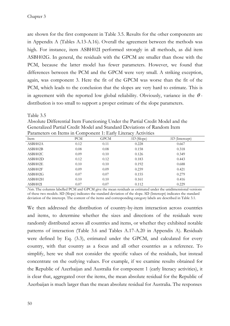are shown for the first component in Table 3.5. Results for the other components are in Appendix A (Tables A.13-A.16). Overall the agreement between the methods was high. For instance, item ASBH02I performed strongly in all methods, as did item ASBH02G. In general, the residuals with the GPCM are smaller than those with the PCM, because the latter model has fewer parameters. However, we found that differences between the PCM and the GPCM were very small. A striking exception, again, was component 3. Here the fit of the GPCM was worse than the fit of the PCM, which leads to the conclusion that the slopes are very hard to estimate. This is in agreement with the reported low global reliability. Obviously, variance in the  $\theta$ distribution is too small to support a proper estimate of the slope parameters.

Table 3.5

Absolute Differential Item Functioning Under the Partial Credit Model and the Generalized Partial Credit Model and Standard Deviations of Random Item Parameters on Items in Component 1: Early Literacy Activities

| Item    | <b>PCM</b> | <b>GPCM</b> | (Slope)<br>SD | SD<br>(Intercept) |
|---------|------------|-------------|---------------|-------------------|
| ASBH02A | 0.12       | 0.11        | 0.228         | 0.667             |
| ASBH02B | 0.08       | 0.08        | 0.158         | 0.318             |
| ASBH02C | 0.09       | 0.10        | 0.126         | 0.349             |
| ASBH02D | 0.12       | 0.12        | 0.183         | 0.443             |
| ASBH02E | 0.10       | 0.10        | 0.192         | 0.688             |
| ASBH02F | 0.09       | 0.09        | 0.239         | 0.421             |
| ASBH02G | 0.07       | 0.07        | 0.155         | 0.279             |
| ASBH02H | 0.10       | 0.10        | 0.161         | 0.416             |
| ASBH02I | 0.07       | 0.07        | 0.112         | 0.229             |

*Note*. The columns labelled PCM and GPCM give the mean residuals as estimated under the unidimensional versions of these two models. SD (Slope) indicates the standard deviation of the slope. SD (Intercept) indicates the standard deviation of the intercept. The content of the items and corresponding category labels are described in Table 3.1.

We then addressed the distribution of country-by-item interaction across countries and items, to determine whether the sizes and directions of the residuals were randomly distributed across all countries and items, or whether they exhibited notable patterns of interaction (Table 3.6 and Tables A.17-A.20 in Appendix A). Residuals were defined by Eq. (3.3), estimated under the GPCM, and calculated for every country, with that country as a focus and all other countries as a reference. To simplify, here we shall not consider the specific values of the residuals, but instead concentrate on the outlying values. For example, if we examine results obtained for the Republic of Azerbaijan and Australia for component 1 (early literacy activities), it is clear that, aggregated over the items, the mean absolute residual for the Republic of Azerbaijan is much larger than the mean absolute residual for Australia. The responses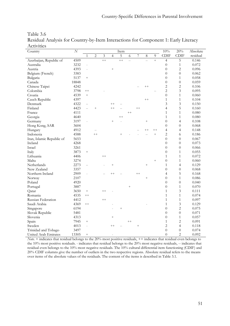|  | Table 3.6 |  |
|--|-----------|--|
|  |           |  |

Residual Analysis for Country-by-Item Interactions for Component 1: Early Literacy Activities

| 11000 v 1000              | $\overline{N}$ |                          |                |                        |                |           |                |        |           |           | 10%              | 20%              |                      |
|---------------------------|----------------|--------------------------|----------------|------------------------|----------------|-----------|----------------|--------|-----------|-----------|------------------|------------------|----------------------|
| Country                   |                |                          |                |                        |                | Item      |                |        |           | 9         | CDIF             | <b>CDIF</b>      | Absolute<br>residual |
|                           |                | $\mathbf{1}$             | $\overline{2}$ | $\mathfrak{Z}$<br>$++$ | $\overline{4}$ | 5<br>$++$ | 6              | 7      | $\,8$     | $\ddot{}$ |                  |                  |                      |
| Azerbaijan, Republic of   | 4509<br>3232   |                          |                |                        |                |           | $\overline{a}$ |        |           |           | $\overline{4}$   | 5                | 0.146                |
| Australia                 |                | ÷,                       |                |                        |                |           |                |        |           |           | $\boldsymbol{0}$ | $\mathbf{1}$     | 0.072                |
| Austria                   | 4393           | $\overline{a}$           |                |                        | $^{+}$         |           |                |        |           |           | $\overline{0}$   | $\overline{c}$   | 0.096                |
| Belgium (French)          | 3383           |                          |                |                        |                |           |                |        |           |           | $\boldsymbol{0}$ | $\boldsymbol{0}$ | 0.062                |
| Bulgaria                  | 5137           | $+$                      |                |                        |                |           |                |        |           |           | $\boldsymbol{0}$ | $\mathbf{1}$     | 0.058                |
| Canada                    | 18848          |                          |                |                        |                |           |                |        |           |           | $\boldsymbol{0}$ | $\boldsymbol{0}$ | 0.059                |
| Chinese Taipei            | 4242           |                          |                |                        |                |           |                |        | $++$      |           | $\overline{c}$   | $\overline{c}$   | 0.106                |
| Colombia                  | 3798           | $++$                     |                |                        |                |           |                |        |           |           | $\overline{2}$   | 3                | 0.095                |
| Croatia                   | 4539           | $+$                      |                |                        |                |           |                |        |           |           | $\overline{0}$   | $\mathbf{1}$     | 0.060                |
| Czech Republic            | 4397           |                          |                |                        |                |           |                |        | $++$      |           | $\mathbf{1}$     | $\mathbf{1}$     | 0.104                |
| Denmark                   | 4322           | $\sim$                   |                |                        | $++$           |           |                |        |           |           | 3                | 3                | 0.150                |
| Finland                   | 4423           | $\overline{a}$           | $+$            |                        | $++$           |           |                | $++$   |           |           | $\overline{4}$   | 5                | 0.160                |
| France                    | 4111           |                          |                |                        |                |           | $+ +$          |        |           |           | $\mathbf{1}$     | $\mathbf{1}$     | 0.080                |
| Georgia                   | 4640           |                          |                |                        |                | $++$      |                |        |           |           | $\mathbf{1}$     | 1                | 0.080                |
| Germany                   | 3197           |                          |                |                        |                |           |                |        | $^{+}$    |           | $\overline{0}$   | $\overline{4}$   | 0.108                |
| Hong Kong, SAR            | 3604           |                          |                |                        |                |           |                |        |           |           | $\boldsymbol{0}$ | $\boldsymbol{0}$ | 0.068                |
| Hungary                   | 4912           |                          |                |                        |                |           |                |        | $+ +$     | $++$      | $\overline{4}$   | $\overline{4}$   | 0.148                |
| Indonesia                 | 4588           |                          | $++$           |                        |                | $\ddot{}$ |                |        |           | $\ddot{}$ | $\overline{c}$   | 6                | 0.186                |
| Iran, Islamic Republic of | 5653           |                          |                |                        |                |           |                |        |           |           | $\overline{0}$   | $\overline{0}$   | 0.067                |
| Ireland                   | 4268           |                          |                |                        |                |           |                |        |           |           | $\boldsymbol{0}$ | $\boldsymbol{0}$ | 0.073                |
| Israel                    | 3261           |                          |                |                        |                |           |                |        |           |           | $\boldsymbol{0}$ | $\boldsymbol{0}$ | 0.066                |
| Italy                     | 3873           | $+$                      |                |                        |                |           |                |        |           |           | $\boldsymbol{0}$ | 1                | 0.055                |
| Lithuania                 | 4406           |                          |                | $++$                   |                |           |                |        |           |           | $\mathbf{1}$     | $\mathbf{1}$     | 0.072                |
| Malta                     | 3274           |                          |                |                        |                |           |                |        |           | $\ddot{}$ | $\theta$         | $\mathbf{1}$     | 0.060                |
| Netherlands               | 2273           | $\overline{\phantom{a}}$ |                |                        | $^{+}$         |           |                |        | $^{+}$    |           | $\mathbf{1}$     | $\overline{4}$   | 0.129                |
| New Zealand               | 3357           |                          |                |                        |                |           |                |        |           |           | $\overline{0}$   | $\boldsymbol{0}$ | 0.068                |
| Northern Ireland          | 2909           |                          |                |                        | $++$           |           |                | $++$   |           |           | 4                | 5                | 0.168                |
| Norway                    | 2107           |                          |                |                        |                |           |                |        | $\ddot{}$ |           | $\boldsymbol{0}$ | $\mathbf{1}$     | 0.086                |
| Poland                    | 4920           |                          |                |                        |                |           |                |        |           |           | $\boldsymbol{0}$ | $\overline{0}$   | 0.040                |
| Portugal                  | 3887           |                          |                |                        |                |           | $+$            |        |           |           | $\boldsymbol{0}$ | 1                | 0.070                |
| Qatar                     | 3650           | $\qquad \qquad +$        |                | $^{++}$                |                |           |                |        |           |           | $\mathbf{1}$     | 3                | 0.111                |
| Romania                   | 4535           | $++$                     |                |                        |                |           |                |        |           |           | $\mathbf{1}$     | 1                | 0.074                |
| Russian Federation        | 4412           |                          |                | $^{++}$                |                |           |                |        |           |           | $\mathbf{1}$     | $\mathbf{1}$     | 0.097                |
| Saudi Arabia              | 4369           | $++$                     |                |                        |                |           |                |        |           |           | $\mathbf{1}$     | 3                | 0.129                |
| Singapore                 | 6194           |                          |                |                        |                | $^{+}$    |                |        |           |           | $\boldsymbol{0}$ | $\overline{c}$   | 0.075                |
| Slovak Republic           | 5481           |                          |                |                        |                |           |                |        |           |           | $\boldsymbol{0}$ | $\boldsymbol{0}$ | 0.071                |
| Slovenia                  | 4313           |                          |                |                        | $+$            |           |                |        |           |           | $\boldsymbol{0}$ | $\mathbf{1}$     | 0.057                |
| Spain                     | 7945           | $+$                      |                |                        |                |           | $++$           |        |           |           | $\mathbf{1}$     | $\overline{c}$   | 0.091                |
| Sweden                    | 4013           |                          |                |                        | $++$           |           |                | $^{+}$ |           |           | $\overline{c}$   | 4                | 0.118                |
| Trinidad and Tobago       | 3497           |                          |                |                        |                |           |                |        |           |           | $\boldsymbol{0}$ | $\theta$         | 0.074                |
|                           | 13305          | $+$                      |                |                        |                |           |                |        |           |           | $\overline{0}$   | $\overline{2}$   | 0.092                |
| United Arab Emirates      |                |                          |                |                        |                |           |                |        |           |           |                  |                  |                      |

*Note*. + indicates that residual belongs to the 20% most positive residuals, ++ indicates that residual even belongs to the 10% most positive residuals. - indicates that residual belongs to the 20% most negative residuals, -- indicates that residual even belongs to the 10% most negative residuals. The 10% cultural differential item functioning (CDIF) and 20% CDIF columns give the number of outliers in the two respective regions. Absolute residual refers to the means over items of the absolute values of the residuals. The content of the items is described in Table 3.1.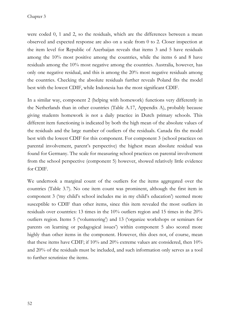Chapter 3

were coded 0, 1 and 2, so the residuals, which are the differences between a mean observed and expected response are also on a scale from 0 to 2. Closer inspection at the item level for Republic of Azerbaijan reveals that items 3 and 5 have residuals among the 10% most positive among the countries, while the items 6 and 8 have residuals among the 10% most negative among the countries. Australia, however, has only one negative residual, and this is among the 20% most negative residuals among the countries. Checking the absolute residuals further reveals Poland fits the model best with the lowest CDIF, while Indonesia has the most significant CDIF.

In a similar way, component 2 (helping with homework) functions very differently in the Netherlands than in other countries (Table A.17, Appendix A), probably because giving students homework is not a daily practice in Dutch primary schools. This different item functioning is indicated by both the high mean of the absolute values of the residuals and the large number of outliers of the residuals. Canada fits the model best with the lowest CDIF for this component. For component 3 (school practices on parental involvement, parent's perspective) the highest mean absolute residual was found for Germany. The scale for measuring school practices on parental involvement from the school perspective (component 5) however, showed relatively little evidence for CDIF.

We undertook a marginal count of the outliers for the items aggregated over the countries (Table 3.7). No one item count was prominent, although the first item in component 3 ('my child's school includes me in my child's education') seemed more susceptible to CDIF than other items, since this item revealed the most outliers in residuals over countries: 13 times in the 10% outliers region and 15 times in the 20% outliers region. Items 5 ('volunteering') and 13 ('organize workshops or seminars for parents on learning or pedagogical issues') within component 5 also scored more highly than other items in the component. However, this does not, of course, mean that these items have CDIF; if 10% and 20% extreme values are considered, then 10% and 20% of the residuals must be included, and such information only serves as a tool to further scrutinize the items.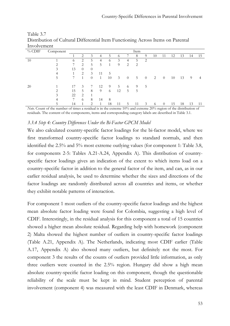| 3<br>7<br>8<br>9<br>2<br>10<br>12<br>13<br>5<br>11<br>4<br>6                                                            | 15<br>14            |
|-------------------------------------------------------------------------------------------------------------------------|---------------------|
| 5<br>10<br>2<br>5<br>2<br>3<br>4<br>4<br>6<br>6                                                                         |                     |
| 5<br>5<br>$\overline{7}$<br>2<br>$\Omega$<br>2<br>2<br>$\mathfrak{D}_{\mathfrak{p}}$<br>1                               |                     |
| 13<br>$\theta$<br>3<br>$\Omega$                                                                                         |                     |
| 2<br>3<br>11<br>1<br>5<br>4                                                                                             |                     |
| 5<br>7<br>10<br>13<br>10<br>$\overline{0}$<br>3<br>$\overline{0}$<br>2<br>$\overline{0}$<br>5<br>$\theta$<br>1<br>1     | 9<br>$\overline{4}$ |
| 20<br>17<br>12<br>5<br>9<br>5<br>9<br>3<br>6                                                                            |                     |
| 15<br>5<br>9<br>5<br>8<br>12<br>5<br>$\mathfrak{D}$<br>6                                                                |                     |
| 22<br>2<br>3                                                                                                            |                     |
| 7<br>8<br>8<br>14<br>6<br>4                                                                                             |                     |
| 18<br>15<br>18<br>$\mathbf{1}$<br>3<br>14<br>2<br>11<br>5<br>11<br>5<br>$\Omega$<br>6<br>$\sim$ $\sim$<br>$\sim$ $\sim$ | 13<br>11            |

Table 3.7 Distribution of Cultural Differential Item Functioning Across Items on Parental Involvement

*Note*. Count of the number of times a residual is in the extreme 10% and extreme 20% region of the distribution of residuals. The content of the components, items and corresponding category labels are described in Table 3.1.

## *3.3.4 Step 4: Country Differences Under the Bi-Factor GPCM Model*

We also calculated country-specific factor loadings for the bi-factor model, where we first transformed country-specific factor loadings to standard normals, and then identified the 2.5% and 5% most extreme outlying values (for component 1: Table 3.8, for components 2-5: Tables A.21-A.24, Appendix A). This distribution of countryspecific factor loadings gives an indication of the extent to which items load on a country-specific factor in addition to the general factor of the item, and can, as in our earlier residual analysis, be used to determine whether the sizes and directions of the factor loadings are randomly distributed across all countries and items, or whether they exhibit notable patterns of interaction.

For component 1 most outliers of the country-specific factor loadings and the highest mean absolute factor loading were found for Colombia, suggesting a high level of CDIF. Interestingly, in the residual analysis for this component a total of 15 countries showed a higher mean absolute residual. Regarding help with homework (component 2) Malta showed the highest number of outliers in country-specific factor loadings (Table A.21, Appendix A). The Netherlands, indicating most CDIF earlier (Table A.17, Appendix A) also showed many outliers, but definitely not the most. For component 3 the results of the counts of outliers provided little information, as only three outliers were counted in the 2.5% region. Hungary did show a high mean absolute country-specific factor loading on this component, though the questionable reliability of the scale must be kept in mind. Student perception of parental involvement (component 4) was measured with the least CDIF in Denmark, whereas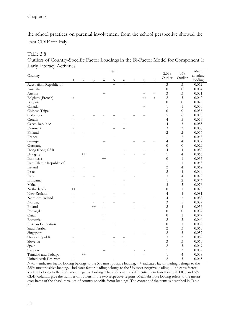the school practices on parental involvement from the school perspective showed the least CDIF for Italy.

#### Table 3.8

Outliers of Country-Specific Factor Loadings in the Bi-Factor Model for Component 1: Early Literacy Activities

|                           |                |                |                |                          | Item       |                |   |                |        | $2.5\%$                  | $5\%$                   | Mean     |
|---------------------------|----------------|----------------|----------------|--------------------------|------------|----------------|---|----------------|--------|--------------------------|-------------------------|----------|
| Country                   |                |                |                |                          |            |                |   |                |        |                          | Outlier                 | absolute |
|                           | $\mathbf{1}$   | $\overline{c}$ | $\mathfrak{Z}$ | $\overline{4}$           | 5          | 6              | 7 | $\overline{8}$ | 9      | Outlier                  |                         | loading  |
| Azerbaijan, Republic of   |                |                |                |                          | $\ddot{+}$ | $\overline{a}$ |   | ÷.             |        | 3                        | $\overline{\mathbf{3}}$ | 0.062    |
| Australia                 |                |                |                |                          |            |                |   |                |        | $\overline{0}$           | $\overline{0}$          | 0.034    |
| Austria                   |                |                |                |                          |            |                |   | $\overline{a}$ | $\sim$ | 3                        | 3                       | 0.071    |
| Belgium (French)          | $^{+}$         |                |                |                          |            |                |   | $++$           | $+$    | $\overline{c}$           | 3                       | 0.042    |
| Bulgaria                  |                |                |                |                          |            |                |   |                |        | $\theta$                 | $\theta$                | 0.029    |
| Canada                    |                |                |                |                          |            |                |   | $+$            |        | $\mathbf{1}$             | $\mathbf{1}$            | 0.050    |
| Chinese Taipei            |                |                |                |                          |            |                |   |                |        | $\overline{0}$           | $\overline{0}$          | 0.036    |
| Colombia                  |                |                |                |                          |            |                |   |                |        | 5                        | 6                       | 0.095    |
| Croatia                   |                |                |                |                          |            |                |   |                |        | 4                        | 5                       | 0.079    |
| Czech Republic            |                |                |                | $\ddot{}$                |            |                |   |                |        | 4                        | 5                       | 0.083    |
| Denmark                   |                |                |                |                          |            |                |   |                |        | 3                        | $\mathfrak{Z}$          | 0.080    |
| Finland                   |                |                |                |                          |            |                |   |                |        | $\overline{c}$           | $\overline{2}$          | 0.066    |
| France                    |                |                |                |                          |            |                |   |                |        | $\mathbf{1}$             | $\overline{2}$          | 0.048    |
| Georgia                   |                |                |                |                          |            |                |   |                |        | $\overline{4}$           | $\overline{4}$          | 0.077    |
| Germany                   |                |                |                |                          |            |                |   |                |        | $\overline{0}$           | $\theta$                | 0.029    |
| Hong Kong, SAR            |                |                |                |                          |            |                |   |                |        | 4                        | $\overline{4}$          | 0.082    |
| Hungary                   |                | $++$           |                |                          |            |                |   |                |        | $\mathbf{1}$             | $\overline{4}$          | 0.066    |
| Indonesia                 |                |                |                | $++$                     |            |                |   |                |        | $\overline{0}$           | $\mathbf{1}$            | 0.033    |
| Iran, Islamic Republic of |                |                |                |                          |            |                |   |                |        | $\mathbf{1}$             | $\mathbf{1}$            | 0.053    |
| Ireland                   |                |                |                |                          |            |                |   |                |        | $\overline{c}$           | $\overline{4}$          | 0.062    |
| Israel                    |                |                |                |                          |            |                |   |                |        | $\overline{c}$           | $\overline{4}$          | 0.064    |
| Italy                     | Ц.             |                |                |                          |            |                |   |                |        | $\overline{3}$           | $\overline{4}$          | 0.078    |
| Lithuania                 |                |                |                |                          |            |                |   |                |        | $\mathbf{1}$             | $\overline{2}$          | 0.044    |
| Malta                     | ÷.             |                |                |                          |            |                |   |                |        | 3                        | 5                       | 0.076    |
| Netherlands               | $++$           |                |                |                          |            |                |   |                |        | $\overline{0}$           | $\mathbf{1}$            | 0.028    |
| New Zealand               | $\overline{a}$ |                |                |                          |            |                |   |                |        | $\overline{\mathcal{L}}$ | $\overline{4}$          | 0.081    |
| Northern Ireland          |                |                |                |                          |            |                |   |                |        | $\overline{4}$           | 5                       | 0.088    |
| Norway                    | --             |                |                |                          |            |                |   |                |        | 3                        | 5                       | 0.087    |
| Poland                    |                |                | $++$           |                          |            |                |   |                |        | $\overline{c}$           | $\overline{4}$          | 0.056    |
| Portugal                  |                |                |                |                          |            |                |   |                |        | $\overline{0}$           | $\theta$                | 0.034    |
| Qatar                     |                |                |                | $++$                     |            |                |   |                |        | $\boldsymbol{0}$         | $\mathbf{1}$            | 0.047    |
| Romania                   |                |                |                | $\overline{\phantom{a}}$ |            |                |   |                |        | $\overline{c}$           | 3                       | 0.060    |
| Russian Federation        |                |                |                |                          | $^+$       |                |   |                |        | $\overline{0}$           | $\mathbf{1}$            | 0.032    |
| Saudi Arabia              |                |                |                |                          |            |                |   |                |        | $\mathbf 2$              | 3                       | 0.065    |
| Singapore                 |                |                |                |                          |            |                |   |                |        | $\overline{c}$           | 3                       | 0.057    |
| Slovak Republic           |                |                |                |                          |            |                |   |                |        | 3                        | $\mathfrak{Z}$          | 0.062    |
| Slovenia                  |                |                |                |                          |            |                |   |                |        | 3                        | 3                       | 0.065    |
| Spain                     |                |                |                |                          |            |                |   |                |        | $\overline{c}$           | $\mathfrak{Z}$          | 0.049    |
| Sweden                    |                |                |                |                          |            |                |   |                |        | $\mathbf{1}$             | 3                       | 0.052    |
| Trinidad and Tobago       |                | $^{++}$        |                |                          |            |                |   |                |        | $\mathbf{1}$             | $\overline{4}$          | 0.058    |
| United Arab Emirates      |                |                |                |                          |            |                |   |                |        | $\overline{2}$           | 3                       | 0.065    |
|                           |                |                |                |                          |            |                |   |                |        |                          |                         |          |

*Note*. + indicates factor loading belongs to the 5% most positive loading, ++ indicates factor loading belongs to the 2.5% most positive loading. - indicates factor loading belongs to the 5% most negative loading, -- indicates factor loading belongs to the 2.5% most negative loading. The 2.5% cultural differential item functioning (CDIF) and 5% CDIF columns give the number of outliers in the two respective regions. Mean absolute loading refers to the means over items of the absolute values of country-specific factor loadings. The content of the items is described in Table 3.1.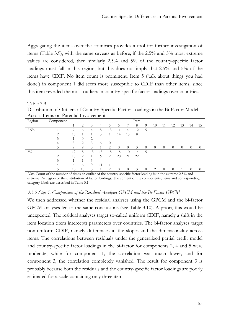Aggregating the items over the countries provides a tool for further investigation of items (Table 3.9), with the same caveats as before; if the 2.5% and 5% most extreme values are considered, then similarly 2.5% and 5% of the country-specific factor loadings must fall in this region, but this does not imply that 2.5% and 5% of the items have CDIF. No item count is prominent. Item 5 ('talk about things you had done') in component 1 did seem more susceptible to CDIF than other items, since this item revealed the most outliers in country-specific factor loadings over countries.

#### Table 3.9

Distribution of Outliers of Country-Specific Factor Loadings in the Bi-Factor Model Across Items on Parental Involvement

| Region  | Component |            |                |    |    |                        |          |          | Item |          |          |          |          |          |          |          |
|---------|-----------|------------|----------------|----|----|------------------------|----------|----------|------|----------|----------|----------|----------|----------|----------|----------|
|         |           |            | 2              | 3  | 4  | 5                      | $\circ$  | 7        | 8    | 9        | 10       | 11       | 12       | 13       | 14       | 15       |
| $2.5\%$ |           |            | 6              | 4  | 8  | 13                     | 11       | 4        | 12   | 5        |          |          |          |          |          |          |
|         | ⌒         | 13         |                | и  | 3  | $\boldsymbol{\Lambda}$ | 14       | 15       | 8    |          |          |          |          |          |          |          |
|         | 3         |            | $\overline{0}$ | 2  |    |                        |          |          |      |          |          |          |          |          |          |          |
|         | 4         | 3          | 2              | 3  | 6  | $\theta$               |          |          |      |          |          |          |          |          |          |          |
|         |           | $\Omega$   | 9              | 3  | 1  | 2                      | $\theta$ | $\theta$ | 3    | $\theta$ | $\theta$ | $\theta$ | $\theta$ | $\theta$ | $\theta$ | $\theta$ |
| $5\%$   |           | 19         | 8              | 13 | 13 | 18                     | 15       | 10       | 14   | 5        |          |          |          |          |          |          |
|         | ◠         | 15         | 2              | 1  | 6  | 2                      | 20       | 21       | 22   |          |          |          |          |          |          |          |
|         | 3         |            |                | 3  |    |                        |          |          |      |          |          |          |          |          |          |          |
|         | 4         | $^{\circ}$ | 6              | 9  | 11 |                        |          |          |      |          |          |          |          |          |          |          |
|         |           | 10         | 10             | 3  | 1  | 2                      | $\theta$ | $\theta$ | 3    | $\theta$ | 2        | $\theta$ | $\theta$ |          | $\Omega$ | 0        |

*Note*. Count of the number of times an outlier of the country-specific factor loading is in the extreme 2.5% and extreme 5% region of the distribution of factor loadings. The content of the components, items and corresponding category labels are described in Table 3.1.

## *3.3.5 Step 5: Comparison of the Residual Analyses GPCM and the Bi-Factor GPCM*

We then addressed whether the residual analyses using the GPCM and the bi-factor GPCM analyses led to the same conclusions (see Table 3.10). A priori, this would be unexpected. The residual analyses target so-called uniform CDIF, namely a shift in the item location (item intercept) parameters over countries. The bi-factor analyses target non-uniform CDIF, namely differences in the slopes and the dimensionality across items. The correlations between residuals under the generalized partial credit model and country-specific factor loadings in the bi-factor for components 2, 4 and 5 were moderate, while for component 1, the correlation was much lower, and for component 3, the correlation completely vanished. The result for component 3 is probably because both the residuals and the country-specific factor loadings are poorly estimated for a scale containing only three items.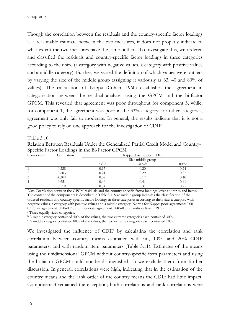Though the correlation between the residuals and the country-specific factor loadings is a reasonable estimate between the two measures, it does not properly indicate to what extent the two measures have the same outliers. To investigate this, we ordered and classified the residuals and country-specific factor loadings in three categories according to their size (a category with negative values, a category with positive values and a middle category). Further, we varied the definition of which values were outliers by varying the size of the middle group (assigning it variously as 33, 40 and 80% of values). The calculation of Kappa (Cohen, 1960) establishes the agreement in categorization between the residual analyses using the GPCM and the bi-factor GPCM. This revealed that agreement was poor throughout for component 3, while, for component 1, the agreement was poor in the 33% category; for other categories, agreement was only fair to moderate. In general, the results indicate that it is not a good policy to rely on one approach for the investigation of CDIF.

#### Table 3.10

Relation Between Residuals Under the Generalized Partial Credit Model and Country-Specific Factor Loadings in the Bi-Factor GPCM

| Component      | Correlation | Kappa classification CDIF |        |          |  |  |  |
|----------------|-------------|---------------------------|--------|----------|--|--|--|
|                |             | Size middle group         |        |          |  |  |  |
|                |             | $33\%$ <sup>a</sup>       | $40\%$ | $80\%$ c |  |  |  |
|                | 0.228       | 0.15                      | 0.20   | 0.24     |  |  |  |
| 2              | 0.603       | 0.21                      | 0.29   | 0.27     |  |  |  |
| 3              | $-0.044$    | 0.07                      | 0.17   | 0.10     |  |  |  |
| $\overline{4}$ | 0.651       | 0.46                      | 0.41   | 0.41     |  |  |  |
| 5              | 0.519       | 0.34                      | 0.31   | 0.25     |  |  |  |

*Note*. Correlation between the GPCM residuals and the country-specific factor loadings, over countries and items. The content of the components is described in Table 3.1. Size middle group indicates the classification of the ordered residuals and country-specific factor loadings in three categories according to their size: a category with negative values, a category with positive values and a middle category. Norms for Kappa: poor agreement: 0.00– 0.19, fair agreement: 0.20–0.39, and moderate agreement: 0.40–0.59 (Landis & Koch, 1977).<br><sup>a</sup> Three equally-sized categories.<br><sup>b</sup> A middle category contained 40% of the values, the two extreme categories each contained 30

 $\epsilon$  A middle category contained 80% of the values, the two extreme categories each contained 10%.

We investigated the influence of CDIF by calculating the correlation and rank correlation between country means estimated with no, 10%, and 20% CDIF parameters, and with random item parameters (Table 3.11). Estimates of the means using the unidimensional GPCM without country-specific item parameters and using the bi-factor GPCM could not be distinguished, so we exclude them from further discussion. In general, correlations were high, indicating that in the estimation of the country means and the rank order of the country means the CDIF had little impact. Component 3 remained the exception; both correlations and rank correlations were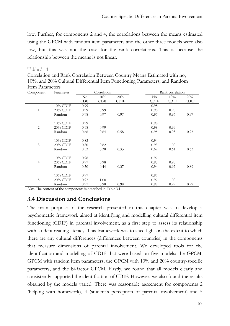low. Further, for components 2 and 4, the correlations between the means estimated using the GPCM with random item parameters and the other three models were also low, but this was not the case for the rank correlations. This is because the relationship between the means is not linear.

#### Table 3.11

Correlation and Rank Correlation Between Country Means Estimated with no, 10%, and 20% Cultural Differential Item Functioning Parameters, and Random Item Parameters

| Component      | Parameter   |             | Correlation |             |          | Rank correlation |             |
|----------------|-------------|-------------|-------------|-------------|----------|------------------|-------------|
|                |             | $\rm No$    | 10%         | 20%         | $\rm No$ | 10%              | 20%         |
|                |             | <b>CDIF</b> | <b>CDIF</b> | <b>CDIF</b> |          | CDIF<br>CDIF     | <b>CDIF</b> |
|                | 10% CDIF    | 0.99        |             |             |          | 0.98             |             |
| $\mathbf{1}$   | 20% CDIF    | 0.99        | 0.99        |             |          | 0.98<br>0.98     |             |
|                | Random      | 0.98        | 0.97        | 0.97        |          | 0.97<br>0.96     | 0.97        |
|                | 10% CDIF    | 0.99        |             |             |          | 0.98             |             |
| $\overline{2}$ | 20% CDIF    | 0.98        | 0.99        |             |          | 0.98<br>0.99     |             |
|                | Random      | 0.66        | 0.64        | 0.58        |          | 0.95<br>0.93     | 0.95        |
|                | 10% CDIF    | 0.83        |             |             |          | 0.94             |             |
| 3              | $20\%$ CDIF | 0.80        | 0.82        |             |          | 0.93<br>1.00     |             |
|                | Random      | 0.53        | 0.38        | 0.33        |          | 0.62<br>0.64     | 0.63        |
|                | 10% CDIF    | 0.98        |             |             |          | 0.97             |             |
| $\overline{4}$ | $20\%$ CDIF | 0.97        | 0.98        |             | 0.95     | 0.95             |             |
|                | Random      | 0.50        | 0.44        | 0.37        |          | 0.92<br>0.94     | 0.89        |
|                | 10% CDIF    | 0.97        |             |             |          | 0.97             |             |
| 5              | 20% CDIF    | 0.97        | 1.00        |             | 0.97     | 1.00             |             |
|                | Random      | 0.97        | 0.98        | 0.98        | 0.97     | 0.99             | 0.99        |

*Note*. The content of the components is described in Table 3.1.

# **3.4 Discussion and Conclusions**

The main purpose of the research presented in this chapter was to develop a psychometric framework aimed at identifying and modelling cultural differential item functioning (CDIF) in parental involvement, as a first step to assess its relationship with student reading literacy. This framework was to shed light on the extent to which there are any cultural differences (differences between countries) in the components that measure dimensions of parental involvement. We developed tools for the identification and modelling of CDIF that were based on five models: the GPCM, GPCM with random item parameters, the GPCM with 10% and 20% country-specific parameters, and the bi-factor GPCM. Firstly, we found that all models clearly and consistently supported the identification of CDIF. However, we also found the results obtained by the models varied. There was reasonable agreement for components 2 (helping with homework), 4 (student's perception of parental involvement) and 5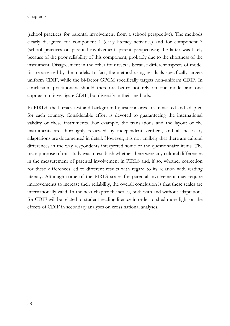(school practices for parental involvement from a school perspective). The methods clearly disagreed for component 1 (early literacy activities) and for component 3 (school practices on parental involvement, parent perspective); the latter was likely because of the poor reliability of this component, probably due to the shortness of the instrument. Disagreement in the other four tests is because different aspects of model fit are assessed by the models. In fact, the method using residuals specifically targets uniform CDIF, while the bi-factor GPCM specifically targets non-uniform CDIF. In conclusion, practitioners should therefore better not rely on one model and one approach to investigate CDIF, but diversify in their methods.

In PIRLS, the literacy test and background questionnaires are translated and adapted for each country. Considerable effort is devoted to guaranteeing the international validity of these instruments. For example, the translations and the layout of the instruments are thoroughly reviewed by independent verifiers, and all necessary adaptations are documented in detail. However, it is not unlikely that there are cultural differences in the way respondents interpreted some of the questionnaire items. The main purpose of this study was to establish whether there were any cultural differences in the measurement of parental involvement in PIRLS and, if so, whether correction for these differences led to different results with regard to its relation with reading literacy. Although some of the PIRLS scales for parental involvement may require improvements to increase their reliability, the overall conclusion is that these scales are internationally valid. In the next chapter the scales, both with and without adaptations for CDIF will be related to student reading literacy in order to shed more light on the effects of CDIF in secondary analyses on cross national analyses.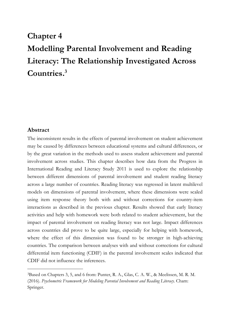# **Chapter 4 Modelling Parental Involvement and Reading Literacy: The Relationship Investigated Across Countries.3**

## **Abstract**

-

The inconsistent results in the effects of parental involvement on student achievement may be caused by differences between educational systems and cultural differences, or by the great variation in the methods used to assess student achievement and parental involvement across studies. This chapter describes how data from the Progress in International Reading and Literacy Study 2011 is used to explore the relationship between different dimensions of parental involvement and student reading literacy across a large number of countries. Reading literacy was regressed in latent multilevel models on dimensions of parental involvement, where these dimensions were scaled using item response theory both with and without corrections for country-item interactions as described in the previous chapter. Results showed that early literacy activities and help with homework were both related to student achievement, but the impact of parental involvement on reading literacy was not large. Impact differences across countries did prove to be quite large, especially for helping with homework, where the effect of this dimension was found to be stronger in high-achieving countries. The comparison between analyses with and without corrections for cultural differential item functioning (CDIF) in the parental involvement scales indicated that CDIF did not influence the inferences.

<sup>3</sup>Based on Chapters 3, 5, and 6 from: Punter, R. A., Glas, C. A. W., & Meelissen, M. R. M. (2016). *Psychometric Framework for Modeling Parental Involvement and Reading Literacy*. Cham: Springer.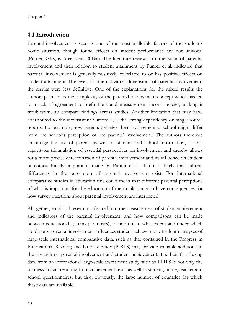# **4.1 Introduction**

Parental involvement is seen as one of the most malleable factors of the student's home situation, though found effects on student performance are not univocal (Punter, Glas, & Meelissen, 2016a). The literature review on dimensions of parental involvement and their relation to student attainment by Punter et al. indicated that parental involvement is generally positively correlated to or has positive effects on student attainment. However, for the individual dimensions of parental involvement, the results were less definitive. One of the explanations for the mixed results the authors point to, is the complexity of the parental involvement concept which has led to a lack of agreement on definitions and measurement inconsistencies, making it troublesome to compare findings across studies. Another limitation that may have contributed to the inconsistent outcomes, is the strong dependency on single-source reports. For example, how parents perceive their involvement at school might differ from the school's perception of the parents' involvement. The authors therefore encourage the use of parent, as well as student and school information, as this capacitates triangulation of essential perspectives on involvement and thereby allows for a more precise determination of parental involvement and its influence on student outcomes. Finally, a point is made by Punter et al. that it is likely that cultural differences in the perception of parental involvement exist. For international comparative studies in education this could mean that different parental perceptions of what is important for the education of their child can also have consequences for how survey questions about parental involvement are interpreted.

Altogether, empirical research is desired into the measurement of student achievement and indicators of the parental involvement, and how comparisons can be made between educational systems (countries), to find out to what extent and under which conditions, parental involvement influences student achievement. In-depth analyses of large-scale international comparative data, such as that contained in the Progress in International Reading and Literacy Study (PIRLS) may provide valuable additions to the research on parental involvement and student achievement. The benefit of using data from an international large-scale assessment study such as PIRLS is not only the richness in data resulting from achievement tests, as well as student, home, teacher and school questionnaires, but also, obviously, the large number of countries for which these data are available.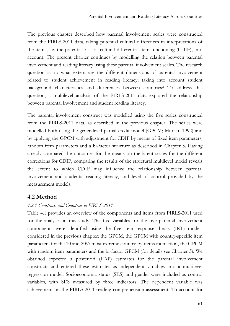The previous chapter described how parental involvement scales were constructed from the PIRLS-2011 data, taking potential cultural differences in interpretations of the items, i.e. the potential risk of cultural differential item functioning (CDIF), into account. The present chapter continues by modelling the relation between parental involvement and reading literacy using these parental involvement scales. The research question is: to what extent are the different dimensions of parental involvement related to student achievement in reading literacy, taking into account student background characteristics and differences between countries? To address this question, a multilevel analysis of the PIRLS-2011 data explored the relationship between parental involvement and student reading literacy.

The parental involvement construct was modelled using the five scales constructed from the PIRLS-2011 data, as described in the previous chapter. The scales were modelled both using the generalized partial credit model (GPCM; Muraki, 1992) and by applying the GPCM with adjustment for CDIF by means of fixed item parameters, random item parameters and a bi-factor structure as described in Chapter 3. Having already compared the outcomes for the means on the latent scales for the different corrections for CDIF, comparing the results of the structural multilevel model reveals the extent to which CDIF may influence the relationship between parental involvement and students' reading literacy, and level of control provided by the measurement models.

# **4.2 Method**

## *4.2.1 Constructs and Countries in PIRLS-2011*

Table 4.1 provides an overview of the components and items from PIRLS-2011 used for the analyses in this study. The five variables for the five parental involvement components were identified using the five item response theory (IRT) models considered in the previous chapter: the GPCM, the GPCM with country-specific item parameters for the 10 and 20% most extreme country-by-items interaction, the GPCM with random item parameters and the bi-factor GPCM (for details see Chapter 3). We obtained expected a posteriori (EAP) estimates for the parental involvement constructs and entered these estimates as independent variables into a multilevel regression model. Socioeconomic status (SES) and gender were included as control variables, with SES measured by three indicators. The dependent variable was achievement on the PIRLS-2011 reading comprehension assessment. To account for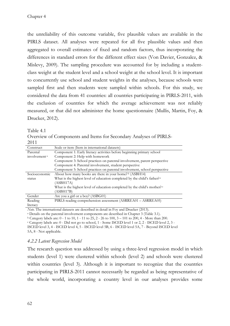the unreliability of this outcome variable, five plausible values are available in the PIRLS dataset. All analyses were repeated for all five plausible values and then aggregated to overall estimates of fixed and random factors, thus incorporating the differences in standard errors for the different effect sizes (Von Davier, Gonzalez, & Mislevy, 2009). The sampling procedure was accounted for by including a studentclass weight at the student level and a school weight at the school level. It is important to concurrently use school and student weights in the analyses, because schools were sampled first and then students were sampled within schools. For this study, we considered the data from 41 countries: all countries participating in PIRLS-2011, with the exclusion of countries for which the average achievement was not reliably measured, or that did not administer the home questionnaire (Mullis, Martin, Foy, & Drucker, 2012).

Table 4.1

Overview of Components and Items for Secondary Analyses of PIRLS-2011

| Construct                | Scale or item (Item in international datasets)                                       |
|--------------------------|--------------------------------------------------------------------------------------|
| Parental                 | Component 1: Early literacy activities before beginning primary school               |
| involvement <sup>a</sup> | Component 2: Help with homework                                                      |
|                          | Component 3: School practices on parental involvement, parent perspective            |
|                          | Component 4: Parental involvement, student perspective                               |
|                          | Component 5: School practices on parental involvement, school perspective            |
| Socioeconomic            | About how many books are there in your home? <sup>b</sup> (ASBH14)                   |
| status                   | What is the highest level of education completed by the child's father? <sup>c</sup> |
|                          | (ASBH17A)                                                                            |
|                          | What is the highest level of education completed by the child's mother? <sup>c</sup> |
|                          | (ASBH17B)                                                                            |
| Gender                   | Are you a girl or a boy? (ASBG01)                                                    |
| Reading                  | PIRLS reading comprehension assessment (ASRREA01 – ASRREA05)                         |
| literacy                 |                                                                                      |
|                          |                                                                                      |

*Note.* The international datasets are described in detail in Foy and Drucker (2013).<br>
<sup>a</sup> Details on the parental involvement components are described in Chapter 3 (Table 3.1).<br>
<sup>b</sup> Category labels are: 0 - 1 to 10, 1 -

ISCED level 3, 4 - ISCED level 4, 5 - ISCED level 5B, 6 - ISCED level 5A, 7 - Beyond ISCED level 5A, 8 - Not applicable.

# *4.2.2 Latent Regression Model*

The research question was addressed by using a three-level regression model in which students (level 1) were clustered within schools (level 2) and schools were clustered within countries (level 3). Although it is important to recognize that the countries participating in PIRLS-2011 cannot necessarily be regarded as being representative of the whole world, incorporating a country level in our analyses provides some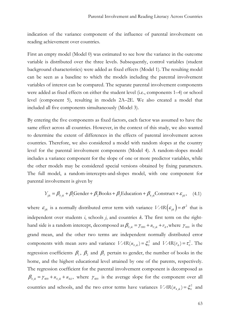indication of the variance component of the influence of parental involvement on reading achievement over countries.

First an empty model (Model 0) was estimated to see how the variance in the outcome variable is distributed over the three levels. Subsequently, control variables (student background characteristics) were added as fixed effects (Model 1). The resulting model can be seen as a baseline to which the models including the parental involvement variables of interest can be compared. The separate parental involvement components were added as fixed effects on either the student level (i.e., components 1–4) or school level (component 5), resulting in models 2A–2E. We also created a model that included all five components simultaneously (Model 3).

By entering the five components as fixed factors, each factor was assumed to have the same effect across all countries. However, in the context of this study, we also wanted to determine the extent of differences in the effects of parental involvement across countries. Therefore, we also considered a model with random slopes at the country level for the parental involvement components (Model 4). A random-slopes model includes a variance component for the slope of one or more predictor variables, while the other models may be considered special versions obtained by fixing parameters. The full model, a random-intercepts-and-slopes model, with one component for parental involvement is given by

$$
Y_{ijk} = \beta_{0jk} + \beta_1 \text{Gender} + \beta_2 \text{Books} + \beta_3 \text{Education} + \beta_{4jk} \text{Construct} + \varepsilon_{ijk}, \quad (4.1)
$$

where  $\varepsilon_{ijk}$  is a normally distributed error term with variance  $VAR(\varepsilon_{ijk}) = \sigma^2$  that is independent over students *i*, schools *j*, and countries *k*. The first term on the righthand side is a random intercept, decomposed as  $\beta_{0jk} = \gamma_{000} + u_{0jk} + v_k$ , where  $\gamma_{000}$  is the grand mean, and the other two terms are independent normally distributed error components with mean zero and variance  $VAR(u_{0jk}) = \xi_0^2$  and  $VAR(v_k) = \tau_0^2$ . The regression coefficients  $\beta_1$ ,  $\beta_2$  and  $\beta_3$  pertain to gender, the number of books in the home, and the highest educational level attained by one of the parents, respectively. The regression coefficient for the parental involvement component is decomposed as  $\beta_{4jk} = \gamma_{400} + u_{4jk} + u_{4k}$ , where  $\gamma_{400}$  is the average slope for the component over all countries and schools, and the two error terms have variances  $VAR(u_{4jk}) = \xi_{4}^{2}$  and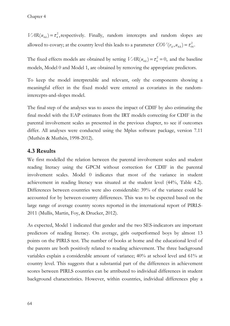$VAR(u_{4k}) = \tau_4^2$ , respectively. Finally, random intercepts and random slopes are allowed to covary; at the country level this leads to a parameter  $COV(v_k, u_{4k}) = \tau_{04}^2$ .

The fixed effects models are obtained by setting  $VAR(u_{4k}) = \tau_4^2 = 0$ , and the baseline models, Model 0 and Model 1, are obtained by removing the appropriate predictors.

To keep the model interpretable and relevant, only the components showing a meaningful effect in the fixed model were entered as covariates in the randomintercepts-and-slopes model.

The final step of the analyses was to assess the impact of CDIF by also estimating the final model with the EAP estimates from the IRT models correcting for CDIF in the parental involvement scales as presented in the previous chapter, to see if outcomes differ. All analyses were conducted using the Mplus software package, version 7.11 (Muthén & Muthén, 1998-2012).

# **4.3 Results**

We first modelled the relation between the parental involvement scales and student reading literacy using the GPCM without correction for CDIF in the parental involvement scales. Model 0 indicates that most of the variance in student achievement in reading literacy was situated at the student level (44%, Table 4.2). Differences between countries were also considerable: 39% of the variance could be accounted for by between-country differences. This was to be expected based on the large range of average country scores reported in the international report of PIRLS-2011 (Mullis, Martin, Foy, & Drucker, 2012).

As expected, Model 1 indicated that gender and the two SES-indicators are important predictors of reading literacy. On average, girls outperformed boys by almost 13 points on the PIRLS test. The number of books at home and the educational level of the parents are both positively related to reading achievement. The three background variables explain a considerable amount of variance; 40% at school level and 61% at country level. This suggests that a substantial part of the differences in achievement scores between PIRLS countries can be attributed to individual differences in student background characteristics. However, within countries, individual differences play a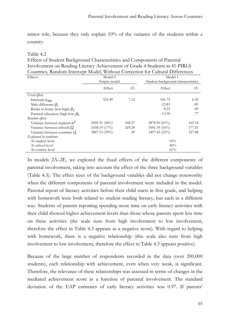minor role, because they only explain 10% of the variance of the students within a country.

#### Table 4.2

Effects of Student Background Characteristics and Components of Parental Involvement on Reading Literacy Achievement of Grade 4 Students in 41 PIRLS Countries, Random Intercept Model, Without Correction for Cultural Differences

| Effects<br>Model 0<br>Empty model       |               |        | Model 1<br>Student background characteristics |        |  |  |
|-----------------------------------------|---------------|--------|-----------------------------------------------|--------|--|--|
|                                         | Effect        | SЕ     | Effect                                        | SЕ     |  |  |
| <i>Fixed effects</i>                    |               |        |                                               |        |  |  |
| Intercept $\gamma_{000}$                | 525.49        | 7.12   | 541.75                                        | 6.30   |  |  |
| Male difference $\beta_1$               |               |        | $-12.83$                                      | .85    |  |  |
| Books at home (low-high) $\beta_2$      |               |        | 8.55                                          | .49    |  |  |
| Parental education (high-low) $\beta_3$ |               |        | $-13.50$                                      | .77    |  |  |
| Random effects                          |               |        |                                               |        |  |  |
| Variance between students $\sigma^2$    | 4305.31 (44%) | 168.27 | 3878.90 (61%)                                 | 165.14 |  |  |
| Variance between schools $\xi_0^2$      | 1658.19 (17%) | 269.24 | $1001.59(16\%)$                               | 177.31 |  |  |
| Variance between countries $\tau_0^2$   | 3887.53 (39%) | .30    | 1497.43 (23%)                                 | 327.48 |  |  |
| Explained by predictors                 |               |        |                                               |        |  |  |
| At student level                        |               |        | 10%                                           |        |  |  |
| At school level                         |               |        | 40%                                           |        |  |  |
| At country level                        |               |        | 61%                                           |        |  |  |

In models 2A–2E, we explored the fixed effects of the different components of parental involvement, taking into account the effect of the three background variables (Table 4.3). The effect sizes of the background variables did not change noteworthy when the different components of parental involvement were included in the model. Parental report of literacy activities before their child starts in first grade, and helping with homework were both related to student reading literacy, but each in a different way. Students of parents reporting spending more time on early literacy activities with their child showed higher achievement levels than those whose parents spent less time on these activities (the scale runs from high involvement to low involvement, therefore the effect in Table 4.3 appears as a negative score). With regard to helping with homework, there is a negative relationship (this scale also runs from high involvement to low involvement, therefore the effect in Table 4.3 appears positive).

Because of the large number of respondents recorded in the data (over 200,000 students), each relationship with achievement, even when very weak, is significant. Therefore, the relevance of these relationships was assessed in terms of changes in the mediated achievement score as a function of parental involvement. The standard deviation of the EAP estimates of early literacy activities was 0.97. If parents'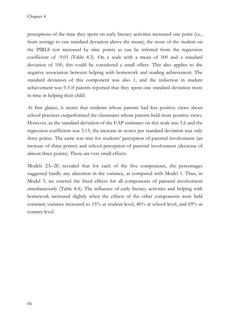perceptions of the time they spent on early literacy activities increased one point (i.e., from average to one standard deviation above the mean), the score of the student on the PIRLS test increased by nine points as can be inferred from the regression coefficient of -9.03 (Table 4.3). On a scale with a mean of 500 and a standard deviation of 100, this could be considered a small effect. This also applies to the negative association between helping with homework and reading achievement. The standard deviation of this component was also 1, and the reduction in student achievement was 9.3 if parents reported that they spent one standard deviation more in time in helping their child.

At first glance, it seems that students whose parents had less positive views about school practices outperformed the classmates whose parents held more positive views. However, as the standard deviation of the EAP estimates on this scale was 1.6 and the regression coefficient was 5.15, the increase in scores per standard deviation was only three points. The same was true for students' perception of parental involvement (an increase of three points) and school perception of parental involvement (decrease of almost three points). These are very small effects.

Models 2A–2E revealed that for each of the five components, the percentages suggested hardly any alteration in the variance, as compared with Model 1. Thus, in Model 3, we entered the fixed effects for all components of parental involvement simultaneously (Table 4.4). The influence of early literacy activities and helping with homework increased slightly when the effects of the other components were held constant; variance increased to 15% at student level, 46% at school level, and 69% at country level.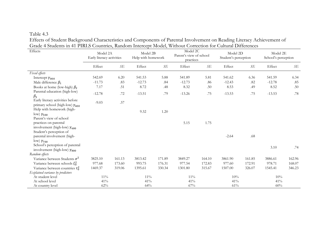#### Table 4.3

Effects of Student Background Characteristics and Components of Parental Involvement on Reading Literacy Achievement of Grade 4 Students in 41 PIRLS Countries, Random Intercept Model, Without Correction for Cultural Differences

| Effects<br>Model 2A<br>Model 2B<br>Early literacy activities<br>Help with homework                        |          | Model 2C<br>Parent's view of school<br>practices |               | Model 2D<br>Student's perception |               |        |            | Model 2E<br>School's perception |          |        |
|-----------------------------------------------------------------------------------------------------------|----------|--------------------------------------------------|---------------|----------------------------------|---------------|--------|------------|---------------------------------|----------|--------|
|                                                                                                           | Effect   | $\sqrt{SE}$                                      | Effect        | SE                               | Effect        | SE     | Effect     | $\sqrt{SE}$                     | Effect   | SE     |
| Fixed effects                                                                                             |          |                                                  |               |                                  |               |        |            |                                 |          |        |
| Intercept $\gamma_{000}$                                                                                  | 542.69   | 6.20                                             | 541.53        | 5.88                             | 541.89        | 5.81   | 541.62     | 6.36                            | 541.59   | 6.34   |
| Male difference $\beta_1$                                                                                 | $-11.73$ | .83                                              | $-12.73$      | .84                              | $-12.73$      | .86    | $-12.43$   | .82                             | $-12.78$ | .85    |
| Books at home (low-high) $\beta_2$                                                                        | 7.17     | .51                                              | 8.72          | .48                              | 8.32          | .50    | 8.53       | .49                             | 8.52     | .50    |
| Parental education (high-low)<br>$\beta_3$                                                                | $-12.78$ | .72                                              | $-13.51$      | .79                              | $-13.26$      | .75    | $-13.53$   | .75                             | $-13.53$ | .78    |
| Early literacy activities before<br>primary school (high-low) $\gamma_{400}$<br>Help with homework (high- | $-9.03$  | .57                                              |               |                                  |               |        |            |                                 |          |        |
| low) $\gamma_{500}$<br>Parent's view of school                                                            |          |                                                  | 9.32          | 1.20                             |               |        |            |                                 |          |        |
| practices on parental<br>involvement (high-low) $\gamma_{600}$<br>Student's perception of                 |          |                                                  |               |                                  | 5.15          | 1.75   |            |                                 |          |        |
| parental involvement (high-                                                                               |          |                                                  |               |                                  |               |        | $-2.64$    | .68                             |          |        |
| low) $\gamma_{700}$<br>School's perception of parental                                                    |          |                                                  |               |                                  |               |        |            |                                 | 3.10     | .74    |
| involvement (high-low) $\gamma_{800}$                                                                     |          |                                                  |               |                                  |               |        |            |                                 |          |        |
| Random effects                                                                                            |          |                                                  |               |                                  |               |        |            |                                 |          |        |
| Variance between Students $\sigma^2$                                                                      | 3825.10  | 161.13                                           | 3813.42       | 171.89                           | 3849.27       | 164.10 | 3861.90    | 161.85                          | 3886.61  | 162.96 |
| Variance between schools $\xi_0^2$                                                                        | 977.68   | 173.60                                           | 993.75        | 176.31                           | 977.54        | 172.83 | 977.60     | 172.91                          | 978.71   | 168.07 |
| Variance between countries $\tau_0^2$                                                                     | 1469.37  | 319.06                                           | 1395.61       | 330.34                           | 1301.80       | 315.67 | 1507.00    | 326.07                          | 1545.41  | 346.23 |
| Explained variance by predictors<br>At student level                                                      | $11\%$   |                                                  |               |                                  |               |        |            |                                 | 10%      |        |
| At school level                                                                                           | 41%      |                                                  | $11\%$<br>41% |                                  | $11\%$<br>41% |        | 10%<br>41% |                                 | 41%      |        |
| At country level                                                                                          | 62%      |                                                  | 64%           |                                  | 67%           |        | 61%        |                                 | 60%      |        |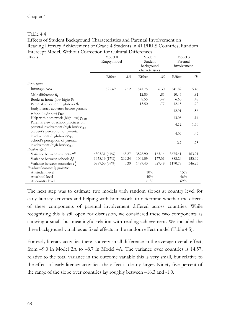Table 4.4

Effects of Student Background Characteristics and Parental Involvement on Reading Literacy Achievement of Grade 4 Students in 41 PIRLS Countries, Random Intercept Model, Without Correction for Cultural Differences

| Effects                                                 | Model 0<br>Empty model |        | Model 1<br>Student<br>background |        | Model 3<br>Parental<br>involvement |        |
|---------------------------------------------------------|------------------------|--------|----------------------------------|--------|------------------------------------|--------|
|                                                         |                        |        | characteristics                  |        |                                    |        |
|                                                         | Effect                 | SЕ     | Effect                           | SЕ     | Effect                             | SE     |
| Fixed effects                                           |                        |        |                                  |        |                                    |        |
| Intercept $\gamma_{000}$                                | 525.49                 | 7.12   | 541.75                           | 6.30   | 541.82                             | 5.46   |
| Male difference $\beta_1$                               |                        |        | $-12.83$                         | .85    | $-10.45$                           | .81    |
| Books at home (low-high) $\beta_2$                      |                        |        | 8.55                             | .49    | 6.60                               | .48    |
| Parental education (high-low) $\beta_3$                 |                        |        | $-13.50$                         | .77    | $-12.15$                           | .70    |
| Early literacy activities before primary                |                        |        |                                  |        | $-12.91$                           | .56    |
| school (high-low) $\gamma_{400}$                        |                        |        |                                  |        |                                    |        |
| Help with homework (high-low) $\gamma_{500}$            |                        |        |                                  |        | 13.08                              | 1.14   |
| Parent's view of school practices on                    |                        |        |                                  |        | 4.12                               | 1.50   |
| parental involvement (high-low) $\gamma_{600}$          |                        |        |                                  |        |                                    |        |
| Student's perception of parental                        |                        |        |                                  |        | $-4.09$                            | .49    |
| involvement (high-low) $\gamma_{700}$                   |                        |        |                                  |        |                                    |        |
| School's perception of parental                         |                        |        |                                  |        | 2.7                                | .75    |
| involvement (high-low) $\gamma_{800}$<br>Random effects |                        |        |                                  |        |                                    |        |
| Variance between students $\sigma^2$                    | 4305.31 (44%)          | 168.27 | 3878.90                          | 165.14 | 3675.41                            | 163.91 |
| Variance between schools $\xi_0^2$                      | 1658.19 (17%)          | 269.24 | 1001.59                          | 177.31 | 888.24                             | 153.69 |
| Variance between countries $\tau_0^2$                   | 3887.53 (39%)          | 0.30   | 1497.43                          | 327.48 | 1190.78                            | 346.23 |
| Explained variance by predictors                        |                        |        |                                  |        |                                    |        |
| At student level                                        |                        |        | 10%                              |        | 15%                                |        |
| At school level                                         |                        |        | 40%                              |        | 46%                                |        |
| At country level                                        |                        |        | 61%                              |        | 69%                                |        |

The next step was to estimate two models with random slopes at country level for early literacy activities and helping with homework, to determine whether the effects of these components of parental involvement differed across countries. While recognizing this is still open for discussion, we considered these two components as showing a small, but meaningful relation with reading achievement. We included the three background variables as fixed effects in the random effect model (Table 4.5).

For early literacy activities there is a very small difference in the average overall effect, from –9.0 in Model 2A to –8.7 in Model 4A. The variance over countries is 14.57; relative to the total variance in the outcome variable this is very small, but relative to the effect of early literacy activities, the effect is clearly larger. Ninety-five percent of the range of the slope over countries lay roughly between –16.3 and -1.0.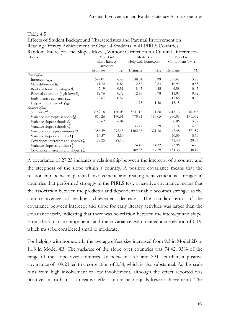Effects of Student Background Characteristics and Parental Involvement on Reading Literacy Achievement of Grade 4 Students in 41 PIRLS Countries, Random-Intercepts-and-Slopes Model, Without Correction for Cultural Differences

| Effects                                        | Model 4A       |        | Model 4B           |        | Model 4C<br>Component $1 + 2$ |         |
|------------------------------------------------|----------------|--------|--------------------|--------|-------------------------------|---------|
|                                                | Early literacy |        | Help with homework |        |                               |         |
|                                                | activities     |        |                    |        |                               |         |
|                                                | Estimate       | SΕ     | Estimate           | SЕ     | Estimate                      | SE      |
| Fixed effects                                  |                |        |                    |        |                               |         |
| Intercept $\gamma_{000}$                       | 542.01         | 6.42   | 538.54             | 5.99   | 538.67                        | 5.78    |
| Male difference $\beta_1$                      | $-11.72$       | 0.84   | $-12.52$           | 0.84   | $-10.93$                      | 0.83    |
| Books at home (low-high) $\beta_2$             | 7.19           | 0.51   | 8.45               | 0.45   | 6.58                          | 0.45    |
| Parental education (high-low) $\beta_3$        | $-12.76$       | 0.72   | $-12.96$           | 0.78   | $-11.97$                      | 0.72    |
| Early literacy activities $\gamma_{400}$       | $-8.67$        | 0.57   |                    |        | $-12.66$                      | 0.68    |
| Help with homework $\gamma_{500}$              |                |        | 11.75              | 1.38   | 15.15                         | 1.40    |
| Random effects                                 |                |        |                    |        |                               |         |
| Students $\sigma^2$                            | 3789.18        | 160.03 | 3741.12            | 171.88 | 3618.13                       | 16.048  |
| Variance intercepts schools $\xi_0^2$          | 960.26         | 170.61 | 979.91             | 180.05 | 930.05                        | 171.372 |
| Variance slopes schools $\xi_4^2$              | 33.62          | 6.04   |                    |        | 30.86                         | 5.57    |
| Variance slopes schools $\xi_5^2$              |                |        | 33.47              | 6.79   | 22.74                         | 4.86    |
| Variance intercepts countries $\tau_0^2$       | 1386.39        | 292.43 | 1402.06            | 321.18 | 1447.48                       | 371.59  |
| Variance slopes countries $\tau_4^2$           | 14.57          | 3.80   |                    |        | 20.09                         | 5.59    |
| Covariance intercepts and slopes $\tau_{04}^2$ | 27.25          | 28.10  |                    |        | 41.40                         | 30.56   |
| Variance slopes countries $\tau_5^2$           |                |        | 74.42              | 14.32  | 73.96                         | 14.25   |
| Covariance intercepts and slopes $\tau_{05}^2$ |                |        | 109.23             | 47.79  | 134.36                        | 48.19   |

A covariance of 27.25 indicates a relationship between the intercept of a country and the steepness of the slope within a country. A positive covariance means that the relationship between parental involvement and reading achievement is stronger in countries that performed strongly in the PIRLS test; a negative covariance means that the association between the predictor and dependent variable becomes stronger as the country average of reading achievement decreases. The standard error of the covariance between intercept and slope for early literacy activities was larger than the covariance itself, indicating that there was no relation between the intercept and slope. From the variance components and the covariance, we obtained a correlation of 0.19, which must be considered small to moderate.

For helping with homework, the average effect size increased from 9.3 in Model 2B to 11.8 in Model 4B. The variance of the slope over countries was 74.42; 95% of the range of the slope over countries lay between –5.5 and 29.0. Further, a positive covariance of 109.23 led to a correlation of 0.34, which is also substantial. As this scale runs from high involvement to low involvement, although the effect reported was positive, in truth it is a negative effect (more help equals lower achievement). The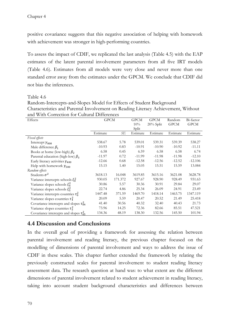positive covariance suggests that this negative association of helping with homework with achievement was stronger in high-performing countries.

To assess the impact of CDIF, we replicated the last analysis (Table 4.5) with the EAP estimates of the latent parental involvement parameters from all five IRT models (Table 4.6). Estimates from all models were very close and never more than one standard error away from the estimates under the GPCM. We conclude that CDIF did not bias the inferences.

Table 4.6

Random-Intercepts-and-Slopes Model for Effects of Student Background Characteristics and Parental Involvement on Reading Literacy Achievement, Without and With Correction for Cultural Differences

| Effects                                        | <b>GPCM</b> |         | <b>GPCM</b> | <b>GPCM</b> | Random      | Bi-factor   |
|------------------------------------------------|-------------|---------|-------------|-------------|-------------|-------------|
|                                                |             |         | 10%         | 20% Split   | <b>GPCM</b> | <b>GPCM</b> |
|                                                |             |         | Split       |             |             |             |
|                                                | Estimate    | SЕ      | Estimate    | Estimate    | Estimate    | Estimate    |
| Fixed effects                                  |             |         |             |             |             |             |
| Intercept $\gamma_{000}$                       | 538.67      | 5.78    | 539.01      | 539.31      | 539.39      | 538.27      |
| Male difference $\beta_1$                      | $-10.93$    | 0.83    | $-10.91$    | $-10.90$    | $-10.92$    | $-11.11$    |
| Books at home (low-high) $\beta_2$             | 6.58        | 0.45    | 6.59        | 6.58        | 6.58        | 6.74        |
| Parental education (high-low) $\beta_3$        | $-11.97$    | 0.72    | $-11.99$    | $-11.98$    | $-11.98$    | $-12.10$    |
| Early literacy activities $\gamma_{400}$       | $-12.66$    | 0.68    | $-12.58$    | $-12.56$    | $-12.52$    | $-12.106$   |
| Help with homework $\gamma_{500}$              | 15.15       | 1.40    | 15.05       | 15.51       | 15.59       | 13.084      |
| Random effects                                 |             |         |             |             |             |             |
| Students $\sigma^2$                            | 3618.13     | 16.048  | 3619.85     | 3615.16     | 3621.08     | 3628.78     |
| Variance intercepts schools $\xi_0^2$          | 930.05      | 171.372 | 927.67      | 928.90      | 928.49      | 931.63      |
| Variance slopes schools $\xi_4^2$              | 30.86       | 5.57    | 30.36       | 30.91       | 29.84       | 29.07       |
| Variance slopes schools $\xi_5^2$              | 22.74       | 4.86    | 25.34       | 26.09       | 24.91       | 23.49       |
| Variance intercepts countries $\tau_0^2$       | 1447.48     | 371.59  | 1469.70     | 1418.14     | 1463.75     | 1347.119    |
| Variance slopes countries $\tau_4^2$           | 20.09       | 5.59    | 20.47       | 20.52       | 21.49       | 25.418      |
| Covariance intercepts and slopes $\tau_{04}^2$ | 41.40       | 30.56   | 40.32       | 32.40       | 40.43       | 21.73       |
| Variance slopes countries $\tau_5^2$           | 73.96       | 14.25   | 72.36       | 82.66       | 85.51       | 47.521      |
| Covariance intercepts and slopes $\tau_{05}^2$ | 134.36      | 48.19   | 138.30      | 132.56      | 145.50      | 101.94      |

# **4.4 Discussion and Conclusions**

In the overall goal of providing a framework for assessing the relation between parental involvement and reading literacy, the previous chapter focused on the modelling of dimensions of parental involvement and ways to address the issue of CDIF in these scales. This chapter further extended the framework by relating the previously constructed scales for parental involvement to student reading literacy assessment data. The research question at hand was: to what extent are the different dimensions of parental involvement related to student achievement in reading literacy, taking into account student background characteristics and differences between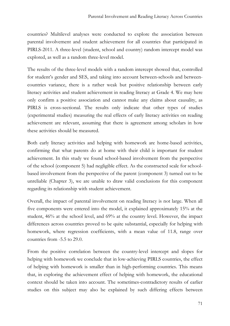countries? Multilevel analyses were conducted to explore the association between parental involvement and student achievement for all countries that participated in PIRLS-2011. A three-level (student, school and country) random intercept model was explored, as well as a random three-level model.

The results of the three-level models with a random intercept showed that, controlled for student's gender and SES, and taking into account between-schools and betweencountries variance, there is a rather weak but positive relationship between early literacy activities and student achievement in reading literacy at Grade 4. We may here only confirm a positive association and cannot make any claims about causality, as PIRLS is cross-sectional. The results only indicate that other types of studies (experimental studies) measuring the real effects of early literacy activities on reading achievement are relevant, assuming that there is agreement among scholars in how these activities should be measured.

Both early literacy activities and helping with homework are home-based activities, confirming that what parents do at home with their child is important for student achievement. In this study we found school-based involvement from the perspective of the school (component 5) had negligible effect. As the constructed scale for schoolbased involvement from the perspective of the parent (component 3) turned out to be unreliable (Chapter 3), we are unable to draw valid conclusions for this component regarding its relationship with student achievement.

Overall, the impact of parental involvement on reading literacy is not large. When all five components were entered into the model, it explained approximately 15% at the student, 46% at the school level, and 69% at the country level. However, the impact differences across countries proved to be quite substantial, especially for helping with homework, where regression coefficients, with a mean value of 11.8, range over countries from -5.5 to 29.0.

From the positive correlation between the country-level intercept and slopes for helping with homework we conclude that in low-achieving PIRLS countries, the effect of helping with homework is smaller than in high-performing countries. This means that, in exploring the achievement effect of helping with homework, the educational context should be taken into account. The sometimes-contradictory results of earlier studies on this subject may also be explained by such differing effects between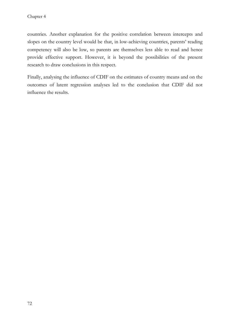countries. Another explanation for the positive correlation between intercepts and slopes on the country level would be that, in low-achieving countries, parents' reading competency will also be low, so parents are themselves less able to read and hence provide effective support. However, it is beyond the possibilities of the present research to draw conclusions in this respect.

Finally, analysing the influence of CDIF on the estimates of country means and on the outcomes of latent regression analyses led to the conclusion that CDIF did not influence the results.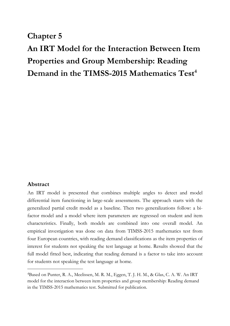# **Chapter 5**

**An IRT Model for the Interaction Between Item Properties and Group Membership: Reading**  Demand in the TIMSS-2015 Mathematics Test<sup>4</sup>

#### **Abstract**

-

An IRT model is presented that combines multiple angles to detect and model differential item functioning in large-scale assessments. The approach starts with the generalized partial credit model as a baseline. Then two generalizations follow: a bifactor model and a model where item parameters are regressed on student and item characteristics. Finally, both models are combined into one overall model. An empirical investigation was done on data from TIMSS-2015 mathematics test from four European countries, with reading demand classifications as the item properties of interest for students not speaking the test language at home. Results showed that the full model fitted best, indicating that reading demand is a factor to take into account for students not speaking the test language at home.

<sup>4</sup>Based on Punter, R. A., Meelissen, M. R. M., Eggen, T. J. H. M., & Glas, C. A. W. An IRT model for the interaction between item properties and group membership: Reading demand in the TIMSS-2015 mathematics test. Submitted for publication.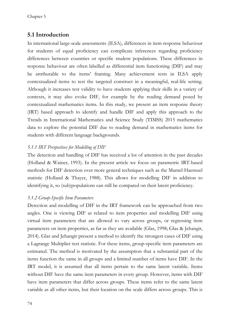# **5.1 Introduction**

In international large-scale assessments (ILSA), differences in item response behaviour for students of equal proficiency can complicate inferences regarding proficiency differences between countries or specific student populations. These differences in response behaviour are often labelled as differential item functioning (DIF) and may be attributable to the items' framing. Many achievement tests in ILSA apply contextualized items to test the targeted construct in a meaningful, real-life setting. Although it increases test validity to have students applying their skills in a variety of contexts, it may also evoke DIF, for example by the reading demand posed by contextualized mathematics items. In this study, we present an item response theory (IRT) based approach to identify and handle DIF and apply this approach to the Trends in International Mathematics and Science Study (TIMSS) 2015 mathematics data to explore the potential DIF due to reading demand in mathematics items for students with different language backgrounds.

## *5.1.1 IRT Perspectives for Modelling of DIF*

The detection and handling of DIF has received a lot of attention in the past decades (Holland & Wainer, 1993). In the present article we focus on parametric IRT-based methods for DIF detection over more general techniques such as the Mantel-Haenszel statistic (Holland & Thayer, 1988). This allows for modelling DIF in addition to identifying it, so (sub)populations can still be compared on their latent proficiency.

## *5.1.2 Group-Specific Item Parameters*

Detection and modelling of DIF in the IRT framework can be approached from two angles. One is viewing DIF as related to item properties and modelling DIF using virtual item parameters that are allowed to vary across groups, or regressing item parameters on item properties, as far as they are available (Glas, 1998; Glas & Jehangir, 2014). Glas and Jehangir present a method to identify the strongest cases of DIF using a Lagrange Multiplier test statistic. For these items, group-specific item parameters are estimated. The method is motivated by the assumption that a substantial part of the items function the same in all groups and a limited number of items have DIF. In the IRT model, it is assumed that all items pertain to the same latent variable. Items without DIF have the same item parameters in every group. However, items with DIF have item parameters that differ across groups. These items refer to the same latent variable as all other items, but their location on the scale differs across groups. This is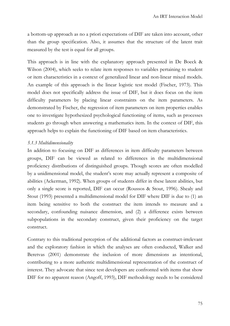a bottom-up approach as no a priori expectations of DIF are taken into account, other than the group specification. Also, it assumes that the structure of the latent trait measured by the test is equal for all groups.

This approach is in line with the explanatory approach presented in De Boeck & Wilson (2004), which seeks to relate item responses to variables pertaining to student or item characteristics in a context of generalized linear and non-linear mixed models. An example of this approach is the linear logistic test model (Fischer, 1973). This model does not specifically address the issue of DIF, but it does focus on the item difficulty parameters by placing linear constraints on the item parameters. As demonstrated by Fischer, the regression of item parameters on item properties enables one to investigate hypothesized psychological functioning of items, such as processes students go through when answering a mathematics item. In the context of DIF, this approach helps to explain the functioning of DIF based on item characteristics.

#### *5.1.3 Multidimensionality*

In addition to focusing on DIF as differences in item difficulty parameters between groups, DIF can be viewed as related to differences in the multidimensional proficiency distributions of distinguished groups. Though scores are often modelled by a unidimensional model, the student's score may actually represent a composite of abilities (Ackerman, 1992). When groups of students differ in these latent abilities, but only a single score is reported, DIF can occur (Roussos & Stout, 1996). Shealy and Stout (1993) presented a multidimensional model for DIF where DIF is due to (1) an item being sensitive to both the construct the item intends to measure and a secondary, confounding nuisance dimension, and (2) a difference exists between subpopulations in the secondary construct, given their proficiency on the target construct.

Contrary to this traditional perception of the additional factors as construct-irrelevant and the exploratory fashion in which the analyses are often conducted, Walker and Beretvas (2001) demonstrate the inclusion of more dimensions as intentional, contributing to a more authentic multidimensional representation of the construct of interest. They advocate that since test developers are confronted with items that show DIF for no apparent reason (Angoff, 1993), DIF methodology needs to be considered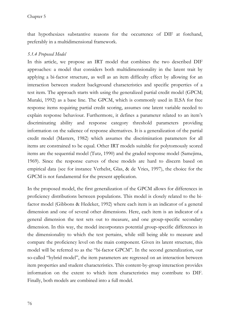that hypothesizes substantive reasons for the occurrence of DIF at forehand, preferably in a multidimensional framework.

#### *5.1.4 Proposed Model*

In this article, we propose an IRT model that combines the two described DIF approaches: a model that considers both multidimensionality in the latent trait by applying a bi-factor structure, as well as an item difficulty effect by allowing for an interaction between student background characteristics and specific properties of a test item. The approach starts with using the generalized partial credit model (GPCM; Muraki, 1992) as a base line. The GPCM, which is commonly used in ILSA for free response items requiring partial credit scoring, assumes one latent variable needed to explain response behaviour. Furthermore, it defines a parameter related to an item's discriminating ability and response category threshold parameters providing information on the salience of response alternatives. It is a generalization of the partial credit model (Masters, 1982) which assumes the discrimination parameters for all items are constrained to be equal. Other IRT models suitable for polytomously scored items are the sequential model (Tutz, 1990) and the graded response model (Samejima, 1969). Since the response curves of these models are hard to discern based on empirical data (see for instance Verhelst, Glas, & de Vries, 1997), the choice for the GPCM is not fundamental for the present application.

In the proposed model, the first generalization of the GPCM allows for differences in proficiency distributions between populations. This model is closely related to the bifactor model (Gibbons & Hedeker, 1992) where each item is an indicator of a general dimension and one of several other dimensions. Here, each item is an indicator of a general dimension the test sets out to measure, and one group-specific secondary dimension. In this way, the model incorporates potential group-specific differences in the dimensionality to which the test pertains, while still being able to measure and compare the proficiency level on the main component. Given its latent structure, this model will be referred to as the "bi-factor GPCM". In the second generalization, our so-called "hybrid model", the item parameters are regressed on an interaction between item properties and student characteristics. This content-by-group interaction provides information on the extent to which item characteristics may contribute to DIF. Finally, both models are combined into a full model.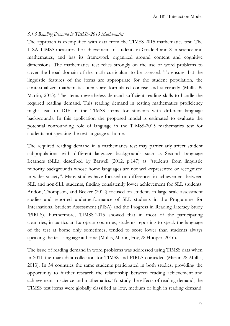#### *5.1.5 Reading Demand in TIMSS-2015 Mathematics*

The approach is exemplified with data from the TIMSS-2015 mathematics test. The ILSA TIMSS measures the achievement of students in Grade 4 and 8 in science and mathematics, and has its framework organized around content and cognitive dimensions. The mathematics test relies strongly on the use of word problems to cover the broad domain of the math curriculum to be assessed. To ensure that the linguistic features of the items are appropriate for the student population, the contextualized mathematics items are formulated concise and succinctly (Mullis & Martin, 2013). The items nevertheless demand sufficient reading skills to handle the required reading demand. This reading demand in testing mathematics proficiency might lead to DIF in the TIMSS items for students with different language backgrounds. In this application the proposed model is estimated to evaluate the potential confounding role of language in the TIMSS-2015 mathematics test for students not speaking the test language at home.

The required reading demand in a mathematics test may particularly affect student subpopulations with different language backgrounds such as Second Language Learners (SLL), described by Barwell (2012, p.147) as "students from linguistic minority backgrounds whose home languages are not well-represented or recognized in wider society". Many studies have focused on differences in achievement between SLL and non-SLL students, finding consistently lower achievement for SLL students. Andon, Thompson, and Becker (2012) focused on students in large-scale assessment studies and reported underperformance of SLL students in the Programme for International Student Assessment (PISA) and the Progress in Reading Literacy Study (PIRLS). Furthermore, TIMSS-2015 showed that in most of the participating countries, in particular European countries, students reporting to speak the language of the test at home only sometimes, tended to score lower than students always speaking the test language at home (Mullis, Martin, Foy, & Hooper, 2016).

The issue of reading demand in word problems was addressed using TIMSS data when in 2011 the main data collection for TIMSS and PIRLS coincided (Martin & Mullis, 2013). In 34 countries the same students participated in both studies, providing the opportunity to further research the relationship between reading achievement and achievement in science and mathematics. To study the effects of reading demand, the TIMSS test items were globally classified as low, medium or high in reading demand.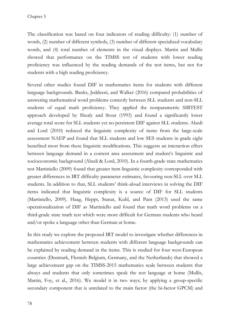The classification was based on four indicators of reading difficulty: (1) number of words, (2) number of different symbols, (3) number of different specialized vocabulary words, and (4) total number of elements in the visual displays. Martin and Mullis showed that performance on the TIMSS test of students with lower reading proficiency was influenced by the reading demands of the test items, but not for students with a high reading proficiency.

Several other studies found DIF in mathematics items for students with different language backgrounds. Banks, Jeddeeni, and Walker (2016) compared probabilities of answering mathematical word problems correctly between SLL students and non-SLL students of equal math proficiency. They applied the nonparametric SIBTEST approach developed by Shealy and Stout (1993) and found a significantly lower average total score for SLL students yet no persistent DIF against SLL students. Abedi and Lord (2010) reduced the linguistic complexity of items from the large-scale assessment NAEP and found that SLL students and low SES students in grade eight benefited most from these linguistic modifications. This suggests an interaction effect between language demand in a content area assessment and student's linguistic and socioeconomic background (Abedi & Lord, 2010). In a fourth-grade state mathematics test Martiniello (2009) found that greater item linguistic complexity corresponded with greater differences in IRT difficulty parameter estimates, favouring non-SLL over SLL students. In addition to that, SLL students' think-aloud interviews in solving the DIF items indicated that linguistic complexity is a source of DIF for SLL students (Martiniello, 2009). Haag, Heppt, Stanat, Kuhl, and Pant (2013) used the same operationalization of DIF as Martiniello and found that math word problems on a third-grade state math test which were more difficult for German students who heard and/or spoke a language other than German at home.

In this study we explore the proposed IRT model to investigate whether differences in mathematics achievement between students with different language backgrounds can be explained by reading demand in the items. This is studied for four west-European countries (Denmark, Flemish Belgium, Germany, and the Netherlands) that showed a large achievement gap on the TIMSS-2015 mathematics scale between students that always and students that only sometimes speak the test language at home (Mullis, Martin, Foy, et al., 2016). We model it in two ways; by applying a group-specific secondary component that is unrelated to the main factor (the bi-factor GPCM) and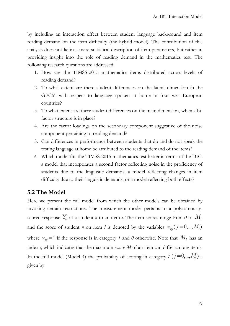by including an interaction effect between student language background and item reading demand on the item difficulty (the hybrid model). The contribution of this analysis does not lie in a mere statistical description of item parameters, but rather in providing insight into the role of reading demand in the mathematics test. The following research questions are addressed:

- 1. How are the TIMSS-2015 mathematics items distributed across levels of reading demand?
- 2. To what extent are there student differences on the latent dimension in the GPCM with respect to language spoken at home in four west-European countries?
- 3. To what extent are there student differences on the main dimension, when a bifactor structure is in place?
- 4. Are the factor loadings on the secondary component suggestive of the noise component pertaining to reading demand?
- 5. Can differences in performance between students that do and do not speak the testing language at home be attributed to the reading demand of the items?
- 6. Which model fits the TIMSS-2015 mathematics test better in terms of the DIC: a model that incorporates a second factor reflecting noise in the proficiency of students due to the linguistic demands, a model reflecting changes in item difficulty due to their linguistic demands, or a model reflecting both effects?

# **5.2 The Model**

Here we present the full model from which the other models can be obtained by invoking certain restrictions. The measurement model pertains to a polytomouslyscored response  $Y_n$  of a student *n* to an item *i*. The item scores range from 0 to  $M_i$ and the score of student *n* on item *i* is denoted by the variables  $x_{nij}$  ( $j = 0, ..., M_i$ ) where  $x_{\text{inj}} = 1$  if the response is in category *1* and *0* otherwise. Note that  $M_i$  has an index *i*, which indicates that the maximum score *M* of an item can differ among items. In the full model (Model 4) the probability of scoring in category  $j$  ( $j = 0,..., M<sub>i</sub>$ ) is given by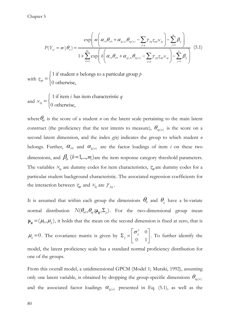$$
P(Y_{ni} = m | \theta_n) = \frac{\exp\left(m\left(\alpha_{i0}\theta_{n0} + \alpha_{ig(n)}\theta_{ng(n)} - \sum_{p,q} \gamma_{pq}\chi_{np}X_{iq}\right) - \sum_{j=1}^{m} \beta_{ij}\right)}{1 + \sum_{h=1}^{M_i} \exp\left(b\left(\alpha_{i0}\theta_{n0} + \alpha_{ig(n)}\theta_{ng(n)} - \sum_{p,q} \gamma_{pq}\chi_{np}X_{iq}\right) - \sum_{j=1}^{b} \beta_{ij}\right)}
$$
(5.1)

with  $z_m = \begin{cases} 1 \text{ if student } n \text{ belongs to a particular group} \end{cases}$  $\binom{mp}{0}$  otherwise, *n* belongs to a particular group p  $z_{\rm m} = \begin{cases}$  $\begin{cases} 0 \text{ otherwise,} \end{cases}$ 

and 
$$
x_{iq} = \begin{cases} 1 \text{ if item } i \text{ has item characteristic } q \\ 0 \text{ otherwise,} \end{cases}
$$

where  $\theta_{n0}$  is the score of a student *n* on the latent scale pertaining to the main latent construct (the proficiency that the test intents to measure),  $\theta_{n g(n)}$  is the score on a second latent dimension, and the index *g(n)* indicates the group to which student *n* belongs. Further,  $\alpha_{i0}$  and  $\alpha_{i\ell(n)}$  are the factor loadings of item *i* on these two dimensions, and  $\beta_{i}$  ( $b=1,...,m_i$ ) are the item response category threshold parameters. The variables  $x_{iq}$  are dummy codes for item characteristics,  $x_{ip}$  are dummy codes for a particular student background characteristic. The associated regression coefficients for the interaction between  $\chi_p$  and  $\chi_q$  are  $\gamma_{pq}$ .

It is assumed that within each group the dimensions  $\theta_0$  and  $\theta_g$  have a bi-variate normal distribution  $N(\theta_{n0}, \theta_{n\zeta}; \mu_{\zeta}, \Sigma_{\zeta})$ . For the two-dimensional group mean  $\mu_{\bf g} = (\mu_0, \mu_{\bf g})$ , it holds that the mean on the second dimension is fixed at zero, that is  $\mu$ <sub>g</sub> = 0. The covariance matrix is given by  $\frac{2}{g}$  0 0 1 *g g*  $\begin{vmatrix} \boldsymbol{\sigma}^2 & 0 \end{vmatrix}$  $\Sigma_g = \begin{bmatrix} 5 & 0 \\ 0 & 1 \end{bmatrix}$ . To further identify the model, the latent proficiency scale has a standard normal proficiency distribution for one of the groups.

From this overall model, a unidimensional GPCM (Model 1; Muraki, 1992), assuming only one latent variable, is obtained by dropping the group-specific dimensions  $\theta_{\eta g(n)}$ and the associated factor loadings  $\alpha_{\dot{g}(n)}$  presented in Eq. (5.1), as well as the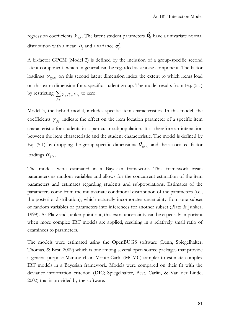regression coefficients  $\gamma_{pq}$ . The latent student parameters  $\theta_0$  have a univariate normal distribution with a mean  $\mu_{g}$  and a variance  $\sigma_{g}^{2}$ .

A bi-factor GPCM (Model 2) is defined by the inclusion of a group-specific second latent component, which in general can be regarded as a noise component. The factor loadings  $\alpha_{i g(n)}$  on this second latent dimension index the extent to which items load on this extra dimension for a specific student group. The model results from Eq. (5.1) by restricting  $\sum_{p}$ *pq np iq*  $\sum_{p,q} \gamma_{pq} \chi_{np} x_{iq}$  to zero.

Model 3, the hybrid model, includes specific item characteristics. In this model, the coefficients  $\gamma_{pq}$  indicate the effect on the item location parameter of a specific item characteristic for students in a particular subpopulation. It is therefore an interaction between the item characteristic and the student characteristic. The model is defined by Eq. (5.1) by dropping the group-specific dimensions  $\theta_{n g(n)}$  and the associated factor loadings  $\alpha_{i_{\theta(n)}}$ .

The models were estimated in a Bayesian framework. This framework treats parameters as random variables and allows for the concurrent estimation of the item parameters and estimates regarding students and subpopulations. Estimates of the parameters come from the multivariate conditional distribution of the parameters (i.e., the posterior distribution), which naturally incorporates uncertainty from one subset of random variables or parameters into inferences for another subset (Platz & Junker, 1999). As Platz and Junker point out, this extra uncertainty can be especially important when more complex IRT models are applied, resulting in a relatively small ratio of examinees to parameters.

The models were estimated using the OpenBUGS software (Lunn, Spiegelhalter, Thomas, & Best, 2009) which is one among several open source packages that provide a general-purpose Markov chain Monte Carlo (MCMC) sampler to estimate complex IRT models in a Bayesian framework. Models were compared on their fit with the deviance information criterion (DIC; Spiegelhalter, Best, Carlin, & Van der Linde, 2002) that is provided by the software.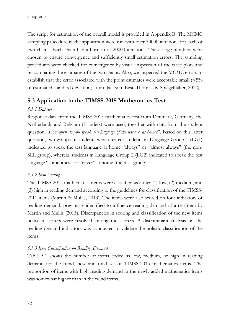The script for estimation of the overall model is provided in Appendix B. The MCMC sampling procedure in the application were run with over 50000 iterations for each of two chains. Each chain had a burn-in of 20000 iterations. These large numbers were chosen to ensure convergence and sufficiently small estimation errors. The sampling procedures were checked for convergence by visual inspection of the trace plots and by comparing the estimates of the two chains. Also, we inspected the MCMC errors to establish that the error associated with the point estimates were acceptable small (<5% of estimated standard deviation; Lunn, Jackson, Best, Thomas, & Spiegelhalter, 2012).

# **5.3 Application to the TIMSS-2015 Mathematics Test**

## *5.3.1 Dataset*

Response data from the TIMSS-2015 mathematics test from Denmark, Germany, the Netherlands and Belgium (Flanders) were used, together with data from the student question "*How often do you speak <<language of the test>> at home?*". Based on this latter question, two groups of students were created: students in Language Group 1 (LG1) indicated to speak the test language at home "always" or "almost always" (the non-SLL group), whereas students in Language Group 2 (LG2) indicated to speak the test language "sometimes" or "never" at home (the SLL group).

## *5.3.2 Item Coding*

The TIMSS-2015 mathematics items were classified as either (1) low, (2) medium, and (3) high in reading demand according to the guidelines for classification of the TIMSS-2011 items (Martin & Mullis, 2013). The items were also scored on four indicators of reading demand, previously identified to influence reading demand of a test item by Martin and Mullis (2013). Discrepancies in scoring and classification of the new items between scorers were resolved among the scorers. A discriminant analysis on the reading demand indicators was conducted to validate the holistic classification of the items.

## *5.3.3 Item Classification on Reading Demand*

Table 5.1 shows the number of items coded as low, medium, or high in reading demand for the trend, new and total set of TIMSS-2015 mathematics items. The proportion of items with high reading demand in the newly added mathematics items was somewhat higher than in the trend items.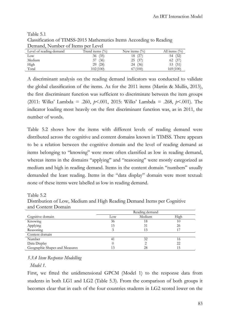| Classification of TIMSS-2015 Mathematics Items According to Reading<br>Demand, Number of Items per Level |                     |                         |                   |
|----------------------------------------------------------------------------------------------------------|---------------------|-------------------------|-------------------|
| Level of reading demand                                                                                  | Trend items $(\% )$ | New items $\frac{0}{0}$ | All items $(\% )$ |
| Low                                                                                                      | 36(35)              | 18 (27)                 | (32)<br>54        |
| Medium                                                                                                   | 37 (36)             | 25(37)                  | 62 (37)           |
| High                                                                                                     | 29 (28)             | 24 (36)                 | 53 (31)           |

Total 102 (100) 67 (100) 169 (100)

Table 5.1

A discriminant analysis on the reading demand indicators was conducted to validate the global classification of the items. As for the 2011 items (Martin & Mullis, 2013), the first discriminant function was sufficient to discriminate between the item groups (2011: Wilks' Lambda = .260, *p*<.001, 2015: Wilks' Lambda = .268, *p*<.001). The indicator loading most heavily on the first discriminant function was, as in 2011, the number of words.

Table 5.2 shows how the items with different levels of reading demand were distributed across the cognitive and content domains known in TIMSS. There appears to be a relation between the cognitive domain and the level of reading demand as items belonging to "knowing" were more often classified as low in reading demand, whereas items in the domains "applying" and "reasoning" were mostly categorized as medium and high in reading demand. Items in the content domain "numbers" usually demanded the least reading. Items in the "data display" domain were most textual: none of these items were labelled as low in reading demand.

Table 5.2

Distribution of Low, Medium and High Reading Demand Items per Cognitive and Content Domain

|                                | Reading demand |        |      |  |  |
|--------------------------------|----------------|--------|------|--|--|
| Cognitive domain               | Low            | Medium | High |  |  |
| Knowing                        | 36             | 18     | 10   |  |  |
| Applying                       | 15             | 31     | 26   |  |  |
| Reasoning                      |                | 13     |      |  |  |
| Content domain                 |                |        |      |  |  |
| Number                         | 41             | 32     | 16   |  |  |
| Data Display                   |                |        | 22   |  |  |
| Geographic Shapes and Measures | 13             | 28     | L5   |  |  |

## *5.3.4 Item Response Modelling*

*Model 1.* 

First, we fitted the unidimensional GPCM (Model 1) to the response data from students in both LG1 and LG2 (Table 5.3). From the comparison of both groups it becomes clear that in each of the four countries students in LG2 scored lower on the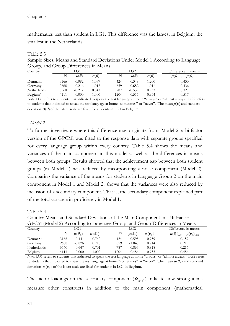mathematics test than student in LG1. This difference was the largest in Belgium, the smallest in the Netherlands.

Table 5.3 Sample Sizes, Means and Standard Deviations Under Model 1 According to Language Group, and Group Differences in Means

| Country              |      | LG1             |                  |      | LG2           |                         | Difference in means                     |
|----------------------|------|-----------------|------------------|------|---------------|-------------------------|-----------------------------------------|
|                      |      | $\mu(\theta)$   | $\sigma(\theta)$ |      | $\mu(\theta)$ | $\sigma(\theta)$        | $\mu(\theta)_{LG1} - \mu(\theta)_{LG2}$ |
| Denmark              | 3166 | 0.082           | 1.097            | 424  | $-0.348$      | .200                    | 0.430                                   |
| Germany              | 2668 | $-0.216$        | 1.012            | 659  | $-0.652$      | 1.011                   | 0.436                                   |
| <b>Netherlands</b>   | 3560 | $-0.212$        | 0.847            | 787  | $-0.539$      | 0.933                   | 0.327                                   |
| Belgium <sup>*</sup> | 4111 | 0.000           | .000             | 1204 | $-0.517$      | 0.934                   | 0.517                                   |
| $\cdots$             |      | $\cdot$ $\cdot$ | $\cdot$ $\cdot$  |      |               | $\sim$ $\sim$<br>$\sim$ | $\sim$ $\sim$<br>$\cdots$ $\cdots$      |

*Note.* LG1 refers to students that indicated to speak the test language at home "always" or "almost always". LG2 refers to students that indicated to speak the test language at home "sometimes" or "never". "The mean  $\mu(\theta)$  and standard deviation  $\sigma(\theta)$  of the latent scale are fixed for students in LG1 in Belgium.

#### *Model 2.*

To further investigate where this difference may originate from, Model 2, a bi-factor version of the GPCM, was fitted to the response data with separate groups specified for every language group within every country. Table 5.4 shows the means and variances of the main component in this model as well as the differences in means between both groups. Results showed that the achievement gap between both student groups (in Model 1) was reduced by incorporating a noise component (Model 2). Comparing the variance of the means for students in Language Group 2 on the main component in Model 1 and Model 2, shows that the variances were also reduced by inclusion of a secondary component. That is, the secondary component explained part of the total variance in proficiency in Model 1.

#### Table 5.4

| GPCM (Model 2) According to Language Group, and Group Differences in Means |      |                                                             |                      |      |                      |                                               |                                             |  |  |
|----------------------------------------------------------------------------|------|-------------------------------------------------------------|----------------------|------|----------------------|-----------------------------------------------|---------------------------------------------|--|--|
| Country                                                                    | LG1  |                                                             |                      |      | LG2                  |                                               | Difference in means                         |  |  |
|                                                                            | N    | $\mu(\theta_{\scriptscriptstyle 0}^{\scriptscriptstyle -})$ | $\sigma(\theta_{0})$ |      | $\mu(\theta_{_{0}})$ | $\sigma(\theta_{\scriptscriptstyle{\alpha}})$ | $\mu(\theta_0)_{LG1} - \mu(\theta_0)_{LG2}$ |  |  |
| Denmark                                                                    | 3166 | $-0.441$                                                    | 0.742                | 424  | $-0.598$             | 0.759                                         | 0.157                                       |  |  |
| Germany                                                                    | 2668 | $-0.826$                                                    | 0.715                | 659  | $-1.045$             | 0.714                                         | 0.219                                       |  |  |
| Netherlands                                                                | 3560 | $-0.647$                                                    | 0.701                | 787  | $-0.863$             | 0.818                                         | 0.216                                       |  |  |
| Belgium*                                                                   | 4111 | 0.000                                                       | 1.000                | 1204 | $-0.456$             | 0.733                                         | 0.456                                       |  |  |

Country Means and Standard Deviations of the Main Component in a Bi-Factor GPCM (Model 2) According to Language Group, and Group Differences in Means

*Note*. LG1 refers to students that indicated to speak the test language at home "always" or "almost always". LG2 refers to students that indicated to speak the test language at home "sometimes" or "never". "The mean  $\mu(\theta_0)$  and standard deviation  $\sigma(\theta_0)$  of the latent scale are fixed for students in LG1 in Belgium.

The factor loadings on the secondary component  $(\alpha_{i\ell(n)})$  indicate how strong items measure other constructs in addition to the main component (mathematical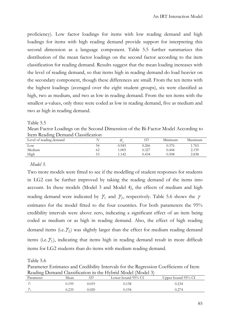proficiency). Low factor loadings for items with low reading demand and high loadings for items with high reading demand provide support for interpreting this second dimension as a language component. Table 5.5 further summarizes this distribution of the mean factor loadings on the second factor according to the item classification for reading demand. Results suggest that the mean loading increases with the level of reading demand, so that items high in reading demand do load heavier on the secondary component, though these differences are small. From the ten items with the highest loadings (averaged over the eight student groups), six were classified as high, two as medium, and two as low in reading demand. From the ten items with the smallest *a*-values, only three were coded as low in reading demand, five as medium and two as high in reading demand.

Table 5.5

Mean Factor Loadings on the Second Dimension of the Bi-Factor Model According to Item Reading Demand Classification

| Level of reading demand |    | -<br>$\alpha$ . | J D.  | Minimum | Maximum |
|-------------------------|----|-----------------|-------|---------|---------|
| Low                     | 54 | 0.943           | 0.266 | 0.376   | 1.763   |
| Medium                  | 62 | .005            | 0.327 | 0.444   | 2.159   |
| High                    | ري | 1.142           | 0.434 | 0.508   | 2.838   |

#### *Model 3.*

Two more models were fitted to see if the modelling of student responses for students in LG2 can be further improved by taking the reading demand of the items into account. In these models (Model 3 and Model 4), the effects of medium and high reading demand were indicated by  $\gamma_1$  and  $\gamma_2$ , respectively. Table 5.6 shows the  $\gamma$ estimates for the model fitted to the four countries. For both parameters the 95% credibility intervals were above zero, indicating a significant effect of an item being coded as medium or as high in reading demand. Also, the effect of high reading demand items (i.e.  $\mathcal{Y}_2$ ) was slightly larger than the effect for medium reading demand items (i.e.  $\gamma_1$ ), indicating that items high in reading demand result in more difficult items for LG2 students than do items with medium reading demand.

Table 5.6

Parameter Estimates and Credibility Intervals for the Regression Coefficients of Item Reading Demand Classification in the Hybrid Model (Model 3)

| ------<br>Parameter | Mean  |      | ------<br>Lower bound 95% CI | Upper bound 95% CI |
|---------------------|-------|------|------------------------------|--------------------|
|                     | 1.195 | 019. | ).158                        | 0.234              |
|                     | つるら   | .020 | .194                         | 0.274              |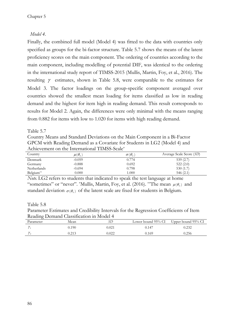## *Model 4.*

Finally, the combined full model (Model 4) was fitted to the data with countries only specified as groups for the bi-factor structure. Table 5.7 shows the means of the latent proficiency scores on the main component. The ordering of countries according to the main component, including modelling of potential DIF, was identical to the ordering in the international study report of TIMSS-2015 (Mullis, Martin, Foy, et al., 2016). The resulting  $\gamma$  estimates, shown in Table 5.8, were comparable to the estimates for Model 3. The factor loadings on the group-specific component averaged over countries showed the smallest mean loading for items classified as low in reading demand and the highest for item high in reading demand. This result corresponds to results for Model 2. Again, the differences were only minimal with the means ranging from 0.882 for items with low to 1.020 for items with high reading demand.

#### Table 5.7

Country Means and Standard Deviations on the Main Component in a Bi-Factor GPCM with Reading Demand as a Covariate for Students in LG2 (Model 4) and Achievement on the International TIMSS-Scale\*

| Country     | $\mu(\theta_{\scriptscriptstyle 0})$ | $\sigma(\theta_{\rm o})$ | Average Scale Score (SD) |
|-------------|--------------------------------------|--------------------------|--------------------------|
| Denmark     | $-0.059$                             | 0.774                    | 539(2.7)                 |
| Germany     | $-0.888$                             | 0.692                    | 522(2.0)                 |
| Netherlands | $-0.694$                             | 0.798                    | 530 $(1.7)$              |
| Belgium**   | 0.000                                | 1.000                    | 546 (2.1)                |

*Note.* LG2 refers to students that indicated to speak the test language at home "sometimes" or "never". \*Mullis, Martin, Foy, et al. (2016). \*\*The mean  $\mu(\theta_0)$  and standard deviation  $\sigma(\theta_0)$  of the latent scale are fixed for students in Belgium.

#### Table 5.8

Parameter Estimates and Credibility Intervals for the Regression Coefficients of Item Reading Demand Classification in Model 4

| Parameter | Mean  |           | Lower bound 95% CI | Upper bound 95% CI |
|-----------|-------|-----------|--------------------|--------------------|
|           | 0.190 | $0.021\,$ | 0.147              | ).232              |
|           | ).213 | 9.022     | 0.169              | ).256              |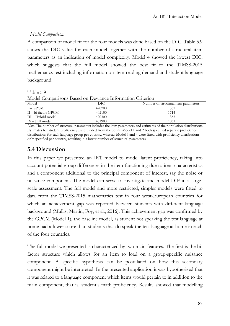## *Model Comparison.*

A comparison of model fit for the four models was done based on the DIC. Table 5.9 shows the DIC value for each model together with the number of structural item parameters as an indication of model complexity. Model 4 showed the lowest DIC, which suggests that the full model showed the best fit to the TIMSS-2015 mathematics test including information on item reading demand and student language background.

Table 5.9

| Model Comparisons Based on Deviance Information Criterion |        |                                      |  |  |  |
|-----------------------------------------------------------|--------|--------------------------------------|--|--|--|
| Model                                                     | DIC    | Number of structural item parameters |  |  |  |
| $I - GPCM$                                                | 420200 | 361                                  |  |  |  |
| $II - bi-factor GPCM$                                     | 402100 | 1714                                 |  |  |  |
| III - Hybrid model                                        | 420300 | 355                                  |  |  |  |
| $IV - Full model$                                         | 401900 | 1031                                 |  |  |  |

*Note.* The number of structural parameters includes the item parameters and estimates of the population distributions. Estimates for student proficiency are excluded from the count. Model 1 and 2 both specified separate proficiency distributions for each language group per country, whereas Model 3 and 4 were fitted with proficiency distributions only specified per country, resulting in a lower number of structural parameters.

# **5.4 Discussion**

In this paper we presented an IRT model to model latent proficiency, taking into account potential group differences in the item functioning due to item characteristics and a component additional to the principal component of interest, say the noise or nuisance component. The model can serve to investigate and model DIF in a largescale assessment. The full model and more restricted, simpler models were fitted to data from the TIMSS-2015 mathematics test in four west-European countries for which an achievement gap was reported between students with different language background (Mullis, Martin, Foy, et al., 2016). This achievement gap was confirmed by the GPCM (Model 1), the baseline model, as student not speaking the test language at home had a lower score than students that do speak the test language at home in each of the four countries.

The full model we presented is characterized by two main features. The first is the bifactor structure which allows for an item to load on a group-specific nuisance component. A specific hypothesis can be postulated on how this secondary component might be interpreted. In the presented application it was hypothesized that it was related to a language component which items would pertain to in addition to the main component, that is, student's math proficiency. Results showed that modelling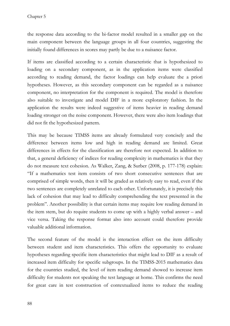the response data according to the bi-factor model resulted in a smaller gap on the main component between the language groups in all four countries, suggesting the initially found differences in scores may partly be due to a nuisance factor.

If items are classified according to a certain characteristic that is hypothesized to loading on a secondary component, as in the application items were classified according to reading demand, the factor loadings can help evaluate the a priori hypotheses. However, as this secondary component can be regarded as a nuisance component, no interpretation for the component is required. The model is therefore also suitable to investigate and model DIF in a more exploratory fashion. In the application the results were indeed suggestive of items heavier in reading demand loading stronger on the noise component. However, there were also item loadings that did not fit the hypothesized pattern.

This may be because TIMSS items are already formulated very concisely and the difference between items low and high in reading demand are limited. Great differences in effects for the classification are therefore not expected. In addition to that, a general deficiency of indices for reading complexity in mathematics is that they do not measure text cohesion. As Walker, Zang, & Surber (2008, p. 177-178) explain: "If a mathematics test item consists of two short consecutive sentences that are comprised of simple words, then it will be graded as relatively easy to read, even if the two sentences are completely unrelated to each other. Unfortunately, it is precisely this lack of cohesion that may lead to difficulty comprehending the text presented in the problem". Another possibility is that certain items may require low reading demand in the item stem, but do require students to come up with a highly verbal answer – and vice versa. Taking the response format also into account could therefore provide valuable additional information.

The second feature of the model is the interaction effect on the item difficulty between student and item characteristics. This offers the opportunity to evaluate hypotheses regarding specific item characteristics that might lead to DIF as a result of increased item difficulty for specific subgroups. In the TIMSS-2015 mathematics data for the countries studied, the level of item reading demand showed to increase item difficulty for students not speaking the test language at home. This confirms the need for great care in test construction of contextualized items to reduce the reading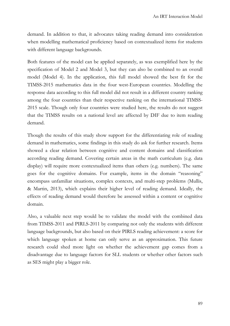demand. In addition to that, it advocates taking reading demand into consideration when modelling mathematical proficiency based on contextualized items for students with different language backgrounds.

Both features of the model can be applied separately, as was exemplified here by the specification of Model 2 and Model 3, but they can also be combined to an overall model (Model 4). In the application, this full model showed the best fit for the TIMSS-2015 mathematics data in the four west-European countries. Modelling the response data according to this full model did not result in a different country ranking among the four countries than their respective ranking on the international TIMSS-2015 scale. Though only four countries were studied here, the results do not suggest that the TIMSS results on a national level are affected by DIF due to item reading demand.

Though the results of this study show support for the differentiating role of reading demand in mathematics, some findings in this study do ask for further research. Items showed a clear relation between cognitive and content domains and classification according reading demand. Covering certain areas in the math curriculum (e.g. data display) will require more contextualized items than others (e.g. numbers). The same goes for the cognitive domains. For example, items in the domain "reasoning" encompass unfamiliar situations, complex contexts, and multi-step problems (Mullis, & Martin, 2013), which explains their higher level of reading demand. Ideally, the effects of reading demand would therefore be assessed within a content or cognitive domain.

Also, a valuable next step would be to validate the model with the combined data from TIMSS-2011 and PIRLS-2011 by comparing not only the students with different language backgrounds, but also based on their PIRLS reading achievement: a score for which language spoken at home can only serve as an approximation. This future research could shed more light on whether the achievement gap comes from a disadvantage due to language factors for SLL students or whether other factors such as SES might play a bigger role.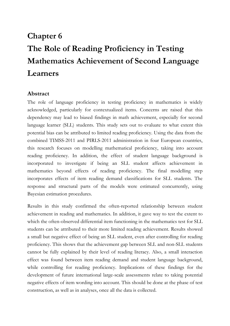# **Chapter 6 The Role of Reading Proficiency in Testing Mathematics Achievement of Second Language Learners**

#### **Abstract**

The role of language proficiency in testing proficiency in mathematics is widely acknowledged, particularly for contextualized items. Concerns are raised that this dependency may lead to biased findings in math achievement, especially for second language learner (SLL) students. This study sets out to evaluate to what extent this potential bias can be attributed to limited reading proficiency. Using the data from the combined TIMSS-2011 and PIRLS-2011 administration in four European countries, this research focuses on modelling mathematical proficiency, taking into account reading proficiency. In addition, the effect of student language background is incorporated to investigate if being an SLL student affects achievement in mathematics beyond effects of reading proficiency. The final modelling step incorporates effects of item reading demand classifications for SLL students. The response and structural parts of the models were estimated concurrently, using Bayesian estimation procedures.

Results in this study confirmed the often-reported relationship between student achievement in reading and mathematics. In addition, it gave way to test the extent to which the often-observed differential item functioning in the mathematics test for SLL students can be attributed to their more limited reading achievement. Results showed a small but negative effect of being an SLL student, even after controlling for reading proficiency. This shows that the achievement gap between SLL and non-SLL students cannot be fully explained by their level of reading literacy. Also, a small interaction effect was found between item reading demand and student language background, while controlling for reading proficiency. Implications of these findings for the development of future international large-scale assessments relate to taking potential negative effects of item wording into account. This should be done at the phase of test construction, as well as in analyses, once all the data is collected.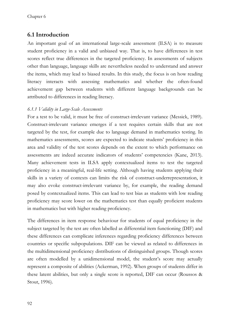# **6.1 Introduction**

An important goal of an international large-scale assessment (ILSA) is to measure student proficiency in a valid and unbiased way. That is, to have differences in test scores reflect true differences in the targeted proficiency. In assessments of subjects other than language, language skills are nevertheless needed to understand and answer the items, which may lead to biased results. In this study, the focus is on how reading literacy interacts with assessing mathematics and whether the often-found achievement gap between students with different language backgrounds can be attributed to differences in reading literacy.

#### *6.1.1 Validity in Large-Scale Assessments*

For a test to be valid, it must be free of construct-irrelevant variance (Messick, 1989). Construct-irrelevant variance emerges if a test requires certain skills that are not targeted by the test, for example due to language demand in mathematics testing. In mathematics assessments, scores are expected to indicate students' proficiency in this area and validity of the test scores depends on the extent to which performance on assessments are indeed accurate indicators of students' competencies (Kane, 2013). Many achievement tests in ILSA apply contextualized items to test the targeted proficiency in a meaningful, real-life setting. Although having students applying their skills in a variety of contexts can limits the risk of construct-underrepresentation, it may also evoke construct-irrelevant variance by, for example, the reading demand posed by contextualized items. This can lead to test bias as students with low reading proficiency may score lower on the mathematics test than equally proficient students in mathematics but with higher reading proficiency.

The differences in item response behaviour for students of equal proficiency in the subject targeted by the test are often labelled as differential item functioning (DIF) and these differences can complicate inferences regarding proficiency differences between countries or specific subpopulations. DIF can be viewed as related to differences in the multidimensional proficiency distributions of distinguished groups. Though scores are often modelled by a unidimensional model, the student's score may actually represent a composite of abilities (Ackerman, 1992). When groups of students differ in these latent abilities, but only a single score is reported, DIF can occur (Roussos & Stout, 1996).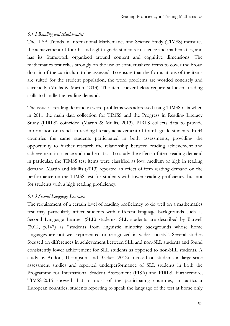## *6.1.2 Reading and Mathematics*

The ILSA Trends in International Mathematics and Science Study (TIMSS) measures the achievement of fourth- and eighth-grade students in science and mathematics, and has its framework organized around content and cognitive dimensions. The mathematics test relies strongly on the use of contextualized items to cover the broad domain of the curriculum to be assessed. To ensure that the formulations of the items are suited for the student population, the word problems are worded concisely and succinctly (Mullis & Martin, 2013). The items nevertheless require sufficient reading skills to handle the reading demand.

The issue of reading demand in word problems was addressed using TIMSS data when in 2011 the main data collection for TIMSS and the Progress in Reading Literacy Study (PIRLS) coincided (Martin & Mullis, 2013). PIRLS collects data to provide information on trends in reading literacy achievement of fourth-grade students. In 34 countries the same students participated in both assessments, providing the opportunity to further research the relationship between reading achievement and achievement in science and mathematics. To study the effects of item reading demand in particular, the TIMSS test items were classified as low, medium or high in reading demand. Martin and Mullis (2013) reported an effect of item reading demand on the performance on the TIMSS test for students with lower reading proficiency, but not for students with a high reading proficiency.

# *6.1.3 Second Language Learners*

The requirement of a certain level of reading proficiency to do well on a mathematics test may particularly affect students with different language backgrounds such as Second Language Learner (SLL) students. SLL students are described by Barwell (2012, p.147) as "students from linguistic minority backgrounds whose home languages are not well-represented or recognized in wider society". Several studies focused on differences in achievement between SLL and non-SLL students and found consistently lower achievement for SLL students as opposed to non-SLL students. A study by Andon, Thompson, and Becker (2012) focused on students in large-scale assessment studies and reported underperformance of SLL students in both the Programme for International Student Assessment (PISA) and PIRLS. Furthermore, TIMSS-2015 showed that in most of the participating countries, in particular European countries, students reporting to speak the language of the test at home only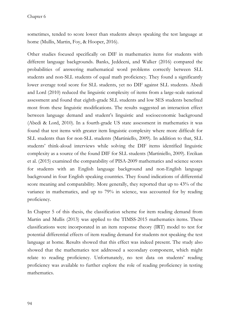sometimes, tended to score lower than students always speaking the test language at home (Mullis, Martin, Foy, & Hooper, 2016).

Other studies focused specifically on DIF in mathematics items for students with different language backgrounds. Banks, Jeddeeni, and Walker (2016) compared the probabilities of answering mathematical word problems correctly between SLL students and non-SLL students of equal math proficiency. They found a significantly lower average total score for SLL students, yet no DIF against SLL students. Abedi and Lord (2010) reduced the linguistic complexity of items from a large-scale national assessment and found that eighth-grade SLL students and low SES students benefited most from these linguistic modifications. The results suggested an interaction effect between language demand and student's linguistic and socioeconomic background (Abedi & Lord, 2010). In a fourth-grade US state assessment in mathematics it was found that test items with greater item linguistic complexity where more difficult for SLL students than for non-SLL students (Martiniello, 2009). In addition to that, SLL students' think-aloud interviews while solving the DIF items identified linguistic complexity as a source of the found DIF for SLL students (Martiniello, 2009). Ercikan et al. (2015) examined the comparability of PISA-2009 mathematics and science scores for students with an English language background and non-English language background in four English speaking countries. They found indications of differential score meaning and comparability. More generally, they reported that up to 43% of the variance in mathematics, and up to 79% in science, was accounted for by reading proficiency.

In Chapter 5 of this thesis, the classification scheme for item reading demand from Martin and Mullis (2013) was applied to the TIMSS-2015 mathematics items. These classifications were incorporated in an item response theory (IRT) model to test for potential differential effects of item reading demand for students not speaking the test language at home. Results showed that this effect was indeed present. The study also showed that the mathematics test addressed a secondary component, which might relate to reading proficiency. Unfortunately, no test data on students' reading proficiency was available to further explore the role of reading proficiency in testing mathematics.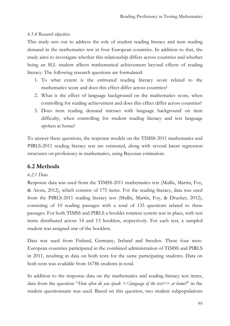## *6.1.4 Research objectives*

This study sets out to address the role of student reading literacy and item reading demand in the mathematics test in four European countries. In addition to that, the study aims to investigate whether this relationship differs across countries and whether being an SLL student affects mathematical achievement beyond effects of reading literacy. The following research questions are formulated:

- 1. To what extent is the estimated reading literacy score related to the mathematics score and does this effect differ across countries?
- 2. What is the effect of language background on the mathematics score, when controlling for reading achievement and does this effect differ across countries?
- 3. Does item reading demand interact with language background on item difficulty, when controlling for student reading literacy and test language spoken at home?

To answer these questions, the response models on the TIMSS-2011 mathematics and PIRLS-2011 reading literacy test are estimated, along with several latent regression structures on proficiency in mathematics, using Bayesian estimation.

# **6.2 Methods**

## *6.2.1 Data*

Response data was used from the TIMSS-2011 mathematics test (Mullis, Martin, Foy, & Arora, 2012), which consists of 175 items. For the reading literacy, data was used from the PIRLS-2011 reading literacy test (Mullis, Martin, Foy, & Drucker, 2012), consisting of 10 reading passages with a total of 135 questions related to these passages. For both TIMSS and PIRLS a booklet rotation system was in place, with test items distributed across 14 and 13 booklets, respectively. For each test, a sampled student was assigned one of the booklets.

Data was used from Finland, Germany, Ireland and Sweden. These four west-European countries participated in the combined administration of TIMSS and PIRLS in 2011, resulting in data on both tests for the same participating students. Data on both tests was available from 16786 students in total.

In addition to the response data on the mathematics and reading literacy test items, data from the question "*How often do you speak <<language of the test>> at home?*" in the student questionnaire was used. Based on this question, two student subpopulations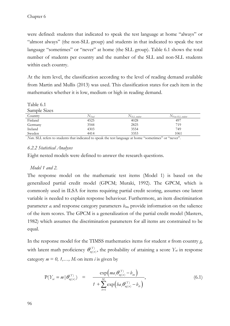were defined: students that indicated to speak the test language at home "always" or "almost always" (the non-SLL group) and students in that indicated to speak the test language "sometimes" or "never" at home (the SLL group). Table 6.1 shows the total number of students per country and the number of the SLL and non-SLL students within each country.

At the item level, the classification according to the level of reading demand available from Martin and Mullis (2013) was used. This classification states for each item in the mathematics whether it is low, medium or high in reading demand.

#### Table 6.1

Sample Sizes

| Country | $N_{\text{Total}}$ | N <sub>SLL student</sub> | $N_{\mathit{Non-SLL student}}$ |
|---------|--------------------|--------------------------|--------------------------------|
| Finland | 4525               | 4028                     | 497                            |
| Germany | 3544               | 2825                     | 719                            |
| Ireland | 4303               | 3554                     | 749                            |
| Sweden  | 4414               | 3353                     | 1061                           |

*Note.* SLL refers to students that indicated to speak the test language at home "sometimes" or "never".

#### *6.2.2 Statistical Analyses*

Eight nested models were defined to answer the research questions.

#### *Model 1 and 2.*

The response model on the mathematic test items (Model 1) is based on the generalized partial credit model (GPCM; Muraki, 1992). The GPCM, which is commonly used in ILSA for items requiring partial credit scoring, assumes one latent variable is needed to explain response behaviour. Furthermore, an item discrimination parameter *ai* and response category parameters *bim,* provide information on the salience of the item scores. The GPCM is a generalization of the partial credit model (Masters, 1982) which assumes the discrimination parameters for all items are constrained to be equal.

In the response model for the TIMSS mathematics items for student *n* from country *g*, with latent math proficiency  $\theta_{m,n}^{(T)}$ , the probability of attaining a score  $Y_m$  in response category  $m = 0, 1, \ldots, M_i$  on item *i* is given by

$$
P(Y_{ni} = m | \theta_{ng(n)}^{(T)}) = \frac{\exp\left(m a_i \theta_{ng(n)}^{(T)} - b_{im}\right)}{1 + \sum_{b=1}^{M_i} \exp\left(b a_i \theta_{ng(n)}^{(T)} - b_{ib}\right)},
$$
(6.1)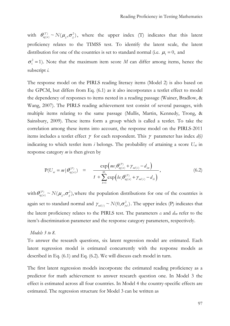with  $\theta_{n g(n)}^{(T)} \sim N(\mu_{g}, \sigma_{g}^{2})$ , where the upper index (T) indicates that this latent proficiency relates to the TIMSS test. To identify the latent scale, the latent distribution for one of the countries is set to standard normal (i.e.  $\mu_1 = 0$ , and

 $\sigma_1^2$  = 1). Note that the maximum item score *M* can differ among items, hence the subscript *i.* 

The response model on the PIRLS reading literacy items (Model 2) is also based on the GPCM, but differs from Eq. (6.1) as it also incorporates a testlet effect to model the dependency of responses to items nested in a reading passage (Wainer, Bradlow, & Wang, 2007). The PIRLS reading achievement test consist of several passages, with multiple items relating to the same passage (Mullis, Martin, Kennedy, Trong, & Sainsbury, 2009). These items form a group which is called a testlet. To take the correlation among these items into account, the response model on the PIRLS-2011 items includes a testlet effect  $\gamma$  for each respondent. This  $\gamma$  parameter has index  $d(i)$ indicating to which testlet item *i* belongs. The probability of attaining a score *Uni* in response category *m* is then given by

$$
P(U_{ni} = m | \theta_{ng(n)}^{(P)}) = \frac{\exp\left(m_c \theta_{ng(n)}^{(P)} + \gamma_{nd(i)} - d_{im}\right)}{1 + \sum_{b=1}^{M_i} \exp\left(h_c \theta_{ng(n)}^{(P)} + \gamma_{nd(i)} - d_{ib}\right)},
$$
(6.2)

with  $\theta_{mg(n)}^{(P)} \sim N(\mu_{g}, \sigma_{g}^{2})$ , where the population distributions for one of the countries is again set to standard normal and  $\gamma_{nd(i)} \sim N(0, \sigma_{\gamma d}^2)$ . The upper index (P) indicates that the latent proficiency relates to the PIRLS test. The parameters *ci* and *dim* refer to the item's discrimination parameter and the response category parameters, respectively.

#### *Models 3 to 8.*

To answer the research questions, six latent regression model are estimated. Each latent regression model is estimated concurrently with the response models as described in Eq. (6.1) and Eq. (6.2). We will discuss each model in turn.

The first latent regression models incorporate the estimated reading proficiency as a predictor for math achievement to answer research question one. In Model 3 the effect is estimated across all four countries. In Model 4 the country-specific effects are estimated. The regression structure for Model 3 can be written as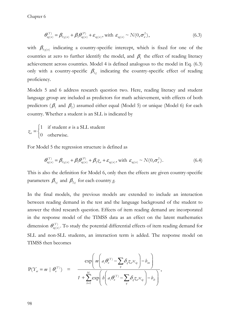$$
\theta_{ng(n)}^{(T)} = \beta_{0g(n)} + \beta_1 \theta_{ng(n)}^{(P)} + \varepsilon_{ng(n)}, \text{ with } \varepsilon_{ng(n)} \sim N(0, \sigma_{\varepsilon}^2), \qquad (6.3)
$$

with  $\beta_{\theta_{\varrho(n)}}$  indicating a country-specific intercept, which is fixed for one of the countries at zero to further identify the model, and  $\beta_1$  the effect of reading literacy achievement across countries. Model 4 is defined analogous to the model in Eq. (6.3) only with a country-specific  $\beta_{1g}$  indicating the country-specific effect of reading proficiency.

Models 5 and 6 address research question two. Here, reading literacy and student language group are included as predictors for math achievement, with effects of both predictors ( $\beta_1$  and  $\beta_2$ ) assumed either equal (Model 5) or unique (Model 6) for each country. Whether a student is an SLL is indicated by

$$
z_n = \begin{cases} 1 & \text{if student } n \text{ is a SLL student} \\ 0 & \text{otherwise.} \end{cases}
$$

For Model 5 the regression structure is defined as

$$
\theta_{ng(n)}^{(T)} = \beta_{0g(n)} + \beta_1 \theta_{ng(n)}^{(P)} + \beta_2 \tilde{\chi}_n + \varepsilon_{ng(n)}, \text{ with } \varepsilon_{ng(n)} \sim N(0, \sigma_{\varepsilon}^2).
$$
\n(6.4)

This is also the definition for Model 6, only then the effects are given country-specific parameters  $\beta_{1g}$  and  $\beta_{2g}$  for each country *g*.

In the final models, the previous models are extended to include an interaction between reading demand in the test and the language background of the student to answer the third research question. Effects of item reading demand are incorporated in the response model of the TIMSS data as an effect on the latent mathematics dimension  $\theta_{\eta g(n)}^{(T)}$ . To study the potential differential effects of item reading demand for SLL and non-SLL students, an interaction term is added. The response model on TIMSS then becomes

$$
P(Y_{ni} = m \mid \theta_n^{(T)}) = \frac{\exp\left(m\left(a_i\theta_n^{(T)} - \sum_q \delta_q \chi_n \chi_{iq}\right) - b_{im}\right)}{1 + \sum_{b=1}^{M_i} \exp\left(b\left(a_i\theta_n^{(T)} - \sum_q \delta_q \chi_n \chi_{iq}\right) - b_{ib}\right)},
$$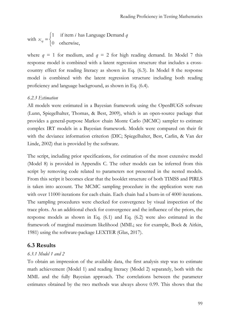with 
$$
x_{iq} = \begin{cases} 1 & \text{if item } i \text{ has Language Demand } q \\ 0 & \text{otherwise,} \end{cases}
$$

where  $q = 1$  for medium, and  $q = 2$  for high reading demand. In Model 7 this response model is combined with a latent regression structure that includes a crosscountry effect for reading literacy as shown in Eq. (6.3). In Model 8 the response model is combined with the latent regression structure including both reading proficiency and language background, as shown in Eq. (6.4).

#### *6.2.3 Estimation*

All models were estimated in a Bayesian framework using the OpenBUGS software (Lunn, Spiegelhalter, Thomas, & Best, 2009), which is an open-source package that provides a general-purpose Markov chain Monte Carlo (MCMC) sampler to estimate complex IRT models in a Bayesian framework. Models were compared on their fit with the deviance information criterion (DIC; Spiegelhalter, Best, Carlin, & Van der Linde, 2002) that is provided by the software.

The script, including prior specifications, for estimation of the most extensive model (Model 8) is provided in Appendix C. The other models can be inferred from this script by removing code related to parameters not presented in the nested models. From this script it becomes clear that the booklet structure of both TIMSS and PIRLS is taken into account. The MCMC sampling procedure in the application were run with over 11000 iterations for each chain. Each chain had a burn-in of 4000 iterations. The sampling procedures were checked for convergence by visual inspection of the trace plots. As an additional check for convergence and the influence of the priors, the response models as shown in Eq. (6.1) and Eq. (6.2) were also estimated in the framework of marginal maximum likelihood (MML; see for example, Bock & Aitkin, 1981) using the software-package LEXTER (Glas, 2017).

## **6.3 Results**

#### *6.3.1 Model 1 and 2*

To obtain an impression of the available data, the first analysis step was to estimate math achievement (Model 1) and reading literacy (Model 2) separately, both with the MML and the fully Bayesian approach. The correlations between the parameter estimates obtained by the two methods was always above 0.99. This shows that the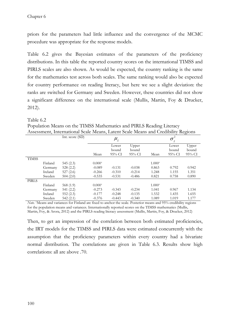priors for the parameters had little influence and the convergence of the MCMC procedure was appropriate for the response models.

Table 6.2 gives the Bayesian estimates of the parameters of the proficiency distributions. In this table the reported country scores on the international TIMSS and PIRLS scales are also shown. As would be expected, the country ranking is the same for the mathematics test across both scales. The same ranking would also be expected for country performance on reading literacy, but here we see a slight deviation: the ranks are switched for Germany and Sweden. However, these countries did not show a significant difference on the international scale (Mullis, Martin, Foy & Drucker, 2012).

#### Table 6.2

Population Means on the TIMSS Mathematics and PIRLS Reading Literacy Assessment, International Scale Means, Latent Scale Means and Credibility Regions

|              |         | Int. score (SD) | $\mu_{_g}$ |          |           | $\sigma$ |           |           |  |
|--------------|---------|-----------------|------------|----------|-----------|----------|-----------|-----------|--|
|              |         |                 |            | Lower    | Upper     |          | Lower     | Upper     |  |
|              |         |                 |            | bound    | bound     |          | bound     | bound     |  |
|              |         |                 | Mean       | 95% CI   | $95\%$ CI | Mean     | $95\%$ CI | $95\%$ CI |  |
| <b>TIMSS</b> |         |                 |            |          |           |          |           |           |  |
|              | Finland | 545(2.3)        | $0.000*$   |          |           | $1.000*$ |           |           |  |
|              | Germany | 528(2.2)        | $-0.089$   | $-0.131$ | $-0.038$  | 0.863    | 0.792     | 0.942     |  |
|              | Ireland | 527(2.6)        | $-0.266$   | $-0.310$ | $-0.214$  | 1.248    | 1.155     | 1.351     |  |
|              | Sweden  | 504(2.0)        | $-0.535$   | $-0.531$ | $-0.486$  | 0.821    | 0.758     | 0.890     |  |
| <b>PIRLS</b> |         |                 |            |          |           |          |           |           |  |
|              | Finland | 568 $(1.9)$     | $0.000*$   |          |           | $1.000*$ |           |           |  |
|              | Germany | 541 (2.2)       | $-0.273$   | $-0.343$ | $-0.234$  | 1.041    | 0.967     | 1.134     |  |
|              | Ireland | 552 $(2.3)$     | $-0.177$   | $-0.248$ | $-0.135$  | 1.532    | 1.435     | 1.655     |  |
|              | Sweden  | 542(2.1)        | $-0.376$   | $-0.443$ | $-0.340$  | 1.089    | 1.019     | 1.177     |  |

*Note.* \*Means and variances for Finland are fixed to anchor the scale. Posterior means and 95% credibility regions for the population means and variances. Internationally reported scores on the TIMSS mathematics (Mullis, Martin, Foy, & Arora, 2012) and the PIRLS reading literacy assessment (Mullis, Martin, Foy, & Drucker, 2012)

Then, to get an impression of the correlation between both estimated proficiencies, the IRT models for the TIMSS and PIRLS data were estimated concurrently with the assumption that the proficiency parameters within every country had a bivariate normal distribution. The correlations are given in Table 6.3. Results show high correlations: all are above .70.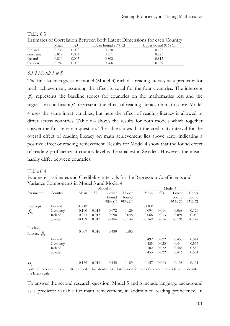| Estimates of Correlation Between both Latent Dimensions for each Country |       |       |       |       |  |  |  |  |
|--------------------------------------------------------------------------|-------|-------|-------|-------|--|--|--|--|
| Upper bound 95% CI<br>Lower bound 95% CI<br>Mean<br>SD.                  |       |       |       |       |  |  |  |  |
| <b>Finland</b>                                                           | 0.736 | 0.008 | 0.720 | 0.795 |  |  |  |  |
| Germany                                                                  | 0.812 | 0.004 | 0.811 | 0.823 |  |  |  |  |
| Ireland                                                                  | 0.816 | 0.005 | 0.802 | 0.813 |  |  |  |  |
| Sweden                                                                   | በ 787 | 0.005 | 0.766 | 0.789 |  |  |  |  |

Table 6.3

### *6.3.2 Models 3 to 8*

The first latent regression model (Model 3) includes reading literacy as a predictor for math achievement, assuming the effect is equal for the four countries. The intercept  $\beta_0$  represents the baseline scores for countries on the mathematics test and the regression coefficient  $\beta_1$  represents the effect of reading literacy on math score. Model 4 uses the same input variables, but here the effect of reading literacy is allowed to differ across countries. Table 6.4 shows the results for both models which together answer the first research question. The table shows that the credibility interval for the overall effect of reading literacy on math achievement lies above zero, indicating a positive effect of reading achievement. Results for Model 4 show that the found effect of reading proficiency at country level is the smallest in Sweden. However, the means hardly differ between countries.

#### Table 6.4

Parameter Estimates and Credibility Intervals for the Regression Coefficients and Variance Components in Model 3 and Model 4

|                                                          |         |          |           | Model 3  |          |          | Model 4 |          |           |  |
|----------------------------------------------------------|---------|----------|-----------|----------|----------|----------|---------|----------|-----------|--|
| Parameter                                                | Country | Mean     | <b>SD</b> | Lower    | Upper    | Mean     | SD      | Lower    | Upper     |  |
|                                                          |         |          |           | bound    | bound    |          |         | bound    | bound     |  |
|                                                          |         |          |           | 95% CI   | 95% CI   |          |         | 95% CI   | $95\%$ CI |  |
| Intercept                                                | Finland | $0.000*$ |           |          |          | $0.000*$ |         |          |           |  |
| $\beta_{\scriptscriptstyle 0}$                           | Germany | 0.100    | 0.015     | 0.072    | 0.129    | 0.094    | 0.014   | 0.068    | 0.124     |  |
|                                                          | Ireland | $-0.073$ | 0.013     | $-0.098$ | $-0.048$ | $-0.066$ | 0.013   | $-0.091$ | $-0.042$  |  |
|                                                          | Sweden  | $-0.159$ | 0.013     | $-0.184$ | $-0.134$ | $-0.169$ | 0.014   | $-0.196$ | $-0.142$  |  |
| Reading<br>Literacy $\beta_1$                            |         | 0.507    | 0.016     | 0.480    | 0.506    |          |         |          |           |  |
|                                                          | Finland |          |           |          |          | 0.492    | 0.022   | 0.455    | 0.544     |  |
|                                                          | Germany |          |           |          |          | 0.485    | 0.023   | 0.444    | 0.535     |  |
|                                                          | Ireland |          |           |          |          | 0.502    | 0.022   | 0.465    | 0.552     |  |
|                                                          | Sweden  |          |           |          |          | 0.453    | 0.022   | 0.416    | 0.501     |  |
| $\sigma_{\scriptscriptstyle\ell}^{\scriptscriptstyle 2}$ |         | 0.169    | 0.011     | 0.145    | 0.189    | 0.157    | 0.013   | 0.138    | 0.191     |  |

*Note*. CI indicates the credibility interval. "The latent ability distribution for one of the countries is fixed to identify the latent scale.

To answer the second research question, Model 5 and 6 include language background as a predictor variable for math achievement, in addition to reading proficiency. In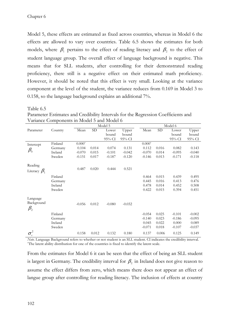Model 5, these effects are estimated as fixed across countries, whereas in Model 6 the effects are allowed to vary over countries. Table 6.5 shows the estimates for both models, where  $\beta_1$  pertains to the effect of reading literacy and  $\beta_2$  to the effect of student language group. The overall effect of language background is negative. This means that for SLL students, after controlling for their demonstrated reading proficiency, there still is a negative effect on their estimated math proficiency. However, it should be noted that this effect is very small. Looking at the variance component at the level of the student, the variance reduces from 0.169 in Model 3 to 0.158, so the language background explains an additional 7%.

Table 6.5

Parameter Estimates and Credibility Intervals for the Regression Coefficients and Variance Components in Model 5 and Model 6

|                                                        |         |          |           | Model 5  |          |          | Model 6   |          |          |  |
|--------------------------------------------------------|---------|----------|-----------|----------|----------|----------|-----------|----------|----------|--|
| Parameter                                              | Country | Mean     | <b>SD</b> | Lower    | Upper    | Mean     | <b>SD</b> | Lower    | Upper    |  |
|                                                        |         |          |           | bound    | bound    |          |           | bound    | bound    |  |
|                                                        |         |          |           | 95% CI   | 95% CI   |          |           | 95% CI   | 95% CI   |  |
| Intercept                                              | Finland | $0.000*$ |           |          |          | $0.000*$ |           |          |          |  |
| $\beta_{\raisebox{-0.75pt}{\tiny 0}}$                  | Germany | 0.104    | 0.014     | 0.074    | 0.131    | 0.112    | 0.016     | 0.082    | 0.143    |  |
|                                                        | Ireland | $-0.070$ | 0.015     | $-0.101$ | $-0.042$ | $-0.070$ | 0.014     | $-0.095$ | $-0.040$ |  |
|                                                        | Sweden  | $-0.151$ | 0.017     | $-0.187$ | $-0.120$ | $-0.146$ | 0.013     | $-0.171$ | $-0.118$ |  |
|                                                        |         |          |           |          |          |          |           |          |          |  |
| Reading                                                |         |          |           |          |          |          |           |          |          |  |
| Literacy $\beta_1$                                     |         | 0.487    | 0.020     | 0.444    | 0.521    |          |           |          |          |  |
|                                                        | Finland |          |           |          |          | 0.464    | 0.015     | 0.439    | 0.495    |  |
|                                                        | Germany |          |           |          |          | 0.445    | 0.016     | 0.413    | 0.476    |  |
|                                                        | Ireland |          |           |          |          | 0.478    | 0.014     | 0.452    | 0.508    |  |
|                                                        | Sweden  |          |           |          |          | 0.422    | 0.015     | 0.394    | 0.451    |  |
|                                                        |         |          |           |          |          |          |           |          |          |  |
| Language                                               |         |          |           |          |          |          |           |          |          |  |
| Background                                             |         | $-0.056$ | 0.012     | $-0.080$ | $-0.032$ |          |           |          |          |  |
| $\beta_{\scriptscriptstyle 2}$                         |         |          |           |          |          |          |           |          |          |  |
|                                                        | Finland |          |           |          |          | $-0.054$ | 0.025     | $-0.101$ | $-0.002$ |  |
|                                                        | Germany |          |           |          |          | $-0.140$ | 0.023     | $-0.186$ | $-0.095$ |  |
|                                                        | Ireland |          |           |          |          | 0.045    | 0.022     | 0.000    | 0.089    |  |
|                                                        | Sweden  |          |           |          |          | $-0.071$ | 0.018     | $-0.107$ | $-0.037$ |  |
|                                                        |         |          |           |          |          |          |           |          |          |  |
| $\sigma_{\scriptscriptstyle e}^{\scriptscriptstyle 2}$ |         | 0.158    | 0.012     | 0.132    | 0.180    | 0.137    | 0.006     | 0.125    | 0.149    |  |

*Note*. Language Background refers to whether or not student is an SLL student. CI indicates the credibility interval. \*The latent ability distribution for one of the countries is fixed to identify the latent scale.

From the estimates for Model 6 it can be seen that the effect of being an SLL student is largest in Germany. The credibility interval for  $\beta_2$  in Ireland does not give reason to assume the effect differs from zero, which means there does not appear an effect of langue group after controlling for reading literacy. The inclusion of effects at country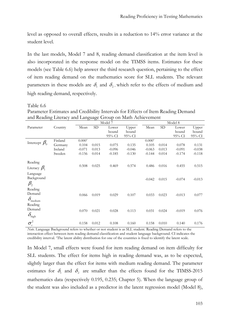level as opposed to overall effects, results in a reduction to 14% error variance at the student level.

In the last models, Model 7 and 8, reading demand classification at the item level is also incorporated in the response model on the TIMSS items. Estimates for these models (see Table 6.6) help answer the third research question, pertaining to the effect of item reading demand on the mathematics score for SLL students. The relevant parameters in these models are  $\delta_1$  and  $\delta_2$ , which refer to the effects of medium and high reading demand, respectively.

Table 6.6

Parameter Estimates and Credibility Intervals for Effects of Item Reading Demand and Reading Literacy and Language Group on Math Achievement

|                                                        | Model 7 |          |       |          |          |          | Model 8   |          |          |  |
|--------------------------------------------------------|---------|----------|-------|----------|----------|----------|-----------|----------|----------|--|
| Parameter                                              | Country | Mean     | SD    | Lower    | Upper    | Mean     | <b>SD</b> | Lower    | Upper    |  |
|                                                        |         |          |       | bound    | bound    |          |           | bound    | bound    |  |
|                                                        |         |          |       | 95% CI   | 95% CI   |          |           | 95% CI   | 95% CI   |  |
| Intercept $\beta_0$                                    | Finland | $0.000*$ |       |          |          | $0.000*$ |           |          |          |  |
|                                                        | Germany | 0.104    | 0.015 | 0.075    | 0.135    | 0.105    | 0.014     | 0.078    | 0.131    |  |
|                                                        | Ireland | $-0.071$ | 0.013 | $-0.096$ | $-0.046$ | $-0.063$ | 0.013     | $-0.091$ | $-0.038$ |  |
|                                                        | Sweden  | $-0.156$ | 0.014 | $-0.185$ | $-0.130$ | $-0.144$ | 0.014     | $-0.174$ | $-0.118$ |  |
|                                                        |         |          |       |          |          |          |           |          |          |  |
| Reading                                                |         |          |       |          |          |          |           |          |          |  |
| Literacy $\beta_1$                                     |         | 0.508    | 0.025 | 0.469    | 0.574    | 0.486    | 0.016     | 0.455    | 0.515    |  |
| Language                                               |         |          |       |          |          |          |           |          |          |  |
| Background                                             |         |          |       |          |          | $-0.042$ | 0.015     | $-0.074$ | $-0.013$ |  |
| $\beta_{\scriptscriptstyle 2}$                         |         |          |       |          |          |          |           |          |          |  |
|                                                        |         |          |       |          |          |          |           |          |          |  |
| Reading<br>Demand                                      |         |          |       |          |          |          |           |          |          |  |
|                                                        |         | 0.066    | 0.019 | 0.029    | 0.107    | 0.033    | 0.023     | $-0.013$ | 0.077    |  |
| $\delta$<br>medium                                     |         |          |       |          |          |          |           |          |          |  |
| Reading                                                |         |          |       |          |          |          |           |          |          |  |
| Demand                                                 |         | 0.070    | 0.021 | 0.028    | 0.113    | 0.031    | 0.024     | $-0.019$ | 0.076    |  |
| $\delta_{\rm high}$                                    |         |          |       |          |          |          |           |          |          |  |
| $\sigma_{\scriptscriptstyle e}^{\scriptscriptstyle 2}$ |         | 0.158    | 0.012 | 0.108    | 0.160    | 0.158    | 0.010     | 0.140    | 0.176    |  |

*Note*. Language Background refers to whether or not student is as SLL student. Reading Demand refers to the interaction effect between item reading demand classification and student language background. CI indicates the credibility interval. \*The latent ability distribution for one of the countries is fixed to identify the latent scale.

In Model 7, small effects were found for item reading demand on item difficulty for SLL students. The effect for items high in reading demand was, as to be expected, slightly larger than the effect for items with medium reading demand. The parameter estimates for  $\delta_1$  and  $\delta_2$  are smaller than the effects found for the TIMSS-2015 mathematics data (respectively 0.195, 0.235; Chapter 5). When the language group of the student was also included as a predictor in the latent regression model (Model 8),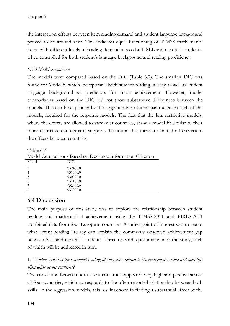the interaction effects between item reading demand and student language background proved to be around zero. This indicates equal functioning of TIMSS mathematics items with different levels of reading demand across both SLL and non-SLL students, when controlled for both student's language background and reading proficiency.

### *6.3.3 Model comparison*

The models were compared based on the DIC (Table 6.7). The smallest DIC was found for Model 5, which incorporates both student reading literacy as well as student language background as predictors for math achievement. However, model comparisons based on the DIC did not show substantive differences between the models. This can be explained by the large number of item parameters in each of the models, required for the response models. The fact that the less restrictive models, where the effects are allowed to vary over countries, show a model fit similar to their more restrictive counterparts supports the notion that there are limited differences in the effects between countries.

Table 6.7

Model Comparisons Based on Deviance Information Criterion

| Model<br>DIC. |  |
|---------------|--|
| 932400.0<br>3 |  |
| 931900.0<br>4 |  |
| 930900.0<br>5 |  |
| 931100.0<br>6 |  |
| 932400.0      |  |
| 931000.0<br>8 |  |

## **6.4 Discussion**

The main purpose of this study was to explore the relationship between student reading and mathematical achievement using the TIMSS-2011 and PIRLS-2011 combined data from four European countries. Another point of interest was to see to what extent reading literacy can explain the commonly observed achievement gap between SLL and non-SLL students. Three research questions guided the study, each of which will be addressed in turn.

## 1. *To what extent is the estimated reading literacy score related to the mathematics score and does this effect differ across countries?*

The correlation between both latent constructs appeared very high and positive across all four countries, which corresponds to the often-reported relationship between both skills. In the regression models, this result echoed in finding a substantial effect of the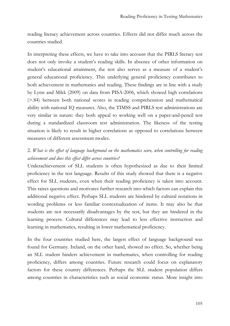reading literacy achievement across countries. Effects did not differ much across the countries studied.

In interpreting these effects, we have to take into account that the PIRLS literacy test does not only invoke a student's reading skills. In absence of other information on student's educational attainment, the test also serves as a measure of a student's general educational proficiency. This underlying general proficiency contributes to both achievement in mathematics and reading. These findings are in line with a study by Lynn and Mikk (2009) on data from PISA-2006, which showed high correlations (>.84) between both national scores in reading comprehension and mathematical ability with national IQ measures. Also, the TIMSS and PIRLS test administrations are very similar in nature: they both appeal to working well on a paper-and-pencil test during a standardized classroom test administration. The likeness of the testing situation is likely to result in higher correlations as opposed to correlations between measures of different assessment modes.

## 2. *What is the effect of language background on the mathematics score, when controlling for reading achievement and does this effect differ across countries?*

Underachievement of SLL students is often hypothesized as due to their limited proficiency in the test language. Results of this study showed that there is a negative effect for SLL students, even when their reading proficiency is taken into account. This raises questions and motivates further research into which factors can explain this additional negative effect. Perhaps SLL students are hindered by cultural notations in wording problems or less familiar contextualization of items. It may also be that students are not necessarily disadvantages by the test, but they are hindered in the learning process. Cultural differences may lead to less effective instruction and learning in mathematics, resulting in lower mathematical proficiency.

In the four countries studied here, the largest effect of language background was found for Germany. Ireland, on the other hand, showed no effect. So, whether being an SLL student hinders achievement in mathematics, when controlling for reading proficiency, differs among countries. Future research could focus on explanatory factors for these country differences. Perhaps the SLL student population differs among countries in characteristics such as social economic status. More insight into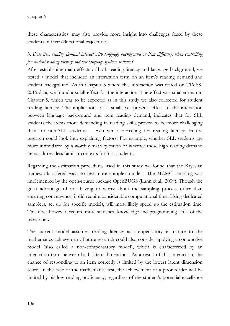these characteristics, may also provide more insight into challenges faced by these students in their educational trajectories.

## 3. *Does item reading demand interact with language background on item difficulty, when controlling for student reading literacy and test language spoken at home?*

After establishing main effects of both reading literacy and language background, we tested a model that included an interaction term on an item's reading demand and student background. As in Chapter 5 where this interaction was tested on TIMSS-2015 data, we found a small effect for the interaction. The effect was smaller than in Chapter 5, which was to be expected as in this study we also corrected for student reading literacy. The implications of a small, yet present, effect of the interaction between language background and item reading demand, indicates that for SLL students the items more demanding in reading skills proved to be more challenging than for non-SLL students – even while correcting for reading literacy. Future research could look into explaining factors. For example, whether SLL students are more intimidated by a wordily math question or whether these high reading demand items address less familiar contexts for SLL students.

Regarding the estimation procedures used in this study we found that the Bayesian framework offered ways to test more complex models. The MCMC sampling was implemented by the open-source package OpenBUGS (Lunn et al., 2009). Though the great advantage of not having to worry about the sampling process other than ensuring convergence, it did require considerable computational time. Using dedicated samplers, set up for specific models, will most likely speed up the estimation time. This does however, require more statistical knowledge and programming skills of the researcher.

The current model assumes reading literacy as compensatory in nature to the mathematics achievement. Future research could also consider applying a conjunctive model (also called a non-compensatory model), which is characterized by an interaction term between both latent dimensions. As a result of this interaction, the chance of responding to an item correctly is limited by the lowest latent dimension score. In the case of the mathematics test, the achievement of a poor reader will be limited by his low reading proficiency, regardless of the student's potential excellence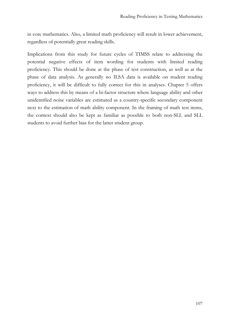in core mathematics. Also, a limited math proficiency will result in lower achievement, regardless of potentially great reading skills.

Implications from this study for future cycles of TIMSS relate to addressing the potential negative effects of item wording for students with limited reading proficiency. This should be done at the phase of test construction, as well as at the phase of data analysis. As generally no ILSA data is available on student reading proficiency, it will be difficult to fully correct for this in analyses. Chapter 5 offers ways to address this by means of a bi-factor structure where language ability and other unidentified noise variables are estimated as a country-specific secondary component next to the estimation of math ability component. In the framing of math test items, the context should also be kept as familiar as possible to both non-SLL and SLL students to avoid further bias for the latter student group.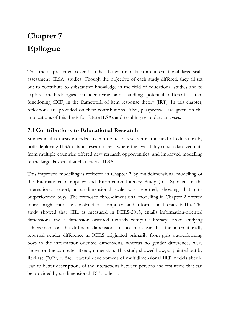# **Chapter 7 Epilogue**

This thesis presented several studies based on data from international large-scale assessment (ILSA) studies. Though the objective of each study differed, they all set out to contribute to substantive knowledge in the field of educational studies and to explore methodologies on identifying and handling potential differential item functioning (DIF) in the framework of item response theory (IRT). In this chapter, reflections are provided on their contributions. Also, perspectives are given on the implications of this thesis for future ILSAs and resulting secondary analyses.

## **7.1 Contributions to Educational Research**

Studies in this thesis intended to contribute to research in the field of education by both deploying ILSA data in research areas where the availability of standardized data from multiple countries offered new research opportunities, and improved modelling of the large datasets that characterise ILSAs.

This improved modelling is reflected in Chapter 2 by multidimensional modelling of the International Computer and Information Literacy Study (ICILS) data. In the international report, a unidimensional scale was reported, showing that girls outperformed boys. The proposed three-dimensional modelling in Chapter 2 offered more insight into the construct of computer- and information literacy (CIL). The study showed that CIL, as measured in ICILS-2013, entails information-oriented dimensions and a dimension oriented towards computer literacy. From studying achievement on the different dimensions, it became clear that the internationally reported gender difference in ICILS originated primarily from girls outperforming boys in the information-oriented dimensions, whereas no gender differences were shown on the computer literacy dimension. This study showed how, as pointed out by Reckase (2009, p. 54), "careful development of multidimensional IRT models should lead to better descriptions of the interactions between persons and test items that can be provided by unidimensional IRT models".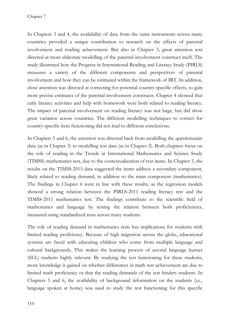Chapter 7

In Chapters 3 and 4, the availability of data from the same instruments across many countries provided a unique contribution to research on the effects of parental involvement and reading achievement. But also in Chapter 3, great attention was directed at more elaborate modelling of the parental involvement construct itself. The study illustrated how the Progress in International Reading and Literacy Study (PIRLS) measures a variety of the different components and perspectives of parental involvement and how they can be estimated within the framework of IRT. In addition, close attention was directed at correcting for potential country-specific effects, to gain more precise estimates of the parental involvement constructs. Chapter 4 showed that early literacy activities and help with homework were both related to reading literacy. The impact of parental involvement on reading literacy was not large, but did show great variation across countries. The different modelling techniques to correct for country-specific item functioning did not lead to different conclusions.

In Chapters 5 and 6, the attention was directed back from modelling the questionnaire data (as in Chapter 3) to modelling test data (as in Chapter 2). Both chapters focus on the role of reading in the Trends in International Mathematics and Science Study (TIMSS) mathematics test, due to the contextualization of test items. In Chapter 5, the results on the TIMSS-2015 data suggested the items address a secondary component, likely related to reading demand, in addition to the main component (mathematics). The findings in Chapter 6 were in line with these results, as the regression models showed a strong relation between the PIRLS-2011 reading literacy test and the TIMSS-2011 mathematics test. The findings contribute to the scientific field of mathematics and language by testing the relation between both proficiencies, measured using standardized tests across many students.

The role of reading demand in mathematics tests has implications for students with limited reading proficiency. Because of high migration across the globe, educational systems are faced with educating children who come from multiple language and cultural backgrounds. This makes the learning process of second language learner (SLL) students highly relevant. By studying the test functioning for these students, more knowledge is gained on whether differences in math test achievement are due to limited math proficiency or that the reading demands of the test hinders students. In Chapters 5 and 6, the availability of background information on the students (i.e., language spoken at home) was used to study the test functioning for this specific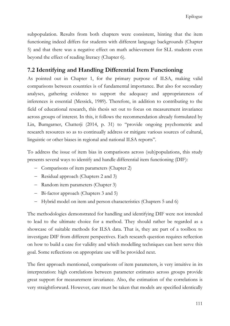subpopulation. Results from both chapters were consistent, hinting that the item functioning indeed differs for students with different language backgrounds (Chapter 5) and that there was a negative effect on math achievement for SLL students even beyond the effect of reading literacy (Chapter 6).

## **7.2 Identifying and Handling Differential Item Functioning**

As pointed out in Chapter 1, for the primary purpose of ILSA, making valid comparisons between countries is of fundamental importance. But also for secondary analyses, gathering evidence to support the adequacy and appropriateness of inferences is essential (Messick, 1989). Therefore, in addition to contributing to the field of educational research, this thesis set out to focus on measurement invariance across groups of interest. In this, it follows the recommendation already formulated by Lin, Bumgarner, Chatterji (2014, p. 31) to "provide ongoing psychometric and research resources so as to continually address or mitigate various sources of cultural, linguistic or other biases in regional and national ILSA reports".

To address the issue of item bias in comparisons across (sub)populations, this study presents several ways to identify and handle differential item functioning (DIF):

- Comparisons of item parameters (Chapter 2)
- Residual approach (Chapters 2 and 3)
- Random item parameters (Chapter 3)
- Bi-factor approach (Chapters 3 and 5)
- Hybrid model on item and person characteristics (Chapters 5 and 6)

The methodologies demonstrated for handling and identifying DIF were not intended to lead to the ultimate choice for a method. They should rather be regarded as a showcase of suitable methods for ILSA data. That is, they are part of a toolbox to investigate DIF from different perspectives. Each research question requires reflection on how to build a case for validity and which modelling techniques can best serve this goal. Some reflections on appropriate use will be provided next.

The first approach mentioned, comparisons of item parameters, is very intuitive in its interpretation: high correlations between parameter estimates across groups provide great support for measurement invariance. Also, the estimation of the correlations is very straightforward. However, care must be taken that models are specified identically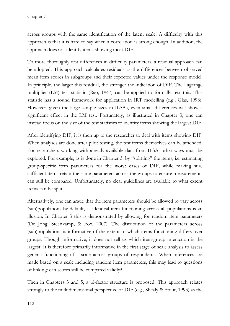across groups with the same identification of the latent scale. A difficulty with this approach is that it is hard to say when a correlation is strong enough. In addition, the approach does not identify items showing most DIF.

To more thoroughly test differences in difficulty parameters, a residual approach can be adopted. This approach calculates residuals as the differences between observed mean item scores in subgroups and their expected values under the response model. In principle, the larger this residual, the stronger the indication of DIF. The Lagrange multiplier (LM) test statistic (Rao, 1947) can be applied to formally test this. This statistic has a sound framework for application in IRT modelling (e.g., Glas, 1998). However, given the large sample sizes in ILSAs, even small differences will show a significant effect in the LM test. Fortunately, as illustrated in Chapter 3, one can instead focus on the size of the test statistics to identify items showing the largest DIF.

After identifying DIF, it is then up to the researcher to deal with items showing DIF. When analyses are done after pilot testing, the test items themselves can be amended. For researchers working with already available data from ILSA, other ways must be explored. For example, as is done in Chapter 3, by "splitting" the items, i.e. estimating group-specific item parameters for the worst cases of DIF, while making sure sufficient items retain the same parameters across the groups to ensure measurements can still be compared. Unfortunately, no clear guidelines are available to what extent items can be split.

Alternatively, one can argue that the item parameters should be allowed to vary across (sub)populations by default, as identical item functioning across all populations is an illusion. In Chapter 3 this is demonstrated by allowing for random item parameters (De Jong, Steenkamp, & Fox, 2007). The distribution of the parameters across (sub)populations is informative of the extent to which items functioning differs over groups. Though informative, it does not tell us which item-group interaction is the largest. It is therefore primarily informative in the first stage of scale analysis to assess general functioning of a scale across groups of respondents. When inferences are made based on a scale including random item parameters, this may lead to questions of linking: can scores still be compared validly?

Then in Chapters 3 and 5, a bi-factor structure is proposed. This approach relates strongly to the multidimensional perspective of DIF (e.g., Shealy & Stout, 1993) as the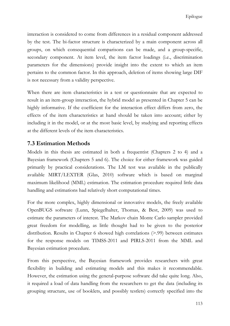interaction is considered to come from differences in a residual component addressed by the test. The bi-factor structure is characterized by a main component across all groups, on which consequential comparisons can be made, and a group-specific, secondary component. At item level, the item factor loadings (i.e., discrimination parameters for the dimensions) provide insight into the extent to which an item pertains to the common factor. In this approach, deletion of items showing large DIF is not necessary from a validity perspective.

When there are item characteristics in a test or questionnaire that are expected to result in an item-group interaction, the hybrid model as presented in Chapter 5 can be highly informative. If the coefficient for the interaction effect differs from zero, the effects of the item characteristics at hand should be taken into account; either by including it in the model, or at the most basic level, by studying and reporting effects at the different levels of the item characteristics.

## **7.3 Estimation Methods**

Models in this thesis are estimated in both a frequentist (Chapters 2 to 4) and a Bayesian framework (Chapters 5 and 6). The choice for either framework was guided primarily by practical considerations. The LM test was available in the publically available MIRT/LEXTER (Glas, 2010) software which is based on marginal maximum likelihood (MML) estimation. The estimation procedure required little data handling and estimations had relatively short computational times.

For the more complex, highly dimensional or innovative models, the freely available OpenBUGS software (Lunn, Spiegelhalter, Thomas, & Best, 2009) was used to estimate the parameters of interest. The Markov chain Monte Carlo sampler provided great freedom for modelling, as little thought had to be given to the posterior distribution. Results in Chapter 6 showed high correlations (>.99) between estimates for the response models on TIMSS-2011 and PIRLS-2011 from the MML and Bayesian estimation procedure.

From this perspective, the Bayesian framework provides researchers with great flexibility in building and estimating models and this makes it recommendable. However, the estimation using the general-purpose software did take quite long. Also, it required a load of data handling from the researchers to get the data (including its grouping structure, use of booklets, and possibly testlets) correctly specified into the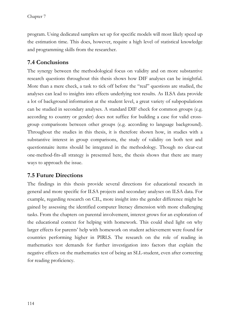program. Using dedicated samplers set up for specific models will most likely speed up the estimation time. This does, however, require a high level of statistical knowledge and programming skills from the researcher.

## **7.4 Conclusions**

The synergy between the methodological focus on validity and on more substantive research questions throughout this thesis shows how DIF analyses can be insightful. More than a mere check, a task to tick off before the "real" questions are studied, the analyses can lead to insights into effects underlying test results. As ILSA data provide a lot of background information at the student level, a great variety of subpopulations can be studied in secondary analyses. A standard DIF check for common groups (e.g. according to country or gender) does not suffice for building a case for valid crossgroup comparisons between other groups (e.g. according to language background). Throughout the studies in this thesis, it is therefore shown how, in studies with a substantive interest in group comparisons, the study of validity on both test and questionnaire items should be integrated in the methodology. Though no clear-cut one-method-fits-all strategy is presented here, the thesis shows that there are many ways to approach the issue.

## **7.5 Future Directions**

The findings in this thesis provide several directions for educational research in general and more specific for ILSA projects and secondary analyses on ILSA data. For example, regarding research on CIL, more insight into the gender difference might be gained by assessing the identified computer literacy dimension with more challenging tasks. From the chapters on parental involvement, interest grows for an exploration of the educational context for helping with homework. This could shed light on why larger effects for parents' help with homework on student achievement were found for countries performing higher in PIRLS. The research on the role of reading in mathematics test demands for further investigation into factors that explain the negative effects on the mathematics test of being an SLL-student, even after correcting for reading proficiency.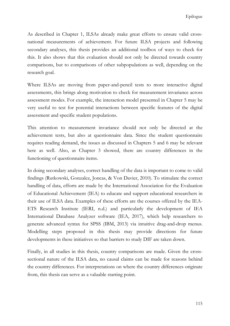As described in Chapter 1, ILSAs already make great efforts to ensure valid crossnational measurements of achievement. For future ILSA projects and following secondary analyses, this thesis provides an additional toolbox of ways to check for this. It also shows that this evaluation should not only be directed towards country comparisons, but to comparisons of other subpopulations as well, depending on the research goal.

Where ILSAs are moving from paper-and-pencil tests to more interactive digital assessments, this brings along motivation to check for measurement invariance across assessment modes. For example, the interaction model presented in Chapter 5 may be very useful to test for potential interactions between specific features of the digital assessment and specific student populations.

This attention to measurement invariance should not only be directed at the achievement tests, but also at questionnaire data. Since the student questionnaire requires reading demand, the issues as discussed in Chapters 5 and 6 may be relevant here as well. Also, as Chapter 3 showed, there are country differences in the functioning of questionnaire items.

In doing secondary analyses, correct handling of the data is important to come to valid findings (Rutkowski, Gonzalez, Joncas, & Von Davier, 2010). To stimulate the correct handling of data, efforts are made by the International Association for the Evaluation of Educational Achievement (IEA) to educate and support educational researchers in their use of ILSA data. Examples of these efforts are the courses offered by the IEA-ETS Research Institute (IERI, n.d.) and particularly the development of IEA International Database Analyzer software (IEA, 2017), which help researchers to generate advanced syntax for SPSS (IBM, 2013) via intuitive drag-and-drop menus. Modelling steps proposed in this thesis may provide directions for future developments in these initiatives so that barriers to study DIF are taken down.

Finally, in all studies in this thesis, country comparisons are made. Given the crosssectional nature of the ILSA data, no causal claims can be made for reasons behind the country differences. For interpretations on where the country differences originate from, this thesis can serve as a valuable starting point.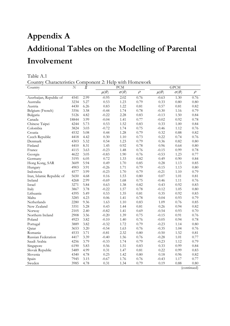# **Appendix A Additional Tables on the Modelling of Parental Involvement**

#### Table A.1

Country Characteristics Component 2: Help with Homework

| Country                   | $\cal N$ | $\overline{X}$ |               | <b>PCM</b>       |        |               | <b>GPCM</b>      |          |
|---------------------------|----------|----------------|---------------|------------------|--------|---------------|------------------|----------|
|                           |          |                | $\mu(\theta)$ | $\sigma(\theta)$ | $\rho$ | $\mu(\theta)$ | $\sigma(\theta)$ | $\rho$   |
| Azerbaijan, Republic of   | 4541     | 2.99           | $-0.95$       | 2.02             | 0.76   | $-0.63$       | 1.30             | 0.76     |
| Australia                 | 3234     | 5.27           | 0.53          | 1.23             | 0.79   | 0.33          | 0.80             | $0.80\,$ |
| Austria                   | 4430     | 6.26           | 0.83          | 1.22             | 0.81   | 0.57          | 0.81             | 0.82     |
| Belgium (French)          | 3356     | 3.58           | $-0.44$       | 1.74             | 0.78   | $-0.30$       | 1.16             | 0.79     |
| Bulgaria                  | 5126     | 4.82           | $-0.22$       | 2.28             | 0.83   | $-0.13$       | 1.50             | 0.84     |
| Canada                    | 18844    | 3.99           | $-0.04$       | 1.41             | 0.77   | $-0.02$       | 0.92             | 0.78     |
| Chinese Taipei            | 4244     | 5.73           | 0.53          | 1.52             | 0.83   | 0.33          | 1.00             | 0.84     |
| Colombia                  | 3824     | 3.03           | $-0.72$       | 1.74             | 0.75   | $-0.46$       | 1.12             | 0.76     |
| Croatia                   | 4532     | 5.08           | 0.44          | 1.28             | 0.79   | 0.32          | 0.88             | 0.82     |
| Czech Republic            | 4418     | 4.42           | 0.30          | 1.10             | 0.73   | 0.22          | 0.74             | 0.76     |
| Denmark                   | 4303     | 5.32           | 0.54          | 1.23             | 0.79   | 0.36          | 0.82             | 0.80     |
| Finland                   | 4410     | 8.31           | 1.45          | 0.92             | 0.78   | 0.96          | 0.64             | $0.80\,$ |
| France                    | 4115     | 3.63           | $-0.23$       | 1.48             | 0.76   | $-0.15$       | 0.99             | 0.78     |
| Georgia                   | 4622     | 3.05           | $-0.83$       | 1.90             | 0.76   | $-0.53$       | 1.23             | 0.77     |
| Germany                   | 3195     | 6.05           | 0.72          | 1.33             | 0.82   | 0.49          | 0.90             | 0.84     |
| Hong Kong, SAR            | 3609     | 5.94           | 0.49          | 1.70             | 0.85   | 0.28          | 1.13             | 0.85     |
| Hungary                   | 4903     | 3.91           | $-0.26$       | 1.71             | 0.79   | $-0.15$       | 1.13             | 0.80     |
| Indonesia                 | 4577     | 3.99           | $-0.23$       | 1.70             | 0.79   | $-0.21$       | 1.10             | 0.79     |
| Iran, Islamic Republic of | 5650     | 4.68           | 0.16          | 1.53             | 0.80   | 0.07          | 1.01             | 0.81     |
| Ireland                   | 4268     | 2.99           | $-0.69$       | 1.68             | 0.75   | $-0.46$       | 1.11             | 0.76     |
| Israel                    | 3271     | 5.84           | 0.63          | 1.38             | 0.82   | 0.43          | 0.92             | 0.83     |
| Italy                     | 3867     | 3.78           | $-0.22$       | 1.57             | 0.78   | $-0.12$       | 1.05             | 0.80     |
| Lithuania                 | 4395     | 5.49           | 0.53          | 1.35             | 0.81   | 0.35          | 0.92             | 0.83     |
| Malta                     | 3285     | 4.23           | 0.06          | 1.41             | 0.78   | 0.04          | 0.93             | 0.79     |
| Netherlands               | 2280     | 9.36           | 1.63          | 1.10             | 0.83   | 1.09          | 0.76             | 0.85     |
| New Zealand               | 3351     | 5.28           | 0.43          | 1.44             | 0.81   | 0.26          | 0.94             | 0.82     |
| Norway                    | 2105     | 2.40           | $-0.82$       | 1.41             | 0.69   | $-0.54$       | 0.93             | 0.70     |
| Northern Ireland          | 2908     | 3.56           | $-0.20$       | 1.39             | 0.75   | $-0.15$       | 0.91             | 0.76     |
| Poland                    | 4923     | 3.82           | $-0.10$       | 1.40             | 0.76   | $-0.05$       | 0.94             | 0.78     |
| Portugal                  | 3889     | 3.82           | $-0.32$       | 1.72             | 0.79   | $-0.23$       | 1.14             | 0.80     |
| Qatar                     | 3653     | 3.20           | $-0.54$       | 1.63             | 0.76   | $-0.35$       | 1.04             | 0.76     |
| Romania                   | 4533     | 3.71           | $-0.81$       | 2.32             | 0.80   | $-0.50$       | 1.52             | 0.81     |
| Russian Federation        | 4417     | 3.39           | $-0.40$       | 1.56             | 0.76   | $-0.28$       | 1.01             | 0.77     |
| Saudi Arabia              | 4256     | 3.79           | $-0.33$       | 1.74             | 0.79   | $-0.23$       | 1.12             | 0.79     |
| Singapore                 | 6190     | 5.83           | 0.56          | 1.51             | 0.83   | 0.33          | 0.99             | 0.84     |
| Slovak Republic           | 5489     | 4.99           | 0.31          | 1.47             | 0.81   | 0.22          | 0.99             | 0.83     |
| Slovenia                  | 4340     | 4.78           | 0.25          | 1.42             | 0.80   | $0.18\,$      | 0.96             | 0.82     |
| Spain                     | 7945     | 3.15           | $-0.67$       | 1.76             | 0.76   | $-0.43$       | 1.17             | 0.77     |
| Sweden                    | 3985     | 4.78           | 0.31          | 1.34             | 0.79   | 0.19          | 0.88             | 0.80     |

(continued)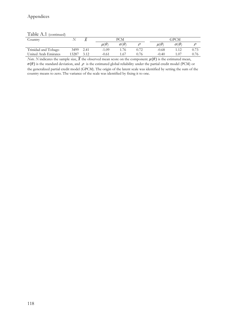Table A.1 (continued)

| $-$ 0.0 $-$ 0.0 $-$ 0.0 $-$ 0.0 $-$ 0.0 $-$ 0.0 $-$ 0.0 $-$ 0.0 $-$ 0.0 $-$ 0.0 $-$ 0.0 $-$ 0.0 $-$ 0.0 $-$ 0.0 $-$ 0.0 $-$ 0.0 $-$ 0.0 $-$ 0.0 $-$ 0.0 $-$ 0.0 $-$ 0.0 $-$ 0.0 $-$ 0.0 $-$ 0.0 $-$ 0.0 $-$ 0.0 $-$ 0.0 $-$ 0 |       |      |               |                  |        |               |                  |      |  |
|-------------------------------------------------------------------------------------------------------------------------------------------------------------------------------------------------------------------------------|-------|------|---------------|------------------|--------|---------------|------------------|------|--|
| Country                                                                                                                                                                                                                       |       |      |               | PCM              |        |               | GPCM             |      |  |
|                                                                                                                                                                                                                               |       |      | $\mu(\theta)$ | $\sigma(\theta)$ |        | $\mu(\theta)$ | $\sigma(\theta)$ |      |  |
| Trinidad and Tobago                                                                                                                                                                                                           | 3499  | 2.41 | $-1.09$       | 1.76             |        | $-0.68$       | 1.12             | 0.73 |  |
| United Arab Emirates                                                                                                                                                                                                          | 13287 | 3.12 | $-0.61$       | .67              | J.76 - | $-0.40$       | 1.07             | 0.76 |  |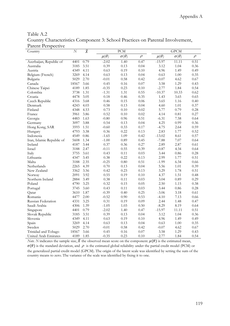Table A.2

|                    |  | Country Characteristics Component 3: School Practices on Parental Involvement, |  |
|--------------------|--|--------------------------------------------------------------------------------|--|
| Parent Perspective |  |                                                                                |  |

| T alviit 1 Olypooli v<br>Country | $\overline{N}$ | $\overline{\bar{X}}$ |               | <b>PCM</b>       |        |               | <b>GPCM</b>      |        |
|----------------------------------|----------------|----------------------|---------------|------------------|--------|---------------|------------------|--------|
|                                  |                |                      | $\mu(\theta)$ | $\sigma(\theta)$ | $\rho$ | $\mu(\theta)$ | $\sigma(\theta)$ | $\rho$ |
| Azerbaijan, Republic of          | 4401           | 0.79                 | $-2.02$       | 1.40             | 0.47   | $-15.97$      | 11.11            | 0.51   |
| Australia                        | 3185           | 3.51                 | 0.39          | 0.13             | 0.04   | 3.12          | 1.04             | 0.36   |
| Austria                          | 4349           | 4.11                 | 0.63          | 0.19             | 0.10   | 4.96          | 1.49             | 0.49   |
| Belgium (French)                 | 3269           | 4.14                 | 0.63          | 0.13             | 0.04   | 0.63          | 1.00             | 0.35   |
| Bulgaria                         | 5029           | 2.70                 | $-0.01$       | 0.58             | 0.42   | $-0.07$       | 4.62             | 0.67   |
| Canada                           | 18567          | 3.66                 | 0.45          | 0.16             | 0.07   | 3.58          | 1.29             | 0.43   |
| Chinese Taipei                   | 4189           | 1.85                 | $-0.35$       | 0.23             | 0.10   | $-2.77$       | 1.84             | 0.54   |
| Colombia                         | 3738           | 1.31                 | $-1.31$       | 1.31             | 0.55   | $-10.37$      | 10.33            | 0.62   |
| Croatia                          | 4478           | 3.05                 | 0.18          | 0.46             | 0.35   | 1.43          | 3.65             | 0.65   |
| Czech Republic                   | 4316           | 3.68                 | 0.46          | 0.15             | 0.06   | 3.65          | 1.16             | 0.40   |
| Denmark                          | 4243           | 4.03                 | 0.58          | 0.13             | 0.04   | 4.60          | 1.01             | 0.37   |
| Finland                          | 4348           | 4.53                 | 0.73          | 0.10             | 0.02   | 5.77          | 0.79             | 0.28   |
| France                           | 3961           | 3.86                 | 0.52          | 0.10             | 0.02   | 4.14          | 0.81             | 0.27   |
| Georgia                          | 4483           | 1.63                 | $-0.80$       | 0.96             | 0.51   | $-6.31$       | 7.58             | 0.64   |
| Germany                          | 3097           | 3.88                 | 0.54          | 0.13             | 0.04   | 4.25          | 0.99             | 0.36   |
| Hong Kong, SAR                   | 3593           | 1.51                 | $-0.60$       | 0.33             | 0.17   | $-4.75$       | 2.64             | 0.59   |
| Hungary                          | 4793           | 3.38                 | 0.36          | 0.22             | 0.13   | 2.83          | 1.77             | 0.52   |
| Indonesia                        | 4549           | 0.86                 | $-1.65$       | 1.09             | 0.42   | $-13.02$      | 8.61             | 0.57   |
| Iran, Islamic Republic of        | 5608           | 1.34                 | $-1.00$       | 0.89             | 0.45   | $-7.88$       | 7.07             | 0.64   |
| Ireland                          | 4187           | 3.44                 | 0.37          | 0.36             | 0.27   | 2.89          | 2.87             | 0.61   |
| Israel                           | 3188           | 2.47                 | $-0.11$       | 0.55             | 0.39   | $-0.87$       | 4.34             | 0.64   |
| Italy                            | 3755           | 3.61                 | 0.43          | 0.11             | 0.03   | 3.44          | 0.86             | 0.28   |
| Lithuania                        | 4347           | 3.45                 | 0.38          | 0.22             | 0.13   | 2.99          | 1.77             | 0.51   |
| Malta                            | 3188           | 2.35                 | $-0.25$       | 0.80             | 0.51   | $-1.99$       | 6.34             | 0.66   |
| Netherlands                      | 2265           | 4.39                 | 0.70          | 0.13             | 0.04   | 5.56          | 1.01             | 0.39   |
| New Zealand                      | 3362           | 3.56                 | 0.42          | 0.23             | 0.13   | 3.29          | 1.78             | 0.51   |
| Norway                           | 2091           | 3.92                 | 0.55          | 0.19             | 0.10   | 4.37          | 1.51             | 0.48   |
| Northern Ireland                 | 2884           | 3.49                 | 0.38          | 0.11             | 0.03   | 3.04          | 0.89             | 0.29   |
| Poland                           | 4790           | 3.25                 | 0.32          | 0.15             | 0.05   | 2.50          | 1.15             | 0.38   |
| Portugal                         | 3745           | 3.60                 | 0.43          | 0.11             | 0.03   | 3.44          | 0.86             | 0.28   |
| Qatar                            | 3610           | 1.87                 | $-0.39$       | 0.40             | 0.25   | $-3.06$       | 3.18             | 0.61   |
| Romania                          | 4477           | 2.00                 | $-0.52$       | 0.90             | 0.53   | $-4.10$       | 7.13             | 0.66   |
| Russian Federation               | 4331           | 3.25                 | 0.31          | 0.19             | 0.09   | 2.44          | 1.48             | 0.47   |
| Saudi Arabia                     | 4306           | 1.39                 | $-1.05$       | 1.03             | 0.50   | $-8.29$       | 8.19             | 0.64   |
| Singapore                        | 4401           | 0.79                 | $-2.02$       | 1.40             | 0.47   | $-15.97$      | 11.11            | 0.51   |
| Slovak Republic                  | 3185           | 3.51                 | 0.39          | 0.13             | 0.04   | 3.12          | 1.04             | 0.36   |
| Slovenia                         | 4349           | 4.11                 | 0.63          | 0.19             | 0.10   | 4.96          | 1.49             | 0.49   |
| Spain                            | 3269           | 4.14                 | 0.63          | 0.13             | 0.04   | 0.63          | 1.00             | 0.35   |
| Sweden                           | 5029           | 2.70                 | $-0.01$       | 0.58             | 0.42   | $-0.07$       | 4.62             | 0.67   |
| Trinidad and Tobago              | 18567          | 3.66                 | 0.45          | 0.16             | 0.07   | 3.58          | 1.29             | 0.43   |
| United Arab Emirates             | 4189           | 1.85                 | $-0.35$       | 0.23             | 0.10   | $-2.77$       | 1.84             | 0.54   |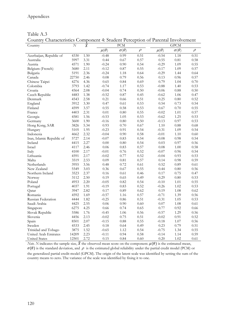| Table A.3 |  |
|-----------|--|
|-----------|--|

Country Characteristics Component 4: Student Perception of Parental Involvement

| Country                   | $\overline{N}$ | $\bar{X}$ |               | <b>PCM</b>       |        |               | <b>GPCM</b>      |        |
|---------------------------|----------------|-----------|---------------|------------------|--------|---------------|------------------|--------|
|                           |                |           | $\mu(\theta)$ | $\sigma(\theta)$ | $\rho$ | $\mu(\theta)$ | $\sigma(\theta)$ | $\rho$ |
| Azerbaijan, Republic of   | 4330           | 1.50      | $-0.48$       | 0.99             | 0.51   | $-0.54$       | 1.18             | 0.51   |
| Australia                 | 5997           | 3.31      | 0.44          | 0.67             | 0.57   | 0.55          | 0.81             | 0.58   |
| Austria                   | 4571           | 1.90      | $-0.24$       | 0.90             | 0.54   | $-0.29$       | 1.09             | 0.55   |
| Belgium (French)          | 3680           | 2.11      | $-0.12$       | 0.87             | 0.55   | $-0.17$       | 1.09             | 0.57   |
| Bulgaria                  | 5191           | 2.36      | $-0.24$       | 1.18             | 0.64   | $-0.29$       | 1.44             | 0.64   |
| Canada                    | 22750          | 2.46      | $0.08\,$      | 0.79             | 0.56   | 0.13          | 0.96             | 0.57   |
| Chinese Taipei            | 4276           | 4.36      | 0.65          | 0.84             | 0.69   | 0.79          | 1.04             | 0.70   |
| Colombia                  | 3793           | 1.42      | $-0.74$       | 1.17             | 0.53   | $-0.88$       | 1.40             | 0.53   |
| Croatia                   | 4564           | 2.08      | $-0.04$       | 0.74             | 0.50   | $-0.06$       | 0.88             | 0.50   |
| Czech Republic            | 4483           | 1.38      | $-0.52$       | 0.87             | 0.45   | $-0.62$       | 1.06             | 0.47   |
| Denmark                   | 4543           | 2.58      | 0.21          | 0.66             | 0.51   | 0.25          | $0.80\,$         | 0.52   |
| England                   | 3912           | 3.30      | 0.47          | 0.61             | 0.53   | 0.54          | 0.73             | 0.54   |
| Finland                   | 4599           | 3.57      | 0.55          | 0.58             | 0.53   | 0.67          | 0.70             | 0.55   |
| France                    | 4403           | 2.31      | 0.01          | 0.80             | 0.55   | $-0.02$       | 1.01             | 0.57   |
| Georgia                   | 4581           | 1.56      | $-0.53$       | 1.05             | 0.53   | $-0.62$       | 1.25             | 0.53   |
| Germany                   | 3600           | 1.90      | $-0.16$       | 0.80             | 0.50   | $-0.13$       | 0.97             | 0.53   |
| Hong Kong, SAR            | 3826           | 5.34      | 0.93          | 0.70             | 0.67   | 1.10          | 0.88             | 0.68   |
| Hungary                   | 5105           | 1.95      | $-0.23$       | 0.91             | 0.54   | $-0.31$       | 1.09             | 0.54   |
| Indonesia                 | 4662           | 2.32      | $-0.04$       | 0.90             | 0.58   | $-0.01$       | 1.10             | 0.60   |
| Iran, Islamic Republic of | 5727           | 2.14      | $-0.07$       | 0.83             | 0.54   | $-0.08$       | 0.98             | 0.54   |
| Ireland                   | 4415           | 2.27      | 0.00          | $0.80\,$         | 0.54   | 0.03          | 0.97             | 0.56   |
| Israel                    | 4117           | 2.46      | 0.06          | 0.83             | 0.57   | 0.08          | 1.00             | 0.58   |
| Italy                     | 4100           | 2.17      | $-0.01$       | 0.76             | 0.52   | $-0.07$       | 0.96             | 0.54   |
| Lithuania                 | 4591           | 2.17      | $-0.02$       | 0.77             | 0.52   | $-0.04$       | 0.93             | 0.53   |
| Malta                     | 3519           | 2.53      | 0.09          | 0.81             | 0.57   | 0.14          | 0.98             | 0.59   |
| Netherlands               | 3955           | 3.56      | 0.48          | 0.72             | 0.61   | 0.52          | 0.89             | 0.61   |
| New Zealand               | 5549           | 3.03      | 0.36          | 0.67             | 0.55   | 0.44          | 0.80             | 0.56   |
| Northern Ireland          | 3523           | 2.37      | 0.16          | 0.61             | 0.46   | 0.17          | 0.75             | 0.47   |
| Norway                    | 3112           | 2.50      | 0.19          | 0.65             | 0.49   | 0.29          | $0.80\,$         | 0.53   |
| Poland                    | 4953           | 2.20      | $-0.05$       | 0.82             | 0.54   | $-0.10$       | 1.01             | 0.55   |
| Portugal                  | 4037           | 1.91      | $-0.19$       | 0.83             | 0.52   | $-0.26$       | 1.02             | 0.53   |
| Qatar                     | 3947           | 2.82      | 0.17          | 0.89             | 0.62   | 0.19          | 1.08             | 0.62   |
| Romania                   | 4592           | 1.69      | $-0.57$       | 1.16             | 0.57   | $-0.71$       | 1.39             | 0.56   |
| Russian Federation        | 4444           | 1.82      | $-0.25$       | 0.86             | 0.51   | $-0.31$       | 1.05             | 0.53   |
| Saudi Arabia              | 4425           | 2.55      | 0.06          | 0.90             | 0.60   | 0.07          | 1.08             | 0.61   |
| Singapore                 | 6275           | 4.25      | 0.66          | 0.74             | 0.65   | 0.77          | 0.92             | 0.66   |
| Slovak Republic           | 5586           | 1.76      | $-0.45$       | 1.06             | 0.56   | $-0.57$       | 1.29             | 0.56   |
| Slovenia                  | 4456           | 2.13      | $-0.02$       | 0.75             | 0.51   | $-0.02$       | 0.91             | 0.52   |
| Spain                     | 8501           | 2.07      | $-0.15$       | 0.88             | 0.55   | $-0.18$       | 1.07             | 0.56   |
| Sweden                    | 4533           | 2.45      | 0.18          | 0.64             | 0.49   | 0.23          | 0.79             | 0.51   |
| Trinidad and Tobago       | 3875           | 1.52      | $-0.65$       | 1.12             | 0.54   | $-0.75$       | 1.34             | 0.55   |
| United Arab Emirates      | 14209          | 2.23      | $-0.11$       | 0.94             | 0.58   | $-0.14$       | 1.14             | 0.59   |
| <b>United States</b>      | 12501          | 2.72      | 0.15          | 0.84             | 0.60   | 0.20          | 1.02             | 0.61   |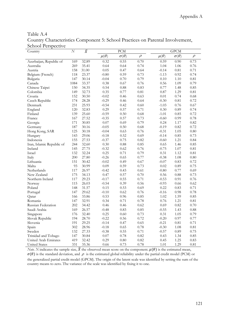Table A.4

Country Characteristics Component 5: School Practices on Parental Involvement, School Perspective

| OCHOOL L CLO<br>Country   | N    | $\overline{\bar{X}}$ |               | <b>PCM</b>       |        |               | <b>GPCM</b>      |          |
|---------------------------|------|----------------------|---------------|------------------|--------|---------------|------------------|----------|
|                           |      |                      | $\mu(\theta)$ | $\sigma(\theta)$ | $\rho$ | $\mu(\theta)$ | $\sigma(\theta)$ | $\rho$   |
| Azerbaijan, Republic of   | 169  | 32.89                | 0.32          | 0.55             | 0.70   | 0.59          | 0.90             | 0.73     |
| Australia                 | 269  | 35.41                | 0.64          | 0.64             | 0.74   | 1.04          | 1.06             | 0.76     |
| Austria                   | 158  | 31.00                | 0.05          | 0.47             | 0.64   | $-0.14$       | 0.81             | 0.71     |
| Belgium (French)          | 118  | 23.37                | $-0.80$       | 0.59             | 0.73   | $-1.13$       | 0.92             | 0.74     |
| Bulgaria                  | 147  | 30.14                | $-0.04$       | 0.70             | 0.79   | 0.10          | 1.10             | 0.81     |
| Canada                    | 1084 | 33.37                | 0.38          | 0.67             | 0.76   | 0.56          | 1.09             | 0.79     |
| Chinese Taipei            | 150  | 34.35                | 0.54          | 0.88             | 0.83   | 0.77          | 1.48             | 0.85     |
| Colombia                  | 149  | 32.73                | 0.35          | 0.77             | 0.81   | 0.87          | 1.29             | $0.81\,$ |
| Croatia                   | 152  | 30.50                | $-0.02$       | 0.46             | 0.63   | $0.01\,$      | 0.74             | 0.68     |
| Czech Republic            | 174  | 28.28                | $-0.29$       | 0.46             | 0.64   | $-0.30$       | 0.81             | 0.72     |
| Denmark                   | 231  | 25.93                | $-0.54$       | 0.42             | 0.60   | $-1.03$       | 0.76             | 0.67     |
| England                   | 120  | 32.83                | 0.29          | 0.57             | 0.71   | 0.30          | 0.89             | 0.74     |
| Finland                   | 139  | 25.60                | $-0.59$       | 0.50             | 0.68   | $-1.01$       | 0.85             | 0.72     |
| France                    | 167  | 27.52                | $-0.35$       | 0.57             | 0.73   | $-0.60$       | 0.99             | 0.78     |
| Georgia                   | 171  | 30.85                | 0.07          | 0.69             | 0.79   | 0.24          | 1.17             | 0.82     |
| Germany                   | 187  | 30.16                | $-0.05$       | 0.50             | 0.68   | $-0.19$       | 0.82             | 0.72     |
| Hong Kong, SAR            | 125  | 30.18                | $-0.04$       | 0.63             | 0.76   | $-0.31$       | 1.05             | 0.80     |
| Hungary                   | 143  | 29.06                | $-0.18$       | 0.52             | 0.69   | $-0.14$       | 0.85             | 0.73     |
| Indonesia                 | 155  | 27.53                | $-0.37$       | 0.75             | 0.82   | $-0.60$       | 1.21             | 0.84     |
| Iran, Islamic Republic of | 244  | 32.60                | 0.30          | 0.88             | 0.85   | 0.65          | 1.46             | 0.85     |
| Ireland                   | 145  | 27.75                | $-0.32$       | 0.62             | 0.76   | $-0.75$       | 1.07             | 0.81     |
| Israel                    | 132  | 32.24                | 0.25          | 0.71             | 0.79   | 0.31          | 1.12             | 0.81     |
| Italy                     | 200  | 27.80                | $-0.26$       | 0.65             | 0.77   | $-0.38$       | 1.08             | $0.80\,$ |
| Lithuania                 | 151  | 30.42                | $-0.02$       | 0.49             | 0.67   | $-0.07$       | 0.83             | 0.72     |
| Malta                     | 93   | 30.99                | 0.09          | 0.59             | 0.73   | 0.02          | 0.89             | 0.75     |
| Netherlands               | 117  | 26.97                | $-0.42$       | 0.43             | 0.61   | $-0.80$       | 0.77             | 0.69     |
| New Zealand               | 175  | 34.13                | 0.47          | 0.57             | 0.70   | 0.56          | 0.88             | 0.73     |
| Northern Ireland          | 117  | 29.23                | $-0.17$       | 0.55             | 0.71   | $-0.53$       | 0.91             | 0.76     |
| Norway                    | 115  | 26.03                | $-0.54$       | 0.39             | 0.56   | $-0.93$       | 0.66             | 0.62     |
| Poland                    | 148  | 31.57                | 0.15          | 0.53             | 0.69   | 0.22          | 0.83             | 0.71     |
| Portugal                  | 147  | 29.62                | $-0.10$       | 0.62             | 0.76   | $-0.16$       | 0.98             | 0.78     |
| Qatar                     | 166  | 33.86                | 0.53          | 0.96             | 0.85   | 1.02          | 1.59             | 0.85     |
| Romania                   | 147  | 32.91                | 0.34          | 0.71             | 0.78   | 0.76          | 1.21             | $0.81\,$ |
| Russian Federation        | 202  | 34.42                | 0.46          | 0.46             | 0.62   | 0.69          | 0.82             | 0.70     |
| Saudi Arabia              | 169  | 26.57                | $-0.48$       | 0.83             | 0.85   | $-0.55$       | 1.43             | 0.88     |
| Singapore                 | 176  | 32.40                | 0.25          | 0.60             | 0.73   | 0.31          | 1.05             | 0.79     |
| Slovak Republic           | 194  | 28.70                | $-0.22$       | 0.56             | 0.72   | $-0.20$       | 0.97             | 0.77     |
| Slovenia                  | 191  | 29.25                | $-0.14$       | 0.47             | 0.65   | $-0.21$       | 0.81             | 0.71     |
| Spain                     | 302  | 28.96                | $-0.18$       | 0.65             | 0.78   | $-0.30$       | 1.08             | 0.81     |
| Sweden                    | 132  | 27.33                | $-0.38$       | 0.55             | 0.71   | $-0.57$       | 0.89             | 0.75     |
| Trinidad and Tobago       | 147  | 30.84                | 0.07          | 0.78             | 0.82   | 0.43          | 1.34             | 0.85     |
| United Arab Emirates      | 419  | 32.42                | 0.29          | 0.80             | 0.82   | 0.45          | 1.25             | 0.83     |
| <b>United States</b>      | 331  | 35.36                | 0.66          | 0.73             | 0.78   | 1.01          | 1.29             | 0.81     |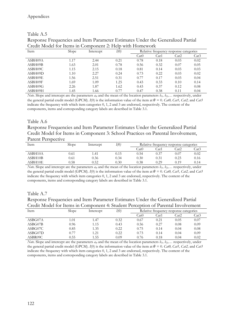| ----<br>$\sim$ - $\sim$ $\sim$                            |       |           |      |                                        |      |      |      |  |
|-----------------------------------------------------------|-------|-----------|------|----------------------------------------|------|------|------|--|
| Credit Model for Items in Component 2: Help with Homework |       |           |      |                                        |      |      |      |  |
| Item                                                      | Slope | Intercept | I(0) | Relative frequency response categories |      |      |      |  |
|                                                           |       |           |      | Cat <sup>0</sup>                       | Cat1 | Cat2 | Cat3 |  |
| ASBH09A                                                   | 1.17  | 2.44      | 0.21 | 0.78                                   | 0.18 | 0.03 | 0.02 |  |
| ASBH09B                                                   | 1.63  | 2.01      | 0.78 | 0.56                                   | 0.32 | 0.07 | 0.05 |  |
| ASBH09C                                                   | 1.15  | 2.15      | 0.18 | 0.81                                   | 0.14 | 0.03 | 0.03 |  |
| ASBH09D                                                   | 1.10  | 2.27      | 0.24 | 0.73                                   | 0.22 | 0.03 | 0.02 |  |
| ASBH09E                                                   | 1.56  | 2.51      | 0.31 | 0.77                                   | 0.17 | 0.03 | 0.04 |  |
| ASBH09F                                                   | 1.69  | 1.09      | 1.25 | 0.43                                   | 0.33 | 0.10 | 0.14 |  |
| ASBH09G                                                   | 2.26  | 1.87      | 1.62 | 0.43                                   | 0.37 | 0.12 | 0.08 |  |
| ASBH09H                                                   | 1.45  | 1.66      | 0.77 | 0.47                                   | 0.38 | 0.11 | 0.04 |  |

|                                                           | Response Frequencies and Item Parameter Estimates Under the Generalized Partial |
|-----------------------------------------------------------|---------------------------------------------------------------------------------|
| Credit Model for Items in Component 2: Help with Homework |                                                                                 |

*Note*. Slope and intercept are the parameters  $a_{i0}$  and the mean of the location parameters  $b_{i1}$ ,  $b_{i2}$ ,... respectively, under the general partial credit model (GPCM).  $I(0)$  is the information value of the item at  $\theta = 0$ . *Cat0*, *Cat1*, *Cat2*, and *Cat3* indicate the frequency with which item categories 0, 1, 2 and 3 are endorsed, respectively. The content of the components, items and corresponding category labels are described in Table 3.1.

#### Table A.6

Response Frequencies and Item Parameter Estimates Under the Generalized Partial Credit Model for Items in Component 3: School Practices on Parental Involvement, Parent Perspective

| Item    | Slope | Intercept | I(0) |      | Relative frequency response categories |       |      |
|---------|-------|-----------|------|------|----------------------------------------|-------|------|
|         |       |           |      | Cat0 | Cat1                                   | .`at2 | Cat3 |
| ASBH10A | 0.61  | 1.41      | 0.15 | 0.54 | 0.37                                   | 0.07  | 0.02 |
| ASBH10B | 0.61  | 0.36      | 0.34 | 0.30 | 0.31                                   | 0.23  | 0.16 |
| ASBH10E | 0.58  | 0.52      | 0.30 | 0.38 | 0.29                                   | 0.19  | 0.14 |

*Note*. Slope and intercept are the parameters  $a_{i0}$  and the mean of the location parameters  $b_{i1}$ ,  $b_{i2}$ ,... respectively, under the general partial credit model (GPCM).  $I(0)$  is the information value of the item at  $\theta = 0$ . *Cat0*, *Cat1*, *Cat2*, and *Cat3* indicate the frequency with which item categories 0, 1, 2 and 3 are endorsed, respectively. The content of the components, items and corresponding category labels are described in Table 3.1.

#### Table A.7

Response Frequencies and Item Parameter Estimates Under the Generalized Partial Credit Model for Items in Component 4: Student Perception of Parental Involvement

| Item    | Slope | Intercept | I(0) |      | Relative frequency response categories |      |      |
|---------|-------|-----------|------|------|----------------------------------------|------|------|
|         |       |           |      | Cat0 | Cat1                                   | Cat2 | Cat3 |
| ASBG07A | 1.01  | 1.47      | 0.32 | 0.67 | 0.21                                   | 0.05 | 0.07 |
| ASBG07B | 0.96  | 1.15      | 0.43 | 0.56 | 0.27                                   | 0.08 | 0.09 |
| ASBG07C | 0.85  | 1.35      | 0.22 | 0.75 | 0.14                                   | 0.04 | 0.08 |
| ASBG07D | 0.77  | 1.21      | 0.22 | 0.73 | 0.14                                   | 0.04 | 0.09 |
| ASBR09C | 0.55  | 1.55      | 0.09 | 0.76 | 0.18                                   | 0.04 | 0.02 |

*Note*. Slope and intercept are the parameters  $a_{i0}$  and the mean of the location parameters  $b_{i1}$ ,  $b_{i2}$ ,... respectively, under the general partial credit model (GPCM).  $I(0)$  is the information value of the item at  $\theta = 0$ . *Cat0*, *Cat1*, *Cat2*, and *Cat3* indicate the frequency with which item categories 0, 1, 2 and 3 are endorsed, respectively. The content of the components, items and corresponding category labels are described in Table 3.1.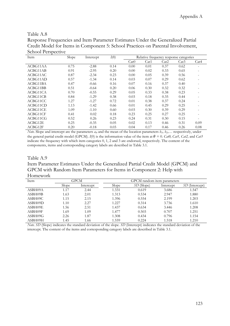Response Frequencies and Item Parameter Estimates Under the Generalized Partial Credit Model for Items in Component 5: School Practices on Parental Involvement, School Perspective

| Item     | Slope | Intercept | I(0) | Relative frequency response categories |      |      |      |      |
|----------|-------|-----------|------|----------------------------------------|------|------|------|------|
|          |       |           |      | Cat0                                   | Cat1 | Cat2 | Cat3 | Cat4 |
| ACBG11AA | 0.75  | $-2.88$   | 0.14 | 0.00                                   | 0.01 | 0.37 | 0.62 |      |
| ACBG11AB | 0.91  | $-2.95$   | 0.20 | 0.00                                   | 0.02 | 0.33 | 0.65 |      |
| ACBG11AC | 0.87  | $-2.34$   | 0.23 | 0.00                                   | 0.05 | 0.39 | 0.56 | ۰    |
| ACBG11AD | 0.57  | $-1.34$   | 0.14 | 0.03                                   | 0.07 | 0.29 | 0.62 |      |
| ACBG11BA | 0.47  | $-0.66$   | 0.16 | 0.07                                   | 0.16 | 0.37 | 0.40 |      |
| ACBG11BB | 0.51  | $-0.64$   | 0.20 | 0.06                                   | 0.30 | 0.32 | 0.32 |      |
| ACBG11CA | 0.70  | $-0.55$   | 0.29 | 0.05                                   | 0.33 | 0.38 | 0.23 |      |
| ACBG11CB | 0.84  | $-1.29$   | 0.38 | 0.03                                   | 0.18 | 0.35 | 0.44 | -    |
| ACBG11CC | 1.27  | $-1.27$   | 0.72 | 0.01                                   | 0.38 | 0.37 | 0.24 |      |
| ACBG11CD | 1.13  | $-1.42$   | 0.66 | 0.01                                   | 0.45 | 0.29 | 0.25 |      |
| ACBG11CE | 1.09  | $-1.10$   | 0.60 | 0.03                                   | 0.30 | 0.39 | 0.29 |      |
| ACBG11CF | 0.41  | 0.02      | 0.18 | 0.23                                   | 0.25 | 0.27 | 0.25 |      |
| ACBG11CG | 0.52  | 0.26      | 0.23 | 0.24                                   | 0.31 | 0.30 | 0.15 |      |
| ACBG12E  | 0.25  | $-0.35$   | 0.05 | 0.02                                   | 0.13 | 0.46 | 0.31 | 0.09 |
| ACBG12F  | 0.20  | $-0.18$   | 0.03 | 0.04                                   | 0.17 | 0.46 | 0.26 | 0.08 |

*Note*. Slope and intercept are the parameters  $a_{i0}$  and the mean of the location parameters  $b_{i1}$ ,  $b_{i2}$ ,... respectively, under the general partial credit model (GPCM).  $I(0)$  is the information value of the item at  $\theta = 0$ . *Cat0*, *Cat1*, *Cat2*, and *Cat3* indicate the frequency with which item categories 0, 1, 2 and 3 are endorsed, respectively. The content of the components, items and corresponding category labels are described in Table 3.1.

#### Table A.9

Item Parameter Estimates Under the Generalized Partial Credit Model (GPCM) and GPCM with Random Item Parameters for Items in Component 2: Help with Homework

| Item    |       | GPCM      |       | GPCM random item parameters |           |                |
|---------|-------|-----------|-------|-----------------------------|-----------|----------------|
|         | Slope | Intercept | Slope | SD (Slope)                  | Intercept | SD (Intercept) |
| ASBH09A | 1.17  | 2.44      | 1.331 | 0.619                       | 3.686     | 1.547          |
| ASBH09B | 1.63  | 2.01      | 1.313 | 0.534                       | 2.947     | 1.880          |
| ASBH09C | 1.15  | 2.15      | 1.396 | 0.554                       | 2.199     | 1.203          |
| ASBH09D | 1.10  | 2.27      | 1.227 | 0.314                       | 3.736     | 1.610          |
| ASBH09E | 1.56  | 2.51      | 1.437 | 0.634                       | 3.446     | 1.208          |
| ASBH09F | 1.69  | 1.09      | 1.477 | 0.503                       | 0.707     | 1.251          |
| ASBH09G | 2.26  | 1.87      | 1.308 | 0.434                       | 0.796     | 1.154          |
| ASBH09H | 1.45  | 1.66      | 1.559 | 0.224                       | 1.518     | 1.210          |

*Note. SD* (Slope) indicates the standard deviation of the slope. *SD* (Intercept) indicates the standard deviation of the intercept. The content of the items and corresponding category labels are described in Table 3.1.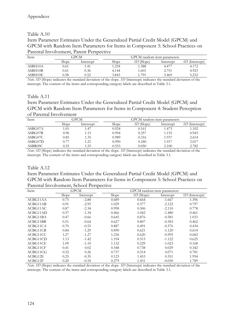Item Parameter Estimates Under the Generalized Partial Credit Model (GPCM) and GPCM with Random Item Parameters for Items in Component 3: School Practices on Parental Involvement, Parent Perspective

| Item    |       | GPCM      |       | GPCM random item parameters |           |                  |
|---------|-------|-----------|-------|-----------------------------|-----------|------------------|
|         | Slope | Intercept | Slope | SD (Slope)                  | Intercept | $SD$ (Intercept) |
| ASBH10A | 0.61  | 1.41      | 1.218 | l.388                       | 4.47      | 4.172            |
| ASBH10B | 0.61  | 0.36      | 4.144 | 1.601                       | 2.751     | 4.923            |
| ASBH10E | ).58  | ).52      | 3.843 | .791                        | 3.469     | 5.232            |

*Note. SD* (Slope) indicates the standard deviation of the slope. *SD* (Intercept) indicates the standard deviation of the intercept. The content of the items and corresponding category labels are described in Table 3.1.

#### Table A.11

Item Parameter Estimates Under the Generalized Partial Credit Model (GPCM) and GPCM with Random Item Parameters for Items in Component 4: Student Perception of Parental Involvement

| Item    |       | GPCM                  | GPCM random item parameters |         |           |             |  |
|---------|-------|-----------------------|-----------------------------|---------|-----------|-------------|--|
|         | Slope | Intercept             | Slope                       | (Slope) | Intercept | (Intercept) |  |
| ASBG07A | .01   | . 47                  | 0.924                       | 0.161   | 1.473     | 1.102       |  |
| ASBG07B | 0.96  | 1.15                  | 0.994                       | 0.357   | 1.155     | 0.943       |  |
| ASBG07C | 0.85  | .35                   | 0.989                       | 0.316   | 1.937     | 2.614       |  |
| ASBG07D | 0.77  | $\lfloor .21 \rfloor$ | 0.990                       | 0.240   | 1.917     | 3.017       |  |
| ASBR09C | 0.55  | .55                   | 0.553                       | 0.050   | 2.100     | 2.782       |  |

*Note*. *SD* (Slope) indicates the standard deviation of the slope. *SD* (Intercept) indicates the standard deviation of the intercept. The content of the items and corresponding category labels are described in Table 3.1.

#### Table A.12

Item Parameter Estimates Under the Generalized Partial Credit Model (GPCM) and GPCM with Random Item Parameters for Items in Component 5: School Practices on Parental Involvement, School Perspective

| Item     |       | <b>GPCM</b> | GPCM random item parameters |              |           |                   |
|----------|-------|-------------|-----------------------------|--------------|-----------|-------------------|
|          | Slope | Intercept   | Slope                       | $SD$ (Slope) | Intercept | SD<br>(Intercept) |
| ACBG11AA | 0.75  | $-2.88$     | 0.689                       | 0.664        | $-1.667$  | 1.396             |
| ACBG11AB | 0.91  | $-2.95$     | 1.029                       | 0.377        | $-2.122$  | 0.797             |
| ACBG11AC | 0.87  | $-2.34$     | 0.998                       | 0.506        | $-2.110$  | 0.778             |
| ACBG11AD | 0.57  | $-1.34$     | 0.466                       | 1.042        | $-1.480$  | 0.461             |
| ACBG11BA | 0.47  | $-0.66$     | 0.645                       | 0.876        | $-0.581$  | 1.033             |
| ACBG11BB | 0.51  | $-0.64$     | 0.627                       | 0.807        | $-0.583$  | 0.462             |
| ACBG11CA | 0.70  | $-0.55$     | 0.887                       | 0.491        | $-0.576$  | 0.434             |
| ACBG11CB | 0.84  | $-1.29$     | 0.890                       | 0.621        | $-1.120$  | 0.614             |
| ACBG11CC | 1.27  | $-1.27$     | 1.236                       | 0.620        | $-0.995$  | 0.682             |
| ACBG11CD | 1.13  | $-1.42$     | 1.194                       | 0.515        | $-1.122$  | 0.625             |
| ACBG11CE | 1.09  | $-1.10$     | 1.132                       | 0.229        | $-1.023$  | 0.168             |
| ACBG11CF | 0.41  | 0.02        | 0.548                       | 0.738        | 0.029     | 0.342             |
| ACBG11CG | 0.52  | 0.26        | 0.737                       | 0.514        | 0.071     | 0.781             |
| ACBG12E  | 0.25  | $-0.35$     | 0.123                       | 1.453        | 0.551     | 1.954             |
| ACBG12F  | 0.20  | $-0.18$     | 0.279                       | 1.431        | $-0.030$  | 1.789             |

*Note. SD* (Slope) indicates the standard deviation of the slope. *SD* (Intercept) indicates the standard deviation of the intercept. The content of the items and corresponding category labels are described in Table 3.1.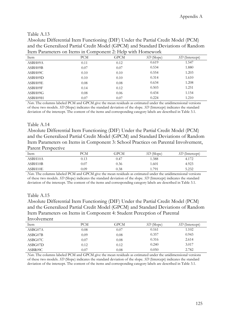| Item Parameters on Items in Component 2: Help with Homework |            |             |              |                |  |  |  |  |
|-------------------------------------------------------------|------------|-------------|--------------|----------------|--|--|--|--|
| Item                                                        | <b>PCM</b> | <b>GPCM</b> | $SD$ (Slope) | SD (Intercept) |  |  |  |  |
| ASBH09A                                                     | 0.11       | 0.12        | 0.619        | 1.547          |  |  |  |  |
| ASBH09B                                                     | 0.07       | 0.07        | 0.534        | 1.880          |  |  |  |  |
| ASBH09C                                                     | 0.10       | 0.10        | 0.554        | 1.203          |  |  |  |  |
| ASBH09D                                                     | 0.10       | 0.10        | 0.314        | 1.610          |  |  |  |  |
| ASBH09E                                                     | 0.08       | 0.08        | 0.634        | 1.208          |  |  |  |  |
| ASBH09F                                                     | 0.14       | 0.12        | 0.503        | 1.251          |  |  |  |  |
| ASBH09G                                                     | 0.08       | 0.06        | 0.434        | 1.154          |  |  |  |  |
| ASBH09H                                                     | 0.07       | 0.07        | 0.224        | 1.210          |  |  |  |  |
|                                                             |            |             |              |                |  |  |  |  |

Absolute Differential Item Functioning (DIF) Under the Partial Credit Model (PCM) and the Generalized Partial Credit Model (GPCM) and Standard Deviations of Random Item Parameters on Items in Component 2: Help with Homework

*Note*. The columns labeled PCM and GPCM give the mean residuals as estimated under the unidimensional versions of these two models. *SD* (Slope) indicates the standard deviation of the slope. *SD* (Intercept) indicates the standard deviation of the intercept. The content of the items and corresponding category labels are described in Table 3.1.

#### Table A.14

Absolute Differential Item Functioning (DIF) Under the Partial Credit Model (PCM) and the Generalized Partial Credit Model (GPCM) and Standard Deviations of Random Item Parameters on Items in Component 3: School Practices on Parental Involvement, Parent Perspective

| Item    | PCM  | GPCM | $SD$ (Slope) | SD (Intercept) |
|---------|------|------|--------------|----------------|
| ASBH10A | 0.13 | 0.47 | . .388       | 4.172          |
| ASBH10B | 0.07 | 0.36 | 1.601        | 4.923          |
| ASBH10E | 0.09 | 0.38 | 791          | 5.232          |

*Note*. The columns labeled PCM and GPCM give the mean residuals as estimated under the unidimensional versions of these two models. *SD* (Slope) indicates the standard deviation of the slope. *SD* (Intercept) indicates the standard deviation of the intercept. The content of the items and corresponding category labels are described in Table 3.1.

#### Table A.15

Absolute Differential Item Functioning (DIF) Under the Partial Credit Model (PCM) and the Generalized Partial Credit Model (GPCM) and Standard Deviations of Random Item Parameters on Items in Component 4: Student Perception of Parental Involvement

| Item    | PCM  | GPCM | $SD$ (Slope) | SD (Intercept) |
|---------|------|------|--------------|----------------|
| ASBG07A | 0.08 | 0.07 | 0.161        | 1.102          |
| ASBG07B | 0.09 | 0.08 | 0.357        | 0.943          |
| ASBG07C | 0.07 | 0.08 | 0.316        | 2.614          |
| ASBG07D | 0.12 | 0.12 | 0.240        | 3.017          |
| ASBR09C | 0.07 | 0.08 | 0.050        | 2.782          |

*Note*. The columns labeled PCM and GPCM give the mean residuals as estimated under the unidimensional versions of these two models. *SD* (Slope) indicates the standard deviation of the slope. *SD* (Intercept) indicates the standard deviation of the intercept. The content of the items and corresponding category labels are described in Table 3.1.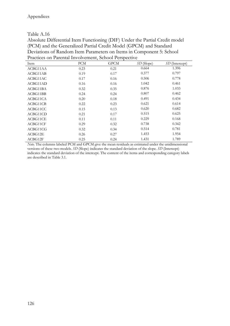Absolute Differential Item Functioning (DIF) Under the Partial Credit model (PCM) and the Generalized Partial Credit Model (GPCM) and Standard Deviations of Random Item Parameters on Items in Component 5: School Practices on Parental Involvement, School Perspective

| Item     | <b>PCM</b> | ╯<br><b>GPCM</b> | $SD$ (Slope) | SD<br>(Intercept) |
|----------|------------|------------------|--------------|-------------------|
| ACBG11AA | 0.23       | 0.21             | 0.664        | 1.396             |
| ACBG11AB | 0.19       | 0.17             | 0.377        | 0.797             |
| ACBG11AC | 0.17       | 0.16             | 0.506        | 0.778             |
| ACBG11AD | 0.16       | 0.16             | 1.042        | 0.461             |
| ACBG11BA | 0.32       | 0.35             | 0.876        | 1.033             |
| ACBG11BB | 0.24       | 0.24             | 0.807        | 0.462             |
| ACBG11CA | 0.20       | 0.18             | 0.491        | 0.434             |
| ACBG11CB | 0.22       | 0.23             | 0.621        | 0.614             |
| ACBG11CC | 0.15       | 0.13             | 0.620        | 0.682             |
| ACBG11CD | 0.21       | 0.17             | 0.515        | 0.625             |
| ACBG11CE | 0.11       | 0.11             | 0.229        | 0.168             |
| ACBG11CF | 0.29       | 0.32             | 0.738        | 0.342             |
| ACBG11CG | 0.32       | 0.34             | 0.514        | 0.781             |
| ACBG12E  | 0.26       | 0.27             | 1.453        | 1.954             |
| ACBG12F  | 0.25       | 0.24             | 1.431        | 1.789             |

*Note*. The columns labeled PCM and GPCM give the mean residuals as estimated under the unidimensional versions of these two models. *SD* (Slope) indicates the standard deviation of the slope. *SD* (Intercept) indicates the standard deviation of the intercept. The content of the items and corresponding category labels are described in Table 3.1.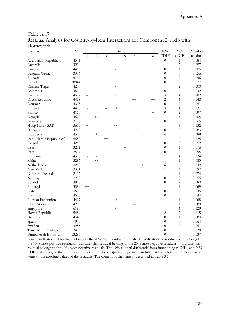Table A.17

Residual Analysis for Country-by-Item Interactions for Component 2: Help with Homework

| Country                   | $\overline{N}$ |                |                |                |                | Item   |         |                |         | 10%              | 20%                     | Absolute |
|---------------------------|----------------|----------------|----------------|----------------|----------------|--------|---------|----------------|---------|------------------|-------------------------|----------|
|                           |                | $\mathbf{1}$   | $\overline{2}$ | $\overline{3}$ | $\overline{4}$ | 5      | 6       | $\overline{7}$ | $\,8\,$ | <b>CDIF</b>      | CDIF                    | residual |
| Azerbaijan, Republic of   | 4541           | $\ddot{}$      |                |                |                |        |         |                |         | $\overline{0}$   | $\mathbf{1}$            | 0.084    |
| Australia                 | 3234           |                |                | $^{+}$         |                |        |         |                |         | $\mathbf{1}$     | $\overline{c}$          | 0.097    |
| Austria                   | 4430           |                |                |                |                |        |         |                |         | $\overline{0}$   | $\mathbf{1}$            | 0.105    |
| Belgium (French)          | 3356           |                |                |                |                |        |         |                |         | $\overline{0}$   | $\theta$                | 0.056    |
| Bulgaria                  | 5126           |                |                |                |                |        |         |                |         | $\overline{0}$   | $\overline{0}$          | 0.056    |
| Canada                    | 18844          |                |                |                |                |        |         |                |         | $\overline{0}$   | $\theta$                | 0.027    |
| Chinese Taipei            | 4244           | $++$           |                |                |                |        |         |                |         | $\mathbf{1}$     | 2                       | 0.100    |
| Colombia                  | 3824           |                |                |                |                |        |         |                |         | $\overline{0}$   | $\overline{0}$          | 0.032    |
| Croatia                   | 4532           | u.             |                |                |                |        | $++$    |                |         | 3                | $\overline{4}$          | 0.182    |
| Czech Republic            | 4418           |                |                |                |                |        | $^{++}$ |                | $++$    | 2                | $\overline{\mathbf{4}}$ | 0.148    |
| Denmark                   | 4303           |                |                |                |                | $^{+}$ |         |                |         | $\overline{0}$   | 2                       | 0.057    |
| Finland                   | 4410           |                |                |                | $^{++}$        |        | $++$    |                |         | 3                | $\overline{\mathbf{4}}$ | 0.131    |
| France                    | 4115           |                |                |                |                |        |         |                | $^{+}$  | $\overline{0}$   | 2                       | 0.097    |
| Georgia                   | 4622           |                | $++$           |                |                |        |         |                |         | $\mathbf{1}$     | $\mathbf{1}$            | 0.108    |
| Germany                   | 3195           |                |                |                |                |        |         |                |         | $\theta$         | $\overline{0}$          | 0.065    |
| Hong Kong, SAR            | 3609           | $^{+}$         |                |                | $++$           |        |         |                |         | $\mathbf{1}$     | $\overline{\mathbf{4}}$ | 0.132    |
| Hungary                   | 4903           |                |                |                |                | $^{+}$ |         |                |         | $\overline{0}$   | 2                       | 0.083    |
| Indonesia                 | 4577           | $++$           | $^{+}$         | $++$           |                |        |         |                |         | $\overline{4}$   | 5                       | 0.188    |
| Iran, Islamic Republic of | 5650           |                |                | $++$           |                |        |         |                |         | $\mathbf{1}$     | 2                       | 0.125    |
| Ireland                   | 4268           |                |                |                |                |        |         |                |         | $\overline{0}$   | $\overline{0}$          | 0.059    |
| Israel                    | 3271           |                |                |                |                | $+$    |         |                |         | $\overline{0}$   | $\mathbf{1}$            | 0.076    |
| Italy                     | 3867           | ÷.             |                |                |                |        |         | $^{+}$         |         | $\boldsymbol{0}$ | $\overline{c}$          | 0.098    |
| Lithuania                 | 4395           | $\overline{a}$ |                |                |                | $^{+}$ | $++$    |                |         | $\mathbf{1}$     | $\overline{4}$          | 0.134    |
| Malta                     | 3285           |                | $++$           |                |                |        |         |                |         | 1                | $\mathbf{1}$            | 0.083    |
| Netherlands               | 2280           | $++$           |                | $+ +$          |                | $++$   |         | $++$           |         | 6                | 7                       | 0.249    |
| New Zealand               | 3351           |                |                | $++$           |                |        |         |                |         | $\mathbf{1}$     | $\mathbf{1}$            | 0.097    |
| Northern Ireland          | 2105           |                |                |                |                |        |         |                |         | $\mathbf{1}$     | $\mathbf{1}$            | 0.074    |
| Norway                    | 2908           |                |                |                |                |        |         |                |         | $\overline{0}$   | $\boldsymbol{0}$        | 0.055    |
| Poland                    | 4923           |                |                |                |                |        | $^{+}$  |                |         | $\theta$         | 2                       | 0.080    |
| Portugal                  | 3889           | $++$           |                |                |                |        |         |                |         | $\mathbf{1}$     | $\mathbf{1}$            | 0.069    |
| Qatar                     | 3653           |                |                |                |                |        |         |                |         | $\overline{0}$   | $\overline{0}$          | 0.045    |
| Romania                   | 4533           |                |                |                |                |        |         |                |         | $\theta$         | $\theta$                | 0.044    |
| Russian Federation        | 4417           |                |                |                | $++$           |        |         |                |         | $\mathbf{1}$     | $\mathbf{1}$            | 0.068    |
| Saudi Arabia              | 4256           |                |                |                |                |        |         |                |         | $\mathbf{1}$     | $\mathbf{1}$            | 0.089    |
| Singapore                 | 6190           | $++$           |                |                | $^{+}$         |        |         |                | $^{+}$  | $\mathbf{1}$     | 4                       | 0.129    |
| Slovak Republic           | 5489           | Ξ.             |                |                |                |        | $++$    |                |         | 2                | 2                       | 0.115    |
| Slovenia                  | 4340           |                |                |                |                |        |         |                |         | $\overline{0}$   | $\mathbf{1}$            | 0.080    |
| Spain                     | 7945           |                |                |                |                |        |         |                |         | $\overline{0}$   | $\boldsymbol{0}$        | 0.064    |
| Sweden                    | 3985           |                |                |                |                |        |         |                |         | $\boldsymbol{0}$ | $\overline{0}$          | 0.057    |
| Trinidad and Tobago       | 3499           |                |                |                |                |        |         |                |         | $\theta$         | $\theta$                | 0.038    |
| United Arab Emirates      | 13287          |                |                |                |                |        |         |                |         | $\theta$         | $\theta$                | 0.037    |

*Note*. + indicates that residual belongs to the 20% most positive residuals, ++ indicates that residual even belongs to the 10% most positive residuals. - indicates that residual belongs to the 20% most negative residuals, -- indicates that residual belongs to the 10% most negative residuals. The 10% cultural differential item functioning (CDIF) and 20% CDIF columns give the number of outliers in the two respective regions. Absolute residual refers to the means over items of the absolute values of the residuals. The content of the items is described in Table 3.1.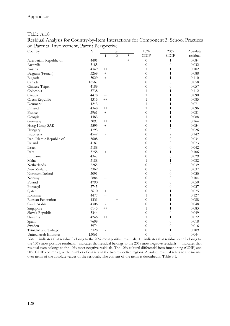Table A.18

Residual Analysis for Country-by-Item Interactions for Component 3: School Practices on Parental Involvement, Parent Perspective

| Country                   | $\overline{N}$ |                          | Item           |                | 10%              | 20%              | Absolute  |
|---------------------------|----------------|--------------------------|----------------|----------------|------------------|------------------|-----------|
|                           |                | $\,1\,$                  | $\overline{2}$ | $\mathfrak{Z}$ | <b>CDIF</b>      | CDIF             | residual  |
| Azerbaijan, Republic of   | 4401           |                          |                | $\ddot{}$      | $\overline{0}$   | $\mathbf{1}$     | 0.084     |
| Australia                 | 3185           |                          |                |                | $\boldsymbol{0}$ | $\boldsymbol{0}$ | 0.032     |
| Austria                   | 4349           | $^+$                     |                |                | $\mathbf{1}$     | $\mathbf{1}$     | 0.102     |
| Belgium (French)          | 3269           | $+$                      |                |                | $\boldsymbol{0}$ | $\mathbf{1}$     | 0.088     |
| Bulgaria                  | 5029           | $+$                      |                |                | $\overline{0}$   | $\mathbf{1}$     | 0.110     |
| Canada                    | 18567          |                          |                |                | $\overline{0}$   | $\boldsymbol{0}$ | 0.058     |
| Chinese Taipei            | 4189           |                          |                |                | $\overline{0}$   | $\overline{0}$   | 0.057     |
| Colombia                  | 3738           | $\mathbb{L}$             |                |                | $\mathbf{1}$     | $\mathbf{1}$     | 0.112     |
| Croatia                   | 4478           | $\overline{a}$           |                |                | $\mathbf{1}$     | $\mathbf{1}$     | 0.090     |
| Czech Republic            | 4316           | $++$                     |                |                | $\mathbf{1}$     | $\mathbf{1}$     | 0.085     |
| Denmark                   | 4243           | $\overline{\phantom{a}}$ |                |                | $\mathbf{1}$     | $\mathbf{1}$     | 0.071     |
| Finland                   | 4348           | $++$                     |                |                | $\mathbf{1}$     | $\mathbf{1}$     | 0.096     |
| France                    | 3961           | $+$                      |                |                | $\overline{0}$   | $\mathbf{1}$     | 0.081     |
| Georgia                   | 4483           | $\overline{\phantom{a}}$ |                |                | $\mathbf{1}$     | $\mathbf{1}$     | 0.088     |
| Germany                   | 3097           | $++$                     |                |                | $\mathbf{1}$     | $\mathbf{1}$     | 0.164     |
| Hong Kong, SAR            | 3593           | $+$                      |                |                | $\overline{0}$   | $\mathbf{1}$     | 0.054     |
| Hungary                   | 4793           |                          |                |                | $\boldsymbol{0}$ | $\overline{0}$   | 0.026     |
| Indonesia                 | 4549           | $\overline{a}$           | $\ddot{}$      |                | $\boldsymbol{0}$ | 2                | 0.142     |
| Iran, Islamic Republic of | 5608           |                          |                |                | $\overline{0}$   | $\overline{0}$   | 0.034     |
| Ireland                   | 4187           |                          |                |                | $\boldsymbol{0}$ | $\boldsymbol{0}$ | 0.073     |
| Israel                    | 3188           |                          |                |                | $\overline{0}$   | $\overline{0}$   | 0.042     |
| Italy                     | 3755           | $+$                      |                |                | $\boldsymbol{0}$ | $\mathbf{1}$     | 0.106     |
| Lithuania                 | 4347           |                          |                |                | $\boldsymbol{0}$ | $\overline{0}$   | 0.029     |
| Malta                     | 3188           | $\overline{\phantom{a}}$ |                |                | $\mathbf{1}$     | $\mathbf{1}$     | 0.082     |
| Netherlands               | 2265           |                          |                |                | $\boldsymbol{0}$ | $\boldsymbol{0}$ | 0.039     |
| New Zealand               | 3362           |                          |                |                | $\overline{0}$   | $\overline{0}$   | 0.037     |
| Northern Ireland          | 2091           |                          |                |                | $\overline{0}$   | $\boldsymbol{0}$ | 0.030     |
| Norway                    | 2884           | $\overline{\phantom{a}}$ |                |                | $\overline{0}$   | $\overline{0}$   | 0.104     |
| Poland                    | 4790           |                          |                |                | $\boldsymbol{0}$ | $\overline{0}$   | 0.050     |
| Portugal                  | 3745           |                          |                |                | $\overline{0}$   | $\boldsymbol{0}$ | 0.037     |
| Qatar                     | 3610           | $\boldsymbol{+}$         |                |                | $\overline{0}$   | $\mathbf{1}$     | 0.075     |
| Romania                   | 4477           | $\mathcal{L} =$          |                |                | $\mathbf{1}$     | $\mathbf{1}$     | 0.127     |
| Russian Federation        | 4331           |                          | $\ddot{}$      |                | $\overline{0}$   | $\mathbf{1}$     | 0.088     |
| Saudi Arabia              | 4306           | $\overline{\phantom{a}}$ |                |                | $\boldsymbol{0}$ | $\mathbf{1}$     | 0.048     |
| Singapore                 | 6145           | $+ +$                    |                |                | $\mathbf{1}$     | $\mathbf{1}$     | 0.083     |
| Slovak Republic           | 5344           |                          |                |                | $\boldsymbol{0}$ | $\boldsymbol{0}$ | 0.049     |
| Slovenia                  | 4246           | $++$                     |                |                | $\mathbf{1}$     | $\mathbf{1}$     | 0.072     |
| Spain                     | 7699           |                          |                |                | $\overline{0}$   | $\boldsymbol{0}$ | $0.018\,$ |
| Sweden                    | 3974           |                          |                |                | $\overline{0}$   | $\overline{0}$   | 0.016     |
| Trinidad and Tobago       | 3328           |                          |                |                | $\boldsymbol{0}$ | $\mathbf{1}$     | 0.109     |
| United Arab Emirates      | 13061          |                          |                |                | $\overline{0}$   | $\overline{0}$   | 0.044     |

*Note*. + indicates that residual belongs to the 20% most positive residuals, ++ indicates that residual even belongs to the 10% most positive residuals. - indicates that residual belongs to the 20% most negative residuals, -- indicates that residual even belongs to the 10% most negative residuals. The 10% cultural differential item functioning (CDIF) and 20% CDIF columns give the number of outliers in the two respective regions. Absolute residual refers to the means over items of the absolute values of the residuals. The content of the items is described in Table 3.1.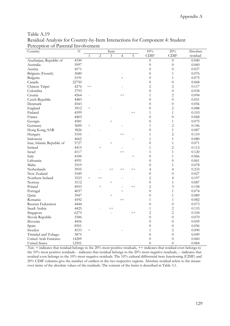|                                    | Residual Analysis for Country-by-Item Interactions for Component 4: Student |
|------------------------------------|-----------------------------------------------------------------------------|
| Perception of Parental Involvement |                                                                             |

| I creeption of I arental involvement<br>Country | $\boldsymbol{N}$ |                  |                | Item           |                |        | $10\%$           | 20%                      | Absolute |
|-------------------------------------------------|------------------|------------------|----------------|----------------|----------------|--------|------------------|--------------------------|----------|
|                                                 |                  | $\mathbf{1}$     | $\overline{c}$ | 3              | $\overline{4}$ | 5      | CDIF             | CDIF                     | residual |
| Azerbaijan, Republic of                         | 4330             |                  |                |                |                |        | $\overline{0}$   | $\theta$                 | 0.040    |
| Australia                                       | 5997             |                  |                |                |                |        | $\overline{0}$   | $\overline{0}$           | 0.060    |
| Austria                                         | 4571             |                  |                |                |                |        | $\boldsymbol{0}$ | $\theta$                 | 0.037    |
| Belgium (French)                                | 3680             |                  |                |                |                |        | $\overline{0}$   | $\mathbf{1}$             | 0.076    |
| Bulgaria                                        | 5191             |                  |                |                | $+$            |        | $\overline{0}$   | $\mathbf{1}$             | 0.075    |
| Canada                                          | 22750            |                  |                |                |                |        | $\boldsymbol{0}$ | $\overline{0}$           | 0.068    |
| Chinese Taipei                                  | 4276             | $++$             |                |                |                |        | $\overline{2}$   | $\overline{c}$           | 0.117    |
| Colombia                                        | 3793             |                  |                |                |                |        | $\overline{0}$   | $\overline{0}$           | 0.034    |
| Croatia                                         | 4564             | L.               |                |                | $++$           |        | $\mathbf{1}$     | $\overline{c}$           | 0.094    |
| Czech Republic                                  | 4483             |                  |                |                |                |        | $\theta$         | $\theta$                 | 0.051    |
| Denmark                                         | 4543             |                  |                |                |                |        | $\overline{0}$   | $\overline{0}$           | 0.056    |
| England                                         | 3912             | $+$              |                |                |                |        | $\theta$         | $\overline{c}$           | 0.088    |
| Finland                                         | 4599             |                  |                |                |                | $++$   | $\mathbf{1}$     | $\mathbf{1}$             | 0.103    |
| France                                          | 4403             |                  |                |                |                |        | $\theta$         | $\theta$                 | 0.068    |
| Georgia                                         | 4581             |                  |                | $\ddot{}$      |                |        | $\overline{0}$   | $\mathbf{1}$             | 0.075    |
| Germany                                         | 3600             |                  |                |                |                |        | $\mathbf{1}$     | $\overline{c}$           | 0.146    |
| Hong Kong, SAR                                  | 3826             |                  |                |                |                |        | $\theta$         | $\mathbf{1}$             | 0.087    |
| Hungary                                         | 5105             |                  |                |                | $++$           |        | $\mathbf{1}$     | $\overline{c}$           | 0.110    |
| Indonesia                                       | 4662             |                  |                |                |                | $\sim$ | $\mathbf{1}$     | $\mathbf{1}$             | 0.080    |
| Iran, Islamic Republic of                       | 5727             |                  |                | $\ddot{}$      |                |        | $\theta$         | $\mathbf{1}$             | 0.071    |
| Ireland                                         | 4415             |                  | $+$            |                |                |        | $\mathbf{1}$     | $\overline{c}$           | 0.112    |
| Israel                                          | 4117             |                  |                |                | $++$           |        | $\mathbf{1}$     | $\mathbf{1}$             | 0.120    |
| Italy                                           | 4100             |                  |                |                |                | $^{+}$ | $\overline{0}$   | $\mathbf{1}$             | 0.066    |
| Lithuania                                       | 4591             |                  |                |                |                |        | $\overline{0}$   | $\theta$                 | 0.061    |
| Malta                                           | 3519             |                  |                |                |                | ÷,     | $\overline{0}$   | $\mathbf{1}$             | 0.078    |
| Netherlands                                     | 3955             |                  |                | $+ +$          | $+ +$          | $++$   | $\overline{4}$   | $\overline{\mathcal{L}}$ | 0.233    |
| New Zealand                                     | 5549             |                  |                |                |                |        | $\boldsymbol{0}$ | $\overline{0}$           | 0.027    |
| Northern Ireland                                | 3523             | $\boldsymbol{+}$ | $+ +$          |                | $\overline{a}$ |        | $\overline{2}$   | $\overline{4}$           | 0.197    |
| Norway                                          | 3112             |                  |                | $\ddot{}$      |                |        | $\boldsymbol{0}$ | $\mathbf{1}$             | 0.087    |
| Poland                                          | 4953             |                  | $+$            |                | $\sim$         | $++$   | $\overline{2}$   | 3                        | 0.158    |
| Portugal                                        | 4037             |                  |                |                | $+$            |        | $\theta$         | $\mathbf{1}$             | 0.074    |
| Qatar                                           | 3947             |                  |                | $\ddot{}$      |                |        | $\boldsymbol{0}$ | $\mathbf{1}$             | 0.089    |
| Romania                                         | 4592             |                  |                |                | $++$           |        | $\mathbf{1}$     | $\mathbf{1}$             | 0.082    |
| Russian Federation                              | 4444             |                  |                |                |                |        | $\overline{0}$   | $\overline{0}$           | 0.073    |
| Saudi Arabia                                    | 4425             |                  |                | $++$           |                |        | $\mathbf{1}$     | $\overline{c}$           | 0.133    |
| Singapore                                       | 6275             |                  |                | $\overline{a}$ |                | $++$   | $\overline{2}$   | $\overline{c}$           | 0.104    |
| Slovak Republic                                 | 5586             |                  |                |                |                |        | $\boldsymbol{0}$ | $\overline{0}$           | 0.070    |
| Slovenia                                        | 4456             |                  |                |                |                |        | $\overline{0}$   | $\theta$                 | 0.059    |
| Spain                                           | 8501             |                  |                |                |                |        | $\overline{0}$   | $\overline{0}$           | 0.056    |
| Sweden                                          | 4533             | $\ddot{}$        |                |                |                |        | $\mathbf{1}$     | $\overline{c}$           | 0.090    |
| Trinidad and Tobago                             | 3875             |                  |                |                |                |        | $\overline{0}$   | $\overline{0}$           | 0.049    |
| United Arab Emirates                            | 14209            |                  |                |                |                |        | $\overline{0}$   | $\theta$                 | 0.060    |
| <b>United States</b>                            | 12501            |                  |                |                |                |        | $\theta$         | $\overline{0}$           | 0.084    |

*Note*. + indicates that residual belongs to the 20% most positive residuals, ++ indicates that residual even belongs to the 10% most positive residuals. - indicates that residual belongs to the 20% most negative residuals, -- indicates that residual even belongs to the 10% most negative residuals. The 10% cultural differential item functioning (CDIF) and 20% CDIF columns give the number of outliers in the two respective regions. Absolute residual refers to the means over items of the absolute values of the residuals. The content of the items is described in Table 3.1.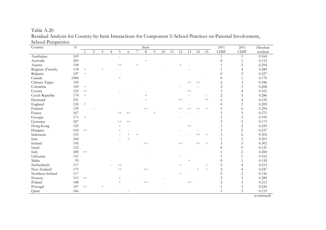Table A.20 Residual Analysis for Country-by-Item Interactions for Component 5: School Practices on Parental Involvement, School Perspective

| Country          | $\overline{N}$ |         |              |                |                |                |                |     | Item    |     |    |    |         |         |         |      | $10\%$         | 20%              | Absolute              |
|------------------|----------------|---------|--------------|----------------|----------------|----------------|----------------|-----|---------|-----|----|----|---------|---------|---------|------|----------------|------------------|-----------------------|
|                  |                |         | $\mathbf{2}$ | $\mathfrak{Z}$ | $\overline{4}$ | $\sqrt{5}$     | 6              | 7   | $\,8\,$ | 9   | 10 | 11 | 12      | 13      | 14      | 15   | CDIF           | CDIF             | residual              |
| Azerbaijan       | 169            |         |              |                |                | $\sim$         |                |     |         |     |    |    |         |         |         |      | 1              | $\mathbf{1}$     | 0.164                 |
| Australia        | 269            |         |              |                |                |                |                |     | $+$     |     |    |    |         |         |         |      | $\theta$       | $\mathbf{1}$     | 0.152                 |
| Austria          | 158            |         |              |                |                | $^{++}$        |                | $+$ |         |     |    |    | $+$     |         |         |      |                | 5                | 0.294                 |
| Belgium (French) | 118            | $+$     |              | $+$            |                |                |                |     |         |     |    |    |         |         |         |      |                | $\overline{4}$   | 0.289                 |
| Bulgaria         | 147            | $+$     |              |                |                |                |                |     |         |     |    |    |         |         |         |      | $\overline{0}$ | $\overline{c}$   | 0.227                 |
| Canada           | 1084           |         |              |                |                | $+$            |                |     |         |     |    |    |         |         |         |      | $\overline{0}$ | $\mathbf{1}$     | 0.170                 |
| Chinese Taipei   | 150            |         |              |                |                |                |                |     |         |     |    |    |         | $++$    | $++$    |      | $\sqrt{2}$     | $\mathfrak{Z}$   | 0.186                 |
| Colombia         | 149            | $+$     |              |                |                |                |                |     |         |     |    |    |         |         |         |      | $\overline{c}$ | $\mathfrak{Z}$   | 0.268                 |
| Croatia          | 152            | $++$    |              |                |                |                |                |     |         |     |    |    |         | $++$    |         |      | $\mathfrak{Z}$ | $\overline{4}$   | 0.352                 |
| Czech Republic   | 174            | $+$     |              |                |                |                |                |     | $+$     |     |    |    |         |         |         |      | $\sqrt{2}$     | 5                | 0.286                 |
| Denmark          | 231            |         |              |                |                |                |                |     | $+$     |     |    |    | $++$    |         |         | $++$ | $\sqrt{2}$     | $\overline{4}$   | 0.235                 |
| England          | 120            | $+$     |              |                |                |                |                |     |         |     |    |    |         |         |         |      | $\overline{0}$ | 3                | 0.209                 |
| Finland          | 139            |         |              |                |                |                |                |     | $++$    |     |    |    | $^{++}$ | $++$    | $++$    | $+$  | 5              | 6                | 0.294                 |
| France           | 167            |         |              |                |                | $++$           | $++$           |     |         | $+$ |    |    |         |         |         |      | 3              | $\overline{5}$   | 0.271                 |
| Georgia          | 171            | $+$     |              |                |                |                |                |     |         |     |    |    |         |         |         |      |                | $\mathfrak{Z}$   | 0.195                 |
| Germany          | 187            |         |              |                |                | $++$           | $^{++}$        |     |         |     |    |    |         |         |         |      | $\overline{c}$ | $\overline{c}$   | 0.173                 |
| Hong Kong        | 125            |         |              |                |                | $+$            |                |     |         |     |    |    |         | $^{++}$ |         |      |                | $\overline{c}$   | 0.250                 |
| Hungary          | 143            | $++$    |              |                |                | $\overline{+}$ |                |     |         |     |    |    |         |         |         |      | 3              | $\overline{5}$   | 0.237                 |
| Indonesia        | 155            |         |              |                |                |                | $\overline{+}$ | $+$ |         |     |    |    |         |         | $++$    | $+$  | 3              | 6                | 0.302                 |
| Iran             | 244            |         |              |                |                |                |                |     |         |     |    |    |         |         |         |      | 1              | $\overline{c}$   | 0.203                 |
| Ireland          | 145            |         |              |                |                |                |                |     | $++$    |     |    |    | $^{++}$ |         | $^{++}$ | $+$  | 3              | 5                | 0.302                 |
| Israel           | 132            |         |              |                |                |                |                |     |         |     |    |    |         |         |         |      | $\Omega$       | $\boldsymbol{0}$ | 0.121                 |
| Italy            | 200            | $++$    |              |                |                |                |                |     |         |     |    |    |         |         |         |      |                | $\overline{c}$   | 0.200                 |
| Lithuania        | 151            |         |              |                |                |                |                |     |         |     |    |    |         |         |         |      |                | $\mathbf{1}$     | 0.162                 |
| Malta            | 93             |         |              |                |                |                |                |     |         |     |    |    |         | $+$     |         |      | $\overline{0}$ | $\mathbf{1}$     | 0.124                 |
| Netherlands      | 117            |         |              |                |                | $+ +$          |                |     |         |     |    |    | $+$     |         |         | $+$  | $\mathbf{2}$   | $\overline{4}$   | 0.213                 |
| New Zealand      | 175            |         |              |                |                | $++$           |                |     | $++$    |     |    |    |         |         | $+$     | $+$  | $\overline{c}$ | $\overline{4}$   | 0.247                 |
| Northern Ireland | 117            |         |              |                |                |                |                |     |         |     |    |    | $+$     |         |         |      | $\overline{0}$ | $\overline{c}$   | 0.156                 |
| Norway           | 115            | $++$    |              |                |                | $+$            |                |     |         |     |    |    |         |         |         |      | $\sqrt{2}$     | 5                | 0.289                 |
| Poland           | 148            |         |              |                |                | $\ddot{}$      |                |     | $++$    |     |    |    |         | $++$    |         |      | $\sqrt{2}$     | $\overline{3}$   | 0.213                 |
| Portugal         | 147            | $^{++}$ |              | $+$            |                |                |                |     |         |     |    |    |         |         |         |      |                | 3                | 0.226                 |
| Qatar            | 166            |         |              |                |                |                |                |     |         |     |    |    |         |         |         |      |                | $\overline{2}$   | 0.153<br>$\mathbf{1}$ |

(continued)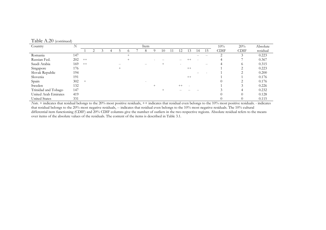Table A.20 (continued)

| Country              | N   |      |  |  |          | Item                     |     |    |                          |      |    |       | 10%         | 20%         | Absolute |
|----------------------|-----|------|--|--|----------|--------------------------|-----|----|--------------------------|------|----|-------|-------------|-------------|----------|
|                      |     |      |  |  | $\Omega$ | 8                        |     | 10 | 12                       | 13   | 14 | 15    | <b>CDIF</b> | <b>CDIF</b> | residual |
| Romania              | 147 |      |  |  | $^{+}$   |                          |     |    |                          |      |    |       | ◠           |             | 0.223    |
| Russian Fed.         | 202 | $++$ |  |  | $^+$     |                          |     |    | $- -$                    | $^+$ |    |       |             |             | 0.367    |
| Saudi Arabia         | 169 | $++$ |  |  |          |                          |     |    | $\overline{\phantom{a}}$ |      |    | $- -$ | 4           | 6           | 0.315    |
| Singapore            | 176 |      |  |  |          |                          |     |    |                          | $++$ |    |       |             |             | 0.223    |
| Slovak Republic      | 194 |      |  |  |          |                          |     |    |                          |      |    |       |             |             | 0.200    |
| Slovenia             | 191 |      |  |  |          |                          |     |    |                          | $++$ |    |       |             |             | 0.176    |
| Spain                | 302 | $+$  |  |  |          | $\overline{\phantom{a}}$ |     |    |                          |      |    |       |             | $\sim$      | 0.176    |
| Sweden               | 132 |      |  |  |          |                          | $+$ |    | $++$                     |      |    |       |             |             | 0.226    |
| Trinidad and Tobago  | 147 |      |  |  |          |                          |     |    |                          |      |    |       |             | 4           | 0.232    |
| United Arab Emirates | 419 |      |  |  |          |                          |     |    |                          |      |    |       |             | $\Omega$    | 0.128    |
| <b>United States</b> | 331 |      |  |  |          |                          |     |    |                          |      |    |       |             | $\theta$    | 0.115    |

*Note*. + indicates that residual belongs to the 20% most positive residuals, ++ indicates that residual even belongs to the 10% most positive residuals. - indicates that residual belongs to the 20% most negative residuals, -- indicates that residual even belongs to the 10% most negative residuals. The 10% cultural differential item functioning (CDIF) and 20% CDIF columns give the number of outliers in the two respective regions. Absolute residual refers to the means over items of the absolute values of the residuals. The content of the items is described in Table 3.1.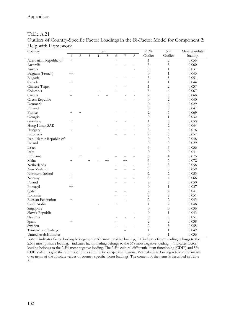| Outliers of Country-Specific Factor Loadings in the Bi-Factor Model for Component 2: |  |
|--------------------------------------------------------------------------------------|--|
| Help with Homework                                                                   |  |

| THE WILL THE WOLK<br>Country |                |                |           |                | Item |           |      |                | $2.5\%$          | $5\%$                    | Mean absolute |
|------------------------------|----------------|----------------|-----------|----------------|------|-----------|------|----------------|------------------|--------------------------|---------------|
|                              | 1              | $\overline{2}$ | 3         | $\overline{4}$ | 5    | 6         | 7    | $8\,$          | Outlier          | Outlier                  | loading       |
| Azerbaijan, Republic of      | $\ddot{}$      |                |           |                |      | $\bar{a}$ |      |                | 1                | $\overline{c}$           | 0.056         |
| Australia                    |                |                |           |                |      |           |      |                | 3                | 3                        | 0.060         |
| Austria                      |                |                |           |                |      |           |      |                | $\overline{0}$   | $\mathbf{1}$             | 0.037         |
| Belgium (French)             | $++$           |                |           |                |      |           |      |                | $\overline{0}$   | $\mathbf{1}$             | 0.043         |
| Bulgaria                     |                |                |           |                |      |           |      |                | 3                | 3                        | 0.051         |
| Canada                       | $+$            |                |           |                |      |           |      |                | $\mathbf{1}$     | $\mathbf{1}$             | 0.044         |
| Chinese Taipei               |                |                |           |                |      |           |      |                | $\mathbf{1}$     | $\overline{c}$           | 0.037         |
| Colombia                     |                |                |           |                |      | $\ddot{}$ |      |                | 3                | $\overline{4}$           | 0.067         |
| Croatia                      |                |                |           |                |      |           |      |                | $\overline{c}$   | 5                        | 0.068         |
| Czech Republic               |                |                |           |                |      |           |      |                | $\overline{0}$   | $\overline{2}$           | 0.040         |
| Denmark                      |                |                |           |                |      |           |      |                | $\overline{0}$   | $\overline{0}$           | 0.029         |
| Finland                      |                |                |           |                |      |           |      |                | $\overline{0}$   | $\boldsymbol{0}$         | 0.047         |
| France                       | $+$            | $^{+}$         |           |                |      |           |      |                | $\overline{2}$   | 5                        | 0.069         |
| Georgia                      |                |                |           |                |      |           |      |                | $\overline{0}$   | 1                        | 0.032         |
| Germany                      | $+$            |                |           |                |      |           |      |                | $\mathbf{1}$     | 3                        | 0.055         |
| Hong Kong, SAR               |                |                |           |                |      |           |      |                | $\overline{0}$   | $\overline{2}$           | 0.044         |
| Hungary                      | $+$            |                |           |                |      |           |      |                | 3                | $\overline{4}$           | 0.076         |
| Indonesia                    |                |                |           |                |      |           |      |                | $\overline{c}$   | 3                        | 0.057         |
| Iran, Islamic Republic of    |                |                |           |                |      |           |      |                | $\overline{0}$   | $\theta$                 | 0.048         |
| Ireland                      |                |                |           |                |      |           |      |                | $\overline{0}$   | $\theta$                 | 0.029         |
| Israel                       |                |                |           |                |      |           |      |                | 3                | 3                        | 0.056         |
| Italy                        |                |                |           |                |      |           |      |                | $\overline{0}$   | $\overline{0}$           | 0.041         |
| Lithuania                    |                | $++$           |           |                |      |           |      |                | 3                | $\overline{4}$           | 0.075         |
| Malta                        | $+$            |                | $\ddot{}$ |                | $++$ |           | $++$ |                | 3                | 5                        | 0.072         |
| Netherlands                  |                |                |           |                |      |           | 4    | $\sim$         | 3                | 3                        | 0.058         |
| New Zealand                  |                |                |           |                |      | $\sim$    | --   | $\sim$         | 3                | 3                        | 0.059         |
| Northern Ireland             | $\overline{a}$ |                |           |                |      |           |      | $\sim$         | $\overline{c}$   | $\overline{c}$           | 0.053         |
| Norway                       | $+$            |                |           |                |      |           |      | $\overline{a}$ | 3                | $\overline{\mathcal{L}}$ | 0.066         |
| Poland                       |                |                |           |                |      |           |      |                | $\overline{2}$   | 3                        | 0.050         |
| Portugal                     | $++$           |                |           |                |      |           |      |                | $\boldsymbol{0}$ | $\mathbf{1}$             | 0.037         |
| Qatar                        |                |                |           |                |      |           |      |                | $\overline{2}$   | $\overline{c}$           | 0.041         |
| Romania                      |                |                |           |                |      |           |      |                | $\overline{2}$   | $\overline{c}$           | 0.051         |
| Russian Federation           | $^{+}$         |                |           |                |      |           |      |                | $\overline{2}$   | $\overline{c}$           | 0.043         |
| Saudi Arabia                 |                |                |           |                |      | $^{+}$    |      |                | $\mathbf{1}$     | $\overline{c}$           | 0.048         |
| Singapore                    |                |                |           |                |      |           |      |                | $\boldsymbol{0}$ | $\theta$                 | 0.036         |
| Slovak Republic              |                |                |           |                |      |           |      |                | $\boldsymbol{0}$ | $\mathbf{1}$             | 0.043         |
| Slovenia                     |                |                |           |                |      |           |      |                | $\boldsymbol{0}$ | 3                        | 0.051         |
| Spain                        | $+$            |                |           |                |      |           |      |                | $\overline{c}$   | $\mathbf{2}$             | 0.038         |
| Sweden                       |                |                |           |                |      |           |      |                | $\overline{2}$   | 3                        | 0.055         |
| Trinidad and Tobago          |                |                |           |                |      |           |      |                | $\mathbf{1}$     | $\mathbf{1}$             | 0.049         |
| United Arab Emirates         |                |                |           |                |      |           |      | ÷,             | $\overline{0}$   | $\mathbf{1}$             | 0.036         |

*Note*. + indicates factor loading belongs to the 5% most positive loading, ++ indicates factor loading belongs to the 2.5% most positive loading. - indicates factor loading belongs to the 5% most negative loading, -- indicates factor loading belongs to the 2.5% most negative loading. The 2.5% cultural differential item functioning (CDIF) and 5% CDIF columns give the number of outliers in the two respective regions. Mean absolute loading refers to the means over items of the absolute values of country-specific factor loadings. The content of the items is described in Table 3.1.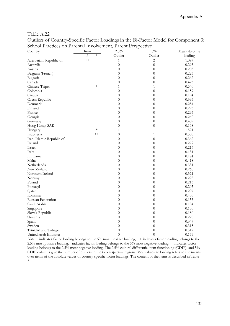Outliers of Country-Specific Factor Loadings in the Bi-Factor Model for Component 3: School Practices on Parental Involvement, Parent Perspective

| Country                   |           | Item           |      | 2.5%             | $5\%$            | Mean absolute |
|---------------------------|-----------|----------------|------|------------------|------------------|---------------|
|                           | 1         | $\overline{c}$ | 3    | Outlier          | Outlier          | loading       |
| Azerbaijan, Republic of   | $\ddot{}$ | $++$           |      | 1                | $\overline{c}$   | 1.097         |
| Australia                 |           |                |      | $\boldsymbol{0}$ | $\boldsymbol{0}$ | 0.293         |
| Austria                   |           |                |      | $\theta$         | $\boldsymbol{0}$ | 0.203         |
| Belgium (French)          |           |                |      | $\theta$         | $\boldsymbol{0}$ | 0.223         |
| Bulgaria                  |           |                |      | $\theta$         | $\boldsymbol{0}$ | 0.262         |
| Canada                    |           |                |      | $\theta$         | $\overline{0}$   | 0.423         |
| Chinese Taipei            |           |                |      | 1                | $\mathbf{1}$     | 0.640         |
| Colombia                  |           |                |      | $\theta$         | $\boldsymbol{0}$ | 0.159         |
| Croatia                   |           |                |      | $\overline{0}$   | $\overline{0}$   | 0.194         |
| Czech Republic            |           |                |      | $\theta$         | $\boldsymbol{0}$ | 0.393         |
| Denmark                   |           |                |      | $\theta$         | $\boldsymbol{0}$ | 0.284         |
| Finland                   |           |                |      | $\theta$         | $\boldsymbol{0}$ | 0.293         |
| France                    |           |                |      | $\theta$         | $\boldsymbol{0}$ | 0.293         |
| Georgia                   |           |                |      | $\theta$         | $\boldsymbol{0}$ | 0.240         |
| Germany                   |           |                |      | $\theta$         | $\boldsymbol{0}$ | 0.409         |
| Hong Kong, SAR            |           |                |      | $\boldsymbol{0}$ | $\boldsymbol{0}$ | 0.168         |
| Hungary                   |           |                | $+$  | 1                | 1                | 1.521         |
| Indonesia                 |           |                | $++$ | $\theta$         | $\mathbf{1}$     | 0.500         |
| Iran, Islamic Republic of |           |                |      | $\theta$         | $\boldsymbol{0}$ | 0.362         |
| Ireland                   |           |                |      | $\boldsymbol{0}$ | $\boldsymbol{0}$ | 0.279         |
| Israel                    |           |                |      | $\theta$         | $\overline{0}$   | 0.216         |
| Italy                     |           |                |      | $\theta$         | $\boldsymbol{0}$ | 0.131         |
| Lithuania                 |           |                |      | $\theta$         | $\boldsymbol{0}$ | 0.174         |
| Malta                     |           |                |      | $\overline{0}$   | $\theta$         | 0.418         |
| Netherlands               |           |                |      | $\theta$         | $\boldsymbol{0}$ | 0.331         |
| New Zealand               |           |                |      | $\theta$         | $\boldsymbol{0}$ | 0.260         |
| Northern Ireland          |           |                |      | $\theta$         | $\theta$         | 0.321         |
| Norway                    |           |                |      | $\theta$         | $\boldsymbol{0}$ | 0.228         |
| Poland                    |           |                |      | $\boldsymbol{0}$ | $\boldsymbol{0}$ | 0.213         |
| Portugal                  |           |                |      | $\overline{0}$   | $\boldsymbol{0}$ | 0.205         |
| Qatar                     |           |                |      | $\boldsymbol{0}$ | $\boldsymbol{0}$ | 0.297         |
| Romania                   |           |                |      | $\theta$         | $\boldsymbol{0}$ | 0.430         |
| Russian Federation        |           |                |      | $\theta$         | $\theta$         | 0.153         |
| Saudi Arabia              |           |                |      | $\overline{0}$   | $\overline{0}$   | 0.184         |
| Singapore                 |           |                |      | $\boldsymbol{0}$ | $\boldsymbol{0}$ | 0.150         |
| Slovak Republic           |           |                |      | $\theta$         | $\theta$         | 0.180         |
| Slovenia                  |           |                |      | $\overline{0}$   | $\boldsymbol{0}$ | 0.228         |
| Spain                     |           |                |      | $\theta$         | $\boldsymbol{0}$ | 0.347         |
| Sweden                    |           |                |      | $\theta$         | $\theta$         | 0.315         |
| Trinidad and Tobago       |           |                |      | $\boldsymbol{0}$ | $\boldsymbol{0}$ | 0.517         |
| United Arab Emirates      |           |                |      | $\theta$         | $\overline{0}$   | 0.175         |

*Note*. + indicates factor loading belongs to the 5% most positive loading, ++ indicates factor loading belongs to the 2.5% most positive loading. - indicates factor loading belongs to the 5% most negative loading, -- indicates factor loading belongs to the 2.5% most negative loading. The 2.5% cultural differential item functioning (CDIF) and 5% CDIF columns give the number of outliers in the two respective regions. Mean absolute loading refers to the means over items of the absolute values of country-specific factor loadings. The content of the items is described in Table 3.1.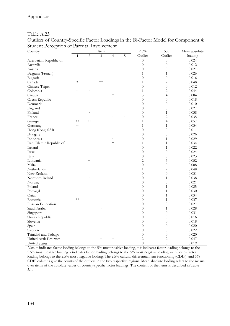Table A.23

l,

l,

| Outliers of Country-Specific Factor Loadings in the Bi-Factor Model for Component 4: |
|--------------------------------------------------------------------------------------|
| Student Perception of Parental Involvement                                           |

| $5\%$<br>2.5%<br>Item<br>Country                                                                       | Mean absolute |
|--------------------------------------------------------------------------------------------------------|---------------|
| $\overline{2}$<br>$\overline{\mathbf{3}}$<br>5<br>Outlier<br>Outlier<br>$\mathbf{1}$<br>$\overline{4}$ | loading       |
| Azerbaijan, Republic of<br>$\overline{0}$<br>$\overline{0}$                                            | 0.024         |
| $\boldsymbol{0}$<br>Australia<br>$\theta$                                                              | 0.012         |
| Austria<br>$\overline{0}$<br>$\overline{0}$                                                            | 0.021         |
| Belgium (French)<br>$+$<br>$\mathbf{1}$<br>$\mathbf{1}$                                                | 0.026         |
| $\boldsymbol{0}$<br>$\boldsymbol{0}$<br>Bulgaria                                                       | 0.016         |
| Canada<br>$^{+}$<br>$++$<br>$\mathbf{1}$<br>$\overline{c}$                                             | 0.048         |
| $\boldsymbol{0}$<br>$\overline{0}$<br>Chinese Taipei                                                   | 0.012         |
| Colombia<br>$\mathbf{1}$<br>$\overline{c}$                                                             | 0.044         |
| 3<br>Croatia<br>$\overline{4}$<br>$^{+}$                                                               | 0.084         |
| $\theta$<br>Czech Republic<br>$\overline{0}$                                                           | 0.018         |
| Denmark<br>$\boldsymbol{0}$<br>$\boldsymbol{0}$                                                        | 0.010         |
| $\theta$<br>$\boldsymbol{0}$<br>England                                                                | 0.027         |
| Finland<br>$\theta$<br>$\mathbf{1}$                                                                    | 0.038         |
| $\overline{2}$<br>$\theta$<br>France                                                                   | 0.035         |
| $++$<br>$++$<br>$\mathbf{1}$<br>$^{++}$<br>$\overline{\mathcal{L}}$<br>Georgia<br>$^{+}$               | 0.057         |
| $\mathbf{1}$<br>$\mathbf{1}$<br>Germany<br>$\sim$                                                      | 0.034         |
| $\boldsymbol{0}$<br>Hong Kong, SAR<br>$\boldsymbol{0}$                                                 | 0.011         |
| $\theta$<br>$\boldsymbol{0}$<br>Hungary                                                                | 0.026         |
| $\theta$<br>$\mathbf{1}$<br>Indonesia                                                                  | 0.029         |
| $^{+}$<br>$\mathbf{1}$<br>$\mathbf{1}$<br>Iran, Islamic Republic of                                    | 0.034         |
| Ireland<br>$\boldsymbol{0}$<br>$\mathbf{1}$                                                            | 0.022         |
| $\theta$<br>Israel<br>$\overline{0}$                                                                   | 0.024         |
| $\boldsymbol{0}$<br>Italy<br>$\boldsymbol{0}$                                                          | 0.023         |
| $\overline{c}$<br>Lithuania<br>$++$<br>$+$<br>3                                                        | 0.052         |
| $\overline{0}$<br>$\boldsymbol{0}$<br>Malta                                                            | 0.008         |
| Netherlands<br>$\mathbf{1}$<br>$\overline{c}$                                                          | 0.048         |
| New Zealand<br>$\theta$<br>$\boldsymbol{0}$                                                            | 0.031         |
| $\theta$<br>$\mathbf{1}$<br>Northern Ireland                                                           | 0.038         |
| $\theta$<br>$\boldsymbol{0}$<br>Norway                                                                 | 0.021         |
| Poland<br>$++$<br>$\theta$<br>$\mathbf{1}$                                                             | 0.025         |
| $\overline{0}$<br>$\mathbf{1}$<br>Portugal                                                             | 0.030         |
| $++$<br>$\theta$<br>$\mathbf{1}$<br>Qatar                                                              | 0.034         |
| $++$<br>Romania<br>$\theta$<br>$\mathbf{1}$                                                            | 0.037         |
| Russian Federation<br>$\theta$<br>$\boldsymbol{0}$                                                     | 0.027         |
| Saudi Arabia<br>$\boldsymbol{0}$<br>$\mathbf{1}$                                                       | 0.028         |
| $\theta$<br>$\overline{0}$<br>Singapore                                                                | 0.031         |
| $\boldsymbol{0}$<br>$\boldsymbol{0}$<br>Slovak Republic                                                | 0.016         |
| Slovenia<br>$\theta$<br>$\overline{0}$                                                                 | 0.018         |
| Spain<br>$\theta$<br>$\overline{0}$                                                                    | 0.020         |
| $\theta$<br>$\boldsymbol{0}$<br>Sweden                                                                 | 0.022         |
| $\boldsymbol{0}$<br>Trinidad and Tobago<br>$\boldsymbol{0}$                                            | 0.020         |
| $\overline{c}$<br>United Arab Emirates<br>$\overline{c}$                                               | 0.047         |
| $\overline{0}$<br>$\overline{0}$<br>United States                                                      | 0.019         |

*Note*. + indicates factor loading belongs to the 5% most positive loading, ++ indicates factor loading belongs to the 2.5% most positive loading. - indicates factor loading belongs to the 5% most negative loading, -- indicates factor loading belongs to the 2.5% most negative loading. The 2.5% cultural differential item functioning (CDIF) and 5% CDIF columns give the counts of the outliers in the two respective regions. Mean absolute loading refers to the means over items of the absolute values of country-specific factor loadings. The content of the items is described in Table 3.1.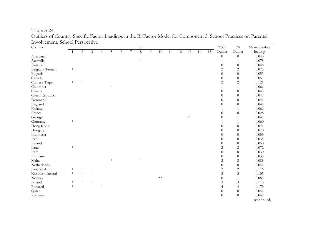Table A.24

Outliers of Country-Specific Factor Loadings in the Bi-Factor Model for Component 5: School Practices on Parental Involvement, School Perspective

| Country          |                    |                |                |                   |                |   |   | Item              |                |                   |                 |    |      |    |    | 2.5%             | $5\%$                   | Mean absolute |
|------------------|--------------------|----------------|----------------|-------------------|----------------|---|---|-------------------|----------------|-------------------|-----------------|----|------|----|----|------------------|-------------------------|---------------|
|                  |                    | $\overline{2}$ | $\mathfrak{Z}$ | $\overline{4}$    | $\overline{5}$ | 6 | 7 | $\overline{8}$    | $\overline{9}$ | $\overline{10}$   | $\overline{11}$ | 12 | 13   | 14 | 15 | Outlier          | Outlier                 | loading       |
| Azerbaijan       |                    |                |                |                   |                |   |   |                   |                |                   |                 |    |      |    |    | $\boldsymbol{0}$ | $\overline{0}$          | 0.043         |
| Australia        |                    |                |                |                   |                |   |   | $\qquad \qquad +$ |                |                   |                 |    |      |    |    | $\mathbf{1}$     | $\mathbf{1}$            | 0.078         |
| Austria          |                    |                |                |                   |                |   |   |                   |                |                   |                 |    |      |    |    | $\boldsymbol{0}$ | $\boldsymbol{0}$        | 0.048         |
| Belgium (French) | $\hspace{0.1mm} +$ | $+$            |                |                   |                |   |   |                   |                |                   |                 |    |      |    |    | $\overline{c}$   | $\overline{c}$          | 0.075         |
| Bulgaria         |                    |                |                |                   |                |   |   |                   |                |                   |                 |    |      |    |    | $\overline{0}$   | $\boldsymbol{0}$        | 0.053         |
| Canada           |                    |                |                |                   |                |   |   |                   |                |                   |                 |    |      |    |    | $\overline{0}$   | $\boldsymbol{0}$        | 0.057         |
| Chinese Taipei   | $\! +$             | $+$            |                |                   |                |   |   |                   |                |                   |                 |    |      |    |    | $\overline{c}$   | $\sqrt{2}$              | 0.121         |
| Colombia         |                    |                |                |                   |                |   |   |                   |                |                   |                 |    |      |    |    | $\mathbf{1}$     | $\mathbf{1}$            | 0.066         |
| Croatia          |                    |                |                |                   |                |   |   |                   |                |                   |                 |    |      |    |    | $\theta$         | $\theta$                | 0.043         |
| Czech Republic   |                    |                |                |                   |                |   |   |                   |                |                   |                 |    |      |    |    | $\theta$         | $\theta$                | 0.047         |
| Denmark          |                    |                |                |                   |                |   |   |                   |                |                   |                 |    |      |    |    | $\overline{0}$   | $\boldsymbol{0}$        | 0.041         |
| England          |                    |                |                |                   |                |   |   |                   |                |                   |                 |    |      |    |    | $\overline{0}$   | $\boldsymbol{0}$        | 0.041         |
| Finland          |                    | $+$            |                |                   |                |   |   |                   |                |                   |                 |    |      |    |    | 1                | $\mathbf{1}$            | 0.066         |
| France           |                    |                |                |                   |                |   |   |                   |                |                   |                 |    |      |    |    | $\overline{0}$   | $\boldsymbol{0}$        | 0.028         |
| Georgia          |                    |                |                |                   |                |   |   |                   |                |                   |                 |    | $++$ |    |    | $\boldsymbol{0}$ | $\mathbf{1}$            | 0.047         |
| Germany          | $+$                |                |                |                   |                |   |   |                   |                |                   |                 |    |      |    |    | 1                | $\mathbf{1}$            | 0.060         |
| Hong Kong        |                    |                |                |                   |                |   |   |                   |                |                   |                 |    |      |    |    | $\overline{0}$   | $\theta$                | 0.041         |
| Hungary          |                    |                |                |                   |                |   |   |                   |                |                   |                 |    |      |    |    | $\boldsymbol{0}$ | $\boldsymbol{0}$        | 0.070         |
| Indonesia        |                    |                |                |                   |                |   |   |                   |                |                   |                 |    |      |    |    | $\boldsymbol{0}$ | $\boldsymbol{0}$        | 0.059         |
| Iran             |                    |                |                |                   |                |   |   |                   |                |                   |                 |    |      |    |    | $\boldsymbol{0}$ | $\theta$                | 0.035         |
| Ireland          |                    |                |                |                   |                |   |   |                   |                |                   |                 |    |      |    |    | $\boldsymbol{0}$ | $\boldsymbol{0}$        | 0.050         |
| Israel           | $+$                | $\ddot{}$      |                |                   |                |   |   |                   |                |                   |                 |    |      |    |    | $\overline{2}$   | $\overline{c}$          | 0.072         |
| Italy            |                    |                |                |                   |                |   |   |                   |                |                   |                 |    |      |    |    | $\overline{0}$   | $\theta$                | 0.030         |
| Lithuania        |                    |                |                |                   |                |   |   |                   |                |                   |                 |    |      |    |    | $\boldsymbol{0}$ | $\theta$                | 0.035         |
| Malta            |                    |                |                |                   | $+$            |   |   | $+$               |                |                   |                 |    |      |    |    | $\mathbf{2}$     | $\sqrt{2}$              | 0.088         |
| Netherlands      |                    |                |                |                   |                |   |   |                   |                |                   |                 |    |      |    |    | $\overline{0}$   | $\boldsymbol{0}$        | 0.041         |
| New Zealand      | $\ddot{}$          |                |                |                   |                |   |   |                   |                |                   |                 |    |      |    |    | $\overline{c}$   | $\sqrt{2}$              | 0.116         |
| Northern Ireland | $+$                | $+$            | $+$            |                   |                |   |   |                   |                |                   |                 |    |      |    |    | $\overline{3}$   | $\overline{\mathbf{3}}$ | 0.105         |
| Norway           |                    |                |                |                   |                |   |   |                   |                | $\qquad \qquad +$ |                 |    |      |    |    | $\boldsymbol{0}$ | $\mathbf{1}$            | 0.083         |
| Poland           | $^{+}$             | $+$            | $\ddot{}$      |                   |                |   |   |                   |                |                   |                 |    |      |    |    | 3                | $\mathfrak{Z}$          | 0.113         |
| Portugal         | $+$                | $+$            | $+$            | $\qquad \qquad +$ |                |   |   |                   |                |                   |                 |    |      |    |    | $\overline{4}$   | $\overline{4}$          | 0.179         |
| Qatar            |                    |                |                |                   |                |   |   |                   |                |                   |                 |    |      |    |    | $\boldsymbol{0}$ | $\boldsymbol{0}$        | 0.041         |
| Romania          |                    |                |                |                   |                |   |   |                   |                |                   |                 |    |      |    |    | $\Omega$         | $\overline{0}$          | 0.042         |
|                  |                    |                |                |                   |                |   |   |                   |                |                   |                 |    |      |    |    |                  |                         | (continued)   |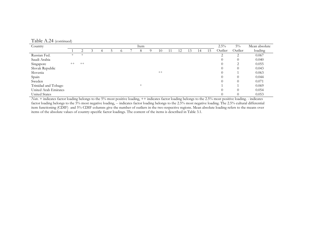Table A.24 (continued)

| Country              |      |      |   |   |         | ltem   |         |    |    |    |    | $2.5\%$  | $5\%$              | Mean absolute |
|----------------------|------|------|---|---|---------|--------|---------|----|----|----|----|----------|--------------------|---------------|
|                      |      | 2    | 3 | 4 | $\circ$ | 8      | 10      | 12 | 13 | 14 | 15 | Outlier  | Outlier            | loading       |
| Russian Fed.         | $^+$ | $+$  |   |   |         |        |         |    |    |    |    |          | ⌒                  | 0.067         |
| Saudi Arabia         |      |      |   |   |         |        |         |    |    |    |    | $\theta$ | $\theta$           | 0.040         |
| Singapore            | $++$ | $++$ |   |   |         |        |         |    |    |    |    | $\theta$ | $\mathcal{L}$<br>∠ | 0.055         |
| Slovak Republic      |      |      |   |   |         |        |         |    |    |    |    |          | $\theta$           | 0.043         |
| Slovenia             |      |      |   |   |         |        | $^{++}$ |    |    |    |    | $\Omega$ |                    | 0.063         |
| Spain                |      |      |   |   |         |        |         |    |    |    |    |          | $\theta$           | 0.044         |
| Sweden               |      |      |   |   |         |        |         |    |    |    |    |          | $\theta$           | 0.071         |
| Trinidad and Tobago  |      |      |   |   |         | $^{+}$ |         |    |    |    |    |          |                    | 0.069         |
| United Arab Emirates |      |      |   |   |         |        |         |    |    |    |    |          | $\theta$           | 0.054         |
| United States        |      |      |   |   |         |        |         |    |    |    |    |          | $\theta$           | 0.053         |

*Note*. + indicates factor loading belongs to the 5% most positive loading, ++ indicates factor loading belongs to the 2.5% most positive loading. - indicates factor loading belongs to the 5% most negative loading, -- indicates factor loading belongs to the 2.5% most negative loading. The 2.5% cultural differential item functioning (CDIF) and 5% CDIF columns give the number of outliers in the two respective regions. Mean absolute loading refers to the means over items of the absolute values of country-specific factor loadings. The content of the items is described in Table 3.1.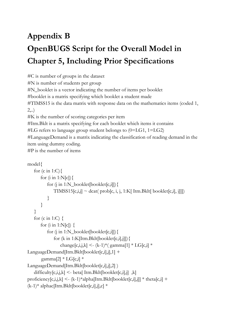## **Appendix B OpenBUGS Script for the Overall Model in Chapter 5, Including Prior Specifications**

#C is number of groups in the dataset

#N is number of students per group

#N\_booklet is a vector indicating the number of items per booklet

#booklet is a matrix specifying which booklet a student made

#TIMSS15 is the data matrix with response data on the mathematics items (coded 1, 2,..)

#K is the number of scoring categories per item

#Itm.Bklt is a matrix specifying for each booklet which items it contains

#LG refers to language group student belongs to (0=LG1, 1=LG2)

#LanguageDemand is a matrix indicating the classification of reading demand in the item using dummy coding.

#P is the number of items

```
model{ 
   for (c in 1:C)\{for (i in 1:N[c])\{for (i in 1:N_booklet[booklet[c,i]]) \{\text{TIMSS15}[c,i,j] \sim \text{dcat}( \text{prob}[c,i,j, 1:K] \text{ Itm.Bklt} [\text{booklet}[c,i], j]]]) } 
        } 
    } 
   for (c in 1:C) \{for (i in 1:N[c]) \{for (i in 1:N_booklet[booklet[c,i]])\{for (k \in \{1:K[Itm.Bklt|booklet[c,i],j]]\}change[c,i,j,k] <- (k-1)*( \gamma gamma[1] * LG[c,i] *
LanguageDemand[Itm.Bklt[booklet[c,i],j],1] +
        gamma[2] * LG[c,i] *LanguageDemand[Itm.Bklt[booklet[c,i],j],2])
   difficulty[c,i,j,k] <- beta[Itm.Bklt[booklet[c,i],j],k]
proficiency[c,i,j,k] <- (k-1)*alpha[Itm.Bklt[booklet[c,i],j]] * theta[c,i] +
(k-1)*<i>alpha</i>[Itm.Bklt[booklet[c,i],j],c] *
```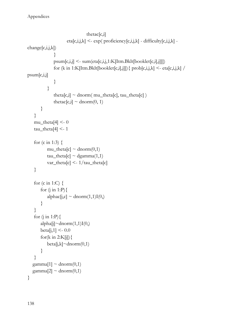```
thetac[c,i] 
                       eta[c,i,j,k] \leq exp(\text{proficiency}[c,i,j,k]) - \text{difficulty}[c,i,j,k] -change[c,i,j,k]) 
               } 
               psum[c,i,j] \leq sum[\text{eta}[c,i,j,1:K[Itm.Bklt|booklet[c,i],j]]])for (k in 1:K[Itm.Bklt[booklet[c,i],j]]) { prob[c,i,j,k] <- eta[c,i,j,k] /
psum[c,i,j] 
               } 
            }
               theta[c,i] \sim dnorm(mu_theta[c], tau_theta[c])
               thetac[c,i] \sim dnorm(0, 1)
        } 
     } 
    mu_theta[4] \leq 0
    tau_theta[4] \leq-1
    for (c in 1:3) \{mu_theta[c] \sim dnorm(0,1)
           tau_theta[c] \sim dgamma(1,1)
           var_theta[c] \leq -1/tau_theta[c]
     } 
    for (c in 1:C) \{for (i in 1:P){
           alphac[i,c] \sim \text{dnorm}(1,1)I(0) } 
    } 
    for (j \text{ in } 1:P) {
       alpha[j]~dnorm(1,1)I(0)beta[i,1] < -0.0for(k in 2:K[j])\{beta[i,k]~dnorm(0,1) } 
     } 
   gamma[1] \sim dnorm(0,1)
   gamma[2] \sim dnorm(0,1)
```
}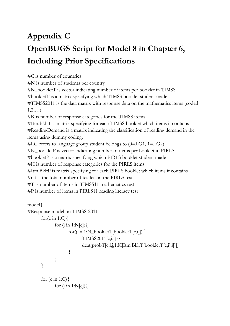# **Appendix C OpenBUGS Script for Model 8 in Chapter 6, Including Prior Specifications**

#C is number of countries

#N is number of students per country

#N\_bookletT is vector indicating number of items per booklet in TIMSS #bookletT is a matrix specifying which TIMSS booklet student made

#TIMSS2011 is the data matrix with response data on the mathematics items (coded  $1, 2, \ldots$ )

#K is number of response categories for the TIMSS items

#Itm.BkltT is matrix specifying for each TIMSS booklet which items it contains #ReadingDemand is a matrix indicating the classification of reading demand in the items using dummy coding.

#LG refers to language group student belongs to (0=LG1, 1=LG2)

#N\_bookletP is vector indicating number of items per booklet in PIRLS

#bookletP is a matrix specifying which PIRLS booklet student made

#H is number of response categories for the PIRLS items

#Itm.BkltP is matrix specifying for each PIRLS booklet which items it contains

#n.t is the total number of testlets in the PIRLS test

#T is number of items in TIMSS11 mathematics test

#P is number of items in PIRLS11 reading literacy test

```
model{ 
#Response model on TIMSS-2011 
      for(c in 1:C)\{for (i in 1:N[c])\{for(i in 1:N_bookletT[bookletT[c,i]]) {
                          \text{TIMSS2011}[c,i,j] \simdcat(probT[c,i,j,1:K[Itm.BkltT[bookletT[c,i],j]]]) 
 } 
 } 
       } 
      for (c in 1:C)\{for (i in 1:N[c]) {
```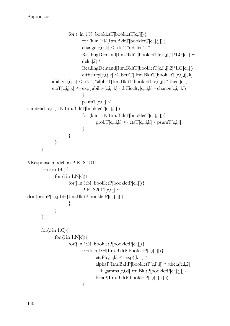```
for (j in 1:N_bookletT[bookletT[c,i]]) \{for (k \in \{1:K[Itm.Bklt]T[bookletT[c,i],j]]\}change[c,i,j,k] <- (k-1)*( delta[1] *
                          \text{ReadingDemand}[\text{Itm.BkltT}[\text{bookletT}[c,i],j],1]*LG[c,i] +delta[2] * 
                          ReadingDemand[Itm.BkltT[bookletT[c,i],j],2]*LG[c,i] ) 
                          difficulty[c,i,j,k] <- betaT[ Itm.BkltT[bookletT[c,i,j,k]]
           ability[c,i,j,k] \leq (k-1)^*alphaT[Itm.BkltT[bookletT[c,i,j]]] * theta[c,i,1]etaT[c,i,j,k] \leq exp(\ ability[c,i,j,k] - difficulty[c,i,j,k] - change[c,i,j,k]) } 
                          psumT[c,i,j] <-
sum(etaT[c,i,j,1:K[Itm.BkltT[bookletT[c,i],j]]]) 
                          for (k in 1:K[Itm.BkltT[bookletT[c,i],j]]) {
                                 probT[c,i,j,k] \leq {\rm eta} T[c,i,j,k] / psumT[c,i,j] } 
 } 
 } 
       } 
#Response model on PIRLS-2011 
      for(c in 1:C)\{for (i in 1:N[c]) {
                    for(j in 1:N_bookletP[bookletP[c,i]]){ 
                          PIRLS2011[c,i,j] ~
dcat(probP[c,i,j,1:H[Itm.BkltP[bookletP[c,i],j]]]) 
 } 
 } 
       } 
      for(c in 1:C)\{for (i in 1:N[c]) {
                   for(j in 1:N_bookletP[bookletP[c,i]])\{for(k in 1:H[Itm.BkltP[bookletP[c,i],j]]) {
                                 etaP[c,i,j,k] <- \exp((k-1) *alphaP[Itm.BkltP[bookletP[c,i],j]] * (theta[c,i,2]
                                   + gamma[c,i,d[Itm.BkltP[bookletP[c,i],j]]] - 
                                 betaP[Itm.BkltP[bookletP[c,i],j],k] )) 
 }
```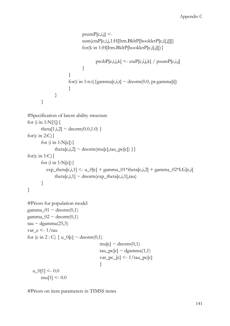```
psumP[c,i,j] <-
                            sum(etaP[c,i,j,1:H[Itm.BkltP[bookletP[c,i],j]]]) 
                             for(k in 1:H[Itm.BkltP[bookletP[c,i],j]]){ 
                                   probP[c,i,j,k] \leq {\text{eta}} P[c,i,j,k] / psumP[c,i,j] } 
 } 
                     for(t in 1:n.t) {gamma[c,i,t] ~ dnorm(0.0, pr.gamma[t])
 } 
 } 
        } 
#Specification of latent ability structure 
for (i in 1:N[1]) {
       theta[1,i,2] ~ dnorm(0.0,1.0) }
for(c in 2:C)\{for (i in 1:N[c]) {
              theta[c,i,2] ~ dnorm(mu[c],tau_pc[c]) } }
for(c in 1:C)\{for (i in 1:N[c])\{\exp{\left[-\frac{\hbar^2}{2m}\right]} < u_0[c] + \mathrm{gamma}_0[1^* + \mathrm{beta}[c,i,2] + \mathrm{gamma}_0[2^* + \mathrm{G}[c,i]]theta[c,i,1] ~ dnorm(exp_theta[c,i,1],tau)
        } 
} 
#Priors for population model 
gamma 01 \sim \text{dnorm}(0,1)gamma_02 \sim dnorm(0,1)
tau ~ dgamma(25,5)var_e \lt- 1/tau
for (c in 2 : C) { u_0[c] \sim \text{donom}(0,1)mu[c] \sim \text{donom}(0,1)tau_p c[c] \sim \text{dgamma}(1,1)var_pc_[c] <- 1/tau_pc[c] } 
  u_0[1] < 0.0mu[1] < 0.0
```
#Priors on item parameters in TIMSS items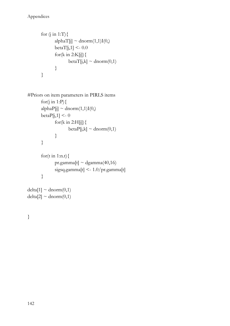```
for (j \text{ in } 1:\text{T}) {
        alphaT[j] \sim dnorm(1,1)I(0,)
        betaT[j,1] \leq 0.0
        for(k in 2:K[j])\{betaT[j,k] \sim dnorm(0,1)
         } 
 }
```

```
#Priors on item parameters in PIRLS items 
       for(j in 1:P)\{alphaP[i] \sim \text{dnorm}(1,1)I(0)betaP[i,1] \leq 0for(k in 2:H[j]) {
                      betaP[i,k] \sim \text{dnorm}(0,1) } 
         } 
       for(t in 1:n.t)\{pr.gamma[t] \sim dgamma(40,16)
                sigsq.gamma[t] <- 1.0/pr.gamma[t] 
         } 
delta[1] \sim dom(0,1)delta[2] \sim \text{dnorm}(0,1)
```
}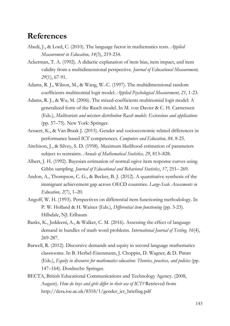#### **References**

- Abedi, J., & Lord, C. (2010). The language factor in mathematics tests. *Applied Measurement in Education, 14*(3), 219-234.
- Ackerman, T. A. (1992). A didactic explanation of item bias, item impact, and item validity from a multidimensional perspective. *Journal of Educational Measurement, 29*(1), 67-91.
- Adams, R. J., Wilson, M., & Wang, W.-C. (1997). The multidimensional random coefficients multinomial logit model. *Applied Psychological Measurement, 21*, 1-23.
- Adams, R. J., & Wu, M. (2006). The mixed-coefficients multinomial logit model: A generalized form of the Rasch model. In M. von Davier & C. H. Carstensen (Eds.), *Multivariate and mixture distribution Rasch models: Extensions and applications* (pp. 57–75). New York: Springer.
- Aesaert, K., & Van Braak J. (2015). Gender and socioeconomic related differences in performance based ICT competences. *Computers and Education, 84,* 8-25.
- Aitchison, J., & Silvey, S. D. (1958). Maximum likelihood estimation of parameters subject to restraints. *Annals of Mathematical Statistics, 29*, 813–828.
- Albert, J. H. (1992). Bayesian estimation of normal ogive item response curves using Gibbs sampling. *Journal of Educational and Behavioral Statistics*, *17*, 251– 269.
- Andon, A., Thompson, C. G., & Becker, B. J. (2012). A quantitative synthesis of the immigrant achievement gap across OECD countries. *Large-Scale Assessments in Education, 2*(7), 1–20.
- Angoff, W. H. (1993). Perspectives on differential item functioning methodology. In P. W. Holland & H. Wainer (Eds.), *Differential item functioning* (pp. 3-23). Hillsdale, NJ: Erlbaum
- Banks, K., Jeddeeni, A., & Walker, C. M. (2016). Assessing the effect of language demand in bundles of math word problems. *International Journal of Testing, 16*(4), 269-287.
- Barwell, R. (2012). Discursive demands and equity in second language mathematics classrooms. In B. Herbel-Eisenmann, J. Choppin, D. Wagner, & D. Pimm (Eds.), *Equity in discourse for mathematics education: Theories, practices, and policies* (pp. 147–164). Dordrecht: Springer.
- BECTA, British Educational Communications and Technology Agency. (2008, August). *How do boys and girls differ in their use of ICT?* Retrieved from http://dera.ioe.ac.uk/8318/1/gender\_ict\_briefing.pdf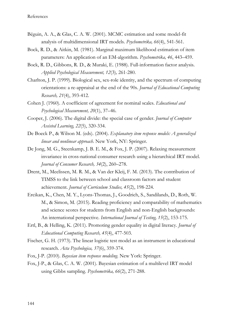- Béguin, A. A., & Glas, C. A. W. (2001). MCMC estimation and some model-fit analysis of multidimensional IRT models. *Psychometrika, 66*(4), 541-561.
- Bock, R. D., & Aitkin, M. (1981). Marginal maximum likelihood estimation of item parameters: An application of an EM-algorithm*. Psychometrika, 46*, 443–459.
- Bock, R. D., Gibbons, R. D., & Muraki, E. (1988). Full-information factor analysis. *Applied Psychological Measurement, 12*(3)*,* 261-280.
- Charlton, J. P. (1999). Biological sex, sex-role identity, and the spectrum of computing orientations: a re-appraisal at the end of the 90s. *Journal of Educational Computing Research, 21*(4), 393-412.
- Cohen J. (1960). A coefficient of agreement for nominal scales. *Educational and Psychological Measurement, 20*(1), 37–46.
- Cooper, J. (2006). The digital divide: the special case of gender. *Journal of Computer Assisted Learning, 22*(5), 320-334.
- De Boeck P., & Wilson M. (eds). (2004). *Explanatory item response models: A generalized linear and nonlinear approach*. New York, NY: Springer.
- De Jong, M. G., Steenkamp, J. B. E. M., & Fox, J. P. (2007). Relaxing measurement invariance in cross-national consumer research using a hierarchical IRT model. *Journal of Consumer Research, 34*(2), 260–278.
- Drent, M., Meelissen, M. R. M., & Van der Kleij, F. M. (2013). The contribution of TIMSS to the link between school and classroom factors and student achievement. *Journal of Curriculum Studies, 45*(2), 198-224.
- Ercikan, K., Chen, M. Y., Lyons-Thomas, J., Goodrich, S., Sandilands, D., Roth, W. M., & Simon, M. (2015). Reading proficiency and comparability of mathematics and science scores for students from English and non-English backgrounds: An international perspective. *International Journal of Testing, 15*(2), 153-175.
- Ertl, B., & Helling, K. (2011). Promoting gender equality in digital literacy. *Journal of Educational Computing Research, 45*(4), 477-503.
- Fischer, G. H. (1973). The linear logistic test model as an instrument in educational research. *Acta Psychologica, 37*(6), 359-374.
- Fox, J-P. (2010). *Bayesian item response modeling*. New York: Springer.
- Fox, J-P., & Glas, C. A. W. (2001). Bayesian estimation of a multilevel IRT model using Gibbs sampling. *Psychometrika, 66*(2), 271-288.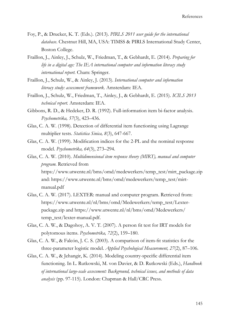- Foy, P., & Drucker, K. T. (Eds.). (2013). *PIRLS 2011 user guide for the international database*. Chestnut Hill, MA, USA: TIMSS & PIRLS International Study Center, Boston College.
- Fraillon, J., Ainley, J., Schulz, W., Friedman, T., & Gebhardt, E. (2014). *Preparing for life in a digital age: The IEA international computer and information literacy study international report.* Cham: Springer.
- Fraillon, J., Schulz, W., & Ainley, J. (2013). *International computer and information literacy study: assessment framework*. Amsterdam: IEA.
- Fraillon, J., Schulz, W., Friedman, T., Ainley, J., & Gebhardt, E. (2015). *ICILS 2013 technical report.* Amsterdam: IEA.
- Gibbons, R. D., & Hedeker, D. R. (1992). Full-information item bi-factor analysis. *Psychometrika, 57*(3), 423–436.
- Glas, C. A. W. (1998). Detection of differential item functioning using Lagrange multiplier tests. *Statistica Sinica, 8*(3), 647-667.
- Glas, C. A. W. (1999). Modification indices for the 2-PL and the nominal response model. *Psychometrika, 64*(3), 273–294.
- Glas, C. A. W. (2010). *Multidimensional item response theory (MIRT), manual and computer program.* Retrieved from https://www.utwente.nl/bms/omd/medewerkers/temp\_test/mirt\_package.zip and: https://www.utwente.nl/bms/omd/medewerkers/temp\_test/mirt manual.pdf
- Glas, C. A. W. (2017). LEXTER: manual and computer program. Retrieved from: https://www.utwente.nl/nl/bms/omd/Medewerkers/temp\_test/Lexter package.zip and https://www.utwente.nl/nl/bms/omd/Medewerkers/ temp\_test/lexter-manual.pdf.
- Glas, C. A. W., & Dagohoy, A. V. T. (2007). A person fit test for IRT models for polytomous items. *Psychometrika, 72*(2), 159–180.
- Glas, C. A. W., & Falcón, J. C. S. (2003). A comparison of item-fit statistics for the three-parameter logistic model. *Applied Psychological Measurement, 27*(2), 87–106.
- Glas, C. A. W., & Jehangir, K. (2014). Modeling country-specific differential item functioning. In L. Rutkowski, M. von Davier, & D. Rutkowski (Eds.), *Handbook of international large-scale assessment: Background, technical issues, and methods of data analysis* (pp. 97-115)*.* London: Chapman & Hall/CRC Press.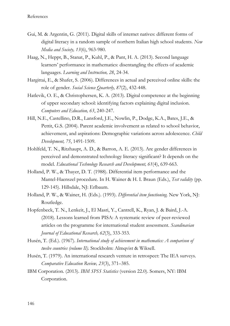- Gui, M. & Argentin, G. (2011). Digital skills of internet natives: different forms of digital literacy in a random sample of northern Italian high school students. *New Media and Society, 13*(6), 963-980.
- Haag, N., Heppt, B., Stanat, P., Kuhl, P., & Pant, H. A. (2013). Second language learners' performance in mathematics: disentangling the effects of academic languages. *Learning and Instruction, 28*, 24-34.
- Hargittai, E., & Shafer, S. (2006). Differences in actual and perceived online skills: the role of gender. *Social Science Quarterly, 87*(2), 432-448.
- Hatlevik, O. E., & Christophersen, K. A. (2013). Digital competence at the beginning of upper secondary school: identifying factors explaining digital inclusion. *Computers and Education, 63*, 240-247.
- Hill, N.E., Castellino, D.R., Lansford, J.E., Nowlin, P., Dodge, K.A., Bates, J.E., & Pettit, G.S. (2004). Parent academic involvement as related to school behavior, achievement, and aspirations: Demographic variations across adolescence. *Child Development, 75*, 1491-1509.
- Hohlfeld, T. N., Ritzhaupt, A. D., & Barron, A. E. (2013). Are gender differences in perceived and demonstrated technology literacy significant? It depends on the model. *Educational Technology Research and Development, 61*(4), 639-663.
- Holland, P. W., & Thayer, D. T. (1988). Differential item performance and the Mantel-Haenszel procedure. In H. Wainer & H. I. Braun (Eds.), *Test validity* (pp. 129-145). Hillsdale, NJ: Erlbaum.
- Holland, P. W., & Wainer, H. (Eds.). (1993). *Differential item functioning.* New York, NJ: Routledge.
- Hopfenbeck, T. N., Lenkeit, J., El Masri, Y., Cantrell, K., Ryan, J. & Baird, J.-A. (2018). Lessons learned from PISA: A systematic review of peer-reviewed articles on the programme for international student assessment. *Scandinavian Journal of Educational Research, 62*(3), 333-353.
- Husén, T. (Ed.). (1967). *International study of achievement in mathematics: A comparison of twelve countries (volume II)*. Stockholm: Almqvist & Wiksell.
- Husén, T. (1979). An international research venture in retrospect: The IEA surveys. *Comparative Education Review, 23*(3), 371–385.
- IBM Corporation. (2013). *IBM SPSS Statistics* (version 22.0). Somers, NY: IBM Corporation.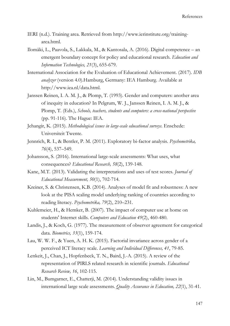- IERI (n.d.). Training area. Retrieved from http://www.ierinstitute.org/training area.html.
- Ilomäki, L., Paavola, S., Lakkala, M., & Kantosala, A. (2016). Digital competence an emergent boundary concept for policy and educational research. *Education and Information Technologies, 21*(3), 655-679.
- International Association for the Evaluation of Educational Achievement. (2017). *IDB analyzer* (version 4.0).Hamburg, Germany: IEA Hamburg. Available at http://www.iea.nl/data.html.
- Janssen Reinen, I. A. M. J., & Plomp, T. (1993). Gender and computers: another area of inequity in education? In Pelgrum, W. J., Janssen Reinen, I. A. M. J., & Plomp, T. (Eds.), *Schools, teachers, students and computers: a cross-national perspective* (pp. 91-116). The Hague: IEA.
- Jehangir, K. (2015). *Methodological issues in large-scale educational surveys*. Enschede: Universiteit Twente.
- Jennrich, R. I., & Bentler, P. M. (2011). Exploratory bi-factor analysis. *Psychometrika, 76*(4), 537–549.
- Johansson, S. (2016). International large-scale assessments: What uses, what consequences? *Educational Research, 58*(2), 139-148.
- Kane, M.T. (2013). Validating the interpretations and uses of test scores. *Journal of Educational Measurement, 50*(1), 702-714.
- Kreiner, S. & Christensen, K.B. (2014). Analyses of model fit and robustness: A new look at the PISA scaling model underlying ranking of countries according to reading literacy. *Psychometrika, 79*(2), 210–231.
- Kuhlemeier, H., & Hemker, B. (2007). The impact of computer use at home on students' Internet skills. *Computers and Education 49*(2), 460-480.
- Landis, J., & Koch, G. (1977). The measurement of observer agreement for categorical data. *Biometrics, 33*(1), 159-174.
- Lau, W. W. F., & Yuen, A. H. K. (2015). Factorial invariance across gender of a perceived ICT literacy scale. *Learning and Individual Differences, 41*, 79-85.
- Lenkeit, J., Chan, J., Hopfenbeck, T. N., Baird, J.-A. (2015). A review of the representation of PIRLS related research in scientific journals. *Educational Research Review, 16*, 102-115.
- Lin, M., Bumgarner, E., Chatterji, M. (2014). Understanding validity issues in international large scale assessments. *Quality Assurance in Education, 22*(1), 31-41.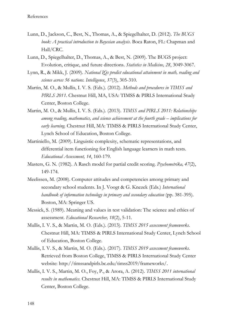- Lunn, D., Jackson, C., Best, N., Thomas, A., & Spiegelhalter, D. (2012). *The BUGS book: A practical introduction to Bayesian analysis*. Boca Raton, FL: Chapman and Hall/CRC.
- Lunn, D., Spiegelhalter, D., Thomas, A., & Best, N. (2009). The BUGS project: Evolution, critique, and future directions. *Statistics in Medicine, 28*, 3049-3067.
- Lynn, R., & Mikk, J. (2009). *National IQs predict educational attainment in math, reading and science across 56 nations. Intelligence*, *37*(3), 305-310.
- Martin, M. O., & Mullis, I. V. S. (Eds.). (2012). *Methods and procedures in TIMSS and PIRLS 2011*. Chestnut Hill, MA, USA: TIMSS & PIRLS International Study Center, Boston College.
- Martin, M. O., & Mullis, I. V. S. (Eds.). (2013). *TIMSS and PIRLS 2011: Relationships among reading, mathematics, and science achievement at the fourth grade – implications for early learning.* Chestnut Hill, MA: TIMSS & PIRLS International Study Center, Lynch School of Education, Boston College.
- Martiniello, M. (2009). Linguistic complexity, schematic representations, and differential item functioning for English language learners in math tests. *Educational Assessment, 14*, 160-179.
- Masters, G. N. (1982). A Rasch model for partial credit scoring. *Psychometrika, 47*(2), 149-174.
- Meelissen, M. (2008). Computer attitudes and competencies among primary and secondary school students. In J. Voogt & G. Knezek (Eds.) *International handbook of information technology in primary and secondary education* (pp. 381-395). Boston, MA: Springer US.
- Messick, S. (1989). Meaning and values in test validation: The science and ethics of assessment. *Educational Researcher, 18*(2), 5-11.
- Mullis, I. V. S., & Martin, M. O. (Eds.). (2013). *TIMSS 2015 assessment frameworks*. Chestnut Hill, MA: TIMSS & PIRLS International Study Center, Lynch School of Education, Boston College.
- Mullis, I. V. S., & Martin, M. O. (Eds.). (2017). *TIMSS 2019 assessment frameworks*. Retrieved from Boston College, TIMSS & PIRLS International Study Center website: http://timssandpirls.bc.edu/timss2019/frameworks/.
- Mullis, I. V. S., Martin, M. O., Foy, P., & Arora, A. (2012). *TIMSS 2011 international results in mathematics.* Chestnut Hill, MA: TIMSS & PIRLS International Study Center, Boston College.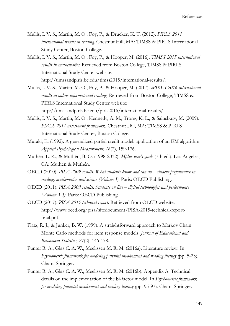- Mullis, I. V. S., Martin, M. O., Foy, P., & Drucker, K. T. (2012). *PIRLS 2011 international results in reading*. Chestnut Hill, MA: TIMSS & PIRLS International Study Center, Boston College.
- Mullis, I. V. S., Martin, M. O., Foy, P., & Hooper, M. (2016). *TIMSS 2015 international results in mathematics.* Retrieved from Boston College, TIMSS & PIRLS International Study Center website: http://timssandpirls.bc.edu/timss2015/international-results/.
- Mullis, I. V. S., Martin, M. O., Foy, P., & Hooper, M. (2017). *ePIRLS 2016 international results in online informational reading*. Retrieved from Boston College, TIMSS & PIRLS International Study Center website: http://timssandpirls.bc.edu/pirls2016/international-results/.
- Mullis, I. V. S., Martin, M. O., Kennedy, A. M., Trong, K. L., & Sainsbury, M. (2009). *PIRLS 2011 assessment framework.* Chestnut Hill, MA: TIMSS & PIRLS International Study Center, Boston College.
- Muraki, E. (1992). A generalized partial credit model: application of an EM algorithm. *Applied Psychological Measurement, 16*(2), 159-176.
- Muthén, L. K., & Muthén, B. O. (1998-2012). *Mplus user's guide* (7th ed.). Los Angeles, CA: Muthén & Muthén.
- OECD (2010). *PISA 2009 results: What students know and can do student performance in reading, mathematics and science (Volume I).* Paris: OECD Publishing.
- OECD (2011). *PISA 2009 results: Students on line digital technologies and performance (Volume VI).* Paris: OECD Publishing.
- OECD (2017). *PISA 2015 technical report*. Retrieved from OECD website: http://www.oecd.org/pisa/sitedocument/PISA-2015-technical-report final.pdf.
- Platz, R. J., & Junker, B. W. (1999). A straightforward approach to Markov Chain Monte Carlo methods for item response models. *Journal of Educational and Behavioral Statistics, 24*(2), 146-178.
- Punter R. A., Glas C. A. W., Meelissen M. R. M. (2016a). Literature review. In *Psychometric framework for modeling parental involvement and reading literacy (*pp. 5-23)*.* Cham: Springer.
- Punter R. A., Glas C. A. W., Meelissen M. R. M. (2016b). Appendix A: Technical details on the implementation of the bi-factor model. In *Psychometric framework for modeling parental involvement and reading literacy (*pp. 95-97)*.* Cham: Springer.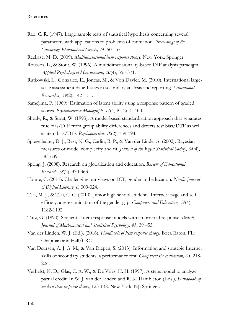Rao, C. R. (1947). Large sample tests of statistical hypothesis concerning several parameters with applications to problems of estimation. *Proceedings of the Cambridge Philosophical Society, 44*, 50 –57.

Reckase, M. D. (2009). *Multidimensional item response theory.* New York: Springer.

- Roussos, L., & Stout, W. (1996). A multidimensionality-based DIF analysis paradigm. *Applied Psychological Measurement, 20*(4), 355-371.
- Rutkowski, L., Gonzalez, E., Joncas, M., & Von Davier, M. (2010). International large scale assessment data: Issues in secondary analysis and reporting. *Educational Researcher, 39*(2), 142–151.
- Samejima, F. (1969). Estimation of latent ability using a response pattern of graded scores. *Psychometrika Monograph, 34*(4, Pt. 2), 1–100.
- Shealy, R., & Stout, W. (1993). A model-based standardization approach that separates true bias/DIF from group ability differences and detects test bias/DTF as well as item bias/DIF. *Psychometrika, 58*(2), 159-194.
- Spiegelhalter, D. J., Best, N. G., Carlin, B. P., & Van der Linde, A. (2002). Bayesian measures of model complexity and fit. *Journal of the Royal Statistical Society, 64(*4), 583-639.
- Spring, J. (2008). Research on globalization and education. *Review of Educational Research, 78*(2), 330-363.
- Tømte, C. (2011). Challenging our views on ICT, gender and education. *Nordic Journal of Digital Literacy, 6*, 309-324.
- Tsai, M. J., & Tsai, C. C. (2010). Junior high school students' Internet usage and self efficacy: a re-examination of the gender gap. *Computers and Education, 54*(4), 1182-1192.
- Tutz, G. (1990). Sequential item response models with an ordered response. *British Journal of Mathematical and Statistical Psychology, 43*, 39 –55.
- Van der Linden, W. J. (Ed.). (2016). *Handbook of item response theory.* Boca Raton, FL: Chapman and Hall/CRC
- Van Deursen, A. J. A. M., & Van Diepen, S. (2013). Information and strategic Internet skills of secondary students: a performance test. *Computers & Education*, 63, 218-226.
- Verhelst, N. D., Glas, C. A. W., & De Vries, H. H. (1997). A steps model to analyze partial credit. In W. J. van der Linden and R. K. Hambleton (Eds.), *Handbook of modern item response theory*, 123-138. New York, NJ: Springer.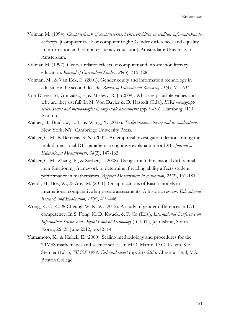- Volman M. (1994). *Computerfreak of computervrees: Sekseverschillen en egalitair informatiekunde onderwijs.* [Computer freak or computer fright: Gender differences and equality in information and computer literacy education]. Amsterdam: University of Amsterdam.
- Volman M. (1997). Gender-related effects of computer and information literacy education. *Journal of Curriculum Studies, 29*(3), 315-328.
- Volman, M., & Van Eck, E. (2001). Gender equity and information technology in education: the second decade. *Review of Educational Research, 71*(4), 613-634.
- Von Davier, M, Gonzalez, E, & Mislevy, R. J. (2009). What are plausible values and why are they useful? In M. Von Davier & D. Hastedt (Eds.), *IERI monograph series: Issues and methodologies in large-scale assessments* (pp. 9–36). Hamburg: IER Institute.
- Wainer, H., Bradlow, E. T., & Wang, X. (2007). *Testlet response theory and its applications*. New York, NY: Cambridge University Press.
- Walker, C. M., & Beretvas, S. N. (2001). An empirical investigation demonstrating the multidimensional DIF paradigm: a cognitive explanation for DIF. *Journal of Educational Measurement, 38*(2), 147-163.
- Walker, C. M., Zhang, B., & Surber, J. (2008). Using a multidimensional differential item functioning framework to determine if reading ability affects student performance in mathematics. *Applied Measurement in Education, 21*(2), 162-181.
- Wendt, H., Bos, W., & Goy, M. (2011). On applications of Rasch models in international comparative large-scale assessments: A historic review. *Educational Research and Evaluation, 17*(6), 419-446.
- Wong, K. C. K., & Cheung, W. K. W. (2012). A study of gender differences in ICT competency. In S. Fong, K. D. Kwack, & F. Co (Eds.), *International Conference on Information Science and Digital Content Technology* (ICIDT), Jeju Island, South Korea, 26–28 June 2012, pp.12–14.
- Yamamoto, K., & Kulick, E. (2000). Scaling methodology and procedures for the TIMSS mathematics and science scales. In M.O. Martin, D.G. Kelvin, S.E. Stemler (Eds.), *TIMSS 1999*. *Technical report* (pp. 237-263). Chestnut Hull, MA: Boston College.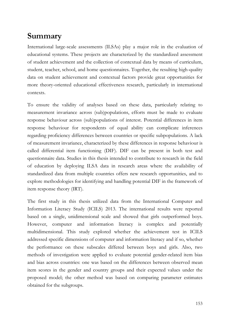### **Summary**

International large-scale assessments (ILSAs) play a major role in the evaluation of educational systems. These projects are characterized by the standardized assessment of student achievement and the collection of contextual data by means of curriculum, student, teacher, school, and home questionnaires. Together, the resulting high-quality data on student achievement and contextual factors provide great opportunities for more theory-oriented educational effectiveness research, particularly in international contexts.

To ensure the validity of analyses based on these data, particularly relating to measurement invariance across (sub)populations, efforts must be made to evaluate response behaviour across (sub)populations of interest. Potential differences in item response behaviour for respondents of equal ability can complicate inferences regarding proficiency differences between countries or specific subpopulations. A lack of measurement invariance, characterized by these differences in response behaviour is called differential item functioning (DIF). DIF can be present in both test and questionnaire data. Studies in this thesis intended to contribute to research in the field of education by deploying ILSA data in research areas where the availability of standardized data from multiple countries offers new research opportunities, and to explore methodologies for identifying and handling potential DIF in the framework of item response theory (IRT).

The first study in this thesis utilized data from the International Computer and Information Literacy Study (ICILS) 2013. The international results were reported based on a single, unidimensional scale and showed that girls outperformed boys. However, computer and information literacy is complex and potentially multidimensional. This study explored whether the achievement test in ICILS addressed specific dimensions of computer and information literacy and if so, whether the performance on these subscales differed between boys and girls. Also, two methods of investigation were applied to evaluate potential gender-related item bias and bias across countries: one was based on the differences between observed mean item scores in the gender and country groups and their expected values under the proposed model; the other method was based on comparing parameter estimates obtained for the subgroups.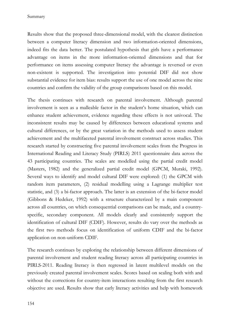Summary

Results show that the proposed three-dimensional model, with the clearest distinction between a computer literacy dimension and two information-oriented dimensions, indeed fits the data better. The postulated hypothesis that girls have a performance advantage on items in the more information-oriented dimensions and that for performance on items assessing computer literacy the advantage is reversed or even non-existent is supported. The investigation into potential DIF did not show substantial evidence for item bias: results support the use of one model across the nine countries and confirm the validity of the group comparisons based on this model.

The thesis continues with research on parental involvement. Although parental involvement is seen as a malleable factor in the student's home situation, which can enhance student achievement, evidence regarding these effects is not univocal. The inconsistent results may be caused by differences between educational systems and cultural differences, or by the great variation in the methods used to assess student achievement and the multifaceted parental involvement construct across studies. This research started by constructing five parental involvement scales from the Progress in International Reading and Literacy Study (PIRLS) 2011 questionnaire data across the 43 participating countries. The scales are modelled using the partial credit model (Masters, 1982) and the generalized partial credit model (GPCM, Muraki, 1992). Several ways to identify and model cultural DIF were explored: (1) the GPCM with random item parameters, (2) residual modelling using a Lagrange multiplier test statistic, and (3) a bi-factor approach. The latter is an extension of the bi-factor model (Gibbons & Hedeker, 1992) with a structure characterized by a main component across all countries, on which consequential comparisons can be made, and a countryspecific, secondary component. All models clearly and consistently support the identification of cultural DIF (CDIF). However, results do vary over the methods as the first two methods focus on identification of uniform CDIF and the bi-factor application on non-uniform CDIF.

The research continues by exploring the relationship between different dimensions of parental involvement and student reading literacy across all participating countries in PIRLS-2011. Reading literacy is then regressed in latent multilevel models on the previously created parental involvement scales. Scores based on scaling both with and without the corrections for country-item interactions resulting from the first research objective are used. Results show that early literacy activities and help with homework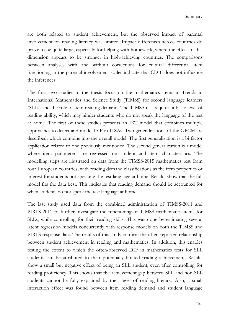are both related to student achievement, but the observed impact of parental involvement on reading literacy was limited. Impact differences across countries do prove to be quite large, especially for helping with homework, where the effect of this dimension appears to be stronger in high-achieving countries. The comparisons between analyses with and without corrections for cultural differential item functioning in the parental involvement scales indicate that CDIF does not influence the inferences.

The final two studies in the thesis focus on the mathematics items in Trends in International Mathematics and Science Study (TIMSS) for second language learners (SLLs) and the role of item reading demand. The TIMSS test requires a basic level of reading ability, which may hinder students who do not speak the language of the test at home. The first of these studies presents an IRT model that combines multiple approaches to detect and model DIF in ILSAs. Two generalizations of the GPCM are described, which combine into the overall model. The first generalization is a bi-factor application related to one previously mentioned. The second generalization is a model where item parameters are regressed on student and item characteristics. The modelling steps are illustrated on data from the TIMSS-2015 mathematics test from four European countries, with reading demand classifications as the item properties of interest for students not speaking the test language at home. Results show that the full model fits the data best. This indicates that reading demand should be accounted for when students do not speak the test language at home.

The last study used data from the combined administration of TIMSS-2011 and PIRLS-2011 to further investigate the functioning of TIMSS mathematics items for SLLs, while controlling for their reading skills. This was done by estimating several latent regression models concurrently with response models on both the TIMSS and PIRLS response data. The results of this study confirm the often-reported relationship between student achievement in reading and mathematics. In addition, this enables testing the extent to which the often-observed DIF in mathematics tests for SLL students can be attributed to their potentially limited reading achievement. Results show a small but negative effect of being an SLL student, even after controlling for reading proficiency. This shows that the achievement gap between SLL and non-SLL students cannot be fully explained by their level of reading literacy. Also, a small interaction effect was found between item reading demand and student language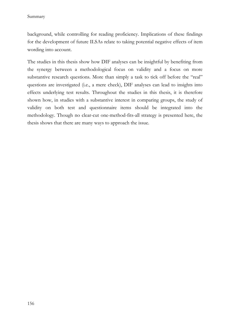background, while controlling for reading proficiency. Implications of these findings for the development of future ILSAs relate to taking potential negative effects of item wording into account.

The studies in this thesis show how DIF analyses can be insightful by benefiting from the synergy between a methodological focus on validity and a focus on more substantive research questions. More than simply a task to tick off before the "real" questions are investigated (i.e., a mere check), DIF analyses can lead to insights into effects underlying test results. Throughout the studies in this thesis, it is therefore shown how, in studies with a substantive interest in comparing groups, the study of validity on both test and questionnaire items should be integrated into the methodology. Though no clear-cut one-method-fits-all strategy is presented here, the thesis shows that there are many ways to approach the issue.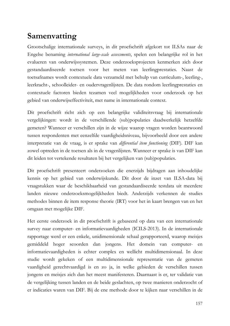### **Samenvatting**

Grootschalige internationale surveys, in dit proefschrift afgekort tot ILSAs naar de Engelse benaming *international large-scale assessments*, spelen een belangrijke rol in het evalueren van onderwijssystemen. Deze onderzoeksprojecten kenmerken zich door gestandaardiseerde toetsen voor het meten van leerlingprestaties. Naast de toetsafnames wordt contextuele data verzameld met behulp van curriculum-, leerling-, leerkracht-, schoolleider- en oudervragenlijsten. De data rondom leerlingprestaties en contextuele factoren bieden tezamen veel mogelijkheden voor onderzoek op het gebied van onderwijseffectiviteit, met name in internationale context.

Dit proefschrift richt zich op een belangrijke validiteitsvraag bij internationale vergelijkingen: wordt in de verschillende (sub)populaties daadwerkelijk hetzelfde gemeten? Wanneer er verschillen zijn in de wijze waarop vragen worden beantwoord tussen respondenten met eenzelfde vaardigheidsniveau, bijvoorbeeld door een andere interpretatie van de vraag, is er sprake van *differential item functioning* (DIF). DIF kan zowel optreden in de toetsen als in de vragenlijsten. Wanneer er sprake is van DIF kan dit leiden tot vertekende resultaten bij het vergelijken van (sub)populaties.

Dit proefschrift presenteert onderzoeken die enerzijds bijdragen aan inhoudelijke kennis op het gebied van onderwijskunde. Dit door de inzet van ILSA-data bij vraagstukken waar de beschikbaarheid van gestandaardiseerde testdata uit meerdere landen nieuwe onderzoeksmogelijkheden biedt. Anderzijds verkennen de studies methodes binnen de item response theorie (IRT) voor het in kaart brengen van en het omgaan met mogelijke DIF.

Het eerste onderzoek in dit proefschrift is gebaseerd op data van een internationale survey naar computer- en informatievaardigheden (ICILS-2013). In de internationale rapportage werd er een enkele, unidimensionale schaal gerapporteerd, waarop meisjes gemiddeld hoger scoorden dan jongens. Het domein van computer- en informatievaardigheden is echter complex en wellicht multidimensionaal. In deze studie wordt gekeken of een multidimensionale representatie van de gemeten vaardigheid gerechtvaardigd is en zo ja, in welke gebieden de verschillen tussen jongens en meisjes zich dan het meest manifesteren. Daarnaast is er, ter validatie van de vergelijking tussen landen en de beide geslachten, op twee manieren onderzocht of er indicaties waren van DIF. Bij de ene methode door te kijken naar verschillen in de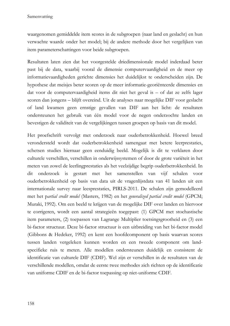waargenomen gemiddelde item scores in de subgroepen (naar land en geslacht) en hun verwachte waarde onder het model; bij de andere methode door het vergelijken van item parameterschattingen voor beide subgroepen.

Resultaten laten zien dat het voorgestelde driedimensionale model inderdaad beter past bij de data, waarbij vooral de dimensie computervaardigheid en de meer op informatievaardigheden gerichte dimensies het duidelijkst te onderscheiden zijn. De hypothese dat meisjes beter scoren op de meer informatie-georiënteerde dimensies en dat voor de computervaardigheid items dit niet het geval is – of dat ze zelfs lager scoren dan jongens – blijft overeind. Uit de analyses naar mogelijke DIF voor geslacht of land kwamen geen ernstige gevallen van DIF aan het licht: de resultaten ondersteunen het gebruik van één model voor de negen onderzochte landen en bevestigen de validiteit van de vergelijkingen tussen groepen op basis van dit model.

Het proefschrift vervolgt met onderzoek naar ouderbetrokkenheid. Hoewel breed verondersteld wordt dat ouderbetrokkenheid samengaat met betere leerprestaties, schetsen studies hiernaar geen eenduidig beeld. Mogelijk is dit te verklaren door culturele verschillen, verschillen in onderwijssystemen of door de grote variëteit in het meten van zowel de leerlingprestaties als het veelzijdige begrip ouderbetrokkenheid. In dit onderzoek is gestart met het samenstellen van vijf schalen voor ouderbetrokkenheid op basis van data uit de vragenlijstdata van 41 landen uit een internationale survey naar leesprestaties, PIRLS-2011. De schalen zijn gemodelleerd met het p*artial credit model* (Masters, 1982) en het *generalized partial credit model* (GPCM; Muraki, 1992). Om een beeld te krijgen van de mogelijke DIF over landen en hiervoor te corrigeren, wordt een aantal strategieën toegepast: (1) GPCM met stochastische item parameters, (2) toepassen van Lagrange Multiplier toetsingsgrootheid en (3) een bi-factor structuur. Deze bi-factor structuur is een uitbreiding van het bi-factor model (Gibbons & Hedeker, 1992) en kent een hoofdcomponent op basis waarvan scores tussen landen vergeleken kunnen worden en een tweede component om landspecifieke ruis te meten. Alle modellen ondersteunen duidelijk en consistent de identificatie van culturele DIF (CDIF). Wel zijn er verschillen in de resultaten van de verschillende modellen, omdat de eerste twee methodes zich richten op de identificatie van uniforme CDIF en de bi-factor toepassing op niet-uniforme CDIF.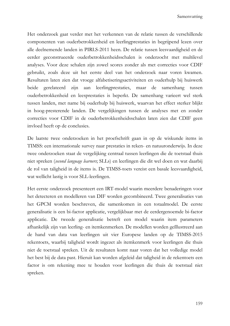Samenvatting

Het onderzoek gaat verder met het verkennen van de relatie tussen de verschillende componenten van ouderbetrokkenheid en leerlingprestaties in begrijpend lezen over alle deelnemende landen in PIRLS-2011 heen. De relatie tussen leesvaardigheid en de eerder geconstrueerde ouderbetrokkenheidsschalen is onderzocht met multilevel analyses. Voor deze schalen zijn zowel scores zonder als met correcties voor CDIF gebruikt, zoals deze uit het eerste deel van het onderzoek naar voren kwamen. Resultaten laten zien dat vroege alfabetiseringsactiviteiten en ouderhulp bij huiswerk beide gerelateerd zijn aan leerlingprestaties, maar de samenhang tussen ouderbetrokkenheid en leesprestaties is beperkt. De samenhang varieert wel sterk tussen landen, met name bij ouderhulp bij huiswerk, waarvan het effect sterker blijkt in hoog-presterende landen. De vergelijkingen tussen de analyses met en zonder correcties voor CDIF in de ouderbetrokkenheidsschalen laten zien dat CDIF geen invloed heeft op de conclusies.

De laatste twee onderzoeken in het proefschrift gaan in op de wiskunde items in TIMSS: een internationale survey naar prestaties in reken- en natuuronderwijs. In deze twee onderzoeken staat de vergelijking centraal tussen leerlingen die de toetstaal thuis niet spreken (*second language learners*; SLLs) en leerlingen die dit wel doen en wat daarbij de rol van taligheid in de items is. De TIMSS-toets vereist een basale leesvaardigheid, wat wellicht lastig is voor SLL-leerlingen.

Het eerste onderzoek presenteert een IRT-model waarin meerdere benaderingen voor het detecteren en modelleren van DIF worden gecombineerd. Twee generalisaties van het GPCM worden beschreven, die samenkomen in een totaalmodel. De eerste generalisatie is een bi-factor applicatie, vergelijkbaar met de eerdergenoemde bi-factor applicatie. De tweede generalisatie betreft een model waarin item parameters afhankelijk zijn van leerling- en itemkenmerken. De modellen worden geïllustreerd aan de hand van data van leerlingen uit vier Europese landen op de TIMSS-2015 rekentoets, waarbij taligheid wordt ingezet als itemkenmerk voor leerlingen die thuis niet de toetstaal spreken. Uit de resultaten komt naar voren dat het volledige model het best bij de data past. Hieruit kan worden afgeleid dat taligheid in de rekentoets een factor is om rekening mee te houden voor leerlingen die thuis de toetstaal niet spreken.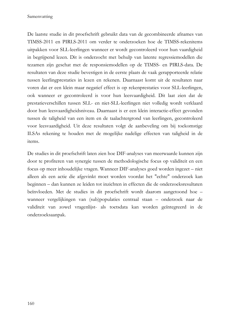De laatste studie in dit proefschrift gebruikt data van de gecombineerde afnames van TIMSS-2011 en PIRLS-2011 om verder te onderzoeken hoe de TIMSS-rekenitems uitpakken voor SLL-leerlingen wanneer er wordt gecontroleerd voor hun vaardigheid in begrijpend lezen. Dit is onderzocht met behulp van latente regressiemodellen die tezamen zijn geschat met de responsiemodellen op de TIMSS- en PIRLS-data. De resultaten van deze studie bevestigen in de eerste plaats de vaak gerapporteerde relatie tussen leerlingprestaties in lezen en rekenen. Daarnaast komt uit de resultaten naar voren dat er een klein maar negatief effect is op rekenprestaties voor SLL-leerlingen, ook wanneer er gecontroleerd is voor hun leesvaardigheid. Dit laat zien dat de prestatieverschillen tussen SLL- en niet-SLL-leerlingen niet volledig wordt verklaard door hun leesvaardigheidsniveau. Daarnaast is er een klein interactie-effect gevonden tussen de taligheid van een item en de taalachtergrond van leerlingen, gecontroleerd voor leesvaardigheid. Uit deze resultaten volgt de aanbeveling om bij toekomstige ILSAs rekening te houden met de mogelijke nadelige effecten van taligheid in de items.

De studies in dit proefschrift laten zien hoe DIF-analyses van meerwaarde kunnen zijn door te profiteren van synergie tussen de methodologische focus op validiteit en een focus op meer inhoudelijke vragen. Wanneer DIF-analyses goed worden ingezet – niet alleen als een actie die afgevinkt moet worden voordat het "echte" onderzoek kan beginnen – dan kunnen ze leiden tot inzichten in effecten die de onderzoeksresultaten beïnvloeden. Met de studies in dit proefschrift wordt daarom aangetoond hoe – wanneer vergelijkingen van (sub)populaties centraal staan – onderzoek naar de validiteit van zowel vragenlijst- als toetsdata kan worden geïntegreerd in de onderzoeksaanpak.